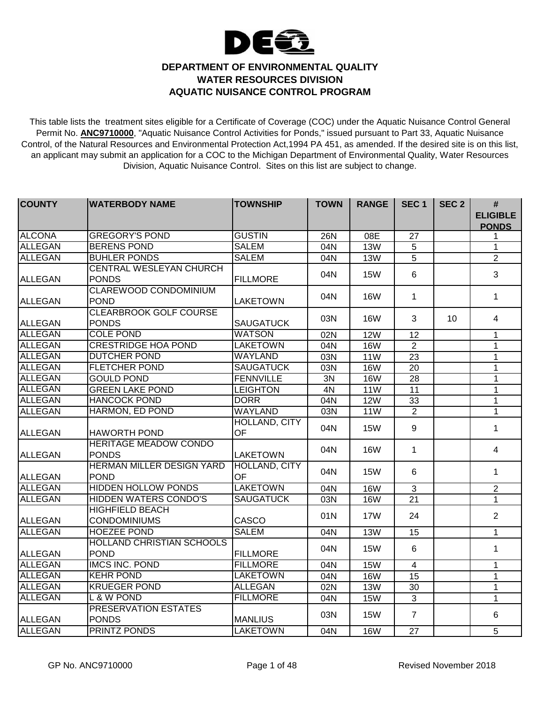

## **DEPARTMENT OF ENVIRONMENTAL QUALITY WATER RESOURCES DIVISION AQUATIC NUISANCE CONTROL PROGRAM**

This table lists the treatment sites eligible for a Certificate of Coverage (COC) under the Aquatic Nuisance Control General Permit No. **ANC9710000**, "Aquatic Nuisance Control Activities for Ponds," issued pursuant to Part 33, Aquatic Nuisance Control, of the Natural Resources and Environmental Protection Act,1994 PA 451, as amended. If the desired site is on this list, an applicant may submit an application for a COC to the Michigan Department of Environmental Quality, Water Resources Division, Aquatic Nuisance Control. Sites on this list are subject to change.

| <b>COUNTY</b>  | <b>WATERBODY NAME</b>            | <b>TOWNSHIP</b>      | <b>TOWN</b>      | <b>RANGE</b> | SEC <sub>1</sub> | SEC <sub>2</sub> | #               |
|----------------|----------------------------------|----------------------|------------------|--------------|------------------|------------------|-----------------|
|                |                                  |                      |                  |              |                  |                  | <b>ELIGIBLE</b> |
|                |                                  |                      |                  |              |                  |                  | <b>PONDS</b>    |
| <b>ALCONA</b>  | <b>GREGORY'S POND</b>            | <b>GUSTIN</b>        | 26N              | 08E          | 27               |                  | 1               |
| <b>ALLEGAN</b> | <b>BERENS POND</b>               | <b>SALEM</b>         | 04N              | <b>13W</b>   | 5                |                  | $\mathbf{1}$    |
| <b>ALLEGAN</b> | <b>BUHLER PONDS</b>              | <b>SALEM</b>         | 04N              | <b>13W</b>   | $\overline{5}$   |                  | $\overline{2}$  |
|                | <b>CENTRAL WESLEYAN CHURCH</b>   |                      | 04N              | <b>15W</b>   | 6                |                  | 3               |
| <b>ALLEGAN</b> | <b>PONDS</b>                     | <b>FILLMORE</b>      |                  |              |                  |                  |                 |
|                | <b>CLAREWOOD CONDOMINIUM</b>     |                      | 04N              | <b>16W</b>   | $\mathbf 1$      |                  | $\mathbf 1$     |
| <b>ALLEGAN</b> | <b>POND</b>                      | <b>LAKETOWN</b>      |                  |              |                  |                  |                 |
|                | <b>CLEARBROOK GOLF COURSE</b>    |                      | 03N              | <b>16W</b>   | 3                | 10               | 4               |
| <b>ALLEGAN</b> | <b>PONDS</b>                     | <b>SAUGATUCK</b>     |                  |              |                  |                  |                 |
| <b>ALLEGAN</b> | <b>COLE POND</b>                 | <b>WATSON</b>        | 02N              | 12W          | 12               |                  | 1               |
| <b>ALLEGAN</b> | <b>CRESTRIDGE HOA POND</b>       | <b>LAKETOWN</b>      | 04N              | <b>16W</b>   | 2                |                  | 1               |
| <b>ALLEGAN</b> | <b>DUTCHER POND</b>              | <b>WAYLAND</b>       | 03N              | <b>11W</b>   | 23               |                  | 1               |
| <b>ALLEGAN</b> | <b>FLETCHER POND</b>             | <b>SAUGATUCK</b>     | 03N              | <b>16W</b>   | $\overline{20}$  |                  | 1               |
| <b>ALLEGAN</b> | <b>GOULD POND</b>                | <b>FENNVILLE</b>     | 3N               | 16W          | 28               |                  | 1               |
| <b>ALLEGAN</b> | <b>GREEN LAKE POND</b>           | <b>LEIGHTON</b>      | 4N               | <b>11W</b>   | $\overline{11}$  |                  | $\mathbf{1}$    |
| <b>ALLEGAN</b> | <b>HANCOCK POND</b>              | <b>DORR</b>          | 04N              | 12W          | 33               |                  | $\mathbf 1$     |
| <b>ALLEGAN</b> | <b>HARMON, ED POND</b>           | <b>WAYLAND</b>       | $\overline{03N}$ | 11W          | $\overline{2}$   |                  | $\mathbf{1}$    |
|                |                                  | <b>HOLLAND, CITY</b> |                  | <b>15W</b>   |                  |                  |                 |
| <b>ALLEGAN</b> | <b>HAWORTH POND</b>              | <b>OF</b>            | 04N              |              | 9                |                  | 1               |
|                | <b>HERITAGE MEADOW CONDO</b>     |                      | 04N              | <b>16W</b>   | $\mathbf{1}$     |                  | 4               |
| ALLEGAN        | <b>PONDS</b>                     | <b>LAKETOWN</b>      |                  |              |                  |                  |                 |
|                | <b>HERMAN MILLER DESIGN YARD</b> | <b>HOLLAND, CITY</b> | 04N              | <b>15W</b>   | 6                |                  | $\mathbf{1}$    |
| ALLEGAN        | <b>POND</b>                      | <b>OF</b>            |                  |              |                  |                  |                 |
| <b>ALLEGAN</b> | <b>HIDDEN HOLLOW PONDS</b>       | <b>LAKETOWN</b>      | 04N              | 16W          | ن                |                  | $\overline{2}$  |
| <b>ALLEGAN</b> | <b>HIDDEN WATERS CONDO'S</b>     | <b>SAUGATUCK</b>     | 03N              | <b>16W</b>   | 21               |                  | $\mathbf{1}$    |
|                | <b>HIGHFIELD BEACH</b>           |                      | 01N              | <b>17W</b>   | 24               |                  | $\overline{2}$  |
| <b>ALLEGAN</b> | <b>CONDOMINIUMS</b>              | CASCO                |                  |              |                  |                  |                 |
| <b>ALLEGAN</b> | <b>HOEZEE POND</b>               | <b>SALEM</b>         | 04N              | <b>13W</b>   | 15               |                  | $\mathbf{1}$    |
|                | <b>HOLLAND CHRISTIAN SCHOOLS</b> |                      | 04N              | <b>15W</b>   | $6\phantom{1}6$  |                  | $\mathbf{1}$    |
| ALLEGAN        | <b>POND</b>                      | <b>FILLMORE</b>      |                  |              |                  |                  |                 |
| <b>ALLEGAN</b> | <b>IMCS INC. POND</b>            | <b>FILLMORE</b>      | 04N              | <b>15W</b>   | $\overline{4}$   |                  | 1               |
| <b>ALLEGAN</b> | <b>KEHR POND</b>                 | <b>LAKETOWN</b>      | 04N              | <b>16W</b>   | 15               |                  | $\mathbf{1}$    |
| <b>ALLEGAN</b> | <b>KRUEGER POND</b>              | <b>ALLEGAN</b>       | 02N              | <b>13W</b>   | 30               |                  | 1               |
| <b>ALLEGAN</b> | L & W POND                       | <b>FILLMORE</b>      | 04N              | <b>15W</b>   | $\overline{3}$   |                  | $\mathbf{1}$    |
|                | <b>PRESERVATION ESTATES</b>      |                      | 03N              |              | $\overline{7}$   |                  | 6               |
| ALLEGAN        | <b>PONDS</b>                     | <b>MANLIUS</b>       |                  | <b>15W</b>   |                  |                  |                 |
| <b>ALLEGAN</b> | <b>PRINTZ PONDS</b>              | <b>LAKETOWN</b>      | 04N              | <b>16W</b>   | 27               |                  | $\overline{5}$  |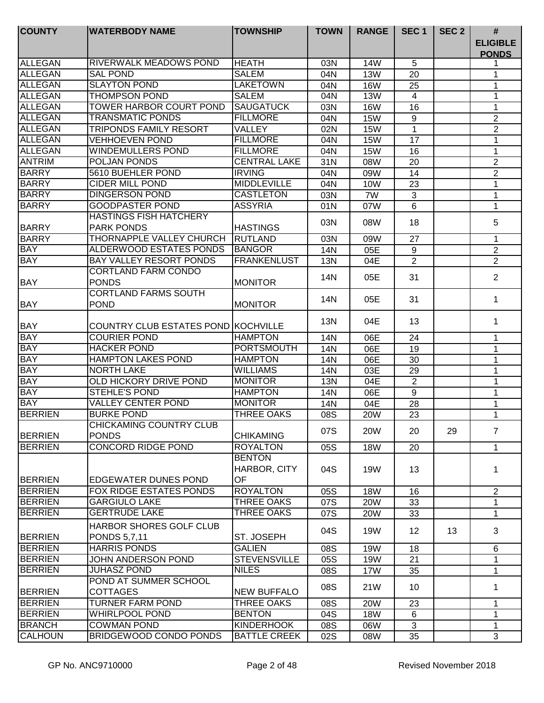| <b>COUNTY</b>            | <b>WATERBODY NAME</b>                                 | <b>TOWNSHIP</b>                     | <b>TOWN</b> | <b>RANGE</b> | SEC <sub>1</sub> | SEC <sub>2</sub> | #                               |
|--------------------------|-------------------------------------------------------|-------------------------------------|-------------|--------------|------------------|------------------|---------------------------------|
|                          |                                                       |                                     |             |              |                  |                  | <b>ELIGIBLE</b><br><b>PONDS</b> |
| ALLEGAN                  | RIVERWALK MEADOWS POND                                | <b>HEATH</b>                        | 03N         | <b>14W</b>   | 5                |                  |                                 |
| ALLEGAN                  | <b>SAL POND</b>                                       | <b>SALEM</b>                        | 04N         | <b>13W</b>   | 20               |                  | 1                               |
| <b>ALLEGAN</b>           | <b>SLAYTON POND</b>                                   | <b>LAKETOWN</b>                     | 04N         | <b>16W</b>   | 25               |                  | 1                               |
| <b>ALLEGAN</b>           | <b>THOMPSON POND</b>                                  | <b>SALEM</b>                        | 04N         | <b>13W</b>   | 4                |                  | 1                               |
| <b>ALLEGAN</b>           | <b>TOWER HARBOR COURT POND</b>                        | <b>SAUGATUCK</b>                    | 03N         | <b>16W</b>   | 16               |                  | 1                               |
| <b>ALLEGAN</b>           | <b>TRANSMATIC PONDS</b>                               | <b>FILLMORE</b>                     | 04N         | <b>15W</b>   | 9                |                  | $\overline{2}$                  |
| <b>ALLEGAN</b>           | <b>TRIPONDS FAMILY RESORT</b>                         | VALLEY                              | 02N         | <b>15W</b>   | $\mathbf 1$      |                  | $\overline{2}$                  |
| <b>ALLEGAN</b>           | <b>VEHHOEVEN POND</b>                                 | <b>FILLMORE</b>                     | 04N         | <b>15W</b>   | 17               |                  | 1                               |
| <b>ALLEGAN</b>           | <b>WINDEMULLERS POND</b>                              | <b>FILLMORE</b>                     | 04N         | <b>15W</b>   | 16               |                  | 1                               |
| <b>ANTRIM</b>            | POLJAN PONDS                                          | <b>CENTRAL LAKE</b>                 | 31N         | 08W          | 20               |                  | $\overline{2}$                  |
| <b>BARRY</b>             | 5610 BUEHLER POND                                     | <b>IRVING</b>                       | 04N         | 09W          | 14               |                  | $\overline{2}$                  |
| <b>BARRY</b>             | <b>CIDER MILL POND</b>                                | <b>MIDDLEVILLE</b>                  | 04N         | 10W          | 23               |                  | $\mathbf{1}$                    |
| <b>BARRY</b>             | <b>DINGERSON POND</b>                                 | <b>CASTLETON</b>                    | 03N         | 7W           | 3                |                  | 1                               |
| <b>BARRY</b>             | <b>GOODPASTER POND</b>                                | <b>ASSYRIA</b>                      | 01N         | 07W          | 6                |                  | 1                               |
| <b>BARRY</b>             | <b>HASTINGS FISH HATCHERY</b><br><b>PARK PONDS</b>    | <b>HASTINGS</b>                     | 03N         | 08W          | 18               |                  | 5                               |
| <b>BARRY</b>             | THORNAPPLE VALLEY CHURCH                              | RUTLAND                             | 03N         |              | 27               |                  |                                 |
|                          | ALDERWOOD ESTATES PONDS                               |                                     |             | 09W          |                  |                  | 1                               |
| <b>BAY</b><br><b>BAY</b> |                                                       | <b>BANGOR</b><br><b>FRANKENLUST</b> | 14N         | 05E          | 9                |                  | $\overline{2}$                  |
|                          | BAY VALLEY RESORT PONDS<br><b>CORTLAND FARM CONDO</b> |                                     | 13N         | 04E          | 2                |                  | $\overline{2}$                  |
| <b>BAY</b>               | <b>PONDS</b>                                          | <b>MONITOR</b>                      | 14N         | 05E          | 31               |                  | $\overline{2}$                  |
| <b>BAY</b>               | <b>CORTLAND FARMS SOUTH</b><br><b>POND</b>            | <b>MONITOR</b>                      | 14N         | 05E          | 31               |                  | 1                               |
| <b>BAY</b>               | COUNTRY CLUB ESTATES POND KOCHVILLE                   |                                     | <b>13N</b>  | 04E          | 13               |                  | 1                               |
| <b>BAY</b>               | <b>COURIER POND</b>                                   | <b>HAMPTON</b>                      | 14N         | 06E          | 24               |                  | 1                               |
| <b>BAY</b>               | <b>HACKER POND</b>                                    | <b>PORTSMOUTH</b>                   | 14N         | 06E          | 19               |                  | 1                               |
| <b>BAY</b>               | <b>HAMPTON LAKES POND</b>                             | <b>HAMPTON</b>                      | 14N         | 06E          | 30               |                  | 1                               |
| <b>BAY</b>               | <b>NORTH LAKE</b>                                     | <b>WILLIAMS</b>                     | 14N         | 03E          | 29               |                  | 1                               |
| <b>BAY</b>               | <b>OLD HICKORY DRIVE POND</b>                         | <b>MONITOR</b>                      | 13N         | 04E          | $\overline{2}$   |                  | 1                               |
| <b>BAY</b>               | <b>STEHLE'S POND</b>                                  | <b>HAMPTON</b>                      | 14N         | 06E          | 9                |                  | 1                               |
| <b>BAY</b>               | <b>VALLEY CENTER POND</b>                             | <b>MONITOR</b>                      | 14N         | 04E          | 28               |                  | 1                               |
| <b>BERRIEN</b>           | <b>BURKE POND</b>                                     | <b>THREE OAKS</b>                   | 08S         | <b>20W</b>   | 23               |                  | $\mathbf 1$                     |
| <b>BERRIEN</b>           | <b>CHICKAMING COUNTRY CLUB</b><br><b>PONDS</b>        | <b>CHIKAMING</b>                    | 07S         | <b>20W</b>   | 20               | 29               | $\overline{7}$                  |
| <b>BERRIEN</b>           | <b>CONCORD RIDGE POND</b>                             | <b>ROYALTON</b>                     | 05S         | <b>18W</b>   | 20               |                  | $\mathbf{1}$                    |
| <b>BERRIEN</b>           | EDGEWATER DUNES POND                                  | <b>BENTON</b><br>HARBOR, CITY<br>OF | 04S         | <b>19W</b>   | 13               |                  | 1                               |
| <b>BERRIEN</b>           | <b>FOX RIDGE ESTATES PONDS</b>                        | <b>ROYALTON</b>                     | 05S         | <b>18W</b>   | 16               |                  | $\overline{2}$                  |
| <b>BERRIEN</b>           | <b>GARGIULO LAKE</b>                                  | <b>THREE OAKS</b>                   | 07S         | <b>20W</b>   | 33               |                  | 1                               |
| <b>BERRIEN</b>           | <b>GERTRUDE LAKE</b>                                  | <b>THREE OAKS</b>                   | 07S         | <b>20W</b>   | 33               |                  | $\mathbf 1$                     |
|                          | HARBOR SHORES GOLF CLUB                               |                                     |             |              |                  |                  |                                 |
| <b>BERRIEN</b>           | PONDS 5,7,11                                          | ST. JOSEPH                          | 04S         | 19W          | 12 <sup>2</sup>  | 13               | 3                               |
| <b>BERRIEN</b>           | <b>HARRIS PONDS</b>                                   | <b>GALIEN</b>                       | 08S         | 19W          | 18               |                  | 6                               |
| <b>BERRIEN</b>           | JOHN ANDERSON POND                                    | <b>STEVENSVILLE</b>                 | 05S         | 19W          | 21               |                  |                                 |
| <b>BERRIEN</b>           | <b>JUHASZ POND</b>                                    | <b>NILES</b>                        | 08S         | 17W          | 35               |                  | 1                               |
| <b>BERRIEN</b>           | POND AT SUMMER SCHOOL<br><b>COTTAGES</b>              | <b>NEW BUFFALO</b>                  | 08S         | 21W          | 10               |                  | 1                               |
| <b>BERRIEN</b>           | <b>TURNER FARM POND</b>                               | <b>THREE OAKS</b>                   | 08S         | <b>20W</b>   | 23               |                  | 1                               |
| <b>BERRIEN</b>           | <b>WHIRLPOOL POND</b>                                 | <b>BENTON</b>                       | 04S         | <b>18W</b>   | 6                |                  | 1                               |
| <b>BRANCH</b>            | <b>COWMAN POND</b>                                    | <b>KINDERHOOK</b>                   | 08S         | 06W          | 3                |                  | 1                               |
| <b>CALHOUN</b>           | BRIDGEWOOD CONDO PONDS                                | <b>BATTLE CREEK</b>                 | 02S         | 08W          | 35               |                  | 3                               |
|                          |                                                       |                                     |             |              |                  |                  |                                 |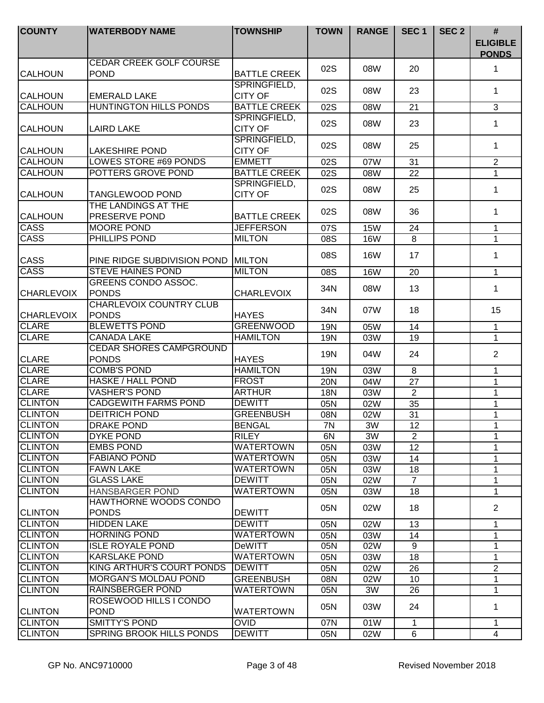| <b>COUNTY</b>     | <b>WATERBODY NAME</b>                          | <b>TOWNSHIP</b>                | <b>TOWN</b> | <b>RANGE</b> | SEC <sub>1</sub> | SEC <sub>2</sub> | #<br><b>ELIGIBLE</b><br><b>PONDS</b> |
|-------------------|------------------------------------------------|--------------------------------|-------------|--------------|------------------|------------------|--------------------------------------|
| <b>CALHOUN</b>    | CEDAR CREEK GOLF COURSE<br><b>POND</b>         | <b>BATTLE CREEK</b>            | 02S         | 08W          | 20               |                  | 1                                    |
| <b>CALHOUN</b>    | <b>EMERALD LAKE</b>                            | SPRINGFIELD,<br><b>CITY OF</b> | 02S         | 08W          | 23               |                  | 1                                    |
| <b>CALHOUN</b>    | <b>HUNTINGTON HILLS PONDS</b>                  | <b>BATTLE CREEK</b>            | 02S         | 08W          | 21               |                  | 3                                    |
| <b>CALHOUN</b>    | <b>LAIRD LAKE</b>                              | SPRINGFIELD,<br><b>CITY OF</b> | 02S         | 08W          | 23               |                  | 1                                    |
| <b>CALHOUN</b>    | <b>LAKESHIRE POND</b>                          | SPRINGFIELD,<br><b>CITY OF</b> | 02S         | 08W          | 25               |                  | 1                                    |
| <b>CALHOUN</b>    | <b>LOWES STORE #69 PONDS</b>                   | <b>EMMETT</b>                  | 02S         | 07W          | 31               |                  | $\overline{2}$                       |
| <b>CALHOUN</b>    | POTTERS GROVE POND                             | <b>BATTLE CREEK</b>            | 02S         | 08W          | 22               |                  | $\overline{1}$                       |
| <b>CALHOUN</b>    | <b>TANGLEWOOD POND</b>                         | SPRINGFIELD,<br><b>CITY OF</b> | 02S         | 08W          | 25               |                  | $\mathbf 1$                          |
| <b>CALHOUN</b>    | THE LANDINGS AT THE<br>PRESERVE POND           | <b>BATTLE CREEK</b>            | 02S         | 08W          | 36               |                  | 1                                    |
| <b>CASS</b>       | <b>MOORE POND</b>                              | <b>JEFFERSON</b>               | 07S         | <b>15W</b>   | 24               |                  | 1                                    |
| <b>CASS</b>       | PHILLIPS POND                                  | <b>MILTON</b>                  | 08S         | <b>16W</b>   | 8                |                  | 1                                    |
| <b>CASS</b>       | PINE RIDGE SUBDIVISION POND                    | <b>MILTON</b>                  | 08S         | <b>16W</b>   | 17               |                  | 1                                    |
| <b>CASS</b>       | <b>STEVE HAINES POND</b>                       | <b>MILTON</b>                  | 08S         | <b>16W</b>   | 20               |                  | $\mathbf 1$                          |
| <b>CHARLEVOIX</b> | GREENS CONDO ASSOC.<br><b>PONDS</b>            | <b>CHARLEVOIX</b>              | 34N         | 08W          | 13               |                  | 1                                    |
| <b>CHARLEVOIX</b> | <b>CHARLEVOIX COUNTRY CLUB</b><br><b>PONDS</b> | <b>HAYES</b>                   | 34N         | 07W          | 18               |                  | 15                                   |
| <b>CLARE</b>      | <b>BLEWETTS POND</b>                           | <b>GREENWOOD</b>               | <b>19N</b>  | 05W          | 14               |                  | $\mathbf{1}$                         |
| <b>CLARE</b>      | <b>CANADA LAKE</b>                             | <b>HAMILTON</b>                | 19N         | 03W          | 19               |                  | $\mathbf{1}$                         |
| <b>CLARE</b>      | <b>CEDAR SHORES CAMPGROUND</b><br><b>PONDS</b> | <b>HAYES</b>                   | <b>19N</b>  | 04W          | 24               |                  | $\overline{2}$                       |
| <b>CLARE</b>      | <b>COMB'S POND</b>                             | <b>HAMILTON</b>                | <b>19N</b>  | 03W          | 8                |                  | 1                                    |
| <b>CLARE</b>      | <b>HASKE / HALL POND</b>                       | <b>FROST</b>                   | 20N         | 04W          | 27               |                  | 1                                    |
| <b>CLARE</b>      | <b>VASHER'S POND</b>                           | <b>ARTHUR</b>                  | 18N         | 03W          | $\overline{2}$   |                  | 1                                    |
| <b>CLINTON</b>    | <b>CADGEWITH FARMS POND</b>                    | <b>DEWITT</b>                  | 05N         | 02W          | 35               |                  | 1                                    |
| <b>CLINTON</b>    | <b>DEITRICH POND</b>                           | <b>GREENBUSH</b>               | 08N         | 02W          | 31               |                  | 1                                    |
| <b>CLINTON</b>    | <b>DRAKE POND</b>                              | <b>BENGAL</b>                  | /N          | 3W           | 12               |                  | 1                                    |
| <b>CLINTON</b>    | DYKE POND                                      | <b>RILEY</b>                   | 6N          | 3W           | 2                |                  | 1                                    |
| <b>CLINTON</b>    | <b>EMBS POND</b>                               | <b>WATERTOWN</b>               | 05N         | 03W          | 12 <sup>2</sup>  |                  | 1                                    |
| <b>CLINTON</b>    | <b>FABIANO POND</b>                            | <b>WATERTOWN</b>               | 05N         | 03W          | 14               |                  | 1                                    |
| <b>CLINTON</b>    | <b>FAWN LAKE</b>                               | <b>WATERTOWN</b>               | 05N         | 03W          | 18               |                  | 1                                    |
| <b>CLINTON</b>    | <b>GLASS LAKE</b>                              | <b>DEWITT</b>                  | 05N         | 02W          | $\overline{7}$   |                  | $\mathbf 1$                          |
| <b>CLINTON</b>    | <b>HANSBARGER POND</b>                         | <b>WATERTOWN</b>               | 05N         | 03W          | 18               |                  | 1                                    |
| <b>CLINTON</b>    | HAWTHORNE WOODS CONDO<br><b>PONDS</b>          | <b>DEWITT</b>                  | 05N         | 02W          | 18               |                  | $\overline{2}$                       |
| <b>CLINTON</b>    | <b>HIDDEN LAKE</b>                             | <b>DEWITT</b>                  | 05N         | 02W          | 13               |                  | $\mathbf{1}$                         |
| <b>CLINTON</b>    | <b>HORNING POND</b>                            | <b>WATERTOWN</b>               | 05N         | 03W          | 14               |                  | $\mathbf 1$                          |
| <b>CLINTON</b>    | <b>ISLE ROYALE POND</b>                        | <b>DeWITT</b>                  | 05N         | 02W          | 9                |                  | 1                                    |
| <b>CLINTON</b>    | <b>KARSLAKE POND</b>                           | <b>WATERTOWN</b>               | 05N         | 03W          | 18               |                  | 1                                    |
| <b>CLINTON</b>    | KING ARTHUR'S COURT PONDS                      | <b>DEWITT</b>                  | 05N         | 02W          | 26               |                  | $\overline{2}$                       |
| <b>CLINTON</b>    | <b>MORGAN'S MOLDAU POND</b>                    | <b>GREENBUSH</b>               | 08N         | 02W          | 10               |                  | 1                                    |
| <b>CLINTON</b>    | RAINSBERGER POND                               | <b>WATERTOWN</b>               | 05N         | 3W           | 26               |                  | 1                                    |
| <b>CLINTON</b>    | ROSEWOOD HILLS I CONDO<br><b>POND</b>          | <b>WATERTOWN</b>               | 05N         | 03W          | 24               |                  | 1                                    |
| <b>CLINTON</b>    | <b>SMITTY'S POND</b>                           | <b>OVID</b>                    | 07N         | 01W          | 1                |                  | 1                                    |
| <b>CLINTON</b>    | <b>SPRING BROOK HILLS PONDS</b>                | <b>DEWITT</b>                  | 05N         | 02W          | 6                |                  | 4                                    |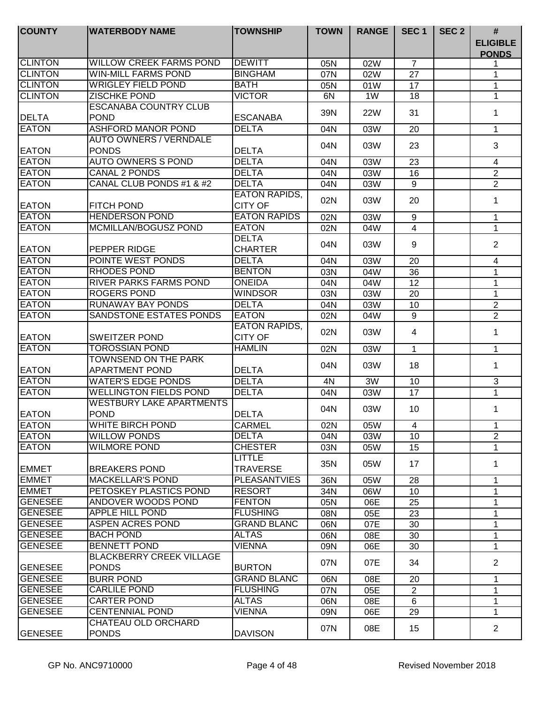| <b>COUNTY</b>    | <b>WATERBODY NAME</b>           | <b>TOWNSHIP</b>      | <b>TOWN</b> | <b>RANGE</b> | SEC <sub>1</sub> | SEC <sub>2</sub> | #                               |
|------------------|---------------------------------|----------------------|-------------|--------------|------------------|------------------|---------------------------------|
|                  |                                 |                      |             |              |                  |                  | <b>ELIGIBLE</b><br><b>PONDS</b> |
| <b>CLINTON</b>   | <b>WILLOW CREEK FARMS POND</b>  | <b>DEWITT</b>        | 05N         | 02W          | $\overline{7}$   |                  |                                 |
| <b>CLINTON</b>   | <b>WIN-MILL FARMS POND</b>      | <b>BINGHAM</b>       | 07N         | 02W          | 27               |                  | 1                               |
| <b>CLINTON</b>   | <b>WRIGLEY FIELD POND</b>       | <b>BATH</b>          | 05N         | 01W          | 17               |                  | 1                               |
| <b>CLINTON</b>   | ZISCHKE POND                    | <b>VICTOR</b>        | 6N          | 1W           | 18               |                  | 1                               |
|                  | <b>ESCANABA COUNTRY CLUB</b>    |                      | 39N         | <b>22W</b>   | 31               |                  | 1                               |
| <b>DELTA</b>     | <b>POND</b>                     | <b>ESCANABA</b>      |             |              |                  |                  |                                 |
| <b>EATON</b>     | <b>ASHFORD MANOR POND</b>       | <b>DELTA</b>         | 04N         | 03W          | 20               |                  | $\mathbf 1$                     |
|                  | <b>AUTO OWNERS / VERNDALE</b>   |                      | 04N         | 03W          | 23               |                  | 3                               |
| <b>EATON</b>     | <b>PONDS</b>                    | <b>DELTA</b>         |             |              |                  |                  |                                 |
| <b>EATON</b>     | <b>AUTO OWNERS S POND</b>       | <b>DELTA</b>         | 04N         | 03W          | 23               |                  | $\overline{4}$                  |
| <b>EATON</b>     | <b>CANAL 2 PONDS</b>            | <b>DELTA</b>         | 04N         | 03W          | 16               |                  | 2                               |
| <b>EATON</b>     | CANAL CLUB PONDS #1 & #2        | <b>DELTA</b>         | 04N         | 03W          | 9                |                  | $\overline{2}$                  |
|                  |                                 | <b>EATON RAPIDS,</b> | 02N         | 03W          | 20               |                  | 1                               |
| <b>EATON</b>     | <b>FITCH POND</b>               | <b>CITY OF</b>       |             |              |                  |                  |                                 |
| <b>EATON</b>     | <b>HENDERSON POND</b>           | <b>EATON RAPIDS</b>  | 02N         | 03W          | 9                |                  | 1                               |
| <b>EATON</b>     | MCMILLAN/BOGUSZ POND            | <b>EATON</b>         | 02N         | 04W          | $\overline{4}$   |                  | 1                               |
|                  |                                 | <b>DELTA</b>         | 04N         | 03W          | 9                |                  | $\overline{2}$                  |
| <b>EATON</b>     | PEPPER RIDGE                    | <b>CHARTER</b>       |             |              |                  |                  |                                 |
| <b>EATON</b>     | POINTE WEST PONDS               | <b>DELTA</b>         | 04N         | 03W          | 20               |                  | 4                               |
| <b>EATON</b>     | RHODES POND                     | <b>BENTON</b>        | 03N         | 04W          | 36               |                  | 1                               |
| <b>EATON</b>     | <b>RIVER PARKS FARMS POND</b>   | <b>ONEIDA</b>        | 04N         | 04W          | 12               |                  | 1                               |
| <b>EATON</b>     | <b>ROGERS POND</b>              | <b>WINDSOR</b>       | 03N         | 03W          | 20               |                  | 1                               |
| <b>EATON</b>     | <b>RUNAWAY BAY PONDS</b>        | <b>DELTA</b>         | 04N         | 03W          | 10               |                  | $\overline{2}$                  |
| <b>EATON</b>     | SANDSTONE ESTATES PONDS         | <b>EATON</b>         | 02N         | 04W          | 9                |                  | $\overline{2}$                  |
|                  |                                 | <b>EATON RAPIDS,</b> | 02N         | 03W          | 4                |                  | 1                               |
| <b>EATON</b>     | <b>SWEITZER POND</b>            | <b>CITY OF</b>       |             |              |                  |                  |                                 |
| <b>EATON</b>     | <b>TOROSSIAN POND</b>           | <b>HAMLIN</b>        | 02N         | 03W          | 1                |                  | $\mathbf 1$                     |
|                  | <b>TOWNSEND ON THE PARK</b>     |                      | 04N         | 03W          | 18               |                  | $\mathbf 1$                     |
| <b>EATON</b>     | <b>APARTMENT POND</b>           | <b>DELTA</b>         |             |              |                  |                  |                                 |
| <b>EATON</b>     | <b>WATER'S EDGE PONDS</b>       | <b>DELTA</b>         | 4N          | 3W           | 10               |                  | 3                               |
| <b>EATON</b>     | <b>WELLINGTON FIELDS POND</b>   | <b>DELTA</b>         | 04N         | 03W          | 17               |                  | $\mathbf{1}$                    |
|                  | <b>WESTBURY LAKE APARTMENTS</b> |                      | 04N         | 03W          | 10               |                  | 1                               |
| <b>EATON</b>     | <b>POND</b>                     | <b>DELTA</b>         |             |              |                  |                  |                                 |
| <b>EATON</b>     | <b>WHITE BIRCH POND</b>         | <b>CARMEL</b>        | 02N         | 05W          | $\overline{4}$   |                  |                                 |
| <b>EATON</b>     | <b>WILLOW PONDS</b>             | <b>DELTA</b>         | 04N         | 03W          | 10 <sup>1</sup>  |                  | $\overline{2}$                  |
| <b>EATON</b>     | <b>WILMORE POND</b>             | <b>CHESTER</b>       | 03N         | 05W          | 15               |                  | 1                               |
|                  |                                 | <b>LITTLE</b>        | 35N         | 05W          | 17               |                  | 1                               |
| <b>EMMET</b>     | <b>BREAKERS POND</b>            | <b>TRAVERSE</b>      |             |              |                  |                  |                                 |
| <b>IEMMET</b>    | <b>MACKELLAR'S POND</b>         | <b>PLEASANTVIES</b>  | 36N         | 05W          | 28               |                  | 1                               |
| <b>EMMET</b>     | PETOSKEY PLASTICS POND          | <b>RESORT</b>        | 34N         | 06W          | 10               |                  | 1                               |
| <b>GENESEE</b>   | ANDOVER WOODS POND              | <b>FENTON</b>        | 05N         | 06E          | 25               |                  | 1                               |
| IGENESEE         | <b>APPLE HILL POND</b>          | <b>FLUSHING</b>      | 08N         | 05E          | 23               |                  | 1                               |
| <b>GENESEE</b>   | <b>ASPEN ACRES POND</b>         | <b>GRAND BLANC</b>   | 06N         | 07E          | 30               |                  | 1                               |
| <b>GENESEE</b>   | <b>BACH POND</b>                | <b>ALTAS</b>         | 06N         | 08E          | 30               |                  | 1                               |
| <b>GENESEE</b>   | <b>BENNETT POND</b>             | <b>VIENNA</b>        | 09N         | 06E          | 30               |                  | 1                               |
|                  | <b>BLACKBERRY CREEK VILLAGE</b> |                      | 07N         | 07E          | 34               |                  | $\overline{2}$                  |
| <b>GENESEE</b>   | <b>PONDS</b>                    | <b>BURTON</b>        |             |              |                  |                  |                                 |
| <b>GENESEE</b>   | <b>BURR POND</b>                | <b>GRAND BLANC</b>   | 06N         | 08E          | 20               |                  | 1                               |
| <b>I</b> GENESEE | <b>CARLILE POND</b>             | <b>FLUSHING</b>      | 07N         | 05E          | $\overline{2}$   |                  | 1                               |
| GENESEE          | <b>CARTER POND</b>              | <b>ALTAS</b>         | 06N         | 08E          | 6                |                  | 1                               |
| <b>I</b> GENESEE | <b>CENTENNIAL POND</b>          | <b>VIENNA</b>        | 09N         | 06E          | 29               |                  | 1                               |
|                  | CHATEAU OLD ORCHARD             |                      | 07N         | 08E          | 15               |                  | $\overline{2}$                  |
| <b>GENESEE</b>   | <b>PONDS</b>                    | <b>DAVISON</b>       |             |              |                  |                  |                                 |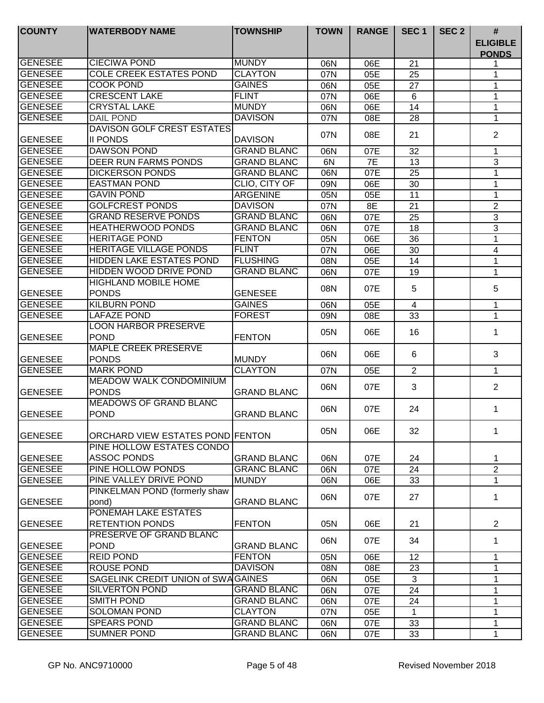| <b>ELIGIBLE</b><br><b>PONDS</b><br><b>CIECIWA POND</b><br><b>MUNDY</b><br><b>GENESEE</b><br>21<br>06N<br>06E<br><b>GENESEE</b><br><b>COLE CREEK ESTATES POND</b><br><b>CLAYTON</b><br>05E<br>07N<br>25<br>1<br><b>GAINES</b><br><b>GENESEE</b><br>COOK POND<br>06N<br>05E<br>27<br>1<br><b>GENESEE</b><br><b>CRESCENT LAKE</b><br><b>FLINT</b><br>06E<br>07N<br>6<br>1<br><b>GENESEE</b><br><b>CRYSTAL LAKE</b><br><b>MUNDY</b><br>06N<br>06E<br>14<br>1<br><b>GENESEE</b><br><b>DAVISON</b><br><b>DAIL POND</b><br>07N<br>08E<br>28<br>1<br>DAVISON GOLF CREST ESTATES<br>$\overline{2}$<br>07N<br>08E<br>21<br><b>II PONDS</b><br><b>GENESEE</b><br><b>DAVISON</b><br><b>GENESEE</b><br><b>DAWSON POND</b><br><b>GRAND BLANC</b><br>06N<br>07E<br>32<br>1<br><b>GENESEE</b><br><b>DEER RUN FARMS PONDS</b><br>7E<br>3<br><b>GRAND BLANC</b><br>6N<br>13<br><b>GENESEE</b><br><b>DICKERSON PONDS</b><br><b>GRAND BLANC</b><br>07E<br>25<br>06N<br>1<br><b>GENESEE</b><br><b>EASTMAN POND</b><br>CLIO, CITY OF<br>30<br>09N<br>06E<br>1<br><b>GAVIN POND</b><br>11<br><b>GENESEE</b><br><b>ARGENINE</b><br>05N<br>05E<br>1<br><b>GENESEE</b><br><b>GOLFCREST PONDS</b><br><b>DAVISON</b><br>$\overline{2}$<br>8E<br>21<br>07N<br><b>GENESEE</b><br><b>GRAND RESERVE PONDS</b><br><b>GRAND BLANC</b><br>25<br>3<br>06N<br>07E<br><b>GENESEE</b><br><b>HEATHERWOOD PONDS</b><br><b>GRAND BLANC</b><br>18<br>3<br>06N<br>07E<br><b>GENESEE</b><br><b>HERITAGE POND</b><br><b>FENTON</b><br>1<br>36<br>05N<br>06E<br><b>GENESEE</b><br><b>HERITAGE VILLAGE PONDS</b><br><b>FLINT</b><br>06E<br>30<br>07N<br>4<br><b>GENESEE</b><br>HIDDEN LAKE ESTATES POND<br><b>FLUSHING</b><br>05E<br>08N<br>14<br>1<br><b>GENESEE</b><br><b>GRAND BLANC</b><br>HIDDEN WOOD DRIVE POND<br>07E<br>19<br>06N<br>1<br><b>HIGHLAND MOBILE HOME</b><br>5<br>5<br>08N<br>07E<br><b>GENESEE</b><br><b>PONDS</b><br><b>GENESEE</b><br><b>KILBURN POND</b><br><b>GENESEE</b><br><b>GAINES</b><br>06N<br>05E<br>4<br>1<br><b>GENESEE</b><br>LAFAZE POND<br><b>FOREST</b><br>33<br>09N<br>08E<br>1<br><b>LOON HARBOR PRESERVE</b><br>06E<br>05N<br>16<br>1<br><b>GENESEE</b><br><b>POND</b><br><b>FENTON</b><br><b>MAPLE CREEK PRESERVE</b><br>3<br>06N<br>06E<br>6<br><b>PONDS</b><br><b>GENESEE</b><br><b>MUNDY</b><br><b>GENESEE</b><br><b>MARK POND</b><br><b>CLAYTON</b><br>2<br>07N<br>05E<br>$\mathbf{1}$<br><b>MEADOW WALK CONDOMINIUM</b><br>3<br>$\overline{2}$<br>06N<br>07E<br><b>PONDS</b><br><b>GENESEE</b><br><b>GRAND BLANC</b><br><b>MEADOWS OF GRAND BLANC</b><br>06N<br>07E<br>24<br>1<br><b>POND</b><br><b>GENESEE</b><br><b>GRAND BLANC</b><br>05N<br>06E<br>32<br>1<br><b>GENESEE</b><br>ORCHARD VIEW ESTATES POND FENTON<br>PINE HOLLOW ESTATES CONDO<br><b>ASSOC PONDS</b><br><b>GENESEE</b><br><b>GRAND BLANC</b><br>06N<br>07E<br>24<br>1<br>GENESEE<br>PINE HOLLOW PONDS<br><b>GRANC BLANC</b><br>$\overline{2}$<br>06N<br>07E<br>24<br>PINE VALLEY DRIVE POND<br><b>GENESEE</b><br><b>MUNDY</b><br>33<br>06N<br>06E<br>1<br>PINKELMAN POND (formerly shaw<br>06N<br>07E<br>27<br>1<br><b>GENESEE</b><br><b>GRAND BLANC</b><br>pond)<br>PONEMAH LAKE ESTATES<br><b>RETENTION PONDS</b><br>$\overline{2}$<br><b>GENESEE</b><br><b>FENTON</b><br>05N<br>06E<br>21<br>PRESERVE OF GRAND BLANC<br>06N<br>07E<br>34<br>1<br><b>POND</b><br><b>GENESEE</b><br><b>GRAND BLANC</b><br><b>GENESEE</b><br><b>REID POND</b><br><b>FENTON</b><br>12<br>05N<br>06E<br>1<br><b>GENESEE</b><br><b>DAVISON</b><br>1<br>08N<br>08E<br>23<br><b>ROUSE POND</b><br><b>GENESEE</b><br>SAGELINK CREDIT UNION of SWAGAINES<br>3<br>06N<br>05E<br>1<br><b>GENESEE</b><br><b>SILVERTON POND</b><br><b>GRAND BLANC</b><br>06N<br>07E<br>24<br>1<br><b>GENESEE</b><br><b>GRAND BLANC</b><br><b>SMITH POND</b><br>24<br>$\mathbf{1}$<br>06N<br>07E<br><b>GENESEE</b><br><b>SOLOMAN POND</b><br><b>CLAYTON</b><br>05E<br>07N<br>1<br>1<br><b>GENESEE</b><br><b>SPEARS POND</b><br><b>GRAND BLANC</b><br>06N<br>07E<br>33<br>1<br><b>GENESEE</b><br><b>SUMNER POND</b><br><b>GRAND BLANC</b><br>06N<br>07E<br>33<br>$\mathbf 1$ | <b>COUNTY</b> | <b>WATERBODY NAME</b> | <b>TOWNSHIP</b> | <b>TOWN</b> | <b>RANGE</b> | SEC <sub>1</sub> | SEC <sub>2</sub> | # |
|---------------------------------------------------------------------------------------------------------------------------------------------------------------------------------------------------------------------------------------------------------------------------------------------------------------------------------------------------------------------------------------------------------------------------------------------------------------------------------------------------------------------------------------------------------------------------------------------------------------------------------------------------------------------------------------------------------------------------------------------------------------------------------------------------------------------------------------------------------------------------------------------------------------------------------------------------------------------------------------------------------------------------------------------------------------------------------------------------------------------------------------------------------------------------------------------------------------------------------------------------------------------------------------------------------------------------------------------------------------------------------------------------------------------------------------------------------------------------------------------------------------------------------------------------------------------------------------------------------------------------------------------------------------------------------------------------------------------------------------------------------------------------------------------------------------------------------------------------------------------------------------------------------------------------------------------------------------------------------------------------------------------------------------------------------------------------------------------------------------------------------------------------------------------------------------------------------------------------------------------------------------------------------------------------------------------------------------------------------------------------------------------------------------------------------------------------------------------------------------------------------------------------------------------------------------------------------------------------------------------------------------------------------------------------------------------------------------------------------------------------------------------------------------------------------------------------------------------------------------------------------------------------------------------------------------------------------------------------------------------------------------------------------------------------------------------------------------------------------------------------------------------------------------------------------------------------------------------------------------------------------------------------------------------------------------------------------------------------------------------------------------------------------------------------------------------------------------------------------------------------------------------------------------------------------------------------------------------------------------------------------------------------------------------------------------------------------------------------------------------------------------------------------------------------------------------------------------------------------------------------------------------------------------------------------------------------------------------------------------------------------------------------------------------------------------------------------------------------|---------------|-----------------------|-----------------|-------------|--------------|------------------|------------------|---|
|                                                                                                                                                                                                                                                                                                                                                                                                                                                                                                                                                                                                                                                                                                                                                                                                                                                                                                                                                                                                                                                                                                                                                                                                                                                                                                                                                                                                                                                                                                                                                                                                                                                                                                                                                                                                                                                                                                                                                                                                                                                                                                                                                                                                                                                                                                                                                                                                                                                                                                                                                                                                                                                                                                                                                                                                                                                                                                                                                                                                                                                                                                                                                                                                                                                                                                                                                                                                                                                                                                                                                                                                                                                                                                                                                                                                                                                                                                                                                                                                                                                                                                   |               |                       |                 |             |              |                  |                  |   |
|                                                                                                                                                                                                                                                                                                                                                                                                                                                                                                                                                                                                                                                                                                                                                                                                                                                                                                                                                                                                                                                                                                                                                                                                                                                                                                                                                                                                                                                                                                                                                                                                                                                                                                                                                                                                                                                                                                                                                                                                                                                                                                                                                                                                                                                                                                                                                                                                                                                                                                                                                                                                                                                                                                                                                                                                                                                                                                                                                                                                                                                                                                                                                                                                                                                                                                                                                                                                                                                                                                                                                                                                                                                                                                                                                                                                                                                                                                                                                                                                                                                                                                   |               |                       |                 |             |              |                  |                  |   |
|                                                                                                                                                                                                                                                                                                                                                                                                                                                                                                                                                                                                                                                                                                                                                                                                                                                                                                                                                                                                                                                                                                                                                                                                                                                                                                                                                                                                                                                                                                                                                                                                                                                                                                                                                                                                                                                                                                                                                                                                                                                                                                                                                                                                                                                                                                                                                                                                                                                                                                                                                                                                                                                                                                                                                                                                                                                                                                                                                                                                                                                                                                                                                                                                                                                                                                                                                                                                                                                                                                                                                                                                                                                                                                                                                                                                                                                                                                                                                                                                                                                                                                   |               |                       |                 |             |              |                  |                  |   |
|                                                                                                                                                                                                                                                                                                                                                                                                                                                                                                                                                                                                                                                                                                                                                                                                                                                                                                                                                                                                                                                                                                                                                                                                                                                                                                                                                                                                                                                                                                                                                                                                                                                                                                                                                                                                                                                                                                                                                                                                                                                                                                                                                                                                                                                                                                                                                                                                                                                                                                                                                                                                                                                                                                                                                                                                                                                                                                                                                                                                                                                                                                                                                                                                                                                                                                                                                                                                                                                                                                                                                                                                                                                                                                                                                                                                                                                                                                                                                                                                                                                                                                   |               |                       |                 |             |              |                  |                  |   |
|                                                                                                                                                                                                                                                                                                                                                                                                                                                                                                                                                                                                                                                                                                                                                                                                                                                                                                                                                                                                                                                                                                                                                                                                                                                                                                                                                                                                                                                                                                                                                                                                                                                                                                                                                                                                                                                                                                                                                                                                                                                                                                                                                                                                                                                                                                                                                                                                                                                                                                                                                                                                                                                                                                                                                                                                                                                                                                                                                                                                                                                                                                                                                                                                                                                                                                                                                                                                                                                                                                                                                                                                                                                                                                                                                                                                                                                                                                                                                                                                                                                                                                   |               |                       |                 |             |              |                  |                  |   |
|                                                                                                                                                                                                                                                                                                                                                                                                                                                                                                                                                                                                                                                                                                                                                                                                                                                                                                                                                                                                                                                                                                                                                                                                                                                                                                                                                                                                                                                                                                                                                                                                                                                                                                                                                                                                                                                                                                                                                                                                                                                                                                                                                                                                                                                                                                                                                                                                                                                                                                                                                                                                                                                                                                                                                                                                                                                                                                                                                                                                                                                                                                                                                                                                                                                                                                                                                                                                                                                                                                                                                                                                                                                                                                                                                                                                                                                                                                                                                                                                                                                                                                   |               |                       |                 |             |              |                  |                  |   |
|                                                                                                                                                                                                                                                                                                                                                                                                                                                                                                                                                                                                                                                                                                                                                                                                                                                                                                                                                                                                                                                                                                                                                                                                                                                                                                                                                                                                                                                                                                                                                                                                                                                                                                                                                                                                                                                                                                                                                                                                                                                                                                                                                                                                                                                                                                                                                                                                                                                                                                                                                                                                                                                                                                                                                                                                                                                                                                                                                                                                                                                                                                                                                                                                                                                                                                                                                                                                                                                                                                                                                                                                                                                                                                                                                                                                                                                                                                                                                                                                                                                                                                   |               |                       |                 |             |              |                  |                  |   |
|                                                                                                                                                                                                                                                                                                                                                                                                                                                                                                                                                                                                                                                                                                                                                                                                                                                                                                                                                                                                                                                                                                                                                                                                                                                                                                                                                                                                                                                                                                                                                                                                                                                                                                                                                                                                                                                                                                                                                                                                                                                                                                                                                                                                                                                                                                                                                                                                                                                                                                                                                                                                                                                                                                                                                                                                                                                                                                                                                                                                                                                                                                                                                                                                                                                                                                                                                                                                                                                                                                                                                                                                                                                                                                                                                                                                                                                                                                                                                                                                                                                                                                   |               |                       |                 |             |              |                  |                  |   |
|                                                                                                                                                                                                                                                                                                                                                                                                                                                                                                                                                                                                                                                                                                                                                                                                                                                                                                                                                                                                                                                                                                                                                                                                                                                                                                                                                                                                                                                                                                                                                                                                                                                                                                                                                                                                                                                                                                                                                                                                                                                                                                                                                                                                                                                                                                                                                                                                                                                                                                                                                                                                                                                                                                                                                                                                                                                                                                                                                                                                                                                                                                                                                                                                                                                                                                                                                                                                                                                                                                                                                                                                                                                                                                                                                                                                                                                                                                                                                                                                                                                                                                   |               |                       |                 |             |              |                  |                  |   |
|                                                                                                                                                                                                                                                                                                                                                                                                                                                                                                                                                                                                                                                                                                                                                                                                                                                                                                                                                                                                                                                                                                                                                                                                                                                                                                                                                                                                                                                                                                                                                                                                                                                                                                                                                                                                                                                                                                                                                                                                                                                                                                                                                                                                                                                                                                                                                                                                                                                                                                                                                                                                                                                                                                                                                                                                                                                                                                                                                                                                                                                                                                                                                                                                                                                                                                                                                                                                                                                                                                                                                                                                                                                                                                                                                                                                                                                                                                                                                                                                                                                                                                   |               |                       |                 |             |              |                  |                  |   |
|                                                                                                                                                                                                                                                                                                                                                                                                                                                                                                                                                                                                                                                                                                                                                                                                                                                                                                                                                                                                                                                                                                                                                                                                                                                                                                                                                                                                                                                                                                                                                                                                                                                                                                                                                                                                                                                                                                                                                                                                                                                                                                                                                                                                                                                                                                                                                                                                                                                                                                                                                                                                                                                                                                                                                                                                                                                                                                                                                                                                                                                                                                                                                                                                                                                                                                                                                                                                                                                                                                                                                                                                                                                                                                                                                                                                                                                                                                                                                                                                                                                                                                   |               |                       |                 |             |              |                  |                  |   |
|                                                                                                                                                                                                                                                                                                                                                                                                                                                                                                                                                                                                                                                                                                                                                                                                                                                                                                                                                                                                                                                                                                                                                                                                                                                                                                                                                                                                                                                                                                                                                                                                                                                                                                                                                                                                                                                                                                                                                                                                                                                                                                                                                                                                                                                                                                                                                                                                                                                                                                                                                                                                                                                                                                                                                                                                                                                                                                                                                                                                                                                                                                                                                                                                                                                                                                                                                                                                                                                                                                                                                                                                                                                                                                                                                                                                                                                                                                                                                                                                                                                                                                   |               |                       |                 |             |              |                  |                  |   |
|                                                                                                                                                                                                                                                                                                                                                                                                                                                                                                                                                                                                                                                                                                                                                                                                                                                                                                                                                                                                                                                                                                                                                                                                                                                                                                                                                                                                                                                                                                                                                                                                                                                                                                                                                                                                                                                                                                                                                                                                                                                                                                                                                                                                                                                                                                                                                                                                                                                                                                                                                                                                                                                                                                                                                                                                                                                                                                                                                                                                                                                                                                                                                                                                                                                                                                                                                                                                                                                                                                                                                                                                                                                                                                                                                                                                                                                                                                                                                                                                                                                                                                   |               |                       |                 |             |              |                  |                  |   |
|                                                                                                                                                                                                                                                                                                                                                                                                                                                                                                                                                                                                                                                                                                                                                                                                                                                                                                                                                                                                                                                                                                                                                                                                                                                                                                                                                                                                                                                                                                                                                                                                                                                                                                                                                                                                                                                                                                                                                                                                                                                                                                                                                                                                                                                                                                                                                                                                                                                                                                                                                                                                                                                                                                                                                                                                                                                                                                                                                                                                                                                                                                                                                                                                                                                                                                                                                                                                                                                                                                                                                                                                                                                                                                                                                                                                                                                                                                                                                                                                                                                                                                   |               |                       |                 |             |              |                  |                  |   |
|                                                                                                                                                                                                                                                                                                                                                                                                                                                                                                                                                                                                                                                                                                                                                                                                                                                                                                                                                                                                                                                                                                                                                                                                                                                                                                                                                                                                                                                                                                                                                                                                                                                                                                                                                                                                                                                                                                                                                                                                                                                                                                                                                                                                                                                                                                                                                                                                                                                                                                                                                                                                                                                                                                                                                                                                                                                                                                                                                                                                                                                                                                                                                                                                                                                                                                                                                                                                                                                                                                                                                                                                                                                                                                                                                                                                                                                                                                                                                                                                                                                                                                   |               |                       |                 |             |              |                  |                  |   |
|                                                                                                                                                                                                                                                                                                                                                                                                                                                                                                                                                                                                                                                                                                                                                                                                                                                                                                                                                                                                                                                                                                                                                                                                                                                                                                                                                                                                                                                                                                                                                                                                                                                                                                                                                                                                                                                                                                                                                                                                                                                                                                                                                                                                                                                                                                                                                                                                                                                                                                                                                                                                                                                                                                                                                                                                                                                                                                                                                                                                                                                                                                                                                                                                                                                                                                                                                                                                                                                                                                                                                                                                                                                                                                                                                                                                                                                                                                                                                                                                                                                                                                   |               |                       |                 |             |              |                  |                  |   |
|                                                                                                                                                                                                                                                                                                                                                                                                                                                                                                                                                                                                                                                                                                                                                                                                                                                                                                                                                                                                                                                                                                                                                                                                                                                                                                                                                                                                                                                                                                                                                                                                                                                                                                                                                                                                                                                                                                                                                                                                                                                                                                                                                                                                                                                                                                                                                                                                                                                                                                                                                                                                                                                                                                                                                                                                                                                                                                                                                                                                                                                                                                                                                                                                                                                                                                                                                                                                                                                                                                                                                                                                                                                                                                                                                                                                                                                                                                                                                                                                                                                                                                   |               |                       |                 |             |              |                  |                  |   |
|                                                                                                                                                                                                                                                                                                                                                                                                                                                                                                                                                                                                                                                                                                                                                                                                                                                                                                                                                                                                                                                                                                                                                                                                                                                                                                                                                                                                                                                                                                                                                                                                                                                                                                                                                                                                                                                                                                                                                                                                                                                                                                                                                                                                                                                                                                                                                                                                                                                                                                                                                                                                                                                                                                                                                                                                                                                                                                                                                                                                                                                                                                                                                                                                                                                                                                                                                                                                                                                                                                                                                                                                                                                                                                                                                                                                                                                                                                                                                                                                                                                                                                   |               |                       |                 |             |              |                  |                  |   |
|                                                                                                                                                                                                                                                                                                                                                                                                                                                                                                                                                                                                                                                                                                                                                                                                                                                                                                                                                                                                                                                                                                                                                                                                                                                                                                                                                                                                                                                                                                                                                                                                                                                                                                                                                                                                                                                                                                                                                                                                                                                                                                                                                                                                                                                                                                                                                                                                                                                                                                                                                                                                                                                                                                                                                                                                                                                                                                                                                                                                                                                                                                                                                                                                                                                                                                                                                                                                                                                                                                                                                                                                                                                                                                                                                                                                                                                                                                                                                                                                                                                                                                   |               |                       |                 |             |              |                  |                  |   |
|                                                                                                                                                                                                                                                                                                                                                                                                                                                                                                                                                                                                                                                                                                                                                                                                                                                                                                                                                                                                                                                                                                                                                                                                                                                                                                                                                                                                                                                                                                                                                                                                                                                                                                                                                                                                                                                                                                                                                                                                                                                                                                                                                                                                                                                                                                                                                                                                                                                                                                                                                                                                                                                                                                                                                                                                                                                                                                                                                                                                                                                                                                                                                                                                                                                                                                                                                                                                                                                                                                                                                                                                                                                                                                                                                                                                                                                                                                                                                                                                                                                                                                   |               |                       |                 |             |              |                  |                  |   |
|                                                                                                                                                                                                                                                                                                                                                                                                                                                                                                                                                                                                                                                                                                                                                                                                                                                                                                                                                                                                                                                                                                                                                                                                                                                                                                                                                                                                                                                                                                                                                                                                                                                                                                                                                                                                                                                                                                                                                                                                                                                                                                                                                                                                                                                                                                                                                                                                                                                                                                                                                                                                                                                                                                                                                                                                                                                                                                                                                                                                                                                                                                                                                                                                                                                                                                                                                                                                                                                                                                                                                                                                                                                                                                                                                                                                                                                                                                                                                                                                                                                                                                   |               |                       |                 |             |              |                  |                  |   |
|                                                                                                                                                                                                                                                                                                                                                                                                                                                                                                                                                                                                                                                                                                                                                                                                                                                                                                                                                                                                                                                                                                                                                                                                                                                                                                                                                                                                                                                                                                                                                                                                                                                                                                                                                                                                                                                                                                                                                                                                                                                                                                                                                                                                                                                                                                                                                                                                                                                                                                                                                                                                                                                                                                                                                                                                                                                                                                                                                                                                                                                                                                                                                                                                                                                                                                                                                                                                                                                                                                                                                                                                                                                                                                                                                                                                                                                                                                                                                                                                                                                                                                   |               |                       |                 |             |              |                  |                  |   |
|                                                                                                                                                                                                                                                                                                                                                                                                                                                                                                                                                                                                                                                                                                                                                                                                                                                                                                                                                                                                                                                                                                                                                                                                                                                                                                                                                                                                                                                                                                                                                                                                                                                                                                                                                                                                                                                                                                                                                                                                                                                                                                                                                                                                                                                                                                                                                                                                                                                                                                                                                                                                                                                                                                                                                                                                                                                                                                                                                                                                                                                                                                                                                                                                                                                                                                                                                                                                                                                                                                                                                                                                                                                                                                                                                                                                                                                                                                                                                                                                                                                                                                   |               |                       |                 |             |              |                  |                  |   |
|                                                                                                                                                                                                                                                                                                                                                                                                                                                                                                                                                                                                                                                                                                                                                                                                                                                                                                                                                                                                                                                                                                                                                                                                                                                                                                                                                                                                                                                                                                                                                                                                                                                                                                                                                                                                                                                                                                                                                                                                                                                                                                                                                                                                                                                                                                                                                                                                                                                                                                                                                                                                                                                                                                                                                                                                                                                                                                                                                                                                                                                                                                                                                                                                                                                                                                                                                                                                                                                                                                                                                                                                                                                                                                                                                                                                                                                                                                                                                                                                                                                                                                   |               |                       |                 |             |              |                  |                  |   |
|                                                                                                                                                                                                                                                                                                                                                                                                                                                                                                                                                                                                                                                                                                                                                                                                                                                                                                                                                                                                                                                                                                                                                                                                                                                                                                                                                                                                                                                                                                                                                                                                                                                                                                                                                                                                                                                                                                                                                                                                                                                                                                                                                                                                                                                                                                                                                                                                                                                                                                                                                                                                                                                                                                                                                                                                                                                                                                                                                                                                                                                                                                                                                                                                                                                                                                                                                                                                                                                                                                                                                                                                                                                                                                                                                                                                                                                                                                                                                                                                                                                                                                   |               |                       |                 |             |              |                  |                  |   |
|                                                                                                                                                                                                                                                                                                                                                                                                                                                                                                                                                                                                                                                                                                                                                                                                                                                                                                                                                                                                                                                                                                                                                                                                                                                                                                                                                                                                                                                                                                                                                                                                                                                                                                                                                                                                                                                                                                                                                                                                                                                                                                                                                                                                                                                                                                                                                                                                                                                                                                                                                                                                                                                                                                                                                                                                                                                                                                                                                                                                                                                                                                                                                                                                                                                                                                                                                                                                                                                                                                                                                                                                                                                                                                                                                                                                                                                                                                                                                                                                                                                                                                   |               |                       |                 |             |              |                  |                  |   |
|                                                                                                                                                                                                                                                                                                                                                                                                                                                                                                                                                                                                                                                                                                                                                                                                                                                                                                                                                                                                                                                                                                                                                                                                                                                                                                                                                                                                                                                                                                                                                                                                                                                                                                                                                                                                                                                                                                                                                                                                                                                                                                                                                                                                                                                                                                                                                                                                                                                                                                                                                                                                                                                                                                                                                                                                                                                                                                                                                                                                                                                                                                                                                                                                                                                                                                                                                                                                                                                                                                                                                                                                                                                                                                                                                                                                                                                                                                                                                                                                                                                                                                   |               |                       |                 |             |              |                  |                  |   |
|                                                                                                                                                                                                                                                                                                                                                                                                                                                                                                                                                                                                                                                                                                                                                                                                                                                                                                                                                                                                                                                                                                                                                                                                                                                                                                                                                                                                                                                                                                                                                                                                                                                                                                                                                                                                                                                                                                                                                                                                                                                                                                                                                                                                                                                                                                                                                                                                                                                                                                                                                                                                                                                                                                                                                                                                                                                                                                                                                                                                                                                                                                                                                                                                                                                                                                                                                                                                                                                                                                                                                                                                                                                                                                                                                                                                                                                                                                                                                                                                                                                                                                   |               |                       |                 |             |              |                  |                  |   |
|                                                                                                                                                                                                                                                                                                                                                                                                                                                                                                                                                                                                                                                                                                                                                                                                                                                                                                                                                                                                                                                                                                                                                                                                                                                                                                                                                                                                                                                                                                                                                                                                                                                                                                                                                                                                                                                                                                                                                                                                                                                                                                                                                                                                                                                                                                                                                                                                                                                                                                                                                                                                                                                                                                                                                                                                                                                                                                                                                                                                                                                                                                                                                                                                                                                                                                                                                                                                                                                                                                                                                                                                                                                                                                                                                                                                                                                                                                                                                                                                                                                                                                   |               |                       |                 |             |              |                  |                  |   |
|                                                                                                                                                                                                                                                                                                                                                                                                                                                                                                                                                                                                                                                                                                                                                                                                                                                                                                                                                                                                                                                                                                                                                                                                                                                                                                                                                                                                                                                                                                                                                                                                                                                                                                                                                                                                                                                                                                                                                                                                                                                                                                                                                                                                                                                                                                                                                                                                                                                                                                                                                                                                                                                                                                                                                                                                                                                                                                                                                                                                                                                                                                                                                                                                                                                                                                                                                                                                                                                                                                                                                                                                                                                                                                                                                                                                                                                                                                                                                                                                                                                                                                   |               |                       |                 |             |              |                  |                  |   |
|                                                                                                                                                                                                                                                                                                                                                                                                                                                                                                                                                                                                                                                                                                                                                                                                                                                                                                                                                                                                                                                                                                                                                                                                                                                                                                                                                                                                                                                                                                                                                                                                                                                                                                                                                                                                                                                                                                                                                                                                                                                                                                                                                                                                                                                                                                                                                                                                                                                                                                                                                                                                                                                                                                                                                                                                                                                                                                                                                                                                                                                                                                                                                                                                                                                                                                                                                                                                                                                                                                                                                                                                                                                                                                                                                                                                                                                                                                                                                                                                                                                                                                   |               |                       |                 |             |              |                  |                  |   |
|                                                                                                                                                                                                                                                                                                                                                                                                                                                                                                                                                                                                                                                                                                                                                                                                                                                                                                                                                                                                                                                                                                                                                                                                                                                                                                                                                                                                                                                                                                                                                                                                                                                                                                                                                                                                                                                                                                                                                                                                                                                                                                                                                                                                                                                                                                                                                                                                                                                                                                                                                                                                                                                                                                                                                                                                                                                                                                                                                                                                                                                                                                                                                                                                                                                                                                                                                                                                                                                                                                                                                                                                                                                                                                                                                                                                                                                                                                                                                                                                                                                                                                   |               |                       |                 |             |              |                  |                  |   |
|                                                                                                                                                                                                                                                                                                                                                                                                                                                                                                                                                                                                                                                                                                                                                                                                                                                                                                                                                                                                                                                                                                                                                                                                                                                                                                                                                                                                                                                                                                                                                                                                                                                                                                                                                                                                                                                                                                                                                                                                                                                                                                                                                                                                                                                                                                                                                                                                                                                                                                                                                                                                                                                                                                                                                                                                                                                                                                                                                                                                                                                                                                                                                                                                                                                                                                                                                                                                                                                                                                                                                                                                                                                                                                                                                                                                                                                                                                                                                                                                                                                                                                   |               |                       |                 |             |              |                  |                  |   |
|                                                                                                                                                                                                                                                                                                                                                                                                                                                                                                                                                                                                                                                                                                                                                                                                                                                                                                                                                                                                                                                                                                                                                                                                                                                                                                                                                                                                                                                                                                                                                                                                                                                                                                                                                                                                                                                                                                                                                                                                                                                                                                                                                                                                                                                                                                                                                                                                                                                                                                                                                                                                                                                                                                                                                                                                                                                                                                                                                                                                                                                                                                                                                                                                                                                                                                                                                                                                                                                                                                                                                                                                                                                                                                                                                                                                                                                                                                                                                                                                                                                                                                   |               |                       |                 |             |              |                  |                  |   |
|                                                                                                                                                                                                                                                                                                                                                                                                                                                                                                                                                                                                                                                                                                                                                                                                                                                                                                                                                                                                                                                                                                                                                                                                                                                                                                                                                                                                                                                                                                                                                                                                                                                                                                                                                                                                                                                                                                                                                                                                                                                                                                                                                                                                                                                                                                                                                                                                                                                                                                                                                                                                                                                                                                                                                                                                                                                                                                                                                                                                                                                                                                                                                                                                                                                                                                                                                                                                                                                                                                                                                                                                                                                                                                                                                                                                                                                                                                                                                                                                                                                                                                   |               |                       |                 |             |              |                  |                  |   |
|                                                                                                                                                                                                                                                                                                                                                                                                                                                                                                                                                                                                                                                                                                                                                                                                                                                                                                                                                                                                                                                                                                                                                                                                                                                                                                                                                                                                                                                                                                                                                                                                                                                                                                                                                                                                                                                                                                                                                                                                                                                                                                                                                                                                                                                                                                                                                                                                                                                                                                                                                                                                                                                                                                                                                                                                                                                                                                                                                                                                                                                                                                                                                                                                                                                                                                                                                                                                                                                                                                                                                                                                                                                                                                                                                                                                                                                                                                                                                                                                                                                                                                   |               |                       |                 |             |              |                  |                  |   |
|                                                                                                                                                                                                                                                                                                                                                                                                                                                                                                                                                                                                                                                                                                                                                                                                                                                                                                                                                                                                                                                                                                                                                                                                                                                                                                                                                                                                                                                                                                                                                                                                                                                                                                                                                                                                                                                                                                                                                                                                                                                                                                                                                                                                                                                                                                                                                                                                                                                                                                                                                                                                                                                                                                                                                                                                                                                                                                                                                                                                                                                                                                                                                                                                                                                                                                                                                                                                                                                                                                                                                                                                                                                                                                                                                                                                                                                                                                                                                                                                                                                                                                   |               |                       |                 |             |              |                  |                  |   |
|                                                                                                                                                                                                                                                                                                                                                                                                                                                                                                                                                                                                                                                                                                                                                                                                                                                                                                                                                                                                                                                                                                                                                                                                                                                                                                                                                                                                                                                                                                                                                                                                                                                                                                                                                                                                                                                                                                                                                                                                                                                                                                                                                                                                                                                                                                                                                                                                                                                                                                                                                                                                                                                                                                                                                                                                                                                                                                                                                                                                                                                                                                                                                                                                                                                                                                                                                                                                                                                                                                                                                                                                                                                                                                                                                                                                                                                                                                                                                                                                                                                                                                   |               |                       |                 |             |              |                  |                  |   |
|                                                                                                                                                                                                                                                                                                                                                                                                                                                                                                                                                                                                                                                                                                                                                                                                                                                                                                                                                                                                                                                                                                                                                                                                                                                                                                                                                                                                                                                                                                                                                                                                                                                                                                                                                                                                                                                                                                                                                                                                                                                                                                                                                                                                                                                                                                                                                                                                                                                                                                                                                                                                                                                                                                                                                                                                                                                                                                                                                                                                                                                                                                                                                                                                                                                                                                                                                                                                                                                                                                                                                                                                                                                                                                                                                                                                                                                                                                                                                                                                                                                                                                   |               |                       |                 |             |              |                  |                  |   |
|                                                                                                                                                                                                                                                                                                                                                                                                                                                                                                                                                                                                                                                                                                                                                                                                                                                                                                                                                                                                                                                                                                                                                                                                                                                                                                                                                                                                                                                                                                                                                                                                                                                                                                                                                                                                                                                                                                                                                                                                                                                                                                                                                                                                                                                                                                                                                                                                                                                                                                                                                                                                                                                                                                                                                                                                                                                                                                                                                                                                                                                                                                                                                                                                                                                                                                                                                                                                                                                                                                                                                                                                                                                                                                                                                                                                                                                                                                                                                                                                                                                                                                   |               |                       |                 |             |              |                  |                  |   |
|                                                                                                                                                                                                                                                                                                                                                                                                                                                                                                                                                                                                                                                                                                                                                                                                                                                                                                                                                                                                                                                                                                                                                                                                                                                                                                                                                                                                                                                                                                                                                                                                                                                                                                                                                                                                                                                                                                                                                                                                                                                                                                                                                                                                                                                                                                                                                                                                                                                                                                                                                                                                                                                                                                                                                                                                                                                                                                                                                                                                                                                                                                                                                                                                                                                                                                                                                                                                                                                                                                                                                                                                                                                                                                                                                                                                                                                                                                                                                                                                                                                                                                   |               |                       |                 |             |              |                  |                  |   |
|                                                                                                                                                                                                                                                                                                                                                                                                                                                                                                                                                                                                                                                                                                                                                                                                                                                                                                                                                                                                                                                                                                                                                                                                                                                                                                                                                                                                                                                                                                                                                                                                                                                                                                                                                                                                                                                                                                                                                                                                                                                                                                                                                                                                                                                                                                                                                                                                                                                                                                                                                                                                                                                                                                                                                                                                                                                                                                                                                                                                                                                                                                                                                                                                                                                                                                                                                                                                                                                                                                                                                                                                                                                                                                                                                                                                                                                                                                                                                                                                                                                                                                   |               |                       |                 |             |              |                  |                  |   |
|                                                                                                                                                                                                                                                                                                                                                                                                                                                                                                                                                                                                                                                                                                                                                                                                                                                                                                                                                                                                                                                                                                                                                                                                                                                                                                                                                                                                                                                                                                                                                                                                                                                                                                                                                                                                                                                                                                                                                                                                                                                                                                                                                                                                                                                                                                                                                                                                                                                                                                                                                                                                                                                                                                                                                                                                                                                                                                                                                                                                                                                                                                                                                                                                                                                                                                                                                                                                                                                                                                                                                                                                                                                                                                                                                                                                                                                                                                                                                                                                                                                                                                   |               |                       |                 |             |              |                  |                  |   |
|                                                                                                                                                                                                                                                                                                                                                                                                                                                                                                                                                                                                                                                                                                                                                                                                                                                                                                                                                                                                                                                                                                                                                                                                                                                                                                                                                                                                                                                                                                                                                                                                                                                                                                                                                                                                                                                                                                                                                                                                                                                                                                                                                                                                                                                                                                                                                                                                                                                                                                                                                                                                                                                                                                                                                                                                                                                                                                                                                                                                                                                                                                                                                                                                                                                                                                                                                                                                                                                                                                                                                                                                                                                                                                                                                                                                                                                                                                                                                                                                                                                                                                   |               |                       |                 |             |              |                  |                  |   |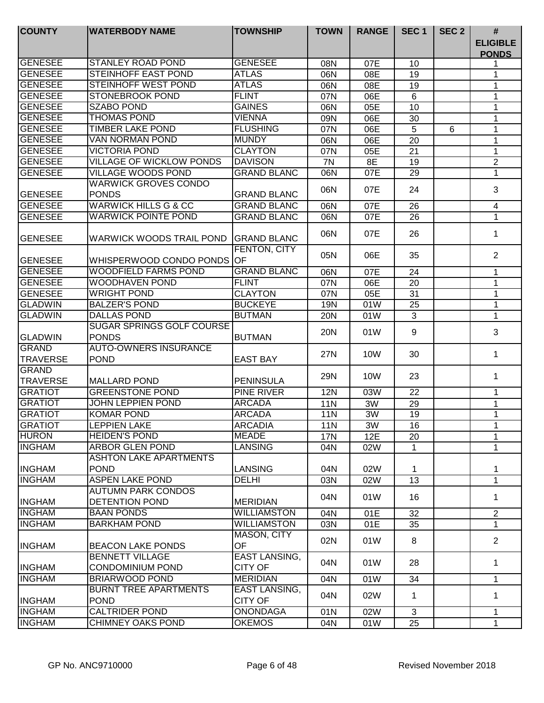| <b>COUNTY</b>   | <b>WATERBODY NAME</b>                             | <b>TOWNSHIP</b>                        | <b>TOWN</b>     | <b>RANGE</b> | SEC <sub>1</sub> | SEC <sub>2</sub> | #                               |
|-----------------|---------------------------------------------------|----------------------------------------|-----------------|--------------|------------------|------------------|---------------------------------|
|                 |                                                   |                                        |                 |              |                  |                  | <b>ELIGIBLE</b><br><b>PONDS</b> |
| <b>GENESEE</b>  | <b>STANLEY ROAD POND</b>                          | <b>GENESEE</b>                         | 08N             | 07E          | 10               |                  |                                 |
| <b>GENESEE</b>  | <b>STEINHOFF EAST POND</b>                        | <b>ATLAS</b>                           | 06N             | 08E          | 19               |                  | 1                               |
| <b>GENESEE</b>  | <b>STEINHOFF WEST POND</b>                        | <b>ATLAS</b>                           | 06N             | 08E          | 19               |                  | 1                               |
| <b>GENESEE</b>  | <b>STONEBROOK POND</b>                            | <b>FLINT</b>                           | 07N             | 06E          | 6                |                  | 1                               |
| <b>GENESEE</b>  | <b>SZABO POND</b>                                 | <b>GAINES</b>                          | 06N             | 05E          | 10               |                  | 1                               |
| <b>GENESEE</b>  | <b>THOMAS POND</b>                                | <b>VIENNA</b>                          | 09N             | 06E          | 30               |                  | 1                               |
| <b>GENESEE</b>  | <b>TIMBER LAKE POND</b>                           | <b>FLUSHING</b>                        | 07N             | 06E          | 5                | 6                | 1                               |
| <b>GENESEE</b>  | <b>VAN NORMAN POND</b>                            | <b>MUNDY</b>                           | 06N             | 06E          | 20               |                  | 1                               |
| <b>GENESEE</b>  | <b>VICTORIA POND</b>                              | <b>CLAYTON</b>                         | 07N             | 05E          | 21               |                  | 1                               |
| <b>GENESEE</b>  | <b>VILLAGE OF WICKLOW PONDS</b>                   | <b>DAVISON</b>                         | 7N              | 8E           | 19               |                  | $\overline{2}$                  |
| <b>GENESEE</b>  | <b>VILLAGE WOODS POND</b>                         | <b>GRAND BLANC</b>                     | 06N             | 07E          | 29               |                  | $\mathbf{1}$                    |
|                 | <b>WARWICK GROVES CONDO</b>                       |                                        | 06N             | 07E          | 24               |                  | 3                               |
| <b>GENESEE</b>  | <b>PONDS</b>                                      | <b>GRAND BLANC</b>                     |                 |              |                  |                  |                                 |
| GENESEE         | <b>WARWICK HILLS G &amp; CC</b>                   | <b>GRAND BLANC</b>                     | 06N             | 07E          | 26               |                  | 4                               |
| <b>GENESEE</b>  | <b>WARWICK POINTE POND</b>                        | <b>GRAND BLANC</b>                     | 06N             | 07E          | 26               |                  | 1                               |
| <b>GENESEE</b>  | WARWICK WOODS TRAIL POND                          | <b>GRAND BLANC</b>                     | 06N             | 07E          | 26               |                  | 1                               |
| <b>GENESEE</b>  | WHISPERWOOD CONDO PONDS OF                        | FENTON, CITY                           | 05N             | 06E          | 35               |                  | 2                               |
| <b>GENESEE</b>  | <b>WOODFIELD FARMS POND</b>                       | <b>GRAND BLANC</b>                     | 06N             | 07E          | 24               |                  | 1                               |
| <b>GENESEE</b>  | <b>WOODHAVEN POND</b>                             | <b>FLINT</b>                           | 07N             | 06E          | 20               |                  | 1                               |
| <b>GENESEE</b>  | <b>WRIGHT POND</b>                                | <b>CLAYTON</b>                         | 07N             | 05E          | 31               |                  | 1                               |
| <b>GLADWIN</b>  | <b>BALZER'S POND</b>                              | <b>BUCKEYE</b>                         | 19N             | 01W          | 25               |                  | 1                               |
| <b>GLADWIN</b>  | <b>DALLAS POND</b>                                | <b>BUTMAN</b>                          | <b>20N</b>      | 01W          | 3                |                  | 1                               |
|                 | <b>SUGAR SPRINGS GOLF COURSE</b>                  |                                        | <b>20N</b>      | 01W          | 9                |                  | 3                               |
| <b>GLADWIN</b>  | <b>PONDS</b>                                      | <b>BUTMAN</b>                          |                 |              |                  |                  |                                 |
| <b>GRAND</b>    | <b>AUTO-OWNERS INSURANCE</b>                      |                                        | 27N             | 10W          | 30               |                  | 1                               |
| <b>TRAVERSE</b> | <b>POND</b>                                       | <b>EAST BAY</b>                        |                 |              |                  |                  |                                 |
| <b>GRAND</b>    |                                                   |                                        | <b>29N</b>      | 10W          | 23               |                  | 1                               |
| <b>TRAVERSE</b> | <b>MALLARD POND</b>                               | <b>PENINSULA</b>                       |                 |              |                  |                  |                                 |
| <b>GRATIOT</b>  | <b>GREENSTONE POND</b>                            | <b>PINE RIVER</b>                      | <b>12N</b>      | 03W          | 22               |                  | 1                               |
| <b>GRATIOT</b>  | <b>JOHN LEPPIEN POND</b>                          | <b>ARCADA</b>                          | <b>11N</b>      | 3W           | 29               |                  | 1                               |
| <b>GRATIOT</b>  | <b>KOMAR POND</b>                                 | <b>ARCADA</b>                          | 11N             | 3W           | 19               |                  | 1                               |
| <b>GRATIOT</b>  | <b>LEPPIEN LAKE</b>                               | <b>ARCADIA</b>                         | 11 <sub>N</sub> | 3W           | 16               |                  | 1                               |
| <b>HURON</b>    | <b>HEIDEN'S POND</b>                              | MEADE                                  | <b>17N</b>      | 12E          | 20               |                  | 1                               |
| <b>INGHAM</b>   | <b>ARBOR GLEN POND</b>                            | <b>LANSING</b>                         | 04N             | 02W          | $\mathbf{1}$     |                  | 1                               |
|                 | <b>ASHTON LAKE APARTMENTS</b>                     |                                        |                 |              |                  |                  |                                 |
| <b>INGHAM</b>   | <b>POND</b>                                       | <b>LANSING</b>                         | 04N             | 02W          | 1                |                  | 1                               |
| <b>INGHAM</b>   | <b>ASPEN LAKE POND</b>                            | <b>DELHI</b>                           | 03N             | 02W          | 13               |                  | 1                               |
|                 | AUTUMN PARK CONDOS                                |                                        | 04N             | 01W          | 16               |                  | 1                               |
| <b>INGHAM</b>   | DETENTION POND                                    | <b>MERIDIAN</b>                        |                 |              |                  |                  |                                 |
| <b>INGHAM</b>   | <b>BAAN PONDS</b>                                 | <b>WILLIAMSTON</b>                     | 04N             | 01E          | 32               |                  | $\overline{2}$                  |
| <b>INGHAM</b>   | <b>BARKHAM POND</b>                               | <b>WILLIAMSTON</b>                     | 03N             | 01E          | 35               |                  | 1                               |
| <b>INGHAM</b>   | <b>BEACON LAKE PONDS</b>                          | MASON, CITY<br><b>OF</b>               | 02N             | 01W          | 8                |                  | $\overline{2}$                  |
| <b>INGHAM</b>   | <b>BENNETT VILLAGE</b><br><b>CONDOMINIUM POND</b> | EAST LANSING,<br><b>CITY OF</b>        | 04N             | 01W          | 28               |                  | 1                               |
| <b>INGHAM</b>   | BRIARWOOD POND                                    | <b>MERIDIAN</b>                        | 04N             | 01W          | 34               |                  | 1                               |
| <b>INGHAM</b>   | <b>BURNT TREE APARTMENTS</b><br><b>POND</b>       | <b>EAST LANSING,</b><br><b>CITY OF</b> | 04N             | 02W          | 1                |                  | 1                               |
| <b>INGHAM</b>   | <b>CALTRIDER POND</b>                             | <b>ONONDAGA</b>                        | 01N             | 02W          | 3                |                  | 1                               |
| <b>INGHAM</b>   | <b>CHIMNEY OAKS POND</b>                          | <b>OKEMOS</b>                          | 04N             | 01W          | 25               |                  | $\mathbf{1}$                    |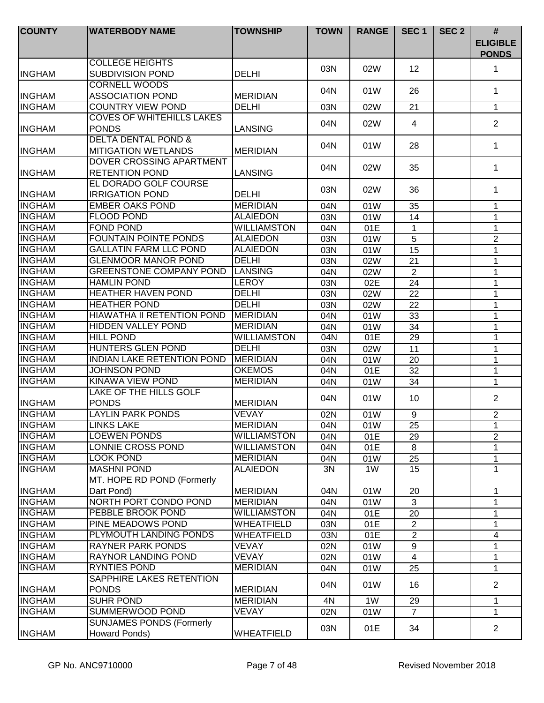| <b>COUNTY</b>                  | <b>WATERBODY NAME</b>                               | <b>TOWNSHIP</b>                 | <b>TOWN</b> | <b>RANGE</b> | SEC <sub>1</sub> | SEC <sub>2</sub> | $\#$<br><b>ELIGIBLE</b> |
|--------------------------------|-----------------------------------------------------|---------------------------------|-------------|--------------|------------------|------------------|-------------------------|
|                                |                                                     |                                 |             |              |                  |                  | <b>PONDS</b>            |
|                                | <b>COLLEGE HEIGHTS</b>                              |                                 | 03N         | 02W          | 12               |                  | 1                       |
| <b>INGHAM</b>                  | <b>SUBDIVISION POND</b>                             | <b>DELHI</b>                    |             |              |                  |                  |                         |
|                                | <b>CORNELL WOODS</b>                                |                                 | 04N         | 01W          | 26               |                  | $\mathbf 1$             |
| <b>INGHAM</b><br><b>INGHAM</b> | <b>ASSOCIATION POND</b><br><b>COUNTRY VIEW POND</b> | <b>MERIDIAN</b><br><b>DELHI</b> |             |              |                  |                  |                         |
|                                |                                                     |                                 | 03N         | 02W          | 21               |                  | $\mathbf 1$             |
| <b>INGHAM</b>                  | <b>COVES OF WHITEHILLS LAKES</b><br><b>PONDS</b>    | <b>LANSING</b>                  | 04N         | 02W          | 4                |                  | 2                       |
|                                | <b>DELTA DENTAL POND &amp;</b>                      |                                 |             |              |                  |                  |                         |
| <b>INGHAM</b>                  | <b>MITIGATION WETLANDS</b>                          | <b>MERIDIAN</b>                 | 04N         | 01W          | 28               |                  | 1                       |
|                                | DOVER CROSSING APARTMENT                            |                                 |             |              |                  |                  |                         |
| <b>INGHAM</b>                  | <b>RETENTION POND</b>                               | <b>LANSING</b>                  | 04N         | 02W          | 35               |                  | 1                       |
|                                | EL DORADO GOLF COURSE                               |                                 |             |              |                  |                  |                         |
| <b>INGHAM</b>                  | <b>IRRIGATION POND</b>                              | <b>DELHI</b>                    | 03N         | 02W          | 36               |                  | 1                       |
| <b>INGHAM</b>                  | <b>EMBER OAKS POND</b>                              | <b>MERIDIAN</b>                 | 04N         | 01W          | 35               |                  | 1                       |
| <b>INGHAM</b>                  | <b>FLOOD POND</b>                                   | <b>ALAIEDON</b>                 | 03N         | 01W          | 14               |                  | 1                       |
| <b>INGHAM</b>                  | <b>FOND POND</b>                                    | <b>WILLIAMSTON</b>              | 04N         | 01E          | $\mathbf 1$      |                  | 1                       |
| <b>INGHAM</b>                  | <b>FOUNTAIN POINTE PONDS</b>                        | <b>ALAIEDON</b>                 | 03N         | 01W          | $\overline{5}$   |                  | $\overline{2}$          |
| <b>INGHAM</b>                  | <b>GALLATIN FARM LLC POND</b>                       | <b>ALAIEDON</b>                 | 03N         | 01W          | 15               |                  | 1                       |
| <b>INGHAM</b>                  | <b>GLENMOOR MANOR POND</b>                          | <b>DELHI</b>                    | 03N         | 02W          | 21               |                  | 1                       |
| <b>INGHAM</b>                  | <b>GREENSTONE COMPANY POND</b>                      | <b>LANSING</b>                  | 04N         | 02W          | 2                |                  | 1                       |
| <b>INGHAM</b>                  | <b>HAMLIN POND</b>                                  | <b>LEROY</b>                    | 03N         | 02E          | 24               |                  | 1                       |
| <b>INGHAM</b>                  | <b>HEATHER HAVEN POND</b>                           | <b>DELHI</b>                    | 03N         | 02W          | 22               |                  | 1                       |
| <b>INGHAM</b>                  | <b>HEATHER POND</b>                                 | <b>DELHI</b>                    | 03N         | 02W          | 22               |                  | 1                       |
| <b>INGHAM</b>                  | HIAWATHA II RETENTION POND                          | <b>MERIDIAN</b>                 | 04N         | 01W          | 33               |                  | 1                       |
| <b>INGHAM</b>                  | <b>HIDDEN VALLEY POND</b>                           | <b>MERIDIAN</b>                 | 04N         | 01W          | 34               |                  | 1                       |
| <b>INGHAM</b>                  | <b>HILL POND</b>                                    | <b>WILLIAMSTON</b>              | 04N         | 01E          | 29               |                  | 1                       |
| <b>INGHAM</b>                  | <b>HUNTERS GLEN POND</b>                            | <b>DELHI</b>                    | 03N         | 02W          | 11               |                  | 1                       |
| <b>INGHAM</b>                  | <b>INDIAN LAKE RETENTION POND</b>                   | <b>MERIDIAN</b>                 | 04N         | 01W          | 20               |                  | 1                       |
| <b>INGHAM</b>                  | <b>JOHNSON POND</b>                                 | <b>OKEMOS</b>                   | 04N         | 01E          | 32               |                  | 1                       |
| <b>INGHAM</b>                  | <b>KINAWA VIEW POND</b>                             | <b>MERIDIAN</b>                 | 04N         | 01W          | 34               |                  | 1                       |
|                                | <b>LAKE OF THE HILLS GOLF</b>                       |                                 |             |              |                  |                  | $\overline{2}$          |
| <b>INGHAM</b>                  | <b>PONDS</b>                                        | <b>MERIDIAN</b>                 | 04N         | 01W          | 10               |                  |                         |
| <b>INGHAM</b>                  | <b>LAYLIN PARK PONDS</b>                            | <b>VEVAY</b>                    | 02N         | 01W          | 9                |                  | $\overline{2}$          |
| <b>INGHAM</b>                  | <b>LINKS LAKE</b>                                   | <b>MERIDIAN</b>                 | 04N         | 01W          | $\overline{25}$  |                  | 1                       |
| <b>INGHAM</b>                  | <b>LOEWEN PONDS</b>                                 | <b>WILLIAMSTON</b>              | 04N         | 01E          | 29               |                  | $\overline{2}$          |
| <b>INGHAM</b>                  | <b>LONNIE CROSS POND</b>                            | <b>WILLIAMSTON</b>              | 04N         | 01E          | 8                |                  | 1                       |
| <b>INGHAM</b>                  | LOOK POND                                           | <b>MERIDIAN</b>                 | 04N         | 01W          | 25               |                  | 1                       |
| <b>INGHAM</b>                  | <b>MASHNI POND</b>                                  | <b>ALAIEDON</b>                 | 3N          | 1W           | 15               |                  | 1                       |
|                                | MT. HOPE RD POND (Formerly                          |                                 |             |              |                  |                  |                         |
| <b>INGHAM</b>                  | Dart Pond)                                          | <b>MERIDIAN</b>                 | 04N         | 01W          | 20               |                  | 1                       |
| <b>INGHAM</b>                  | NORTH PORT CONDO POND                               | <b>MERIDIAN</b>                 | 04N         | 01W          | $\mathbf{3}$     |                  | $\mathbf 1$             |
| <b>INGHAM</b>                  | PEBBLE BROOK POND                                   | <b>WILLIAMSTON</b>              | 04N         | 01E          | 20               |                  | 1                       |
| <b>INGHAM</b>                  | PINE MEADOWS POND                                   | <b>WHEATFIELD</b>               | 03N         | 01E          | $\overline{2}$   |                  | 1                       |
| <b>INGHAM</b>                  | PLYMOUTH LANDING PONDS                              | WHEATFIELD                      | 03N         | 01E          | $\overline{2}$   |                  | 4                       |
| <b>INGHAM</b>                  | <b>RAYNER PARK PONDS</b>                            | <b>VEVAY</b>                    | 02N         | 01W          | 9                |                  | 1                       |
| <b>INGHAM</b>                  | RAYNOR LANDING POND                                 | <b>VEVAY</b>                    | 02N         | 01W          | $\overline{4}$   |                  | 1                       |
| <b>INGHAM</b>                  | <b>RYNTIES POND</b>                                 | <b>MERIDIAN</b>                 | 04N         | 01W          | 25               |                  | 1                       |
| <b>INGHAM</b>                  | SAPPHIRE LAKES RETENTION<br><b>PONDS</b>            | <b>MERIDIAN</b>                 | 04N         | 01W          | 16               |                  | $\overline{2}$          |
| <b>INGHAM</b>                  | <b>SUHR POND</b>                                    | <b>MERIDIAN</b>                 | 4N          | 1W           | 29               |                  | 1                       |
| <b>INGHAM</b>                  | SUMMERWOOD POND                                     | <b>VEVAY</b>                    | 02N         | 01W          | $\overline{7}$   |                  | 1                       |
|                                | <b>SUNJAMES PONDS (Formerly</b>                     |                                 |             |              |                  |                  |                         |
| <b>INGHAM</b>                  | Howard Ponds)                                       | <b>WHEATFIELD</b>               | 03N         | 01E          | 34               |                  | $\overline{2}$          |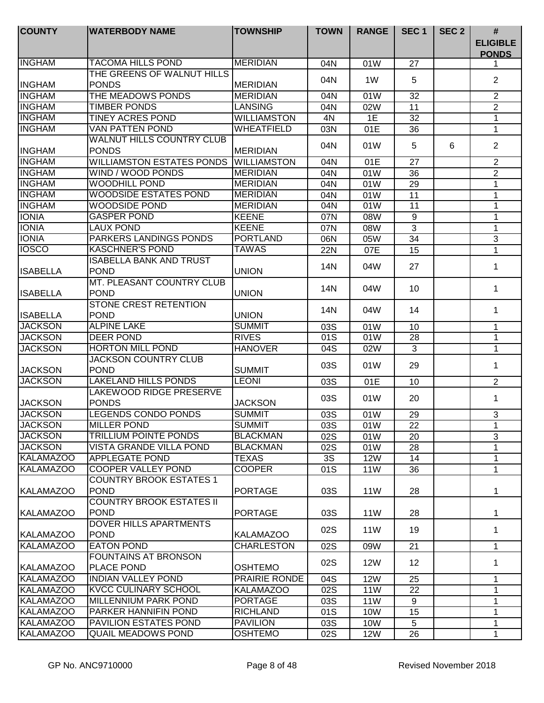| <b>COUNTY</b>    | <b>WATERBODY NAME</b>                                       | <b>TOWNSHIP</b>    | <b>TOWN</b> | <b>RANGE</b>    | SEC <sub>1</sub> | SEC <sub>2</sub> | #<br><b>ELIGIBLE</b><br><b>PONDS</b> |
|------------------|-------------------------------------------------------------|--------------------|-------------|-----------------|------------------|------------------|--------------------------------------|
| <b>INGHAM</b>    | <b>TACOMA HILLS POND</b>                                    | <b>MERIDIAN</b>    | 04N         | 01W             | 27               |                  |                                      |
| <b>INGHAM</b>    | THE GREENS OF WALNUT HILLS<br><b>PONDS</b>                  | <b>MERIDIAN</b>    | 04N         | 1W              | 5                |                  | $\overline{2}$                       |
| <b>INGHAM</b>    | THE MEADOWS PONDS                                           | <b>MERIDIAN</b>    | 04N         | 01W             | 32               |                  | 2                                    |
| <b>INGHAM</b>    | <b>TIMBER PONDS</b>                                         | <b>LANSING</b>     | 04N         | 02W             | 11               |                  | $\overline{2}$                       |
| <b>INGHAM</b>    | <b>TINEY ACRES POND</b>                                     | <b>WILLIAMSTON</b> | 4N          | 1E              | 32               |                  | 1                                    |
| <b>INGHAM</b>    | <b>VAN PATTEN POND</b>                                      | WHEATFIELD         | 03N         | 01E             | 36               |                  | 1                                    |
| <b>INGHAM</b>    | <b>WALNUT HILLS COUNTRY CLUB</b><br><b>PONDS</b>            | <b>MERIDIAN</b>    | 04N         | 01W             | 5                | 6                | $\overline{2}$                       |
| <b>INGHAM</b>    | <b>WILLIAMSTON ESTATES PONDS</b>                            | <b>WILLIAMSTON</b> | 04N         | 01E             | $\overline{27}$  |                  | $\overline{2}$                       |
| <b>INGHAM</b>    | WIND / WOOD PONDS                                           | <b>MERIDIAN</b>    | 04N         | 01W             | 36               |                  | $\overline{2}$                       |
| <b>INGHAM</b>    | <b>WOODHILL POND</b>                                        | <b>MERIDIAN</b>    | 04N         | 01W             | 29               |                  | $\mathbf 1$                          |
| <b>INGHAM</b>    | <b>WOODSIDE ESTATES POND</b>                                | <b>MERIDIAN</b>    | 04N         | 01W             | 11               |                  | 1                                    |
| <b>INGHAM</b>    | <b>WOODSIDE POND</b>                                        | <b>MERIDIAN</b>    | 04N         | 01W             | 11               |                  | 1                                    |
| <b>IONIA</b>     | <b>GASPER POND</b>                                          | <b>KEENE</b>       | 07N         | 08W             | 9                |                  | 1                                    |
| <b>IONIA</b>     | <b>LAUX POND</b>                                            | <b>KEENE</b>       | 07N         | 08W             | 3                |                  | 1                                    |
| <b>IONIA</b>     | <b>PARKERS LANDINGS PONDS</b>                               | <b>PORTLAND</b>    | 06N         | 05W             | 34               |                  | 3                                    |
| <b>IOSCO</b>     | <b>KASCHNER'S POND</b>                                      | <b>TAWAS</b>       | 22N         | 07E             | 15               |                  | 1                                    |
| <b>ISABELLA</b>  | <b>ISABELLA BANK AND TRUST</b><br><b>POND</b>               | <b>UNION</b>       | 14N         | 04W             | 27               |                  | 1                                    |
| <b>ISABELLA</b>  | MT. PLEASANT COUNTRY CLUB<br><b>POND</b>                    | <b>UNION</b>       | 14N         | 04W             | 10               |                  | 1                                    |
| <b>ISABELLA</b>  | <b>STONE CREST RETENTION</b><br><b>POND</b>                 | <b>UNION</b>       | 14N         | 04W             | 14               |                  | 1                                    |
| <b>JACKSON</b>   | <b>ALPINE LAKE</b>                                          | <b>SUMMIT</b>      | 03S         | 01W             | 10               |                  | 1                                    |
| <b>JACKSON</b>   | <b>DEER POND</b>                                            | <b>RIVES</b>       | 01S         | 01W             | $\overline{28}$  |                  | 1                                    |
| <b>JACKSON</b>   | <b>HORTON MILL POND</b>                                     | <b>HANOVER</b>     | 04S         | 02W             | $\overline{3}$   |                  | 1                                    |
| <b>JACKSON</b>   | <b>JACKSON COUNTRY CLUB</b><br><b>POND</b>                  | <b>SUMMIT</b>      | 03S         | 01W             | 29               |                  | 1                                    |
| <b>JACKSON</b>   | <b>LAKELAND HILLS PONDS</b>                                 | <b>LEONI</b>       | 03S         | 01E             | 10               |                  | 2                                    |
| <b>JACKSON</b>   | <b>LAKEWOOD RIDGE PRESERVE</b><br><b>PONDS</b>              | <b>JACKSON</b>     | 03S         | 01W             | 20               |                  | 1                                    |
| <b>JACKSON</b>   | <b>LEGENDS CONDO PONDS</b>                                  | <b>SUMMIT</b>      | 03S         | 01W             | 29               |                  | 3                                    |
| <b>JACKSON</b>   | <b>MILLER POND</b>                                          | <b>SUMMIT</b>      | 03S         | 01W             | 22               |                  | $\mathbf{1}$                         |
| <b>JACKSON</b>   | <b>TRILLIUM POINTE PONDS</b>                                | <b>BLACKMAN</b>    | 02S         | 01W             | 20               |                  | 3                                    |
| <b>JACKSON</b>   | <b>VISTA GRANDE VILLA POND</b>                              | <b>BLACKMAN</b>    | 02S         | 01W             | 28               |                  | 1                                    |
| <b>KALAMAZOO</b> | <b>APPLEGATE POND</b>                                       | <b>TEXAS</b>       | 3S          | <b>12W</b>      | 14               |                  | 1                                    |
| <b>KALAMAZOO</b> | <b>COOPER VALLEY POND</b><br><b>COUNTRY BROOK ESTATES 1</b> | <b>COOPER</b>      | 01S         | 11W             | 36               |                  | 1                                    |
| <b>KALAMAZOO</b> | <b>POND</b><br><b>COUNTRY BROOK ESTATES II</b>              | <b>PORTAGE</b>     | 03S         | 11W             | 28               |                  | 1                                    |
| KALAMAZOO        | <b>POND</b>                                                 | <b>PORTAGE</b>     | 03S         | 11 <sub>W</sub> | 28               |                  | 1                                    |
| <b>KALAMAZOO</b> | DOVER HILLS APARTMENTS<br><b>POND</b>                       | <b>KALAMAZOO</b>   | 02S         | 11W             | 19               |                  | 1                                    |
| <b>KALAMAZOO</b> | <b>EATON POND</b>                                           | <b>CHARLESTON</b>  | 02S         | 09W             | 21               |                  | $\mathbf{1}$                         |
| <b>KALAMAZOO</b> | <b>FOUNTAINS AT BRONSON</b><br>PLACE POND                   | <b>OSHTEMO</b>     | 02S         | <b>12W</b>      | 12 <sup>2</sup>  |                  | 1                                    |
| <b>KALAMAZOO</b> | <b>INDIAN VALLEY POND</b>                                   | PRAIRIE RONDE      | 04S         | <b>12W</b>      | 25               |                  | 1                                    |
| <b>KALAMAZOO</b> | <b>KVCC CULINARY SCHOOL</b>                                 | <b>KALAMAZOO</b>   | 02S         | <b>11W</b>      | 22               |                  | 1                                    |
| <b>KALAMAZOO</b> | <b>MILLENNIUM PARK POND</b>                                 | <b>PORTAGE</b>     | 03S         | <b>11W</b>      | 9                |                  | 1                                    |
| <b>KALAMAZOO</b> | PARKER HANNIFIN POND                                        | <b>RICHLAND</b>    | 01S         | 10W             | 15               |                  | 1                                    |
| <b>KALAMAZOO</b> | <b>PAVILION ESTATES POND</b>                                | <b>PAVILION</b>    | 03S         | 10W             | 5                |                  | 1                                    |
| <b>KALAMAZOO</b> | <b>QUAIL MEADOWS POND</b>                                   | <b>OSHTEMO</b>     | 02S         | <b>12W</b>      | 26               |                  | 1                                    |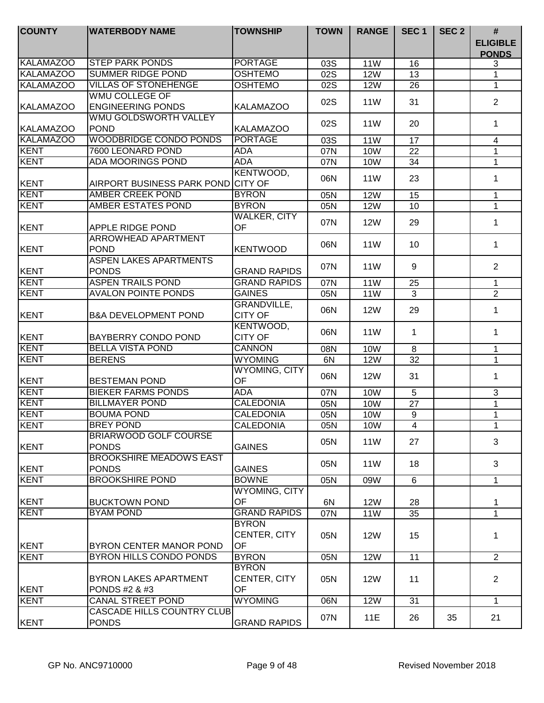| <b>COUNTY</b>    | <b>WATERBODY NAME</b>                             | <b>TOWNSHIP</b>                           | <b>TOWN</b> | <b>RANGE</b>    | SEC <sub>1</sub> | SEC <sub>2</sub> | $\#$<br><b>ELIGIBLE</b><br><b>PONDS</b> |
|------------------|---------------------------------------------------|-------------------------------------------|-------------|-----------------|------------------|------------------|-----------------------------------------|
| <b>KALAMAZOO</b> | <b>STEP PARK PONDS</b>                            | <b>PORTAGE</b>                            | 03S         | <b>11W</b>      | 16               |                  | 3                                       |
| <b>KALAMAZOO</b> | <b>SUMMER RIDGE POND</b>                          | <b>OSHTEMO</b>                            | 02S         | <b>12W</b>      | 13               |                  | $\mathbf 1$                             |
| <b>KALAMAZOO</b> | <b>VILLAS OF STONEHENGE</b>                       | <b>OSHTEMO</b>                            | 02S         | <b>12W</b>      | 26               |                  | 1                                       |
|                  | <b>WMU COLLEGE OF</b>                             |                                           | 02S         | 11 <sub>W</sub> | 31               |                  | $\overline{2}$                          |
| <b>KALAMAZOO</b> | <b>ENGINEERING PONDS</b>                          | <b>KALAMAZOO</b>                          |             |                 |                  |                  |                                         |
|                  | <b>WMU GOLDSWORTH VALLEY</b>                      |                                           | 02S         | 11 <sub>W</sub> | 20               |                  | 1                                       |
| <b>KALAMAZOO</b> | <b>POND</b>                                       | <b>KALAMAZOO</b>                          |             |                 |                  |                  |                                         |
| <b>KALAMAZOO</b> | <b>WOODBRIDGE CONDO PONDS</b>                     | <b>PORTAGE</b>                            | 03S         | <b>11W</b>      | 17               |                  | 4                                       |
| <b>KENT</b>      | 7600 LEONARD POND                                 | <b>ADA</b>                                | 07N         | <b>10W</b>      | 22               |                  | 1                                       |
| <b>KENT</b>      | <b>ADA MOORINGS POND</b>                          | <b>ADA</b>                                | 07N         | 10W             | 34               |                  | $\mathbf{1}$                            |
|                  |                                                   | KENTWOOD,                                 |             |                 |                  |                  |                                         |
| KENT             | AIRPORT BUSINESS PARK POND CITY OF                |                                           | 06N         | <b>11W</b>      | 23               |                  | 1                                       |
| <b>KENT</b>      | AMBER CREEK POND                                  | <b>BYRON</b>                              | 05N         | <b>12W</b>      | 15               |                  | $\mathbf 1$                             |
| KENT             | <b>AMBER ESTATES POND</b>                         | <b>BYRON</b>                              | 05N         | <b>12W</b>      | 10               |                  | $\mathbf 1$                             |
|                  |                                                   | <b>WALKER, CITY</b>                       |             |                 |                  |                  |                                         |
| KENT             | APPLE RIDGE POND                                  | OF                                        | 07N         | <b>12W</b>      | 29               |                  | $\mathbf 1$                             |
| KENT             | ARROWHEAD APARTMENT<br><b>POND</b>                | <b>KENTWOOD</b>                           | 06N         | 11 <sub>W</sub> | 10               |                  | $\mathbf 1$                             |
| KENT             | <b>ASPEN LAKES APARTMENTS</b><br><b>PONDS</b>     | <b>GRAND RAPIDS</b>                       | 07N         | 11 <sub>W</sub> | 9                |                  | 2                                       |
| KENT             | <b>ASPEN TRAILS POND</b>                          | <b>GRAND RAPIDS</b>                       | 07N         | <b>11W</b>      | 25               |                  | $\mathbf 1$                             |
| KENT             | <b>AVALON POINTE PONDS</b>                        | <b>GAINES</b>                             | 05N         | 11W             | 3                |                  | $\overline{2}$                          |
| <b>IKENT</b>     | <b>B&amp;A DEVELOPMENT POND</b>                   | GRANDVILLE,<br><b>CITY OF</b>             | 06N         | <b>12W</b>      | 29               |                  | 1                                       |
| KENT             | BAYBERRY CONDO POND                               | KENTWOOD,<br><b>CITY OF</b>               | 06N         | 11 <sub>W</sub> | 1                |                  | 1                                       |
| <b>KENT</b>      | <b>BELLA VISTA POND</b>                           | <b>CANNON</b>                             | 08N         | <b>10W</b>      | 8                |                  | $\mathbf{1}$                            |
| <b>KENT</b>      | <b>BERENS</b>                                     | <b>WYOMING</b>                            | 6N          | <b>12W</b>      | 32               |                  | $\mathbf{1}$                            |
|                  |                                                   | <b>WYOMING, CITY</b>                      | 06N         | <b>12W</b>      | 31               |                  | $\mathbf 1$                             |
| KENT             | <b>BESTEMAN POND</b>                              | OF                                        |             |                 |                  |                  |                                         |
| <b>KENT</b>      | <b>BIEKER FARMS PONDS</b>                         | <b>ADA</b>                                | 07N         | <b>10W</b>      | 5                |                  | 3                                       |
| <b>KENT</b>      | <b>BILLMAYER POND</b>                             | <b>CALEDONIA</b>                          | 05N         | <b>10W</b>      | 27               |                  | $\mathbf{1}$                            |
| <b>KENT</b>      | <b>BOUMA POND</b>                                 | <b>CALEDONIA</b>                          | 05N         | <b>10W</b>      | 9                |                  | $\mathbf 1$                             |
| KENT             | <b>BREY POND</b>                                  | <b>CALEDONIA</b>                          | 05N         | 10W             | $\overline{4}$   |                  | 1                                       |
| KENT             | <b>BRIARWOOD GOLF COURSE</b><br><b>PONDS</b>      | <b>GAINES</b>                             | 05N         | 11 <sub>W</sub> | 27               |                  | 3                                       |
| KENT             | <b>BROOKSHIRE MEADOWS EAST</b><br><b>PONDS</b>    | <b>GAINES</b>                             | 05N         | 11W             | 18               |                  | 3                                       |
| <b>KENT</b>      | <b>BROOKSHIRE POND</b>                            | <b>BOWNE</b>                              | 05N         | 09W             | 6                |                  | $\mathbf{1}$                            |
|                  |                                                   | <b>WYOMING, CITY</b>                      |             |                 |                  |                  |                                         |
| KENT             | <b>BUCKTOWN POND</b>                              | <b>OF</b>                                 | 6N          | <b>12W</b>      | 28               |                  | 1                                       |
| <b>KENT</b>      | <b>BYAM POND</b>                                  | <b>GRAND RAPIDS</b>                       | 07N         | 11W             | 35               |                  | 1                                       |
|                  |                                                   | <b>BYRON</b>                              |             |                 |                  |                  |                                         |
|                  |                                                   | CENTER, CITY                              | 05N         | <b>12W</b>      | 15               |                  | 1                                       |
| KENT             | BYRON CENTER MANOR POND                           | <b>OF</b>                                 |             |                 |                  |                  |                                         |
| KENT             | BYRON HILLS CONDO PONDS                           | <b>BYRON</b>                              | 05N         | <b>12W</b>      | 11               |                  | $\overline{2}$                          |
| KENT             | <b>BYRON LAKES APARTMENT</b><br>PONDS #2 & #3     | <b>BYRON</b><br>CENTER, CITY<br><b>OF</b> | 05N         | <b>12W</b>      | 11               |                  | $\overline{2}$                          |
| <b>KENT</b>      | <b>CANAL STREET POND</b>                          | <b>WYOMING</b>                            | 06N         | <b>12W</b>      | 31               |                  | $\mathbf{1}$                            |
| KENT             | <b>CASCADE HILLS COUNTRY CLUB</b><br><b>PONDS</b> | <b>GRAND RAPIDS</b>                       | 07N         | 11E             | 26               | 35               | 21                                      |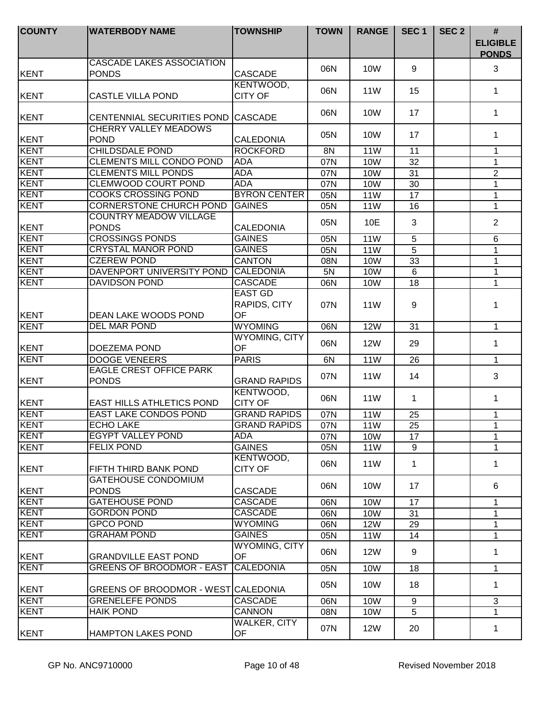| <b>COUNTY</b> | <b>WATERBODY NAME</b>                          | <b>TOWNSHIP</b>                | <b>TOWN</b> | <b>RANGE</b>    | SEC <sub>1</sub> | SEC <sub>2</sub> | $\#$<br><b>ELIGIBLE</b><br><b>PONDS</b> |
|---------------|------------------------------------------------|--------------------------------|-------------|-----------------|------------------|------------------|-----------------------------------------|
|               | <b>CASCADE LAKES ASSOCIATION</b>               |                                |             |                 |                  |                  |                                         |
| KENT          | <b>PONDS</b>                                   | <b>CASCADE</b>                 | 06N         | 10W             | 9                |                  | 3                                       |
| KENT          | <b>CASTLE VILLA POND</b>                       | KENTWOOD,<br><b>CITY OF</b>    | 06N         | <b>11W</b>      | 15               |                  | $\mathbf 1$                             |
|               |                                                |                                |             |                 |                  |                  |                                         |
| KENT          | CENTENNIAL SECURITIES POND                     | <b>CASCADE</b>                 | 06N         | 10W             | 17               |                  | $\mathbf 1$                             |
| KENT          | <b>CHERRY VALLEY MEADOWS</b><br><b>POND</b>    | <b>CALEDONIA</b>               | 05N         | 10W             | 17               |                  | 1                                       |
| <b>KENT</b>   | <b>CHILDSDALE POND</b>                         | <b>ROCKFORD</b>                | 8N          | 11W             | 11               |                  | 1                                       |
| <b>KENT</b>   | <b>CLEMENTS MILL CONDO POND</b>                | <b>ADA</b>                     | 07N         | 10W             | 32               |                  | $\mathbf 1$                             |
| <b>KENT</b>   | <b>CLEMENTS MILL PONDS</b>                     | <b>ADA</b>                     | 07N         | <b>10W</b>      | 31               |                  | $\overline{2}$                          |
| <b>KENT</b>   | <b>CLEMWOOD COURT POND</b>                     | <b>ADA</b>                     | 07N         | 10W             | 30               |                  | $\mathbf{1}$                            |
| KENT          | <b>COOKS CROSSING POND</b>                     | <b>BYRON CENTER</b>            | 05N         | 11W             | 17               |                  | 1                                       |
| <b>KENT</b>   | <b>CORNERSTONE CHURCH POND</b>                 | <b>GAINES</b>                  | 05N         | <b>11W</b>      | 16               |                  | 1                                       |
| KENT          | <b>COUNTRY MEADOW VILLAGE</b><br><b>PONDS</b>  | <b>CALEDONIA</b>               | 05N         | 10E             | 3                |                  | $\overline{2}$                          |
| KENT          | <b>CROSSINGS PONDS</b>                         | <b>GAINES</b>                  | 05N         | 11W             | 5                |                  | 6                                       |
| KENT          | <b>CRYSTAL MANOR POND</b>                      | <b>GAINES</b>                  | 05N         | <b>11W</b>      | 5                |                  | $\mathbf 1$                             |
| KENT          | <b>CZEREW POND</b>                             | <b>CANTON</b>                  | 08N         | <b>10W</b>      | 33               |                  | 1                                       |
| KENT          | DAVENPORT UNIVERSITY POND                      | <b>CALEDONIA</b>               | 5N          | 10W             | $6\phantom{1}$   |                  | 1                                       |
| KENT          | <b>DAVIDSON POND</b>                           | <b>CASCADE</b>                 | 06N         | 10W             | 18               |                  | 1                                       |
|               |                                                | <b>EAST GD</b><br>RAPIDS, CITY | 07N         | 11 <sub>W</sub> | 9                |                  | 1                                       |
| KENT          | DEAN LAKE WOODS POND                           | OF                             |             |                 |                  |                  |                                         |
| KENT          | <b>DEL MAR POND</b>                            | <b>WYOMING</b>                 | 06N         | <b>12W</b>      | 31               |                  | $\mathbf{1}$                            |
| KENT          | DOEZEMA POND                                   | <b>WYOMING, CITY</b><br>OF     | 06N         | <b>12W</b>      | 29               |                  | $\mathbf 1$                             |
| <b>KENT</b>   | <b>DOOGE VENEERS</b>                           | <b>PARIS</b>                   | 6N          | <b>11W</b>      | 26               |                  | $\mathbf{1}$                            |
| KENT          | <b>EAGLE CREST OFFICE PARK</b><br><b>PONDS</b> | <b>GRAND RAPIDS</b>            | 07N         | 11W             | 14               |                  | 3                                       |
| KENT          | <b>EAST HILLS ATHLETICS POND</b>               | KENTWOOD,<br><b>CITY OF</b>    | 06N         | 11 <sub>W</sub> | 1                |                  | $\mathbf 1$                             |
| KENT          | <b>EAST LAKE CONDOS POND</b>                   | <b>GRAND RAPIDS</b>            | 07N         | 11W             | 25               |                  | $\mathbf 1$                             |
| KENT          | <b>ECHO LAKE</b>                               | <b>GRAND RAPIDS</b>            | 07N         | 11W             | 25               |                  | 1                                       |
| <b>KENT</b>   | <b>EGYPT VALLEY POND</b>                       | ADA                            | 07N         | 10W             | 17               |                  | $\mathbf 1$                             |
| <b>KENT</b>   | <b>FELIX POND</b>                              | <b>GAINES</b>                  | 05N         | 11W             | 9                |                  | $\mathbf 1$                             |
| KENT          | FIFTH THIRD BANK POND                          | KENTWOOD,<br><b>CITY OF</b>    | 06N         | 11 <sub>W</sub> | 1                |                  | $\mathbf 1$                             |
| KENT          | <b>GATEHOUSE CONDOMIUM</b><br><b>PONDS</b>     | <b>CASCADE</b>                 | 06N         | 10W             | 17               |                  | 6                                       |
| <b>KENT</b>   | <b>GATEHOUSE POND</b>                          | <b>CASCADE</b>                 | 06N         | 10W             | 17               |                  | $\mathbf 1$                             |
| <b>KENT</b>   | <b>GORDON POND</b>                             | <b>CASCADE</b>                 | 06N         | <b>10W</b>      | 31               |                  | 1                                       |
| <b>KENT</b>   | <b>GPCO POND</b>                               | <b>WYOMING</b>                 | 06N         | <b>12W</b>      | 29               |                  | 1                                       |
| <b>KENT</b>   | <b>GRAHAM POND</b>                             | <b>GAINES</b>                  | 05N         | 11W             | 14               |                  | 1                                       |
| KENT          | <b>GRANDVILLE EAST POND</b>                    | WYOMING, CITY<br>OF            | 06N         | <b>12W</b>      | 9                |                  | 1                                       |
| <b>KENT</b>   | <b>GREENS OF BROODMOR - EAST</b>               | <b>CALEDONIA</b>               | 05N         | 10W             | 18               |                  | $\mathbf{1}$                            |
| KENT          | GREENS OF BROODMOR - WEST CALEDONIA            |                                | 05N         | 10 <sub>W</sub> | 18               |                  | $\mathbf 1$                             |
| KENT          | <b>GRENELEFE PONDS</b>                         | <b>CASCADE</b>                 | 06N         | 10W             | 9                |                  | 3                                       |
| KENT          | <b>HAIK POND</b>                               | <b>CANNON</b>                  | 08N         | 10W             | 5                |                  | $\mathbf 1$                             |
| KENT          | <b>HAMPTON LAKES POND</b>                      | WALKER, CITY<br>OF             | 07N         | <b>12W</b>      | 20               |                  | 1                                       |
|               |                                                |                                |             |                 |                  |                  |                                         |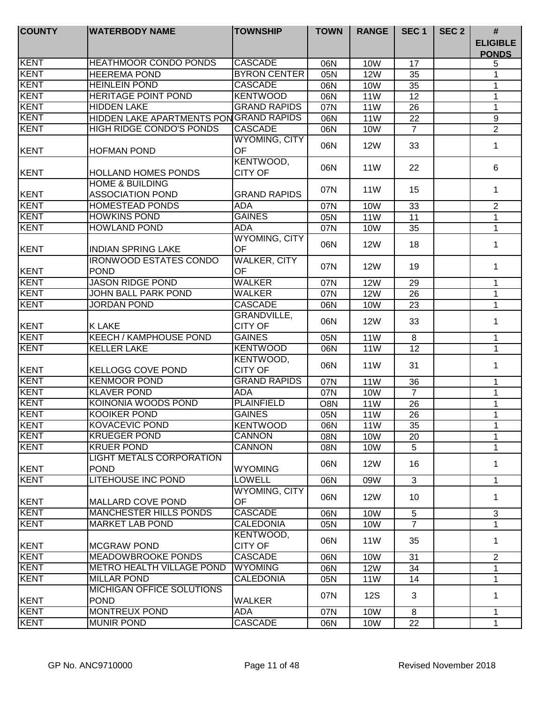| <b>COUNTY</b> | <b>WATERBODY NAME</b>                                 | <b>TOWNSHIP</b>                  | <b>TOWN</b> | <b>RANGE</b>    | SEC <sub>1</sub> | SEC <sub>2</sub> | $\#$                            |
|---------------|-------------------------------------------------------|----------------------------------|-------------|-----------------|------------------|------------------|---------------------------------|
|               |                                                       |                                  |             |                 |                  |                  | <b>ELIGIBLE</b><br><b>PONDS</b> |
| <b>KENT</b>   | <b>HEATHMOOR CONDO PONDS</b>                          | <b>CASCADE</b>                   | 06N         | 10W             | 17               |                  | 5                               |
| KENT          | <b>HEEREMA POND</b>                                   | <b>BYRON CENTER</b>              | 05N         | <b>12W</b>      | 35               |                  | 1                               |
| KENT          | <b>HEINLEIN POND</b>                                  | <b>CASCADE</b>                   | 06N         | <b>10W</b>      | 35               |                  | 1                               |
| KENT          | <b>HERITAGE POINT POND</b>                            | <b>KENTWOOD</b>                  | 06N         | <b>11W</b>      | 12               |                  | 1                               |
| KENT          | <b>HIDDEN LAKE</b>                                    | <b>GRAND RAPIDS</b>              | 07N         | <b>11W</b>      | 26               |                  | 1                               |
| <b>KENT</b>   | HIDDEN LAKE APARTMENTS PONGRAND RAPIDS                |                                  | 06N         | <b>11W</b>      | 22               |                  | 9                               |
| KENT          | <b>HIGH RIDGE CONDO'S PONDS</b>                       | <b>CASCADE</b>                   | 06N         | <b>10W</b>      | $\overline{7}$   |                  | $\overline{2}$                  |
| KENT          | <b>HOFMAN POND</b>                                    | <b>WYOMING, CITY</b><br>OF       | 06N         | <b>12W</b>      | 33               |                  | $\mathbf 1$                     |
| KENT          | <b>HOLLAND HOMES PONDS</b>                            | KENTWOOD,<br><b>CITY OF</b>      | 06N         | 11 <sub>W</sub> | 22               |                  | 6                               |
| KENT          | <b>HOME &amp; BUILDING</b><br><b>ASSOCIATION POND</b> | <b>GRAND RAPIDS</b>              | 07N         | 11W             | 15               |                  | $\mathbf 1$                     |
| <b>KENT</b>   | <b>HOMESTEAD PONDS</b>                                | <b>ADA</b>                       | 07N         | 10W             | 33               |                  | $\overline{2}$                  |
| <b>KENT</b>   | <b>HOWKINS POND</b>                                   | <b>GAINES</b>                    | 05N         | <b>11W</b>      | 11               |                  | $\mathbf{1}$                    |
| <b>KENT</b>   | <b>HOWLAND POND</b>                                   | <b>ADA</b>                       | 07N         | <b>10W</b>      | 35               |                  | $\mathbf{1}$                    |
| KENT          | <b>INDIAN SPRING LAKE</b>                             | <b>WYOMING, CITY</b><br>OF       | 06N         | <b>12W</b>      | 18               |                  | $\mathbf 1$                     |
| KENT          | <b>IRONWOOD ESTATES CONDO</b><br><b>POND</b>          | <b>WALKER, CITY</b><br><b>OF</b> | 07N         | <b>12W</b>      | 19               |                  | $\mathbf 1$                     |
| <b>KENT</b>   | <b>JASON RIDGE POND</b>                               | <b>WALKER</b>                    | 07N         | <b>12W</b>      | 29               |                  | 1                               |
| KENT          | JOHN BALL PARK POND                                   | <b>WALKER</b>                    | 07N         | <b>12W</b>      | 26               |                  | 1                               |
| <b>KENT</b>   | <b>JORDAN POND</b>                                    | <b>CASCADE</b>                   | 06N         | <b>10W</b>      | 23               |                  | 1                               |
| KENT          | <b>K LAKE</b>                                         | GRANDVILLE,<br><b>CITY OF</b>    | 06N         | <b>12W</b>      | 33               |                  | $\mathbf 1$                     |
| <b>KENT</b>   | <b>KEECH / KAMPHOUSE POND</b>                         | <b>GAINES</b>                    | 05N         | <b>11W</b>      | 8                |                  | $\mathbf{1}$                    |
| <b>KENT</b>   | <b>KELLER LAKE</b>                                    | <b>KENTWOOD</b>                  | 06N         | 11W             | 12               |                  | $\mathbf{1}$                    |
|               |                                                       | KENTWOOD,                        |             |                 |                  |                  |                                 |
| KENT          | <b>KELLOGG COVE POND</b>                              | <b>CITY OF</b>                   | 06N         | <b>11W</b>      | 31               |                  | $\mathbf{1}$                    |
| <b>KENT</b>   | <b>KENMOOR POND</b>                                   | <b>GRAND RAPIDS</b>              | 07N         | <b>11W</b>      | 36               |                  | 1                               |
| <b>KENT</b>   | <b>KLAVER POND</b>                                    | <b>ADA</b>                       | 07N         | <b>10W</b>      | $\overline{7}$   |                  | $\mathbf{1}$                    |
| <b>KENT</b>   | <b>KOINONIA WOODS POND</b>                            | <b>PLAINFIELD</b>                | O8N         | <b>11W</b>      | 26               |                  | 1                               |
| <b>KENT</b>   | <b>KOOIKER POND</b>                                   | <b>GAINES</b>                    | 05N         | 11W             | 26               |                  | $\mathbf{1}$                    |
| KENT          | <b>KOVACEVIC POND</b>                                 | <b>KENTWOOD</b>                  | 06N         | 11W             | 35               |                  | 1                               |
| <b>KENT</b>   | <b>KRUEGER POND</b>                                   | <b>CANNON</b>                    | 08N         | 10W             | 20               |                  | 1                               |
| KENT          | <b>KRUER POND</b>                                     | <b>CANNON</b>                    | 08N         | 10W             | 5                |                  | 1                               |
| KENT          | <b>LIGHT METALS CORPORATION</b><br><b>POND</b>        | <b>WYOMING</b>                   | 06N         | <b>12W</b>      | 16               |                  | 1                               |
| <b>KENT</b>   | <b>LITEHOUSE INC POND</b>                             | <b>LOWELL</b>                    | 06N         | 09W             | 3                |                  | $\mathbf 1$                     |
| KENT          | MALLARD COVE POND                                     | <b>WYOMING, CITY</b><br>OF       | 06N         | <b>12W</b>      | 10               |                  | 1                               |
| <b>KENT</b>   | <b>MANCHESTER HILLS PONDS</b>                         | <b>CASCADE</b>                   | 06N         | 10W             | 5                |                  | 3                               |
| <b>KENT</b>   | <b>MARKET LAB POND</b>                                | <b>CALEDONIA</b>                 | 05N         | 10W             | $\overline{7}$   |                  | 1                               |
| KENT          | <b>MCGRAW POND</b>                                    | KENTWOOD,<br><b>CITY OF</b>      | 06N         | 11 <sub>W</sub> | 35               |                  | 1                               |
| <b>KENT</b>   | <b>MEADOWBROOKE PONDS</b>                             | <b>CASCADE</b>                   | 06N         | 10W             | 31               |                  | 2                               |
| <b>KENT</b>   | METRO HEALTH VILLAGE POND                             | <b>WYOMING</b>                   | 06N         | <b>12W</b>      | 34               |                  | 1                               |
| <b>KENT</b>   | <b>MILLAR POND</b>                                    | <b>CALEDONIA</b>                 | 05N         | <b>11W</b>      | 14               |                  | 1                               |
| KENT          | MICHIGAN OFFICE SOLUTIONS<br><b>POND</b>              | <b>WALKER</b>                    | 07N         | 12S             | 3                |                  | 1                               |
| KENT          | <b>MONTREUX POND</b>                                  | ADA                              | 07N         | 10W             | 8                |                  | 1                               |
| <b>KENT</b>   | <b>MUNIR POND</b>                                     | <b>CASCADE</b>                   | 06N         | 10W             | 22               |                  | $\mathbf{1}$                    |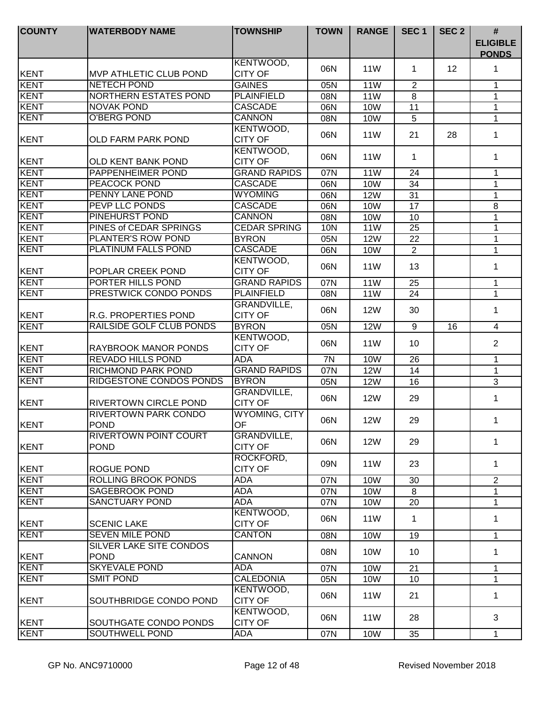| <b>COUNTY</b> | <b>WATERBODY NAME</b>                         | <b>TOWNSHIP</b>                      | <b>TOWN</b> | <b>RANGE</b>    | SEC <sub>1</sub> | SEC <sub>2</sub>  | #<br><b>ELIGIBLE</b><br><b>PONDS</b> |
|---------------|-----------------------------------------------|--------------------------------------|-------------|-----------------|------------------|-------------------|--------------------------------------|
| <b>KENT</b>   | <b>MVP ATHLETIC CLUB POND</b>                 | KENTWOOD,<br><b>CITY OF</b>          | 06N         | 11 <sub>W</sub> | $\mathbf{1}$     | $12 \overline{ }$ | 1                                    |
| KENT          | <b>NETECH POND</b>                            | <b>GAINES</b>                        | 05N         | <b>11W</b>      | 2                |                   | 1                                    |
| KENT          | <b>NORTHERN ESTATES POND</b>                  | <b>PLAINFIELD</b>                    | 08N         | 11 <sub>W</sub> | 8                |                   | 1                                    |
| KENT          | NOVAK POND                                    | <b>CASCADE</b>                       | 06N         | <b>10W</b>      | 11               |                   | 1                                    |
| KENT          | O'BERG POND                                   | <b>CANNON</b>                        | 08N         | <b>10W</b>      | 5                |                   | $\mathbf 1$                          |
| KENT          | <b>OLD FARM PARK POND</b>                     | KENTWOOD,<br><b>CITY OF</b>          | 06N         | 11 <sub>W</sub> | 21               | 28                | 1                                    |
| KENT          | OLD KENT BANK POND                            | KENTWOOD,<br><b>CITY OF</b>          | 06N         | 11W             | 1                |                   | $\mathbf 1$                          |
| <b>KENT</b>   | PAPPENHEIMER POND                             | <b>GRAND RAPIDS</b>                  | 07N         | 11W             | 24               |                   | $\mathbf 1$                          |
| <b>KENT</b>   | <b>PEACOCK POND</b>                           | <b>CASCADE</b>                       | 06N         | 10W             | 34               |                   | $\mathbf{1}$                         |
| <b>KENT</b>   | PENNY LANE POND                               | <b>WYOMING</b>                       | 06N         | <b>12W</b>      | 31               |                   | 1                                    |
| <b>KENT</b>   | PEVP LLC PONDS                                | <b>CASCADE</b>                       | 06N         | <b>10W</b>      | 17               |                   | 8                                    |
| <b>KENT</b>   | <b>PINEHURST POND</b>                         | <b>CANNON</b>                        | 08N         | <b>10W</b>      | 10               |                   | 1                                    |
| KENT          | PINES of CEDAR SPRINGS                        | <b>CEDAR SPRING</b>                  | 10N         | <b>11W</b>      | 25               |                   | 1                                    |
| KENT          | PLANTER'S ROW POND                            | <b>BYRON</b>                         | 05N         | <b>12W</b>      | 22               |                   | 1                                    |
| KENT          | PLATINUM FALLS POND                           | <b>CASCADE</b>                       | 06N         | 10W             | $\overline{2}$   |                   | $\mathbf 1$                          |
| KENT          | POPLAR CREEK POND                             | KENTWOOD,<br><b>CITY OF</b>          | 06N         | 11 <sub>W</sub> | 13               |                   | 1                                    |
| KENT          | PORTER HILLS POND                             | <b>GRAND RAPIDS</b>                  | 07N         | <b>11W</b>      | 25               |                   | 1                                    |
| KENT          | PRESTWICK CONDO PONDS                         | <b>PLAINFIELD</b>                    | 08N         | <b>11W</b>      | 24               |                   | 1                                    |
| KENT          | R.G. PROPERTIES POND                          | GRANDVILLE,<br><b>CITY OF</b>        | 06N         | <b>12W</b>      | 30               |                   | 1                                    |
| KENT          | <b>RAILSIDE GOLF CLUB PONDS</b>               | <b>BYRON</b>                         | 05N         | <b>12W</b>      | 9                | 16                | $\overline{4}$                       |
| KENT          | RAYBROOK MANOR PONDS                          | KENTWOOD,<br><b>CITY OF</b>          | 06N         | 11 <sub>W</sub> | 10               |                   | $\overline{2}$                       |
| <b>KENT</b>   | <b>REVADO HILLS POND</b>                      | <b>ADA</b>                           | 7N          | 10W             | $\overline{26}$  |                   | $\mathbf 1$                          |
| <b>KENT</b>   | RICHMOND PARK POND                            | <b>GRAND RAPIDS</b>                  | 07N         | <b>12W</b>      | 14               |                   | $\mathbf{1}$                         |
| <b>KENT</b>   | <b>RIDGESTONE CONDOS PONDS</b>                | <b>BYRON</b>                         | 05N         | <b>12W</b>      | 16               |                   | 3                                    |
| KENT          | RIVERTOWN CIRCLE POND                         | <b>GRANDVILLE,</b><br><b>CITY OF</b> | 06N         | 12W             | 29               |                   | $\mathbf{1}$                         |
| KENT          | <b>RIVERTOWN PARK CONDO</b><br><b>POND</b>    | WYOMING, CITY<br>OF <sub>a</sub>     | 06N         | 12W             | 29               |                   | 1                                    |
| KENT          | <b>RIVERTOWN POINT COURT</b><br><b>POND</b>   | <b>GRANDVILLE,</b><br><b>CITY OF</b> | 06N         | 12W             | 29               |                   | $\mathbf{1}$                         |
| KENT          | <b>ROGUE POND</b>                             | ROCKFORD,<br><b>CITY OF</b>          | 09N         | 11 <sub>W</sub> | 23               |                   | 1                                    |
| <b>KENT</b>   | <b>ROLLING BROOK PONDS</b>                    | <b>ADA</b>                           | 07N         | <b>10W</b>      | 30               |                   | $\overline{2}$                       |
| KENT          | <b>SAGEBROOK POND</b>                         | <b>ADA</b>                           | 07N         | <b>10W</b>      | 8                |                   | 1                                    |
| <b>KENT</b>   | <b>SANCTUARY POND</b>                         | <b>ADA</b>                           | 07N         | <b>10W</b>      | 20               |                   | $\mathbf 1$                          |
| KENT          | <b>SCENIC LAKE</b>                            | KENTWOOD,<br><b>CITY OF</b>          | 06N         | 11W             | $\mathbf 1$      |                   | $\mathbf 1$                          |
| <b>KENT</b>   | <b>SEVEN MILE POND</b>                        | <b>CANTON</b>                        | 08N         | 10W             | 19               |                   | $\mathbf{1}$                         |
| KENT          | <b>SILVER LAKE SITE CONDOS</b><br><b>POND</b> | CANNON                               | 08N         | 10W             | 10               |                   | 1                                    |
| <b>KENT</b>   | <b>SKYEVALE POND</b>                          | ADA                                  | 07N         | <b>10W</b>      | 21               |                   | 1                                    |
| <b>KENT</b>   | <b>SMIT POND</b>                              | <b>CALEDONIA</b>                     | 05N         | <b>10W</b>      | 10               |                   | 1                                    |
| KENT          | SOUTHBRIDGE CONDO POND                        | KENTWOOD,<br><b>CITY OF</b>          | 06N         | 11 <sub>W</sub> | 21               |                   | $\mathbf{1}$                         |
| KENT          | SOUTHGATE CONDO PONDS                         | KENTWOOD,<br><b>CITY OF</b>          | 06N         | 11W             | 28               |                   | 3                                    |
| KENT          | SOUTHWELL POND                                | <b>ADA</b>                           | 07N         | 10W             | 35               |                   | $\mathbf{1}$                         |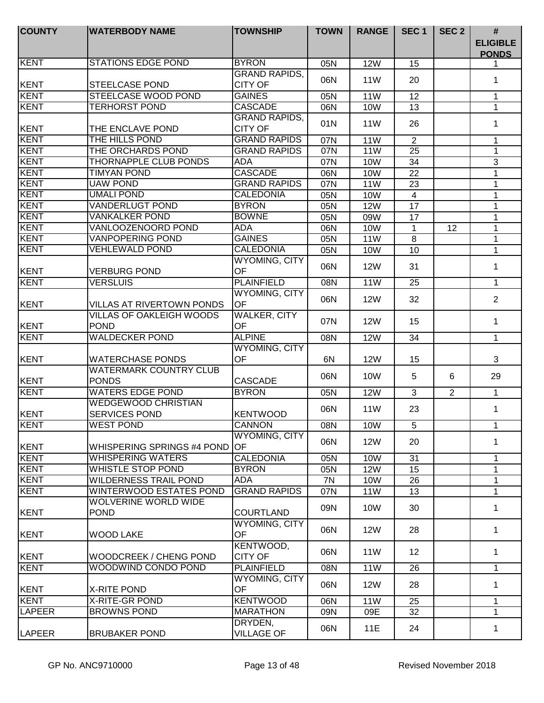| <b>COUNTY</b> | <b>WATERBODY NAME</b>                          | <b>TOWNSHIP</b>                        | <b>TOWN</b> | <b>RANGE</b>    | SEC <sub>1</sub> | SEC <sub>2</sub> | $\#$<br><b>ELIGIBLE</b> |
|---------------|------------------------------------------------|----------------------------------------|-------------|-----------------|------------------|------------------|-------------------------|
|               |                                                |                                        |             |                 |                  |                  | <b>PONDS</b>            |
| <b>KENT</b>   | <b>STATIONS EDGE POND</b>                      | <b>BYRON</b>                           | 05N         | <b>12W</b>      | 15               |                  | 1.                      |
| KENT          | <b>STEELCASE POND</b>                          | <b>GRAND RAPIDS,</b><br><b>CITY OF</b> | 06N         | <b>11W</b>      | 20               |                  | $\mathbf 1$             |
| <b>KENT</b>   | <b>STEELCASE WOOD POND</b>                     | <b>GAINES</b>                          | 05N         | <b>11W</b>      | 12               |                  | $\mathbf 1$             |
| <b>KENT</b>   | <b>TERHORST POND</b>                           | <b>CASCADE</b>                         | 06N         | 10W             | 13               |                  | $\mathbf 1$             |
|               |                                                | <b>GRAND RAPIDS,</b>                   |             |                 |                  |                  |                         |
| <b>KENT</b>   | THE ENCLAVE POND                               | <b>CITY OF</b>                         | 01N         | <b>11W</b>      | 26               |                  | $\mathbf 1$             |
| <b>KENT</b>   | THE HILLS POND                                 | <b>GRAND RAPIDS</b>                    | 07N         | <b>11W</b>      | $\overline{2}$   |                  | 1                       |
| <b>KENT</b>   | THE ORCHARDS POND                              | <b>GRAND RAPIDS</b>                    | 07N         | <b>11W</b>      | 25               |                  | 1                       |
| <b>KENT</b>   | <b>THORNAPPLE CLUB PONDS</b>                   | ADA                                    | 07N         | <b>10W</b>      | 34               |                  | 3                       |
| <b>KENT</b>   | <b>TIMYAN POND</b>                             | <b>CASCADE</b>                         | 06N         | <b>10W</b>      | 22               |                  | $\mathbf 1$             |
| <b>KENT</b>   | <b>UAW POND</b>                                | <b>GRAND RAPIDS</b>                    | 07N         | <b>11W</b>      | 23               |                  | 1                       |
| <b>KENT</b>   | <b>UMALI POND</b>                              | <b>CALEDONIA</b>                       | 05N         | 10W             | $\overline{4}$   |                  | 1                       |
| <b>KENT</b>   | <b>VANDERLUGT POND</b>                         | <b>BYRON</b>                           | 05N         | <b>12W</b>      | 17               |                  | 1                       |
| <b>KENT</b>   | <b>VANKALKER POND</b>                          | <b>BOWNE</b>                           | 05N         | 09W             | 17               |                  | 1                       |
| <b>KENT</b>   | VANLOOZENOORD POND                             | <b>ADA</b>                             | 06N         | <b>10W</b>      | 1                | 12               | $\mathbf 1$             |
| <b>KENT</b>   | <b>VANPOPERING POND</b>                        | <b>GAINES</b>                          | 05N         | 11W             | 8                |                  | $\mathbf 1$             |
| <b>KENT</b>   | <b>VEHLEWALD POND</b>                          | <b>CALEDONIA</b>                       | 05N         | <b>10W</b>      | 10               |                  | $\mathbf{1}$            |
| KENT          | <b>VERBURG POND</b>                            | <b>WYOMING, CITY</b><br>OF             | 06N         | <b>12W</b>      | 31               |                  | $\mathbf 1$             |
| <b>KENT</b>   | <b>VERSLUIS</b>                                | <b>PLAINFIELD</b>                      | 08N         | <b>11W</b>      | 25               |                  | 1                       |
| <b>KENT</b>   | <b>VILLAS AT RIVERTOWN PONDS</b>               | <b>WYOMING, CITY</b><br>OF             | 06N         | <b>12W</b>      | 32               |                  | $\overline{2}$          |
| KENT          | <b>VILLAS OF OAKLEIGH WOODS</b><br><b>POND</b> | <b>WALKER, CITY</b><br>OF              | 07N         | <b>12W</b>      | 15               |                  | 1                       |
| <b>KENT</b>   | <b>WALDECKER POND</b>                          | <b>ALPINE</b>                          | 08N         | <b>12W</b>      | 34               |                  | $\mathbf{1}$            |
|               |                                                | <b>WYOMING, CITY</b>                   |             |                 |                  |                  |                         |
| <b>KENT</b>   | <b>WATERCHASE PONDS</b>                        | <b>OF</b>                              | 6N          | <b>12W</b>      | 15               |                  | 3                       |
| <b>KENT</b>   | <b>WATERMARK COUNTRY CLUB</b><br><b>PONDS</b>  | <b>CASCADE</b>                         | 06N         | 10W             | 5                | 6                | 29                      |
| <b>KENT</b>   | <b>WATERS EDGE POND</b>                        | <b>BYRON</b>                           | 05N         | <b>12W</b>      | 3                | 2                | $\mathbf{1}$            |
| KENT          | <b>WEDGEWOOD CHRISTIAN</b><br>SERVICES POND    | <b>KENTWOOD</b>                        | 06N         | 11W             | 23               |                  | $\mathbf 1$             |
| KENT          | <b>WEST POND</b>                               | <b>CANNON</b>                          | 08N         | 10W             | 5                |                  | 1                       |
| KENT          | <b>WHISPERING SPRINGS #4 POND</b>              | <b>WYOMING, CITY</b><br>lOF.           | 06N         | <b>12W</b>      | 20               |                  | 1                       |
| KENT          | <b>WHISPERING WATERS</b>                       | <b>CALEDONIA</b>                       | 05N         | 10W             | 31               |                  | 1                       |
| <b>KENT</b>   | <b>WHISTLE STOP POND</b>                       | <b>BYRON</b>                           | 05N         | <b>12W</b>      | 15               |                  | $\mathbf 1$             |
| <b>KENT</b>   | <b>WILDERNESS TRAIL POND</b>                   | ADA                                    | 7N          | 10W             | 26               |                  | 1                       |
| <b>KENT</b>   | <b>WINTERWOOD ESTATES POND</b>                 | <b>GRAND RAPIDS</b>                    | 07N         | 11W             | 13               |                  | $\mathbf 1$             |
| <b>KENT</b>   | <b>WOLVERINE WORLD WIDE</b><br><b>POND</b>     | <b>COURTLAND</b>                       | 09N         | 10W             | 30               |                  | 1                       |
| <b>KENT</b>   | <b>WOOD LAKE</b>                               | <b>WYOMING, CITY</b><br>OF             | 06N         | <b>12W</b>      | 28               |                  | 1                       |
| <b>KENT</b>   | <b>WOODCREEK / CHENG POND</b>                  | KENTWOOD,<br><b>CITY OF</b>            | 06N         | 11 <sub>W</sub> | 12               |                  | $\mathbf{1}$            |
| KENT          | WOODWIND CONDO POND                            | <b>PLAINFIELD</b>                      | 08N         | <b>11W</b>      | 26               |                  | $\mathbf{1}$            |
| <b>KENT</b>   | <b>X-RITE POND</b>                             | <b>WYOMING, CITY</b><br><b>OF</b>      | 06N         | <b>12W</b>      | 28               |                  | $\mathbf 1$             |
| <b>KENT</b>   | X-RITE-GR POND                                 | <b>KENTWOOD</b>                        |             |                 |                  |                  |                         |
| <b>LAPEER</b> | <b>BROWNS POND</b>                             | <b>MARATHON</b>                        | 06N         | 11W             | 25               |                  | $\mathbf 1$             |
| <b>LAPEER</b> | <b>BRUBAKER POND</b>                           | DRYDEN,<br><b>VILLAGE OF</b>           | 09N<br>06N  | 09E<br>11E      | 32<br>24         |                  | $\mathbf 1$<br>1        |
|               |                                                |                                        |             |                 |                  |                  |                         |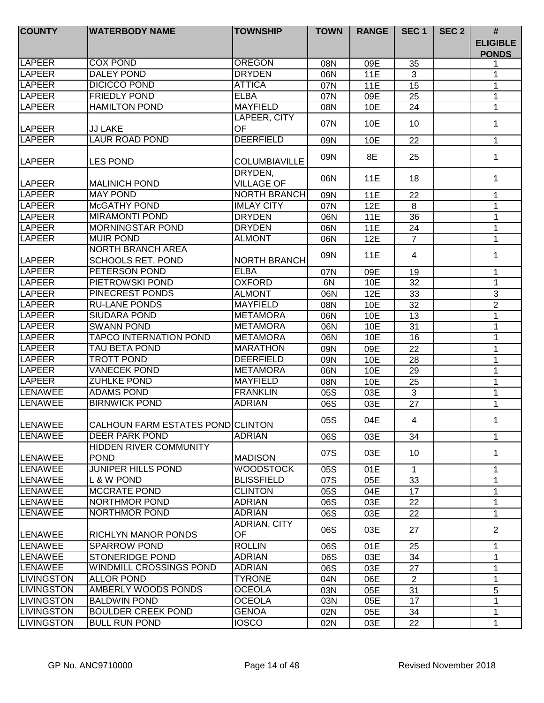| <b>COUNTY</b>     | <b>WATERBODY NAME</b>                                | <b>TOWNSHIP</b>              | <b>TOWN</b> | <b>RANGE</b> | SEC <sub>1</sub> | SEC <sub>2</sub> | #<br><b>ELIGIBLE</b> |
|-------------------|------------------------------------------------------|------------------------------|-------------|--------------|------------------|------------------|----------------------|
|                   |                                                      |                              |             |              |                  |                  | <b>PONDS</b>         |
| LAPEER            | <b>COX POND</b>                                      | <b>OREGON</b>                | 08N         | 09E          | 35               |                  | 1                    |
| <b>LAPEER</b>     | <b>DALEY POND</b>                                    | <b>DRYDEN</b>                | 06N         | 11E          | 3                |                  | 1                    |
| <b>LAPEER</b>     | <b>DICICCO POND</b>                                  | <b>ATTICA</b>                | 07N         | <b>11E</b>   | 15               |                  | 1                    |
| <b>LAPEER</b>     | <b>FRIEDLY POND</b>                                  | <b>ELBA</b>                  | 07N         | 09E          | 25               |                  | 1                    |
| <b>LAPEER</b>     | <b>HAMILTON POND</b>                                 | <b>MAYFIELD</b>              | 08N         | 10E          | 24               |                  | 1                    |
| <b>LAPEER</b>     | <b>JJ LAKE</b>                                       | LAPEER, CITY<br>OF           | 07N         | 10E          | 10               |                  | 1                    |
| <b>LAPEER</b>     | <b>LAUR ROAD POND</b>                                | <b>DEERFIELD</b>             | 09N         | 10E          | 22               |                  | $\mathbf{1}$         |
| LAPEER            | <b>LES POND</b>                                      | <b>COLUMBIAVILLE</b>         | 09N         | 8E           | 25               |                  | $\mathbf 1$          |
| LAPEER            | <b>MALINICH POND</b>                                 | DRYDEN,<br><b>VILLAGE OF</b> | 06N         | 11E          | 18               |                  | 1                    |
| <b>LAPEER</b>     | <b>MAY POND</b>                                      | <b>NORTH BRANCH</b>          | 09N         | 11E          | 22               |                  | 1                    |
| LAPEER            | <b>McGATHY POND</b>                                  | <b>IMLAY CITY</b>            | 07N         | 12E          | 8                |                  | 1                    |
| <b>LAPEER</b>     | <b>MIRAMONTI POND</b>                                | <b>DRYDEN</b>                | 06N         | 11E          | 36               |                  | 1                    |
| <b>LAPEER</b>     | <b>MORNINGSTAR POND</b>                              | <b>DRYDEN</b>                | 06N         | 11E          | 24               |                  | 1                    |
| <b>LAPEER</b>     | <b>MUIR POND</b>                                     | <b>ALMONT</b>                | 06N         | 12E          | $\overline{7}$   |                  | 1                    |
| <b>LAPEER</b>     | <b>NORTH BRANCH AREA</b><br><b>SCHOOLS RET. POND</b> | <b>NORTH BRANCH</b>          | 09N         | 11E          | 4                |                  | 1                    |
| LAPEER            | PETERSON POND                                        | <b>ELBA</b>                  | 07N         | 09E          | 19               |                  | $\mathbf 1$          |
| LAPEER            | PIETROWSKI POND                                      | <b>OXFORD</b>                | 6N          | 10E          | 32               |                  | 1                    |
| LAPEER            | PINECREST PONDS                                      | <b>ALMONT</b>                | 06N         | 12E          | 33               |                  | $\mathbf{3}$         |
| <b>LAPEER</b>     | <b>RU-LANE PONDS</b>                                 | <b>MAYFIELD</b>              | 08N         | 10E          | 32               |                  | $\overline{2}$       |
| <b>LAPEER</b>     | <b>SIUDARA POND</b>                                  | <b>METAMORA</b>              | 06N         | 10E          | 13               |                  | 1                    |
| <b>LAPEER</b>     | <b>SWANN POND</b>                                    | <b>METAMORA</b>              | 06N         | 10E          | 31               |                  | 1                    |
| LAPEER            | <b>TAPCO INTERNATION POND</b>                        | <b>METAMORA</b>              | 06N         | 10E          | 16               |                  | 1                    |
| <b>LAPEER</b>     | <b>TAU BETA POND</b>                                 | <b>MARATHON</b>              | 09N         | 09E          | 22               |                  | 1                    |
| <b>LAPEER</b>     | <b>TROTT POND</b>                                    | <b>DEERFIELD</b>             | 09N         | 10E          | 28               |                  | 1                    |
| <b>LAPEER</b>     | <b>VANECEK POND</b>                                  | <b>METAMORA</b>              | 06N         | 10E          | 29               |                  | 1                    |
| <b>LAPEER</b>     | <b>ZUHLKE POND</b>                                   | <b>MAYFIELD</b>              | 08N         | 10E          | 25               |                  | 1                    |
| <b>LENAWEE</b>    | <b>ADAMS POND</b>                                    | <b>FRANKLIN</b>              | 05S         | 03E          | $\overline{3}$   |                  | 1                    |
| <b>LENAWEE</b>    | <b>BIRNWICK POND</b>                                 | <b>ADRIAN</b>                | 06S         | 03E          | 27               |                  | 1                    |
| LENAWEE           | CALHOUN FARM ESTATES POND CLINTON                    |                              | 05S         | 04E          | 4                |                  | 1                    |
| <b>LENAWEE</b>    | DEER PARK POND                                       | <b>ADRIAN</b>                | 06S         | 03E          | 34               |                  | $\mathbf 1$          |
| <b>LENAWEE</b>    | HIDDEN RIVER COMMUNITY<br><b>POND</b>                | <b>MADISON</b>               | 07S         | 03E          | 10               |                  | 1                    |
| <b>LENAWEE</b>    | <b>JUNIPER HILLS POND</b>                            | <b>WOODSTOCK</b>             | 05S         | 01E          | 1                |                  | 1                    |
| <b>LENAWEE</b>    | L & W POND                                           | <b>BLISSFIELD</b>            | 07S         | 05E          | 33               |                  | 1                    |
| <b>LENAWEE</b>    | <b>MCCRATE POND</b>                                  | <b>CLINTON</b>               | 05S         | 04E          | 17               |                  | $\mathbf 1$          |
| <b>LENAWEE</b>    | NORTHMOR POND                                        | <b>ADRIAN</b>                | 06S         | 03E          | 22               |                  | 1                    |
| <b>LENAWEE</b>    | NORTHMOR POND                                        | <b>ADRIAN</b>                | 06S         | 03E          | 22               |                  | $\mathbf 1$          |
|                   |                                                      | ADRIAN, CITY                 | 06S         | 03E          | 27               |                  | $\overline{2}$       |
| <b>LENAWEE</b>    | <b>RICHLYN MANOR PONDS</b>                           | OF                           |             |              |                  |                  |                      |
| LENAWEE           | <b>SPARROW POND</b>                                  | <b>ROLLIN</b>                | 06S         | 01E          | 25               |                  | $\mathbf 1$          |
| LENAWEE           | <b>STONERIDGE POND</b>                               | <b>ADRIAN</b>                | 06S         | 03E          | 34               |                  | 1                    |
| <b>LENAWEE</b>    | WINDMILL CROSSINGS POND                              | <b>ADRIAN</b>                | 06S         | 03E          | 27               |                  | 1                    |
| <b>LIVINGSTON</b> | <b>ALLOR POND</b>                                    | <b>TYRONE</b>                | 04N         | 06E          | $\overline{2}$   |                  | 1                    |
| <b>LIVINGSTON</b> | AMBERLY WOODS PONDS                                  | <b>OCEOLA</b>                | 03N         | 05E          | 31               |                  | 5                    |
| <b>LIVINGSTON</b> | <b>BALDWIN POND</b>                                  | <b>OCEOLA</b>                | 03N         | 05E          | 17               |                  | 1                    |
| <b>LIVINGSTON</b> | <b>BOULDER CREEK POND</b>                            | <b>GENOA</b>                 | 02N         | 05E          | 34               |                  | 1                    |
| <b>LIVINGSTON</b> | <b>BULL RUN POND</b>                                 | <b>IOSCO</b>                 | 02N         | 03E          | 22               |                  | 1                    |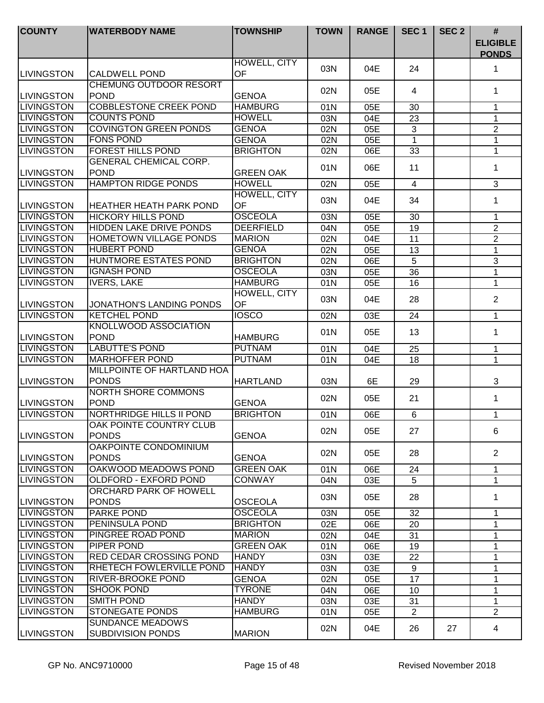| <b>COUNTY</b>      | <b>WATERBODY NAME</b>                               | <b>TOWNSHIP</b>           | <b>TOWN</b> | <b>RANGE</b> | SEC <sub>1</sub> | SEC <sub>2</sub> | $\#$                            |
|--------------------|-----------------------------------------------------|---------------------------|-------------|--------------|------------------|------------------|---------------------------------|
|                    |                                                     |                           |             |              |                  |                  | <b>ELIGIBLE</b><br><b>PONDS</b> |
| <b>LIVINGSTON</b>  | <b>CALDWELL POND</b>                                | HOWELL, CITY<br>OF        | 03N         | 04E          | 24               |                  | 1                               |
| <b>LIVINGSTON</b>  | <b>CHEMUNG OUTDOOR RESORT</b><br><b>POND</b>        | <b>GENOA</b>              | 02N         | 05E          | 4                |                  | $\mathbf 1$                     |
| <b>LIVINGSTON</b>  | <b>COBBLESTONE CREEK POND</b>                       | <b>HAMBURG</b>            | 01N         | 05E          | 30               |                  | 1                               |
| <b>LIVINGSTON</b>  | <b>COUNTS POND</b>                                  | <b>HOWELL</b>             | 03N         | 04E          | 23               |                  | 1                               |
| <b>LIVINGSTON</b>  | <b>COVINGTON GREEN PONDS</b>                        | <b>GENOA</b>              | 02N         | 05E          | $\mathbf{3}$     |                  | $\overline{2}$                  |
| <b>LIVINGSTON</b>  | <b>FONS POND</b>                                    | <b>GENOA</b>              | 02N         | 05E          | 1                |                  | 1                               |
| <b>LIVINGSTON</b>  | <b>FOREST HILLS POND</b>                            | <b>BRIGHTON</b>           | 02N         | 06E          | 33               |                  | 1                               |
|                    | <b>GENERAL CHEMICAL CORP.</b>                       |                           |             |              |                  |                  |                                 |
| <b>LIVINGSTON</b>  | <b>POND</b>                                         | <b>GREEN OAK</b>          | 01N         | 06E          | 11               |                  | 1                               |
| <b>LIVINGSTON</b>  | <b>HAMPTON RIDGE PONDS</b>                          | <b>HOWELL</b>             | 02N         | 05E          | $\overline{4}$   |                  | $\overline{3}$                  |
|                    |                                                     | <b>HOWELL, CITY</b>       |             |              |                  |                  |                                 |
| <b>LIVINGSTON</b>  | <b>HEATHER HEATH PARK POND</b>                      | OF                        | 03N         | 04E          | 34               |                  | 1                               |
| <b>LIVINGSTON</b>  | <b>HICKORY HILLS POND</b>                           | <b>OSCEOLA</b>            | 03N         | 05E          | 30               |                  | 1                               |
| <b>LIVINGSTON</b>  | <b>HIDDEN LAKE DRIVE PONDS</b>                      | <b>DEERFIELD</b>          | 04N         | 05E          | 19               |                  | $\overline{2}$                  |
| <b>LIVINGSTON</b>  | <b>HOMETOWN VILLAGE PONDS</b>                       | <b>MARION</b>             | 02N         | 04E          | 11               |                  | $\overline{2}$                  |
| <b>LIVINGSTON</b>  | <b>HUBERT POND</b>                                  | <b>GENOA</b>              | 02N         | 05E          | 13               |                  | 1                               |
| <b>LIVINGSTON</b>  | HUNTMORE ESTATES POND                               | <b>BRIGHTON</b>           | 02N         | 06E          | $\overline{5}$   |                  | $\ensuremath{\mathsf{3}}$       |
| <b>LIVINGSTON</b>  | <b>IGNASH POND</b>                                  | <b>OSCEOLA</b>            | 03N         | 05E          | 36               |                  | 1                               |
| <b>LIVINGSTON</b>  | <b>IVERS, LAKE</b>                                  | <b>HAMBURG</b>            | 01N         | 05E          | 16               |                  | 1                               |
| <b>LIVINGSTON</b>  | JONATHON'S LANDING PONDS                            | HOWELL, CITY<br><b>OF</b> | 03N         | 04E          | 28               |                  | $\overline{2}$                  |
| <b>LIVINGSTON</b>  | <b>KETCHEL POND</b>                                 | <b>IOSCO</b>              | 02N         | 03E          | 24               |                  | 1                               |
|                    | KNOLLWOOD ASSOCIATION                               |                           |             |              |                  |                  |                                 |
| <b>LIVINGSTON</b>  | <b>POND</b>                                         | <b>HAMBURG</b>            | 01N         | 05E          | 13               |                  | 1                               |
| <b>LIVINGSTON</b>  | <b>LABUTTE'S POND</b>                               | <b>PUTNAM</b>             | 01N         | 04E          | 25               |                  | $\mathbf{1}$                    |
| <b>LIVINGSTON</b>  | <b>MARHOFFER POND</b>                               | <b>PUTNAM</b>             | 01N         | 04E          | 18               |                  | $\mathbf{1}$                    |
| <b>LIVINGSTON</b>  | <b>MILLPOINTE OF HARTLAND HOA</b><br><b>PONDS</b>   | <b>HARTLAND</b>           | 03N         | 6E           | 29               |                  | 3                               |
| <b>LIVINGSTON</b>  | <b>NORTH SHORE COMMONS</b><br><b>POND</b>           | <b>GENOA</b>              | 02N         | 05E          | 21               |                  | $\mathbf 1$                     |
| <b>LIVINGSTON</b>  | <b>NORTHRIDGE HILLS II POND</b>                     | <b>BRIGHTON</b>           | 01N         | 06E          | $\,6\,$          |                  | $\mathbf 1$                     |
|                    | OAK POINTE COUNTRY CLUB                             |                           |             |              |                  |                  |                                 |
| <b>ILIVINGSTON</b> | <b>PONDS</b>                                        | <b>GENOA</b>              | 02N         | 05E          | 27               |                  | 6                               |
| <b>LIVINGSTON</b>  | OAKPOINTE CONDOMINIUM<br><b>PONDS</b>               | <b>GENOA</b>              | 02N         | 05E          | 28               |                  | $\overline{2}$                  |
| <b>LIVINGSTON</b>  | OAKWOOD MEADOWS POND                                | <b>GREEN OAK</b>          | 01N         | 06E          | 24               |                  | $\mathbf 1$                     |
| <b>LIVINGSTON</b>  | <b>OLDFORD - EXFORD POND</b>                        | <b>CONWAY</b>             | 04N         | 03E          | 5                |                  | 1                               |
| <b>LIVINGSTON</b>  | ORCHARD PARK OF HOWELL<br><b>PONDS</b>              | <b>OSCEOLA</b>            | 03N         | 05E          | 28               |                  | 1.                              |
| <b>LIVINGSTON</b>  | <b>PARKE POND</b>                                   | <b>OSCEOLA</b>            | 03N         | 05E          | 32               |                  | 1                               |
| <b>LIVINGSTON</b>  | PENINSULA POND                                      | <b>BRIGHTON</b>           |             | 06E          |                  |                  |                                 |
| <b>LIVINGSTON</b>  | PINGREE ROAD POND                                   | <b>MARION</b>             | 02E         |              | 20               |                  | 1                               |
| <b>LIVINGSTON</b>  | <b>PIPER POND</b>                                   | <b>GREEN OAK</b>          | 02N         | 04E          | 31               |                  | 1                               |
| <b>LIVINGSTON</b>  | <b>RED CEDAR CROSSING POND</b>                      | <b>HANDY</b>              | 01N         | 06E          | 19               |                  | 1                               |
|                    |                                                     |                           | 03N         | 03E          | 22               |                  | 1                               |
| <b>LIVINGSTON</b>  | <b>RHETECH FOWLERVILLE POND</b>                     | <b>HANDY</b>              | 03N         | 03E          | 9                |                  | 1                               |
| <b>LIVINGSTON</b>  | <b>RIVER-BROOKE POND</b>                            | <b>GENOA</b>              | 02N         | 05E          | 17               |                  | 1                               |
| <b>LIVINGSTON</b>  | <b>SHOOK POND</b>                                   | <b>TYRONE</b>             | 04N         | 06E          | 10               |                  | 1                               |
| <b>LIVINGSTON</b>  | <b>SMITH POND</b>                                   | <b>HANDY</b>              | 03N         | 03E          | 31               |                  | 1                               |
| <b>LIVINGSTON</b>  | STONEGATE PONDS                                     | <b>HAMBURG</b>            | 01N         | 05E          | $\overline{2}$   |                  | $\overline{2}$                  |
| <b>LIVINGSTON</b>  | <b>SUNDANCE MEADOWS</b><br><b>SUBDIVISION PONDS</b> | <b>MARION</b>             | 02N         | 04E          | 26               | 27               | 4                               |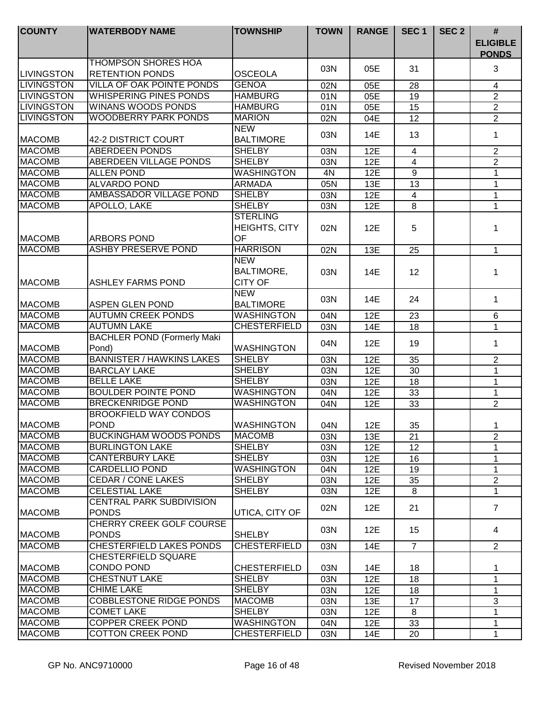| <b>COUNTY</b>     | <b>WATERBODY NAME</b>                           | <b>TOWNSHIP</b>                | <b>TOWN</b> | <b>RANGE</b> | SEC <sub>1</sub> | SEC <sub>2</sub> | $\pmb{\#}$                      |
|-------------------|-------------------------------------------------|--------------------------------|-------------|--------------|------------------|------------------|---------------------------------|
|                   |                                                 |                                |             |              |                  |                  | <b>ELIGIBLE</b><br><b>PONDS</b> |
|                   | <b>THOMPSON SHORES HOA</b>                      |                                | 03N         | 05E          | 31               |                  | 3                               |
| <b>LIVINGSTON</b> | <b>RETENTION PONDS</b>                          | <b>OSCEOLA</b>                 |             |              |                  |                  |                                 |
| <b>LIVINGSTON</b> | <b>VILLA OF OAK POINTE PONDS</b>                | <b>GENOA</b>                   | 02N         | 05E          | 28               |                  | 4                               |
| <b>LIVINGSTON</b> | <b>WHISPERING PINES PONDS</b>                   | <b>HAMBURG</b>                 | 01N         | 05E          | 19               |                  | $\overline{2}$                  |
| <b>LIVINGSTON</b> | <b>WINANS WOODS PONDS</b>                       | <b>HAMBURG</b>                 | 01N         | 05E          | 15               |                  | $\overline{2}$                  |
| <b>LIVINGSTON</b> | <b>WOODBERRY PARK PONDS</b>                     | <b>MARION</b>                  | 02N         | 04E          | 12               |                  | $\overline{2}$                  |
| <b>MACOMB</b>     | 42-2 DISTRICT COURT                             | <b>NEW</b><br><b>BALTIMORE</b> | 03N         | 14E          | 13               |                  | 1                               |
| <b>MACOMB</b>     | <b>ABERDEEN PONDS</b>                           | <b>SHELBY</b>                  | 03N         | 12E          | 4                |                  | $\overline{2}$                  |
| <b>MACOMB</b>     | <b>ABERDEEN VILLAGE PONDS</b>                   | <b>SHELBY</b>                  | 03N         | 12E          | 4                |                  | $\overline{2}$                  |
| <b>MACOMB</b>     | <b>ALLEN POND</b>                               | <b>WASHINGTON</b>              | 4N          | 12E          | $\overline{9}$   |                  | $\mathbf{1}$                    |
| <b>MACOMB</b>     | <b>ALVARDO POND</b>                             | <b>ARMADA</b>                  | 05N         | 13E          | 13               |                  | 1                               |
| <b>MACOMB</b>     | AMBASSADOR VILLAGE POND                         | <b>SHELBY</b>                  | 03N         | 12E          | 4                |                  | 1                               |
| <b>MACOMB</b>     | <b>APOLLO, LAKE</b>                             | <b>SHELBY</b>                  | 03N         | 12E          | 8                |                  | $\mathbf{1}$                    |
|                   |                                                 | <b>STERLING</b>                |             |              |                  |                  |                                 |
|                   |                                                 | HEIGHTS, CITY                  | 02N         | 12E          | 5                |                  | 1                               |
| <b>MACOMB</b>     | <b>ARBORS POND</b>                              | OF                             |             |              |                  |                  |                                 |
| <b>MACOMB</b>     | <b>ASHBY PRESERVE POND</b>                      | <b>HARRISON</b>                | 02N         | 13E          | 25               |                  | 1                               |
|                   |                                                 | <b>NEW</b>                     |             |              |                  |                  |                                 |
|                   |                                                 | <b>BALTIMORE,</b>              | 03N         | 14E          | 12               |                  | 1                               |
| <b>MACOMB</b>     | <b>ASHLEY FARMS POND</b>                        | <b>CITY OF</b>                 |             |              |                  |                  |                                 |
|                   |                                                 | <b>NEW</b>                     |             |              |                  |                  |                                 |
| <b>MACOMB</b>     | <b>ASPEN GLEN POND</b>                          | <b>BALTIMORE</b>               | 03N         | 14E          | 24               |                  | 1                               |
| <b>MACOMB</b>     | <b>AUTUMN CREEK PONDS</b>                       | <b>WASHINGTON</b>              | 04N         | 12E          | 23               |                  | $\,6\,$                         |
| <b>MACOMB</b>     | <b>AUTUMN LAKE</b>                              | <b>CHESTERFIELD</b>            | 03N         | 14E          | 18               |                  | 1                               |
|                   | <b>BACHLER POND (Formerly Maki</b>              |                                |             |              |                  |                  |                                 |
| <b>MACOMB</b>     | Pond)                                           | <b>WASHINGTON</b>              | 04N         | 12E          | 19               |                  | 1                               |
| <b>MACOMB</b>     | <b>BANNISTER / HAWKINS LAKES</b>                | <b>SHELBY</b>                  | 03N         | 12E          | 35               |                  | $\overline{2}$                  |
| <b>MACOMB</b>     | <b>BARCLAY LAKE</b>                             | <b>SHELBY</b>                  | 03N         | 12E          | $\overline{30}$  |                  | 1                               |
| <b>MACOMB</b>     | <b>BELLE LAKE</b>                               | <b>SHELBY</b>                  | 03N         | 12E          | 18               |                  | 1                               |
| <b>MACOMB</b>     | <b>BOULDER POINTE POND</b>                      | <b>WASHINGTON</b>              | 04N         | 12E          | 33               |                  | 1                               |
| <b>MACOMB</b>     | <b>BRECKENRIDGE POND</b>                        | <b>WASHINGTON</b>              | 04N         | 12E          | 33               |                  | $\overline{2}$                  |
|                   | <b>BROOKFIELD WAY CONDOS</b>                    |                                |             |              |                  |                  |                                 |
| MACOMB            | <b>POND</b>                                     | <b>WASHINGTON</b>              | 04N         | 12E          | 35               |                  | 1                               |
| <b>MACOMB</b>     | <b>BUCKINGHAM WOODS PONDS</b>                   | <b>MACOMB</b>                  | 03N         | 13E          | 21               |                  | $\overline{2}$                  |
| <b>MACOMB</b>     | <b>BURLINGTON LAKE</b>                          | <b>SHELBY</b>                  | 03N         | 12E          | 12               |                  | 1                               |
| <b>MACOMB</b>     | <b>CANTERBURY LAKE</b>                          | <b>SHELBY</b>                  | 03N         | 12E          | 16               |                  | 1                               |
| <b>MACOMB</b>     | <b>CARDELLIO POND</b>                           | <b>WASHINGTON</b>              | 04N         | 12E          | 19               |                  | 1                               |
| <b>MACOMB</b>     | <b>CEDAR / CONE LAKES</b>                       | <b>SHELBY</b>                  | 03N         | 12E          | 35               |                  | $\overline{2}$                  |
| <b>MACOMB</b>     | <b>CELESTIAL LAKE</b>                           | <b>SHELBY</b>                  | 03N         | 12E          | 8                |                  | $\mathbf 1$                     |
| <b>MACOMB</b>     | <b>CENTRAL PARK SUBDIVISION</b><br><b>PONDS</b> | UTICA, CITY OF                 | 02N         | 12E          | 21               |                  | $\overline{7}$                  |
| <b>MACOMB</b>     | <b>CHERRY CREEK GOLF COURSE</b><br><b>PONDS</b> | <b>SHELBY</b>                  | 03N         | 12E          | 15               |                  | 4                               |
| <b>MACOMB</b>     | CHESTERFIELD LAKES PONDS                        | <b>CHESTERFIELD</b>            | 03N         | 14E          | $\overline{7}$   |                  | 2                               |
|                   | CHESTERFIELD SQUARE                             |                                |             |              |                  |                  |                                 |
| <b>MACOMB</b>     | CONDO POND                                      | <b>CHESTERFIELD</b>            | 03N         | 14E          | 18               |                  | 1                               |
| <b>MACOMB</b>     | <b>CHESTNUT LAKE</b>                            | <b>SHELBY</b>                  | 03N         | 12E          | 18               |                  | 1                               |
| <b>MACOMB</b>     | <b>CHIME LAKE</b>                               | <b>SHELBY</b>                  | 03N         | 12E          | 18               |                  | 1                               |
| <b>MACOMB</b>     | <b>COBBLESTONE RIDGE PONDS</b>                  | <b>MACOMB</b>                  | 03N         | 13E          | 17               |                  | 3                               |
| <b>MACOMB</b>     | <b>COMET LAKE</b>                               | <b>SHELBY</b>                  | 03N         | 12E          | 8                |                  | 1                               |
| <b>MACOMB</b>     | <b>COPPER CREEK POND</b>                        | <b>WASHINGTON</b>              | 04N         | 12E          | 33               |                  | 1                               |
| <b>MACOMB</b>     | <b>COTTON CREEK POND</b>                        | <b>CHESTERFIELD</b>            | 03N         | 14E          | 20               |                  | 1                               |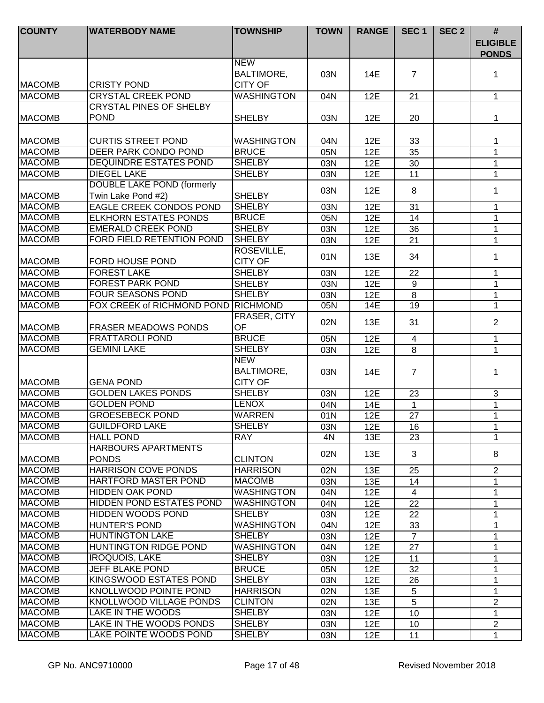| <b>COUNTY</b>                  | <b>WATERBODY NAME</b>                                       | <b>TOWNSHIP</b>               | <b>TOWN</b> | <b>RANGE</b> | SEC <sub>1</sub> | SEC <sub>2</sub> | #                               |
|--------------------------------|-------------------------------------------------------------|-------------------------------|-------------|--------------|------------------|------------------|---------------------------------|
|                                |                                                             |                               |             |              |                  |                  | <b>ELIGIBLE</b><br><b>PONDS</b> |
|                                |                                                             | <b>NEW</b>                    |             |              |                  |                  |                                 |
|                                |                                                             | BALTIMORE,                    | 03N         | 14E          | $\overline{7}$   |                  | 1                               |
| <b>MACOMB</b>                  | <b>CRISTY POND</b>                                          | <b>CITY OF</b>                |             |              |                  |                  |                                 |
| <b>MACOMB</b>                  | <b>CRYSTAL CREEK POND</b><br><b>CRYSTAL PINES OF SHELBY</b> | WASHINGTON                    | 04N         | 12E          | 21               |                  | $\mathbf{1}$                    |
| <b>MACOMB</b>                  | <b>POND</b>                                                 | <b>SHELBY</b>                 | 03N         | 12E          | 20               |                  | $\mathbf 1$                     |
|                                |                                                             |                               |             |              |                  |                  |                                 |
| <b>MACOMB</b>                  | <b>CURTIS STREET POND</b>                                   | <b>WASHINGTON</b>             | 04N         | 12E          | 33               |                  | 1                               |
| <b>MACOMB</b>                  | <b>DEER PARK CONDO POND</b>                                 | <b>BRUCE</b>                  | 05N         | 12E          | 35               |                  | $\mathbf{1}$                    |
| <b>MACOMB</b>                  | <b>DEQUINDRE ESTATES POND</b>                               | <b>SHELBY</b>                 | 03N         | 12E          | 30               |                  | 1                               |
| <b>MACOMB</b>                  | <b>DIEGEL LAKE</b>                                          | <b>SHELBY</b>                 | 03N         | 12E          | 11               |                  | 1                               |
|                                | <b>DOUBLE LAKE POND (formerly</b>                           |                               |             |              |                  |                  |                                 |
| <b>MACOMB</b>                  | Twin Lake Pond #2)                                          | <b>SHELBY</b>                 | 03N         | 12E          | 8                |                  | 1                               |
| <b>MACOMB</b>                  | EAGLE CREEK CONDOS POND                                     | <b>SHELBY</b>                 | 03N         | 12E          | 31               |                  | 1                               |
| <b>MACOMB</b>                  | <b>ELKHORN ESTATES PONDS</b>                                | <b>BRUCE</b>                  | 05N         | 12E          | 14               |                  | 1                               |
| <b>MACOMB</b>                  | <b>EMERALD CREEK POND</b>                                   | <b>SHELBY</b>                 | 03N         | 12E          | 36               |                  | 1                               |
| <b>MACOMB</b>                  | FORD FIELD RETENTION POND                                   | <b>SHELBY</b>                 | 03N         | 12E          | 21               |                  | 1                               |
|                                |                                                             | ROSEVILLE,                    | 01N         | 13E          | 34               |                  | 1                               |
| <b>MACOMB</b>                  | FORD HOUSE POND                                             | <b>CITY OF</b>                |             |              |                  |                  |                                 |
| <b>MACOMB</b>                  | <b>FOREST LAKE</b>                                          | <b>SHELBY</b>                 | 03N         | 12E          | 22               |                  | 1                               |
| <b>MACOMB</b>                  | <b>FOREST PARK POND</b>                                     | <b>SHELBY</b>                 | 03N         | 12E          | 9                |                  | 1                               |
| <b>MACOMB</b>                  | <b>FOUR SEASONS POND</b>                                    | <b>SHELBY</b>                 | 03N         | 12E          | 8                |                  | 1                               |
| <b>MACOMB</b>                  | FOX CREEK of RICHMOND POND                                  | RICHMOND                      | 05N         | 14E          | 19               |                  | $\mathbf{1}$                    |
| <b>MACOMB</b>                  | <b>FRASER MEADOWS PONDS</b>                                 | FRASER, CITY<br>OF            | 02N         | 13E          | 31               |                  | $\overline{2}$                  |
| <b>MACOMB</b>                  | <b>FRATTAROLI POND</b>                                      | <b>BRUCE</b>                  | 05N         | 12E          | $\overline{4}$   |                  | 1                               |
| <b>MACOMB</b>                  | <b>GEMINI LAKE</b>                                          | <b>SHELBY</b>                 | 03N         | 12E          | 8                |                  | 1                               |
|                                |                                                             | <b>NEW</b>                    |             |              |                  |                  |                                 |
|                                |                                                             | BALTIMORE,                    | 03N         | 14E          | $\overline{7}$   |                  | 1                               |
| <b>MACOMB</b>                  | <b>GENA POND</b>                                            | <b>CITY OF</b>                |             |              |                  |                  |                                 |
| <b>MACOMB</b>                  | <b>GOLDEN LAKES PONDS</b>                                   | <b>SHELBY</b>                 | 03N         | 12E          | 23               |                  | 3                               |
| <b>MACOMB</b>                  | <b>GOLDEN POND</b>                                          | <b>LENOX</b>                  | 04N         | 14E          | $\mathbf{1}$     |                  | $\mathbf{1}$                    |
| <b>MACOMB</b>                  | <b>GROESEBECK POND</b>                                      | WARREN                        | 01N         | 12E          | 27               |                  | 1                               |
| MACOMB                         | GUILDFORD LAKE                                              | SHELBY                        | 03N         | 12E          | 16               |                  | 1                               |
| <b>MACOMB</b>                  | <b>HALL POND</b>                                            | <b>RAY</b>                    | 4N          | 13E          | 23               |                  | 1                               |
|                                | <b>HARBOURS APARTMENTS</b>                                  |                               | 02N         | 13E          | 3                |                  | 8                               |
| <b>MACOMB</b>                  | <b>PONDS</b>                                                | <b>CLINTON</b>                |             |              |                  |                  |                                 |
| <b>IMACOMB</b>                 | <b>HARRISON COVE PONDS</b>                                  | <b>HARRISON</b>               | 02N         | 13E          | 25               |                  | $\overline{2}$                  |
| <b>MACOMB</b>                  | <b>HARTFORD MASTER POND</b>                                 | <b>MACOMB</b>                 | 03N         | 13E          | 14               |                  | 1                               |
| <b>MACOMB</b>                  | <b>HIDDEN OAK POND</b>                                      | <b>WASHINGTON</b>             | 04N         | 12E          | $\overline{4}$   |                  | 1                               |
| <b>MACOMB</b>                  | <b>HIDDEN POND ESTATES POND</b>                             | <b>WASHINGTON</b>             | 04N         | 12E          | 22               |                  | 1                               |
| <b>MACOMB</b>                  | <b>HIDDEN WOODS POND</b>                                    | <b>SHELBY</b>                 | 03N         | 12E          | 22               |                  | 1                               |
| <b>MACOMB</b>                  | <b>HUNTER'S POND</b>                                        | <b>WASHINGTON</b>             | 04N         | 12E          | 33               |                  | 1                               |
| <b>MACOMB</b>                  | <b>HUNTINGTON LAKE</b>                                      | <b>SHELBY</b>                 | 03N         | 12E          | $\overline{7}$   |                  | 1                               |
| <b>MACOMB</b>                  | HUNTINGTON RIDGE POND<br><b>IROQUOIS, LAKE</b>              | WASHINGTON                    | 04N         | 12E          | 27               |                  | 1                               |
| <b>MACOMB</b><br><b>MACOMB</b> | JEFF BLAKE POND                                             | <b>SHELBY</b><br><b>BRUCE</b> | 03N         | 12E          | 11               |                  | 1                               |
| <b>MACOMB</b>                  | KINGSWOOD ESTATES POND                                      | <b>SHELBY</b>                 | 05N         | 12E          | 32               |                  | 1                               |
| <b>MACOMB</b>                  | KNOLLWOOD POINTE POND                                       | <b>HARRISON</b>               | 03N         | 12E<br>13E   | 26<br>5          |                  |                                 |
| <b>MACOMB</b>                  | KNOLLWOOD VILLAGE PONDS                                     | <b>CLINTON</b>                | 02N<br>02N  | 13E          | 5                |                  | 1<br>$\overline{2}$             |
| <b>MACOMB</b>                  | LAKE IN THE WOODS                                           | <b>SHELBY</b>                 | 03N         | 12E          | 10               |                  | 1                               |
| <b>MACOMB</b>                  | LAKE IN THE WOODS PONDS                                     | <b>SHELBY</b>                 | 03N         | 12E          | 10               |                  | $\overline{2}$                  |
| <b>MACOMB</b>                  | LAKE POINTE WOODS POND                                      | <b>SHELBY</b>                 | 03N         | 12E          | 11               |                  | 1                               |
|                                |                                                             |                               |             |              |                  |                  |                                 |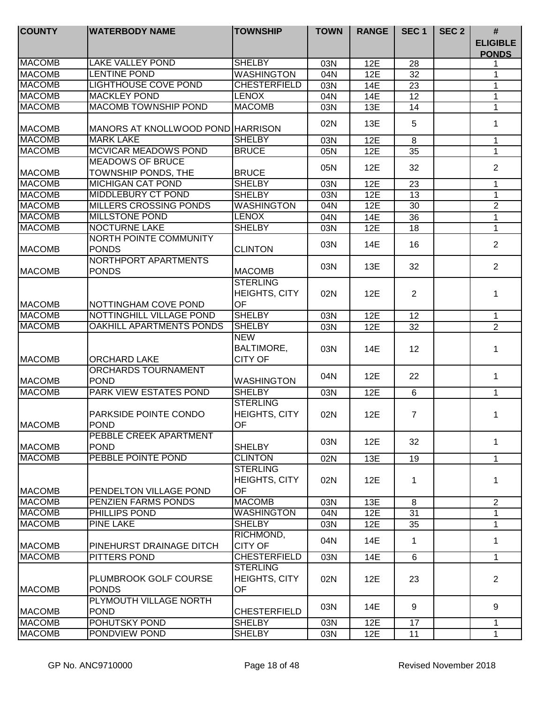| <b>COUNTY</b>  | <b>WATERBODY NAME</b>                         | <b>TOWNSHIP</b>                                      | <b>TOWN</b> | <b>RANGE</b> | SEC <sub>1</sub> | SEC <sub>2</sub> | #                               |
|----------------|-----------------------------------------------|------------------------------------------------------|-------------|--------------|------------------|------------------|---------------------------------|
|                |                                               |                                                      |             |              |                  |                  | <b>ELIGIBLE</b><br><b>PONDS</b> |
| <b>MACOMB</b>  | <b>LAKE VALLEY POND</b>                       | <b>SHELBY</b>                                        | 03N         | 12E          | 28               |                  |                                 |
| <b>MACOMB</b>  | <b>LENTINE POND</b>                           | <b>WASHINGTON</b>                                    | 04N         | 12E          | $\overline{32}$  |                  |                                 |
| <b>MACOMB</b>  | <b>LIGHTHOUSE COVE POND</b>                   | <b>CHESTERFIELD</b>                                  | 03N         | 14E          | 23               |                  | 1                               |
| <b>MACOMB</b>  | <b>MACKLEY POND</b>                           | <b>LENOX</b>                                         | 04N         | 14E          | 12               |                  | 1                               |
| <b>MACOMB</b>  | <b>MACOMB TOWNSHIP POND</b>                   | <b>MACOMB</b>                                        | 03N         | 13E          | 14               |                  | 1                               |
| <b>MACOMB</b>  | MANORS AT KNOLLWOOD POND HARRISON             |                                                      | 02N         | 13E          | 5                |                  | 1                               |
| <b>MACOMB</b>  | <b>MARK LAKE</b>                              | <b>SHELBY</b>                                        | 03N         | 12E          | 8                |                  | 1                               |
| <b>MACOMB</b>  | <b>MCVICAR MEADOWS POND</b>                   | <b>BRUCE</b>                                         | 05N         | 12E          | 35               |                  | $\mathbf 1$                     |
|                | <b>MEADOWS OF BRUCE</b>                       |                                                      | 05N         | 12E          | 32               |                  | 2                               |
| <b>MACOMB</b>  | TOWNSHIP PONDS, THE                           | <b>BRUCE</b>                                         |             |              |                  |                  |                                 |
| <b>MACOMB</b>  | <b>MICHIGAN CAT POND</b>                      | <b>SHELBY</b>                                        | 03N         | 12E          | 23               |                  | 1                               |
| <b>MACOMB</b>  | <b>MIDDLEBURY CT POND</b>                     | <b>SHELBY</b>                                        | 03N         | 12E          | $\overline{13}$  |                  | 1                               |
| <b>MACOMB</b>  | <b>MILLERS CROSSING PONDS</b>                 | <b>WASHINGTON</b>                                    | 04N         | 12E          | 30               |                  | $\overline{2}$                  |
| <b>MACOMB</b>  | <b>MILLSTONE POND</b>                         | <b>LENOX</b>                                         | 04N         | 14E          | 36               |                  | $\mathbf{1}$                    |
| <b>MACOMB</b>  | <b>NOCTURNE LAKE</b>                          | <b>SHELBY</b>                                        | 03N         | 12E          | 18               |                  | $\mathbf{1}$                    |
| <b>MACOMB</b>  | <b>NORTH POINTE COMMUNITY</b><br><b>PONDS</b> | <b>CLINTON</b>                                       | 03N         | 14E          | 16               |                  | $\overline{2}$                  |
| <b>MACOMB</b>  | NORTHPORT APARTMENTS<br><b>PONDS</b>          | <b>MACOMB</b>                                        | 03N         | 13E          | 32               |                  | 2                               |
| <b>MACOMB</b>  | NOTTINGHAM COVE POND                          | <b>STERLING</b><br><b>HEIGHTS, CITY</b><br><b>OF</b> | 02N         | 12E          | $\overline{2}$   |                  | 1                               |
| <b>MACOMB</b>  | NOTTINGHILL VILLAGE POND                      | <b>SHELBY</b>                                        |             |              |                  |                  |                                 |
| <b>MACOMB</b>  | OAKHILL APARTMENTS PONDS                      | <b>SHELBY</b>                                        | 03N<br>03N  | 12E<br>12E   | 12<br>32         |                  | $\mathbf{1}$<br>$\overline{2}$  |
| <b>MACOMB</b>  | <b>ORCHARD LAKE</b>                           | <b>NEW</b><br><b>BALTIMORE,</b><br><b>CITY OF</b>    | 03N         | 14E          | 12               |                  | 1                               |
| <b>MACOMB</b>  | <b>ORCHARDS TOURNAMENT</b><br><b>POND</b>     | <b>WASHINGTON</b>                                    | 04N         | 12E          | 22               |                  | 1                               |
| <b>MACOMB</b>  | <b>PARK VIEW ESTATES POND</b>                 | <b>SHELBY</b>                                        | 03N         | 12E          | 6                |                  | $\mathbf{1}$                    |
| <b>MACOMB</b>  | PARKSIDE POINTE CONDO<br><b>POND</b>          | <b>STERLING</b><br><b>HEIGHTS, CITY</b><br>OF        | 02N         | 12E          | $\overline{7}$   |                  | 1                               |
| <b>MACOMB</b>  | PEBBLE CREEK APARTMENT<br><b>POND</b>         | <b>SHELBY</b>                                        | 03N         | 12E          | 32               |                  | $\mathbf 1$                     |
| <b>MACOMB</b>  | PEBBLE POINTE POND                            | <b>CLINTON</b>                                       | 02N         | 13E          | 19               |                  | $\mathbf{1}$                    |
| <b>IMACOMB</b> | PENDELTON VILLAGE POND                        | <b>STERLING</b><br><b>HEIGHTS, CITY</b><br><b>OF</b> | 02N         | 12E          | 1                |                  | 1                               |
| <b>MACOMB</b>  | PENZIEN FARMS PONDS                           | <b>MACOMB</b>                                        | 03N         | 13E          | 8                |                  | 2                               |
| <b>MACOMB</b>  | PHILLIPS POND                                 | <b>WASHINGTON</b>                                    | 04N         | 12E          | 31               |                  | 1                               |
| <b>MACOMB</b>  | <b>PINE LAKE</b>                              | <b>SHELBY</b>                                        | 03N         | 12E          | 35               |                  | 1                               |
| <b>MACOMB</b>  | PINEHURST DRAINAGE DITCH                      | RICHMOND,<br><b>CITY OF</b>                          | 04N         | 14E          | 1                |                  | 1                               |
| <b>MACOMB</b>  | PITTERS POND                                  | <b>CHESTERFIELD</b>                                  | 03N         | <b>14E</b>   | 6                |                  | $\mathbf{1}$                    |
| <b>MACOMB</b>  | PLUMBROOK GOLF COURSE<br><b>PONDS</b>         | <b>STERLING</b><br><b>HEIGHTS, CITY</b><br>OF        | 02N         | 12E          | 23               |                  | $\overline{2}$                  |
| <b>MACOMB</b>  | PLYMOUTH VILLAGE NORTH<br><b>POND</b>         | <b>CHESTERFIELD</b>                                  | 03N         | 14E          | 9                |                  | 9                               |
| <b>MACOMB</b>  | POHUTSKY POND                                 | <b>SHELBY</b>                                        | 03N         | 12E          | 17               |                  | 1                               |
| <b>MACOMB</b>  | PONDVIEW POND                                 | SHELBY                                               | 03N         | 12E          | 11               |                  | $\mathbf{1}$                    |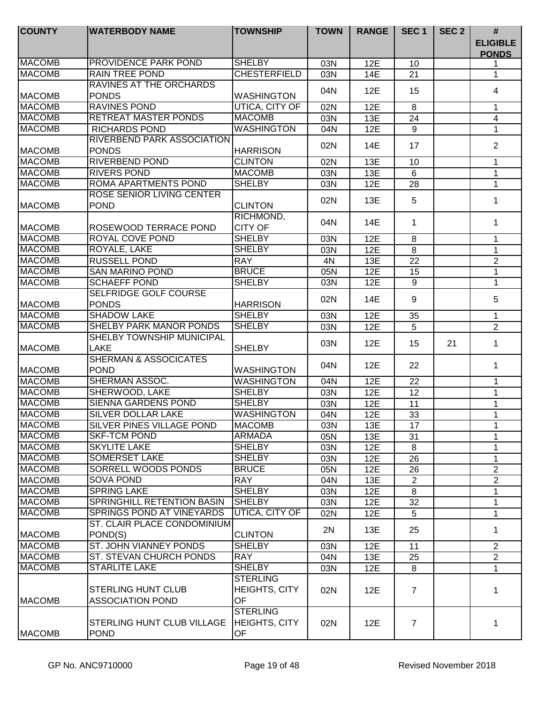| <b>COUNTY</b> | <b>WATERBODY NAME</b>                                | <b>TOWNSHIP</b>                                      | <b>TOWN</b> | <b>RANGE</b> | SEC <sub>1</sub> | SEC <sub>2</sub> | $\#$<br><b>ELIGIBLE</b><br><b>PONDS</b> |
|---------------|------------------------------------------------------|------------------------------------------------------|-------------|--------------|------------------|------------------|-----------------------------------------|
| <b>MACOMB</b> | <b>PROVIDENCE PARK POND</b>                          | <b>SHELBY</b>                                        | 03N         | 12E          | 10               |                  |                                         |
| <b>MACOMB</b> | <b>RAIN TREE POND</b>                                | <b>CHESTERFIELD</b>                                  | 03N         | 14E          | 21               |                  | 1                                       |
| <b>MACOMB</b> | RAVINES AT THE ORCHARDS<br><b>PONDS</b>              | WASHINGTON                                           | 04N         | 12E          | 15               |                  | 4                                       |
| <b>MACOMB</b> | <b>RAVINES POND</b>                                  | UTICA, CITY OF                                       | 02N         | 12E          | 8                |                  | 1                                       |
| <b>MACOMB</b> | <b>RETREAT MASTER PONDS</b>                          | <b>MACOMB</b>                                        | 03N         | 13E          | 24               |                  | 4                                       |
| <b>MACOMB</b> | <b>RICHARDS POND</b>                                 | <b>WASHINGTON</b>                                    | 04N         | 12E          | 9                |                  | 1                                       |
| <b>MACOMB</b> | <b>RIVERBEND PARK ASSOCIATION</b><br><b>PONDS</b>    | <b>HARRISON</b>                                      | 02N         | 14E          | 17               |                  | $\overline{2}$                          |
| <b>MACOMB</b> | <b>RIVERBEND POND</b>                                | <b>CLINTON</b>                                       | 02N         | 13E          | 10               |                  | 1                                       |
| <b>MACOMB</b> | <b>RIVERS POND</b>                                   | <b>MACOMB</b>                                        | 03N         | 13E          | $6\phantom{1}$   |                  | $\mathbf{1}$                            |
| <b>MACOMB</b> | <b>ROMA APARTMENTS POND</b>                          | <b>SHELBY</b>                                        | 03N         | 12E          | 28               |                  | 1                                       |
| <b>MACOMB</b> | <b>ROSE SENIOR LIVING CENTER</b><br><b>POND</b>      | <b>CLINTON</b>                                       | 02N         | 13E          | 5                |                  | 1                                       |
| <b>MACOMB</b> | ROSEWOOD TERRACE POND                                | RICHMOND,<br><b>CITY OF</b>                          | 04N         | 14E          | 1                |                  | 1                                       |
| <b>MACOMB</b> | ROYAL COVE POND                                      | <b>SHELBY</b>                                        | 03N         | 12E          | 8                |                  | 1                                       |
| <b>MACOMB</b> | ROYALE, LAKE                                         | <b>SHELBY</b>                                        | 03N         | 12E          | 8                |                  | 1                                       |
| <b>MACOMB</b> | <b>RUSSELL POND</b>                                  | <b>RAY</b>                                           | 4N          | 13E          | 22               |                  | $\overline{2}$                          |
| <b>MACOMB</b> | <b>SAN MARINO POND</b>                               | <b>BRUCE</b>                                         | 05N         | 12E          | 15               |                  | 1                                       |
| <b>MACOMB</b> | <b>SCHAEFF POND</b>                                  | <b>SHELBY</b>                                        | 03N         | 12E          | 9                |                  | 1                                       |
| <b>MACOMB</b> | <b>SELFRIDGE GOLF COURSE</b><br><b>PONDS</b>         | <b>HARRISON</b>                                      | 02N         | 14E          | 9                |                  | 5                                       |
| <b>MACOMB</b> | <b>SHADOW LAKE</b>                                   | <b>SHELBY</b>                                        | 03N         | 12E          | 35               |                  | 1                                       |
| <b>MACOMB</b> | <b>SHELBY PARK MANOR PONDS</b>                       | <b>SHELBY</b>                                        | 03N         | 12E          | 5                |                  | $\overline{2}$                          |
| <b>MACOMB</b> | SHELBY TOWNSHIP MUNICIPAL<br>LAKE                    | <b>SHELBY</b>                                        | 03N         | 12E          | 15               | 21               | 1                                       |
| <b>MACOMB</b> | <b>SHERMAN &amp; ASSOCICATES</b><br><b>POND</b>      | <b>WASHINGTON</b>                                    | 04N         | 12E          | 22               |                  | 1                                       |
| <b>MACOMB</b> | SHERMAN ASSOC.                                       | <b>WASHINGTON</b>                                    | 04N         | 12E          | 22               |                  | $\mathbf 1$                             |
| <b>MACOMB</b> | SHERWOOD, LAKE                                       | <b>SHELBY</b>                                        | 03N         | 12E          | 12               |                  | 1                                       |
| <b>MACOMB</b> | <b>SIENNA GARDENS POND</b>                           | <b>SHELBY</b>                                        | 03N         | 12E          | 11               |                  | 1                                       |
| <b>MACOMB</b> | <b>SILVER DOLLAR LAKE</b>                            | <b>WASHINGTON</b>                                    | 04N         | 12E          | 33               |                  | 1                                       |
| <b>MACOMB</b> | SILVER PINES VILLAGE POND                            | <b>MACOMB</b>                                        | 03N         | 13E          | $\overline{17}$  |                  | 1                                       |
| <b>MACOMB</b> | <b>SKF-TCM POND</b>                                  | <b>ARMADA</b>                                        | 05N         | 13E          | 31               |                  | 1                                       |
| <b>MACOMB</b> | <b>SKYLITE LAKE</b>                                  | <b>SHELBY</b>                                        | 03N         | 12E          | 8                |                  | 1                                       |
| <b>MACOMB</b> | <b>SOMERSET LAKE</b>                                 | <b>SHELBY</b>                                        | 03N         | 12E          | 26               |                  | 1                                       |
| <b>MACOMB</b> | <b>SORRELL WOODS PONDS</b>                           | <b>BRUCE</b>                                         | 05N         | 12E          | 26               |                  | $\overline{2}$                          |
| <b>MACOMB</b> | <b>SOVA POND</b>                                     | <b>RAY</b>                                           | 04N         | 13E          | $\overline{2}$   |                  | $\overline{2}$                          |
| <b>MACOMB</b> | <b>SPRING LAKE</b>                                   | <b>SHELBY</b>                                        | 03N         | 12E          | 8                |                  | 1                                       |
| <b>MACOMB</b> | <b>SPRINGHILL RETENTION BASIN</b>                    | <b>SHELBY</b>                                        | 03N         | 12E          | 32               |                  | 1                                       |
| <b>MACOMB</b> | <b>SPRINGS POND AT VINEYARDS</b>                     | UTICA, CITY OF                                       | 02N         | 12E          | 5                |                  | 1                                       |
| <b>MACOMB</b> | ST. CLAIR PLACE CONDOMINIUM<br>POND(S)               | <b>CLINTON</b>                                       | 2N          | 13E          | 25               |                  | 1                                       |
| <b>MACOMB</b> | ST. JOHN VIANNEY PONDS                               | <b>SHELBY</b>                                        | 03N         | 12E          | 11               |                  | $\overline{2}$                          |
| <b>MACOMB</b> | ST. STEVAN CHURCH PONDS                              | <b>RAY</b>                                           | 04N         | 13E          | 25               |                  | $\overline{2}$                          |
| <b>MACOMB</b> | <b>STARLITE LAKE</b>                                 | <b>SHELBY</b>                                        | 03N         | 12E          | 8                |                  | 1                                       |
| <b>MACOMB</b> | <b>STERLING HUNT CLUB</b><br><b>ASSOCIATION POND</b> | <b>STERLING</b><br><b>HEIGHTS, CITY</b><br><b>OF</b> | 02N         | 12E          | $\overline{7}$   |                  | 1                                       |
| <b>MACOMB</b> | STERLING HUNT CLUB VILLAGE<br><b>POND</b>            | <b>STERLING</b><br><b>HEIGHTS, CITY</b><br>OF        | 02N         | 12E          | 7                |                  | 1                                       |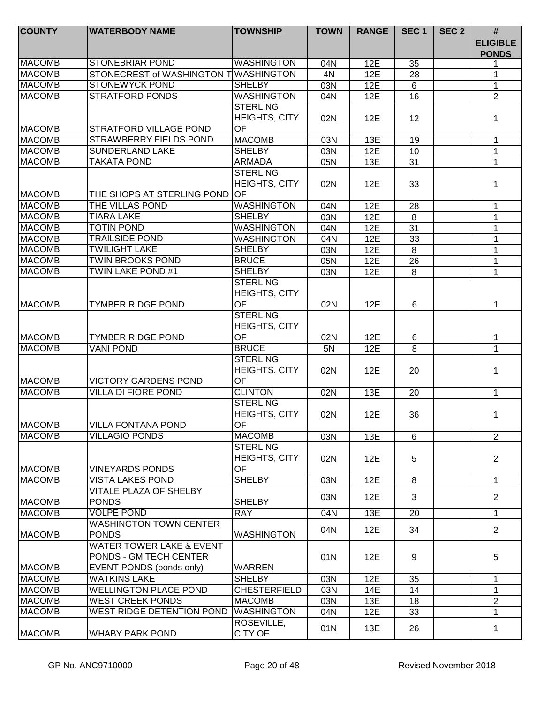| <b>COUNTY</b> | <b>WATERBODY NAME</b>                | <b>TOWNSHIP</b>      | <b>TOWN</b> | <b>RANGE</b> | SEC <sub>1</sub> | SEC <sub>2</sub> | #                               |
|---------------|--------------------------------------|----------------------|-------------|--------------|------------------|------------------|---------------------------------|
|               |                                      |                      |             |              |                  |                  | <b>ELIGIBLE</b><br><b>PONDS</b> |
| <b>MACOMB</b> | <b>STONEBRIAR POND</b>               | <b>WASHINGTON</b>    | 04N         | 12E          | 35               |                  |                                 |
| <b>MACOMB</b> | STONECREST of WASHINGTON TWASHINGTON |                      | 4N          | 12E          | 28               |                  | 1                               |
| <b>MACOMB</b> | <b>STONEWYCK POND</b>                | <b>SHELBY</b>        | 03N         | 12E          | 6                |                  | $\mathbf{1}$                    |
| <b>MACOMB</b> | <b>STRATFORD PONDS</b>               | <b>WASHINGTON</b>    | 04N         | 12E          | 16               |                  | $\overline{2}$                  |
|               |                                      | <b>STERLING</b>      |             |              |                  |                  |                                 |
|               |                                      | <b>HEIGHTS, CITY</b> | 02N         | 12E          | 12               |                  | 1                               |
| <b>MACOMB</b> | <b>STRATFORD VILLAGE POND</b>        | OF                   |             |              |                  |                  |                                 |
| <b>MACOMB</b> | <b>STRAWBERRY FIELDS POND</b>        | <b>MACOMB</b>        | 03N         | 13E          | 19               |                  | 1                               |
| <b>MACOMB</b> | <b>SUNDERLAND LAKE</b>               | <b>SHELBY</b>        | 03N         | 12E          | 10               |                  | $\mathbf{1}$                    |
| <b>MACOMB</b> | <b>TAKATA POND</b>                   | <b>ARMADA</b>        | 05N         | 13E          | 31               |                  | 1                               |
|               |                                      | <b>STERLING</b>      |             |              |                  |                  |                                 |
|               |                                      | <b>HEIGHTS, CITY</b> | 02N         | 12E          | 33               |                  | 1                               |
| <b>MACOMB</b> | THE SHOPS AT STERLING POND           | <b>OF</b>            |             |              |                  |                  |                                 |
| <b>MACOMB</b> | THE VILLAS POND                      | <b>WASHINGTON</b>    | 04N         | 12E          | 28               |                  | 1                               |
| <b>MACOMB</b> | <b>TIARA LAKE</b>                    | <b>SHELBY</b>        | 03N         | 12E          | 8                |                  | 1                               |
| <b>MACOMB</b> | <b>TOTIN POND</b>                    | <b>WASHINGTON</b>    | 04N         | 12E          | $\overline{31}$  |                  | 1                               |
| <b>MACOMB</b> | <b>TRAILSIDE POND</b>                | <b>WASHINGTON</b>    | 04N         | 12E          | 33               |                  | 1                               |
| <b>MACOMB</b> | <b>TWILIGHT LAKE</b>                 | <b>SHELBY</b>        | 03N         | 12E          | 8                |                  | 1                               |
| <b>MACOMB</b> | <b>TWIN BROOKS POND</b>              | <b>BRUCE</b>         | 05N         | 12E          | 26               |                  | 1                               |
| <b>MACOMB</b> | TWIN LAKE POND #1                    | <b>SHELBY</b>        | 03N         | 12E          | 8                |                  | 1                               |
|               |                                      | <b>STERLING</b>      |             |              |                  |                  |                                 |
|               |                                      | <b>HEIGHTS, CITY</b> |             |              |                  |                  |                                 |
| <b>MACOMB</b> | <b>TYMBER RIDGE POND</b>             | OF                   | 02N         | <b>12E</b>   | 6                |                  | 1                               |
|               |                                      | <b>STERLING</b>      |             |              |                  |                  |                                 |
|               |                                      | HEIGHTS, CITY        |             |              |                  |                  |                                 |
| <b>MACOMB</b> | <b>TYMBER RIDGE POND</b>             | OF                   | 02N         | 12E          | 6                |                  | 1                               |
| <b>MACOMB</b> | <b>VANI POND</b>                     | <b>BRUCE</b>         | 5N          | 12E          | 8                |                  | 1                               |
|               |                                      | <b>STERLING</b>      |             |              |                  |                  |                                 |
|               |                                      | <b>HEIGHTS, CITY</b> | 02N         | 12E          | 20               |                  | 1                               |
| <b>MACOMB</b> | <b>VICTORY GARDENS POND</b>          | <b>OF</b>            |             |              |                  |                  |                                 |
| <b>MACOMB</b> | <b>VILLA DI FIORE POND</b>           | <b>CLINTON</b>       | 02N         | 13E          | 20               |                  | $\mathbf 1$                     |
|               |                                      | <b>STERLING</b>      |             |              |                  |                  |                                 |
|               |                                      | <b>HEIGHTS, CITY</b> | 02N         | 12E          | 36               |                  | 1                               |
| <b>MACOMB</b> | <b>VILLA FONTANA POND</b>            | OF                   |             |              |                  |                  |                                 |
| <b>MACOMB</b> | <b>VILLAGIO PONDS</b>                | <b>MACOMB</b>        | 03N         | 13E          | 6                |                  | $\overline{2}$                  |
|               |                                      | <b>STERLING</b>      |             |              |                  |                  |                                 |
|               |                                      | <b>HEIGHTS, CITY</b> | 02N         | 12E          | 5                |                  | $\overline{2}$                  |
| <b>MACOMB</b> | <b>VINEYARDS PONDS</b>               | <b>OF</b>            |             |              |                  |                  |                                 |
| <b>MACOMB</b> | <b>VISTA LAKES POND</b>              | <b>SHELBY</b>        | 03N         | 12E          | 8                |                  | $\mathbf{1}$                    |
|               | <b>VITALE PLAZA OF SHELBY</b>        |                      | 03N         | 12E          | 3                |                  | $\overline{2}$                  |
| <b>MACOMB</b> | <b>PONDS</b>                         | <b>SHELBY</b>        |             |              |                  |                  |                                 |
| <b>MACOMB</b> | <b>VOLPE POND</b>                    | <b>RAY</b>           | 04N         | 13E          | 20               |                  | $\mathbf 1$                     |
|               | <b>WASHINGTON TOWN CENTER</b>        |                      | 04N         | 12E          | 34               |                  | $\overline{2}$                  |
| <b>MACOMB</b> | <b>PONDS</b>                         | <b>WASHINGTON</b>    |             |              |                  |                  |                                 |
|               | <b>WATER TOWER LAKE &amp; EVENT</b>  |                      |             |              |                  |                  |                                 |
|               | PONDS - GM TECH CENTER               |                      | 01N         | 12E          | 9                |                  | 5                               |
| <b>MACOMB</b> | EVENT PONDS (ponds only)             | <b>WARREN</b>        |             |              |                  |                  |                                 |
| <b>MACOMB</b> | <b>WATKINS LAKE</b>                  | <b>SHELBY</b>        | 03N         | 12E          | 35               |                  | 1                               |
| <b>MACOMB</b> | <b>WELLINGTON PLACE POND</b>         | <b>CHESTERFIELD</b>  | 03N         | <b>14E</b>   | 14               |                  |                                 |
| <b>MACOMB</b> | <b>WEST CREEK PONDS</b>              | <b>MACOMB</b>        | 03N         | 13E          | 18               |                  | $\mathbf{2}$                    |
| <b>MACOMB</b> | WEST RIDGE DETENTION POND            | <b>WASHINGTON</b>    | 04N         | 12E          | 33               |                  | $\mathbf 1$                     |
|               |                                      | ROSEVILLE,           | 01N         | 13E          | 26               |                  | 1                               |
| <b>MACOMB</b> | <b>WHABY PARK POND</b>               | <b>CITY OF</b>       |             |              |                  |                  |                                 |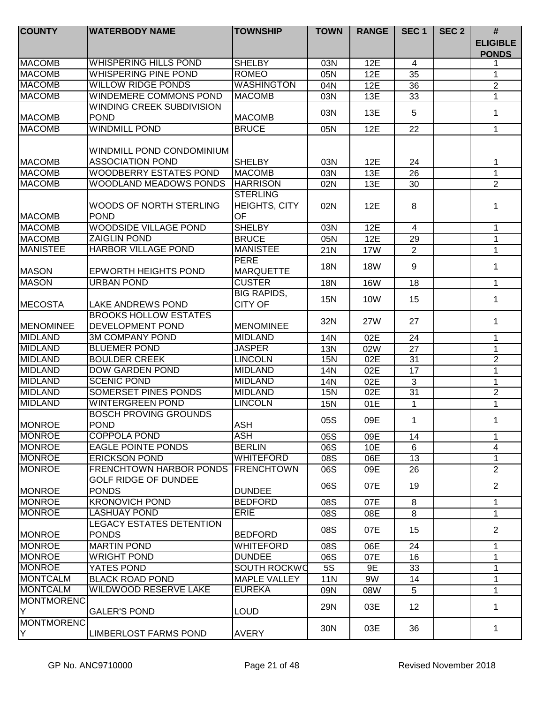| <b>COUNTY</b>     | <b>WATERBODY NAME</b>                            | <b>TOWNSHIP</b>                               | <b>TOWN</b> | <b>RANGE</b> | SEC <sub>1</sub> | SEC <sub>2</sub> | $\#$                            |
|-------------------|--------------------------------------------------|-----------------------------------------------|-------------|--------------|------------------|------------------|---------------------------------|
|                   |                                                  |                                               |             |              |                  |                  | <b>ELIGIBLE</b><br><b>PONDS</b> |
| <b>MACOMB</b>     | <b>WHISPERING HILLS POND</b>                     | <b>SHELBY</b>                                 | 03N         | 12E          | $\overline{4}$   |                  |                                 |
| <b>MACOMB</b>     | <b>WHISPERING PINE POND</b>                      | <b>ROMEO</b>                                  | 05N         | 12E          | 35               |                  | 1                               |
| <b>MACOMB</b>     | <b>WILLOW RIDGE PONDS</b>                        | <b>WASHINGTON</b>                             | 04N         | 12E          | 36               |                  | $\overline{2}$                  |
| <b>MACOMB</b>     | <b>WINDEMERE COMMONS POND</b>                    | <b>MACOMB</b>                                 | 03N         | 13E          | 33               |                  | $\mathbf 1$                     |
|                   | <b>WINDING CREEK SUBDIVISION</b>                 |                                               | 03N         | 13E          | 5                |                  | 1                               |
| <b>MACOMB</b>     | <b>POND</b>                                      | <b>MACOMB</b>                                 |             |              |                  |                  |                                 |
| <b>MACOMB</b>     | <b>WINDMILL POND</b>                             | <b>BRUCE</b>                                  | 05N         | 12E          | 22               |                  | $\mathbf{1}$                    |
|                   | WINDMILL POND CONDOMINIUM                        |                                               |             |              |                  |                  |                                 |
| <b>MACOMB</b>     | <b>ASSOCIATION POND</b>                          | <b>SHELBY</b>                                 | 03N         | 12E          | 24               |                  | 1                               |
| <b>MACOMB</b>     | <b>WOODBERRY ESTATES POND</b>                    | <b>MACOMB</b>                                 | 03N         | 13E          | 26               |                  | $\mathbf{1}$                    |
| <b>MACOMB</b>     | <b>WOODLAND MEADOWS PONDS</b>                    | <b>HARRISON</b>                               | 02N         | 13E          | 30               |                  | $\overline{2}$                  |
| <b>MACOMB</b>     | WOODS OF NORTH STERLING<br><b>POND</b>           | <b>STERLING</b><br><b>HEIGHTS, CITY</b><br>OF | 02N         | 12E          | 8                |                  | 1                               |
| <b>MACOMB</b>     | <b>WOODSIDE VILLAGE POND</b>                     | <b>SHELBY</b>                                 | 03N         | 12E          | $\overline{4}$   |                  | 1                               |
| <b>MACOMB</b>     | <b>ZAIGLIN POND</b>                              | <b>BRUCE</b>                                  | 05N         | 12E          | 29               |                  | 1                               |
| <b>MANISTEE</b>   | <b>HARBOR VILLAGE POND</b>                       | <b>MANISTEE</b>                               | 21N         | <b>17W</b>   | $\overline{2}$   |                  | $\mathbf{1}$                    |
| <b>MASON</b>      | <b>EPWORTH HEIGHTS POND</b>                      | <b>PERE</b><br><b>MARQUETTE</b>               | <b>18N</b>  | <b>18W</b>   | 9                |                  | $\mathbf 1$                     |
| <b>MASON</b>      | URBAN POND                                       | <b>CUSTER</b>                                 | 18N         | <b>16W</b>   | 18               |                  | $\mathbf{1}$                    |
| MECOSTA           | <b>LAKE ANDREWS POND</b>                         | <b>BIG RAPIDS,</b><br><b>CITY OF</b>          | <b>15N</b>  | <b>10W</b>   | 15               |                  | $\mathbf 1$                     |
| <b>IMENOMINEE</b> | <b>BROOKS HOLLOW ESTATES</b><br>DEVELOPMENT POND | <b>MENOMINEE</b>                              | 32N         | 27W          | 27               |                  | 1                               |
| <b>MIDLAND</b>    | <b>3M COMPANY POND</b>                           | <b>MIDLAND</b>                                | 14N         | 02E          | 24               |                  | 1                               |
| <b>MIDLAND</b>    | <b>BLUEMER POND</b>                              | <b>JASPER</b>                                 | 13N         | 02W          | 27               |                  | $\mathbf{1}$                    |
| <b>MIDLAND</b>    | <b>BOULDER CREEK</b>                             | <b>LINCOLN</b>                                | <b>15N</b>  | 02E          | $\overline{31}$  |                  | $\overline{2}$                  |
| <b>MIDLAND</b>    | <b>DOW GARDEN POND</b>                           | <b>MIDLAND</b>                                | 14N         | 02E          | 17               |                  | $\mathbf{1}$                    |
| <b>MIDLAND</b>    | <b>SCENIC POND</b>                               | <b>MIDLAND</b>                                | 14N         | 02E          | 3                |                  | 1                               |
| <b>MIDLAND</b>    | <b>SOMERSET PINES PONDS</b>                      | <b>MIDLAND</b>                                | <b>15N</b>  | 02E          | $\overline{31}$  |                  | $\overline{2}$                  |
| <b>MIDLAND</b>    | <b>WINTERGREEN POND</b>                          | <b>LINCOLN</b>                                | <b>15N</b>  | 01E          | 1                |                  | 1                               |
| MONROE            | <b>BOSCH PROVING GROUNDS</b><br>POND             | <b>ASH</b>                                    | 05S         | 09E          | 1                |                  | 1                               |
| <b>IMONROE</b>    | COPPOLA POND                                     | ASH                                           | 05S         | 09E          | 14               |                  | $\mathbf 1$                     |
| <b>MONROE</b>     | <b>EAGLE POINTE PONDS</b>                        | <b>BERLIN</b>                                 | 06S         | 10E          | 6                |                  | 4                               |
| <b>MONROE</b>     | <b>ERICKSON POND</b>                             | WHITEFORD                                     | 08S         | 06E          | 13               |                  | 1                               |
| <b>MONROE</b>     | <b>FRENCHTOWN HARBOR PONDS</b>                   | <b>FRENCHTOWN</b>                             | 06S         | 09E          | 26               |                  | $\overline{2}$                  |
| <b>MONROE</b>     | <b>GOLF RIDGE OF DUNDEE</b><br><b>PONDS</b>      | <b>DUNDEE</b>                                 | 06S         | 07E          | 19               |                  | $\overline{2}$                  |
| <b>MONROE</b>     | <b>KRONOVICH POND</b>                            | <b>BEDFORD</b>                                | 08S         | 07E          | 8                |                  | $\mathbf{1}$                    |
| <b>MONROE</b>     | <b>LASHUAY POND</b>                              | <b>ERIE</b>                                   | 08S         | 08E          | 8                |                  | $\mathbf 1$                     |
| <b>MONROE</b>     | <b>LEGACY ESTATES DETENTION</b><br><b>PONDS</b>  | <b>BEDFORD</b>                                | 08S         | 07E          | 15               |                  | $\overline{2}$                  |
| <b>MONROE</b>     | <b>MARTIN POND</b>                               | <b>WHITEFORD</b>                              | 08S         | 06E          | 24               |                  | $\mathbf{1}$                    |
| <b>MONROE</b>     | <b>WRIGHT POND</b>                               | <b>DUNDEE</b>                                 | 06S         | 07E          | 16               |                  | 1                               |
| <b>MONROE</b>     | YATES POND                                       | SOUTH ROCKWO                                  | 5S          | 9E           | 33               |                  | 1                               |
| MONTCALM          | <b>BLACK ROAD POND</b>                           | <b>MAPLE VALLEY</b>                           | 11N         | 9W           | 14               |                  | 1                               |
| MONTCALM          | <b>WILDWOOD RESERVE LAKE</b>                     | <b>EUREKA</b>                                 | 09N         | 08W          | 5                |                  | $\mathbf{1}$                    |
| MONTMORENC<br>İΥ  | <b>GALER'S POND</b>                              | LOUD                                          | 29N         | 03E          | 12               |                  | 1                               |
| MONTMORENC<br>İΥ  | <b>LIMBERLOST FARMS POND</b>                     | <b>AVERY</b>                                  | 30N         | 03E          | 36               |                  | 1.                              |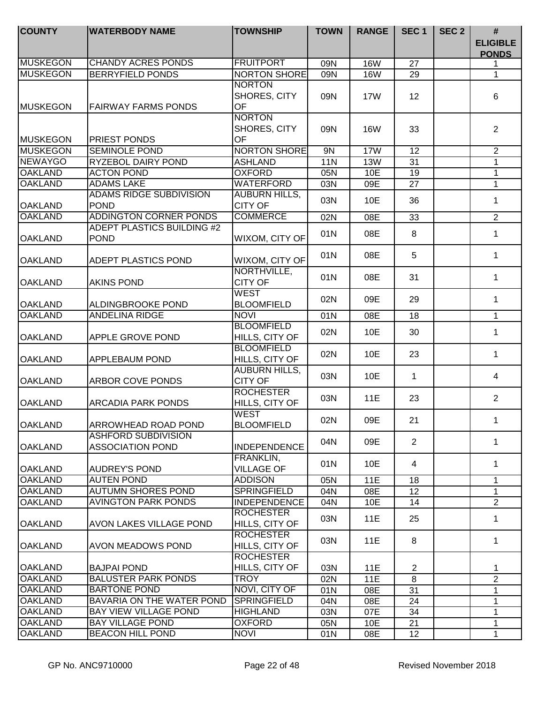| <b>COUNTY</b>   | <b>WATERBODY NAME</b>                                 | <b>TOWNSHIP</b>                         | <b>TOWN</b> | <b>RANGE</b> | SEC <sub>1</sub> | SEC <sub>2</sub> | #<br><b>ELIGIBLE</b><br><b>PONDS</b> |
|-----------------|-------------------------------------------------------|-----------------------------------------|-------------|--------------|------------------|------------------|--------------------------------------|
| <b>MUSKEGON</b> | <b>CHANDY ACRES PONDS</b>                             | <b>FRUITPORT</b>                        | 09N         | <b>16W</b>   | 27               |                  |                                      |
| <b>MUSKEGON</b> | <b>BERRYFIELD PONDS</b>                               | <b>NORTON SHORE</b>                     | 09N         | <b>16W</b>   | 29               |                  | 1                                    |
| <b>MUSKEGON</b> | <b>FAIRWAY FARMS PONDS</b>                            | <b>NORTON</b><br>SHORES, CITY<br>OF     | 09N         | <b>17W</b>   | 12               |                  | 6                                    |
| <b>MUSKEGON</b> | <b>PRIEST PONDS</b>                                   | <b>NORTON</b><br>SHORES, CITY<br>OF     | 09N         | <b>16W</b>   | 33               |                  | $\overline{2}$                       |
| <b>MUSKEGON</b> | <b>SEMINOLE POND</b>                                  | <b>NORTON SHORE</b>                     | 9N          | 17W          | $\overline{12}$  |                  | $\overline{2}$                       |
| <b>NEWAYGO</b>  | <b>RYZEBOL DAIRY POND</b>                             | <b>ASHLAND</b>                          | 11N         | 13W          | 31               |                  | 1                                    |
| <b>OAKLAND</b>  | <b>ACTON POND</b>                                     | <b>OXFORD</b>                           | 05N         | 10E          | 19               |                  | 1                                    |
| <b>OAKLAND</b>  | <b>ADAMS LAKE</b>                                     | <b>WATERFORD</b>                        | 03N         | 09E          | 27               |                  | $\mathbf{1}$                         |
| <b>OAKLAND</b>  | <b>ADAMS RIDGE SUBDIVISION</b><br><b>POND</b>         | <b>AUBURN HILLS,</b><br><b>CITY OF</b>  | 03N         | 10E          | 36               |                  | 1                                    |
| <b>OAKLAND</b>  | <b>ADDINGTON CORNER PONDS</b>                         | <b>COMMERCE</b>                         | 02N         | 08E          | 33               |                  | $\overline{2}$                       |
| <b>OAKLAND</b>  | ADEPT PLASTICS BUILDING #2<br><b>POND</b>             | WIXOM, CITY OF                          | 01N         | 08E          | 8                |                  | 1                                    |
| <b>OAKLAND</b>  | ADEPT PLASTICS POND                                   | WIXOM, CITY OF                          | 01N         | 08E          | 5                |                  | 1                                    |
| <b>OAKLAND</b>  | <b>AKINS POND</b>                                     | NORTHVILLE,<br><b>CITY OF</b>           | 01N         | 08E          | 31               |                  | 1                                    |
| <b>OAKLAND</b>  | ALDINGBROOKE POND                                     | WEST<br><b>BLOOMFIELD</b>               | 02N         | 09E          | 29               |                  | 1                                    |
| <b>OAKLAND</b>  | <b>ANDELINA RIDGE</b>                                 | <b>NOVI</b>                             | 01N         | 08E          | 18               |                  | 1                                    |
| <b>OAKLAND</b>  | <b>APPLE GROVE POND</b>                               | <b>BLOOMFIELD</b><br>HILLS, CITY OF     | 02N         | 10E          | 30               |                  | 1                                    |
| <b>OAKLAND</b>  | <b>APPLEBAUM POND</b>                                 | <b>BLOOMFIELD</b><br>HILLS, CITY OF     | 02N         | 10E          | 23               |                  | 1                                    |
| <b>OAKLAND</b>  | <b>ARBOR COVE PONDS</b>                               | <b>AUBURN HILLS,</b><br><b>CITY OF</b>  | 03N         | 10E          | $\mathbf{1}$     |                  | $\overline{4}$                       |
| <b>OAKLAND</b>  | <b>ARCADIA PARK PONDS</b>                             | <b>ROCHESTER</b><br>HILLS, CITY OF      | 03N         | <b>11E</b>   | 23               |                  | $\overline{2}$                       |
| <b>OAKLAND</b>  | ARROWHEAD ROAD POND                                   | WEST<br><b>BLOOMFIELD</b>               | 02N         | 09E          | 21               |                  | 1                                    |
| <b>OAKLAND</b>  | <b>ASHFORD SUBDIVISION</b><br><b>ASSOCIATION POND</b> | <b>INDEPENDENCE</b>                     | 04N         | 09E          | $\overline{2}$   |                  | 1                                    |
| <b>OAKLAND</b>  | <b>AUDREY'S POND</b>                                  | <b>FRANKLIN,</b><br><b>VILLAGE OF</b>   | 01N         | 10E          | 4                |                  | 1                                    |
| <b>OAKLAND</b>  | <b>AUTEN POND</b>                                     | <b>ADDISON</b>                          | 05N         | 11E          | 18               |                  | 1                                    |
| <b>OAKLAND</b>  | <b>AUTUMN SHORES POND</b>                             | <b>SPRINGFIELD</b>                      | 04N         | 08E          | 12               |                  | $\mathbf{1}$                         |
| <b>OAKLAND</b>  | <b>AVINGTON PARK PONDS</b>                            | <b>INDEPENDENCE</b><br><b>ROCHESTER</b> | 04N<br>03N  | 10E<br>11E   | 14<br>25         |                  | $\overline{2}$<br>1                  |
| <b>OAKLAND</b>  | <b>AVON LAKES VILLAGE POND</b>                        | HILLS, CITY OF<br><b>ROCHESTER</b>      |             |              |                  |                  |                                      |
| <b>OAKLAND</b>  | <b>AVON MEADOWS POND</b>                              | HILLS, CITY OF<br><b>ROCHESTER</b>      | 03N         | 11E          | 8                |                  | 1                                    |
| <b>OAKLAND</b>  | <b>BAJPAI POND</b>                                    | HILLS, CITY OF                          | 03N         | 11E          | $\overline{2}$   |                  | 1                                    |
| <b>OAKLAND</b>  | <b>BALUSTER PARK PONDS</b>                            | <b>TROY</b>                             | 02N         | <b>11E</b>   | 8                |                  | $\overline{2}$                       |
| <b>OAKLAND</b>  | <b>BARTONE POND</b>                                   | NOVI, CITY OF                           | 01N         | 08E          | 31               |                  | 1                                    |
| <b>OAKLAND</b>  | BAVARIA ON THE WATER POND                             | <b>SPRINGFIELD</b>                      | 04N         | 08E          | 24               |                  | 1                                    |
| <b>OAKLAND</b>  | <b>BAY VIEW VILLAGE POND</b>                          | <b>HIGHLAND</b>                         | 03N         | 07E          | 34               |                  | 1                                    |
| <b>OAKLAND</b>  | <b>BAY VILLAGE POND</b>                               | <b>OXFORD</b>                           | 05N         | 10E          | 21               |                  | 1                                    |
| <b>OAKLAND</b>  | <b>BEACON HILL POND</b>                               | <b>NOVI</b>                             | 01N         | 08E          | 12               |                  | 1                                    |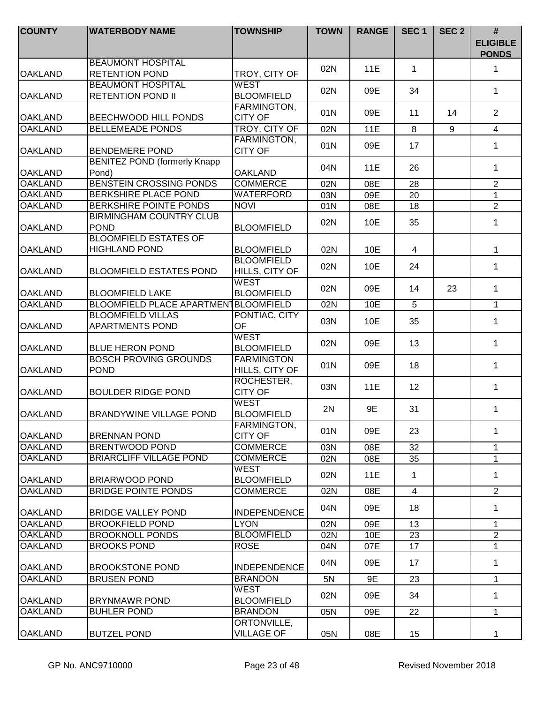| <b>COUNTY</b>  | <b>WATERBODY NAME</b>                                | <b>TOWNSHIP</b>                      | <b>TOWN</b> | <b>RANGE</b> | SEC <sub>1</sub> | SEC <sub>2</sub> | $\#$<br><b>ELIGIBLE</b><br><b>PONDS</b> |
|----------------|------------------------------------------------------|--------------------------------------|-------------|--------------|------------------|------------------|-----------------------------------------|
| <b>OAKLAND</b> | <b>BEAUMONT HOSPITAL</b><br><b>RETENTION POND</b>    | TROY, CITY OF                        | 02N         | 11E          | $\mathbf{1}$     |                  | $\mathbf{1}$                            |
| <b>OAKLAND</b> | <b>BEAUMONT HOSPITAL</b><br><b>RETENTION POND II</b> | <b>WEST</b><br><b>BLOOMFIELD</b>     | 02N         | 09E          | 34               |                  | $\mathbf{1}$                            |
| <b>OAKLAND</b> | <b>BEECHWOOD HILL PONDS</b>                          | <b>FARMINGTON,</b><br><b>CITY OF</b> | 01N         | 09E          | 11               | 14               | $\overline{2}$                          |
| <b>OAKLAND</b> | <b>BELLEMEADE PONDS</b>                              | TROY, CITY OF                        | 02N         | 11E          | 8                | 9                | $\overline{4}$                          |
| <b>OAKLAND</b> | <b>BENDEMERE POND</b>                                | <b>FARMINGTON,</b><br><b>CITY OF</b> | 01N         | 09E          | 17               |                  | 1                                       |
| <b>OAKLAND</b> | <b>BENITEZ POND (formerly Knapp)</b><br>Pond)        | <b>OAKLAND</b>                       | 04N         | 11E          | 26               |                  | $\mathbf 1$                             |
| <b>OAKLAND</b> | <b>BENSTEIN CROSSING PONDS</b>                       | <b>COMMERCE</b>                      | 02N         | 08E          | 28               |                  | $\overline{2}$                          |
| <b>OAKLAND</b> | <b>BERKSHIRE PLACE POND</b>                          | WATERFORD                            | 03N         | 09E          | 20               |                  | $\mathbf{1}$                            |
| <b>OAKLAND</b> | <b>BERKSHIRE POINTE PONDS</b>                        | <b>NOVI</b>                          | 01N         | 08E          | 18               |                  | $\overline{2}$                          |
| <b>OAKLAND</b> | <b>BIRMINGHAM COUNTRY CLUB</b><br><b>POND</b>        | <b>BLOOMFIELD</b>                    | 02N         | 10E          | 35               |                  | 1                                       |
| <b>OAKLAND</b> | <b>BLOOMFIELD ESTATES OF</b><br><b>HIGHLAND POND</b> | <b>BLOOMFIELD</b>                    | 02N         | 10E          | 4                |                  | 1                                       |
| <b>OAKLAND</b> | <b>BLOOMFIELD ESTATES POND</b>                       | <b>BLOOMFIELD</b><br>HILLS, CITY OF  | 02N         | 10E          | 24               |                  | $\mathbf 1$                             |
| <b>OAKLAND</b> | <b>BLOOMFIELD LAKE</b>                               | <b>WEST</b><br><b>BLOOMFIELD</b>     | 02N         | 09E          | 14               | 23               | $\mathbf 1$                             |
| <b>OAKLAND</b> | BLOOMFIELD PLACE APARTMENTBLOOMFIELD                 |                                      | 02N         | 10E          | 5                |                  | $\mathbf{1}$                            |
| <b>OAKLAND</b> | <b>BLOOMFIELD VILLAS</b><br><b>APARTMENTS POND</b>   | PONTIAC, CITY<br><b>OF</b>           | 03N         | 10E          | 35               |                  | 1                                       |
| <b>OAKLAND</b> | <b>BLUE HERON POND</b>                               | <b>WEST</b><br><b>BLOOMFIELD</b>     | 02N         | 09E          | 13               |                  | $\mathbf 1$                             |
| <b>OAKLAND</b> | <b>BOSCH PROVING GROUNDS</b><br><b>POND</b>          | <b>FARMINGTON</b><br>HILLS, CITY OF  | 01N         | 09E          | 18               |                  | $\mathbf{1}$                            |
| <b>OAKLAND</b> | <b>BOULDER RIDGE POND</b>                            | ROCHESTER,<br><b>CITY OF</b>         | 03N         | 11E          | 12               |                  | $\mathbf{1}$                            |
| <b>OAKLAND</b> | <b>BRANDYWINE VILLAGE POND</b>                       | <b>WEST</b><br><b>BLOOMFIELD</b>     | 2N          | 9E           | 31               |                  | 1                                       |
| <b>OAKLAND</b> | <b>BRENNAN POND</b>                                  | FARMINGTON,<br><b>CITY OF</b>        | 01N         | 09E          | 23               |                  | $\mathbf{1}$                            |
| <b>OAKLAND</b> | <b>BRENTWOOD POND</b>                                | <b>COMMERCE</b>                      | 03N         | 08E          | 32               |                  | 1                                       |
| <b>OAKLAND</b> | <b>BRIARCLIFF VILLAGE POND</b>                       | <b>COMMERCE</b>                      | 02N         | 08E          | 35               |                  | 1                                       |
| <b>OAKLAND</b> | <b>BRIARWOOD POND</b>                                | <b>WEST</b><br><b>BLOOMFIELD</b>     | 02N         | 11E          | 1                |                  | 1                                       |
| <b>OAKLAND</b> | <b>BRIDGE POINTE PONDS</b>                           | <b>COMMERCE</b>                      | 02N         | 08E          | $\overline{4}$   |                  | $\overline{2}$                          |
| <b>OAKLAND</b> | <b>BRIDGE VALLEY POND</b>                            | <b>INDEPENDENCE</b>                  | 04N         | 09E          | 18               |                  | 1                                       |
| <b>OAKLAND</b> | <b>BROOKFIELD POND</b>                               | <b>LYON</b>                          | 02N         | 09E          | 13               |                  | $\mathbf{1}$                            |
| <b>OAKLAND</b> | <b>BROOKNOLL PONDS</b>                               | <b>BLOOMFIELD</b>                    | 02N         | 10E          | 23               |                  | $\overline{2}$                          |
| <b>OAKLAND</b> | <b>BROOKS POND</b>                                   | <b>ROSE</b>                          | 04N         | 07E          | 17               |                  | $\mathbf{1}$                            |
| <b>OAKLAND</b> | <b>BROOKSTONE POND</b>                               | <b>INDEPENDENCE</b>                  | 04N         | 09E          | 17               |                  | $\mathbf 1$                             |
| <b>OAKLAND</b> | <b>BRUSEN POND</b>                                   | <b>BRANDON</b>                       | 5N          | 9E           | 23               |                  | $\mathbf 1$                             |
| <b>OAKLAND</b> | <b>BRYNMAWR POND</b>                                 | <b>WEST</b><br><b>BLOOMFIELD</b>     | 02N         | 09E          | 34               |                  | 1                                       |
| <b>OAKLAND</b> | <b>BUHLER POND</b>                                   | <b>BRANDON</b>                       | 05N         | 09E          | 22               |                  | $\mathbf 1$                             |
| <b>OAKLAND</b> | <b>BUTZEL POND</b>                                   | ORTONVILLE,<br><b>VILLAGE OF</b>     | 05N         | 08E          | 15               |                  | 1.                                      |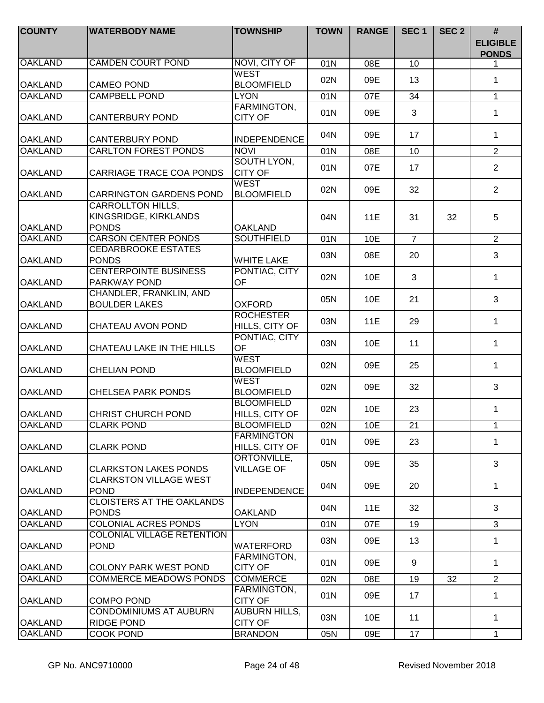| <b>COUNTY</b>  | <b>WATERBODY NAME</b>                                      | <b>TOWNSHIP</b>                        | <b>TOWN</b> | <b>RANGE</b> | SEC <sub>1</sub> | SEC <sub>2</sub> | #<br><b>ELIGIBLE</b><br><b>PONDS</b> |
|----------------|------------------------------------------------------------|----------------------------------------|-------------|--------------|------------------|------------------|--------------------------------------|
| <b>OAKLAND</b> | <b>CAMDEN COURT POND</b>                                   | NOVI, CITY OF                          | 01N         | 08E          | 10               |                  | 1.                                   |
| <b>OAKLAND</b> | <b>CAMEO POND</b>                                          | <b>WEST</b><br><b>BLOOMFIELD</b>       | 02N         | 09E          | 13               |                  | $\mathbf 1$                          |
| <b>OAKLAND</b> | <b>CAMPBELL POND</b>                                       | <b>LYON</b>                            | 01N         | 07E          | 34               |                  | $\mathbf{1}$                         |
| <b>OAKLAND</b> | CANTERBURY POND                                            | FARMINGTON,<br><b>CITY OF</b>          | 01N         | 09E          | 3                |                  | $\mathbf 1$                          |
| <b>OAKLAND</b> | <b>CANTERBURY POND</b>                                     | <b>INDEPENDENCE</b>                    | 04N         | 09E          | 17               |                  | 1                                    |
| <b>OAKLAND</b> | <b>CARLTON FOREST PONDS</b>                                | <b>NOVI</b>                            | 01N         | 08E          | 10               |                  | $\overline{2}$                       |
| <b>OAKLAND</b> | CARRIAGE TRACE COA PONDS                                   | SOUTH LYON,<br><b>CITY OF</b>          | 01N         | 07E          | 17               |                  | $\overline{2}$                       |
| <b>OAKLAND</b> | <b>CARRINGTON GARDENS POND</b>                             | <b>WEST</b><br><b>BLOOMFIELD</b>       | 02N         | 09E          | 32               |                  | $\overline{2}$                       |
| <b>OAKLAND</b> | CARROLLTON HILLS,<br>KINGSRIDGE, KIRKLANDS<br><b>PONDS</b> | <b>OAKLAND</b>                         | 04N         | 11E          | 31               | 32               | 5                                    |
| <b>OAKLAND</b> | <b>CARSON CENTER PONDS</b>                                 | <b>SOUTHFIELD</b>                      | 01N         | 10E          | $\overline{7}$   |                  | $\overline{2}$                       |
| <b>OAKLAND</b> | <b>CEDARBROOKE ESTATES</b><br><b>PONDS</b>                 | <b>WHITE LAKE</b>                      | 03N         | 08E          | 20               |                  | 3                                    |
| <b>OAKLAND</b> | <b>CENTERPOINTE BUSINESS</b><br>PARKWAY POND               | PONTIAC, CITY<br><b>OF</b>             | 02N         | 10E          | 3                |                  | $\mathbf 1$                          |
| <b>OAKLAND</b> | CHANDLER, FRANKLIN, AND<br><b>BOULDER LAKES</b>            | <b>OXFORD</b>                          | 05N         | 10E          | 21               |                  | 3                                    |
| <b>OAKLAND</b> | CHATEAU AVON POND                                          | <b>ROCHESTER</b><br>HILLS, CITY OF     | 03N         | 11E          | 29               |                  | $\mathbf 1$                          |
| <b>OAKLAND</b> | CHATEAU LAKE IN THE HILLS                                  | PONTIAC, CITY<br><b>OF</b>             | 03N         | 10E          | 11               |                  | $\mathbf{1}$                         |
| <b>OAKLAND</b> | <b>CHELIAN POND</b>                                        | <b>WEST</b><br><b>BLOOMFIELD</b>       | 02N         | 09E          | 25               |                  | $\mathbf{1}$                         |
| <b>OAKLAND</b> | <b>CHELSEA PARK PONDS</b>                                  | <b>WEST</b><br><b>BLOOMFIELD</b>       | 02N         | 09E          | 32               |                  | 3                                    |
| <b>OAKLAND</b> | <b>CHRIST CHURCH POND</b>                                  | <b>BLOOMFIELD</b><br>HILLS, CITY OF    | 02N         | 10E          | 23               |                  | $\mathbf 1$                          |
| <b>OAKLAND</b> | <b>CLARK POND</b>                                          | <b>BLOOMFIELD</b>                      | 02N         | 10E          | 21               |                  | 1                                    |
| <b>OAKLAND</b> | <b>CLARK POND</b>                                          | <b>FARMINGTON</b><br>HILLS, CITY OF    | 01N         | 09E          | 23               |                  | 1                                    |
| <b>OAKLAND</b> | <b>CLARKSTON LAKES PONDS</b>                               | ORTONVILLE,<br><b>VILLAGE OF</b>       | 05N         | 09E          | 35               |                  | 3                                    |
| <b>OAKLAND</b> | <b>CLARKSTON VILLAGE WEST</b><br><b>POND</b>               | <b>INDEPENDENCE</b>                    | 04N         | 09E          | 20               |                  | 1                                    |
| <b>OAKLAND</b> | <b>CLOISTERS AT THE OAKLANDS</b><br><b>PONDS</b>           | <b>OAKLAND</b>                         | 04N         | 11E          | 32               |                  | 3                                    |
| <b>OAKLAND</b> | COLONIAL ACRES PONDS                                       | <b>LYON</b>                            | 01N         | 07E          | 19               |                  | 3                                    |
| <b>OAKLAND</b> | COLONIAL VILLAGE RETENTION<br><b>POND</b>                  | <b>WATERFORD</b>                       | 03N         | 09E          | 13               |                  | $\mathbf 1$                          |
| <b>OAKLAND</b> | <b>COLONY PARK WEST POND</b>                               | FARMINGTON,<br><b>CITY OF</b>          | 01N         | 09E          | 9                |                  | $\mathbf{1}$                         |
| <b>OAKLAND</b> | <b>COMMERCE MEADOWS PONDS</b>                              | <b>COMMERCE</b>                        | 02N         | 08E          | 19               | 32               | $\overline{2}$                       |
| <b>OAKLAND</b> | <b>COMPO POND</b>                                          | FARMINGTON,<br><b>CITY OF</b>          | 01N         | 09E          | 17               |                  | $\mathbf 1$                          |
| <b>OAKLAND</b> | <b>CONDOMINIUMS AT AUBURN</b><br><b>RIDGE POND</b>         | <b>AUBURN HILLS,</b><br><b>CITY OF</b> | 03N         | 10E          | 11               |                  | $\mathbf{1}$                         |
| <b>OAKLAND</b> | COOK POND                                                  | <b>BRANDON</b>                         | 05N         | 09E          | 17               |                  | $\mathbf{1}$                         |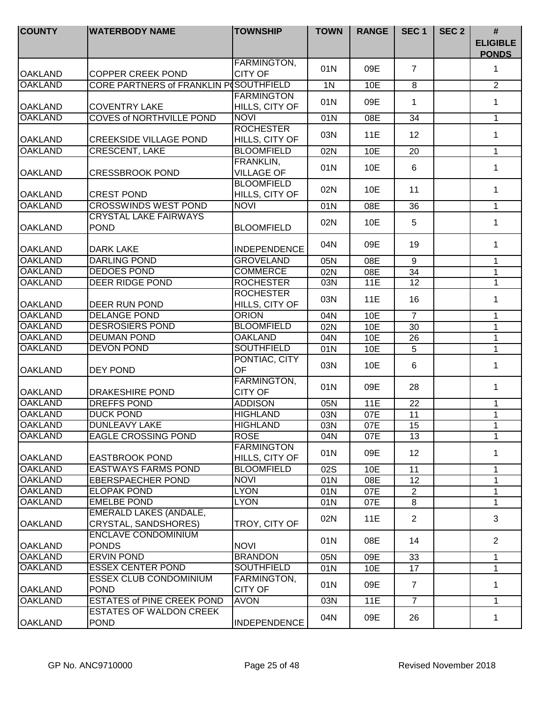| <b>COUNTY</b>                    | <b>WATERBODY NAME</b>                                        | <b>TOWNSHIP</b>                          | <b>TOWN</b>    | <b>RANGE</b> | SEC <sub>1</sub> | SEC <sub>2</sub> | #<br><b>ELIGIBLE</b><br><b>PONDS</b> |
|----------------------------------|--------------------------------------------------------------|------------------------------------------|----------------|--------------|------------------|------------------|--------------------------------------|
| <b>OAKLAND</b>                   | <b>COPPER CREEK POND</b>                                     | FARMINGTON,<br><b>CITY OF</b>            | 01N            | 09E          | $\overline{7}$   |                  | 1                                    |
| <b>OAKLAND</b>                   | CORE PARTNERS of FRANKLIN P(SOUTHFIELD                       |                                          | 1 <sub>N</sub> | 10E          | 8                |                  | $\overline{2}$                       |
|                                  |                                                              | <b>FARMINGTON</b>                        |                |              |                  |                  |                                      |
| <b>OAKLAND</b>                   | <b>COVENTRY LAKE</b>                                         | HILLS, CITY OF                           | 01N            | 09E          | 1                |                  | $\mathbf 1$                          |
| <b>OAKLAND</b>                   | <b>COVES of NORTHVILLE POND</b>                              | <b>NOVI</b>                              | 01N            | 08E          | 34               |                  | $\mathbf 1$                          |
| <b>OAKLAND</b>                   | <b>CREEKSIDE VILLAGE POND</b>                                | <b>ROCHESTER</b><br>HILLS, CITY OF       | 03N            | 11E          | 12               |                  | 1                                    |
| <b>OAKLAND</b>                   | <b>CRESCENT, LAKE</b>                                        | <b>BLOOMFIELD</b>                        | 02N            | 10E          | 20               |                  | 1                                    |
| <b>OAKLAND</b>                   | <b>CRESSBROOK POND</b>                                       | FRANKLIN,<br><b>VILLAGE OF</b>           | 01N            | 10E          | 6                |                  | 1                                    |
| <b>OAKLAND</b>                   | <b>CREST POND</b>                                            | <b>BLOOMFIELD</b><br>HILLS, CITY OF      | 02N            | 10E          | 11               |                  | 1                                    |
| <b>OAKLAND</b>                   | <b>CROSSWINDS WEST POND</b>                                  | <b>NOVI</b>                              | 01N            | 08E          | 36               |                  | 1                                    |
|                                  | <b>CRYSTAL LAKE FAIRWAYS</b>                                 |                                          | 02N            | 10E          | 5                |                  | 1                                    |
| <b>OAKLAND</b><br><b>OAKLAND</b> | <b>POND</b><br><b>DARK LAKE</b>                              | <b>BLOOMFIELD</b><br><b>INDEPENDENCE</b> | 04N            | 09E          | 19               |                  | $\mathbf{1}$                         |
| <b>OAKLAND</b>                   | <b>DARLING POND</b>                                          | <b>GROVELAND</b>                         | 05N            | 08E          | 9                |                  | $\mathbf{1}$                         |
| <b>OAKLAND</b>                   | <b>DEDOES POND</b>                                           | <b>COMMERCE</b>                          | 02N            | 08E          | 34               |                  | 1                                    |
| <b>OAKLAND</b>                   | <b>DEER RIDGE POND</b>                                       | <b>ROCHESTER</b>                         | 03N            | <b>11E</b>   | 12               |                  | $\mathbf 1$                          |
| <b>OAKLAND</b>                   | DEER RUN POND                                                | <b>ROCHESTER</b><br>HILLS, CITY OF       | 03N            | 11E          | 16               |                  | 1                                    |
| <b>OAKLAND</b>                   | <b>DELANGE POND</b>                                          | <b>ORION</b>                             | 04N            | 10E          | $\overline{7}$   |                  | 1                                    |
| <b>OAKLAND</b>                   | <b>DESROSIERS POND</b>                                       | <b>BLOOMFIELD</b>                        | 02N            | 10E          | 30               |                  | 1                                    |
| <b>OAKLAND</b>                   | <b>DEUMAN POND</b>                                           | <b>OAKLAND</b>                           | 04N            | 10E          | 26               |                  | $\mathbf 1$                          |
| <b>OAKLAND</b>                   | <b>DEVON POND</b>                                            | <b>SOUTHFIELD</b>                        | 01N            | 10E          | $\overline{5}$   |                  | $\mathbf{1}$                         |
| <b>OAKLAND</b>                   | <b>DEY POND</b>                                              | PONTIAC, CITY<br><b>OF</b>               | 03N            | 10E          | 6                |                  | 1                                    |
| <b>OAKLAND</b>                   | <b>DRAKESHIRE POND</b>                                       | FARMINGTON,<br><b>CITY OF</b>            | 01N            | 09E          | 28               |                  | 1                                    |
| <b>OAKLAND</b>                   | <b>DREFFS POND</b>                                           | <b>ADDISON</b>                           | 05N            | 11E          | $\overline{22}$  |                  | 1                                    |
| <b>OAKLAND</b>                   | <b>DUCK POND</b>                                             | <b>HIGHLAND</b>                          | 03N            | 07E          | 11               |                  | 1                                    |
| <b>OAKLAND</b>                   | <b>DUNLEAVY LAKE</b>                                         | <b>HIGHLAND</b>                          | 03N            | 07E          | $\overline{15}$  |                  | 1                                    |
| <b>OAKLAND</b>                   | <b>EAGLE CROSSING POND</b>                                   | <b>ROSE</b>                              | 04N            | 07E          | 13               |                  | 1                                    |
| <b>OAKLAND</b>                   | <b>EASTBROOK POND</b>                                        | <b>FARMINGTON</b><br>HILLS, CITY OF      | 01N            | 09E          | 12 <sup>2</sup>  |                  | 1                                    |
| <b>OAKLAND</b>                   | <b>EASTWAYS FARMS POND</b>                                   | <b>BLOOMFIELD</b>                        | 02S            | 10E          | 11               |                  | 1                                    |
| <b>OAKLAND</b>                   | <b>EBERSPAECHER POND</b>                                     | <b>NOVI</b>                              | 01N            | 08E          | $\overline{12}$  |                  | 1                                    |
| <b>OAKLAND</b>                   | <b>ELOPAK POND</b>                                           | <b>LYON</b>                              | 01N            | 07E          | $\overline{2}$   |                  | $\mathbf 1$                          |
| <b>OAKLAND</b>                   | <b>EMELBE POND</b>                                           | <b>LYON</b>                              | 01N            | 07E          | 8                |                  | 1                                    |
| <b>OAKLAND</b>                   | <b>EMERALD LAKES (ANDALE,</b><br><b>CRYSTAL, SANDSHORES)</b> | TROY, CITY OF                            | 02N            | 11E          | $\overline{2}$   |                  | 3                                    |
| <b>OAKLAND</b>                   | <b>ENCLAVE CONDOMINIUM</b><br><b>PONDS</b>                   | <b>NOVI</b>                              | 01N            | 08E          | 14               |                  | $\overline{2}$                       |
| <b>OAKLAND</b>                   | <b>ERVIN POND</b>                                            | <b>BRANDON</b>                           | 05N            | 09E          | 33               |                  | 1                                    |
| <b>OAKLAND</b>                   | <b>ESSEX CENTER POND</b>                                     | <b>SOUTHFIELD</b>                        | 01N            | 10E          | 17               |                  | 1                                    |
| <b>OAKLAND</b>                   | <b>ESSEX CLUB CONDOMINIUM</b><br><b>POND</b>                 | FARMINGTON,<br><b>CITY OF</b>            | 01N            | 09E          | $\overline{7}$   |                  | 1                                    |
| <b>OAKLAND</b>                   | <b>ESTATES of PINE CREEK POND</b>                            | <b>AVON</b>                              | 03N            | <b>11E</b>   | $\overline{7}$   |                  | 1                                    |
| <b>OAKLAND</b>                   | <b>ESTATES OF WALDON CREEK</b><br><b>POND</b>                | <b>INDEPENDENCE</b>                      | 04N            | 09E          | 26               |                  | $\mathbf{1}$                         |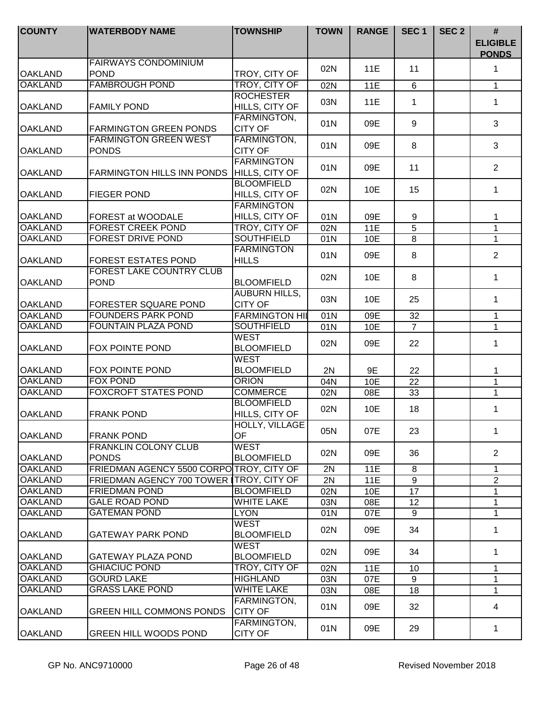| <b>COUNTY</b>  | <b>WATERBODY NAME</b>                        | <b>TOWNSHIP</b>                        | <b>TOWN</b> | <b>RANGE</b> | SEC <sub>1</sub> | SEC <sub>2</sub> | $\#$<br><b>ELIGIBLE</b><br><b>PONDS</b> |
|----------------|----------------------------------------------|----------------------------------------|-------------|--------------|------------------|------------------|-----------------------------------------|
| <b>OAKLAND</b> | <b>FAIRWAYS CONDOMINIUM</b><br><b>POND</b>   | TROY, CITY OF                          | 02N         | 11E          | 11               |                  | $\mathbf 1$                             |
| <b>OAKLAND</b> | <b>FAMBROUGH POND</b>                        | TROY, CITY OF                          | 02N         | 11E          | 6                |                  | $\mathbf{1}$                            |
|                |                                              | <b>ROCHESTER</b>                       |             |              |                  |                  |                                         |
| <b>OAKLAND</b> | <b>FAMILY POND</b>                           | HILLS, CITY OF                         | 03N         | <b>11E</b>   | 1                |                  | $\mathbf 1$                             |
| <b>OAKLAND</b> | <b>FARMINGTON GREEN PONDS</b>                | FARMINGTON,<br><b>CITY OF</b>          | 01N         | 09E          | 9                |                  | 3                                       |
| <b>OAKLAND</b> | <b>FARMINGTON GREEN WEST</b><br><b>PONDS</b> | <b>FARMINGTON,</b><br><b>CITY OF</b>   | 01N         | 09E          | 8                |                  | 3                                       |
| <b>OAKLAND</b> | FARMINGTON HILLS INN PONDS                   | <b>FARMINGTON</b><br>HILLS, CITY OF    | 01N         | 09E          | 11               |                  | $\overline{2}$                          |
| <b>OAKLAND</b> | <b>FIEGER POND</b>                           | <b>BLOOMFIELD</b><br>HILLS, CITY OF    | 02N         | 10E          | 15               |                  | $\mathbf 1$                             |
| <b>OAKLAND</b> | FOREST at WOODALE                            | <b>FARMINGTON</b><br>HILLS, CITY OF    | 01N         | 09E          | 9                |                  | 1                                       |
| <b>OAKLAND</b> | <b>FOREST CREEK POND</b>                     | TROY, CITY OF                          | 02N         | <b>11E</b>   | $\overline{5}$   |                  | $\mathbf{1}$                            |
| <b>OAKLAND</b> | FOREST DRIVE POND                            | <b>SOUTHFIELD</b>                      | 01N         | 10E          | 8                |                  | $\mathbf{1}$                            |
| <b>OAKLAND</b> | <b>FOREST ESTATES POND</b>                   | <b>FARMINGTON</b><br><b>HILLS</b>      | 01N         | 09E          | 8                |                  | $\overline{2}$                          |
| <b>OAKLAND</b> | FOREST LAKE COUNTRY CLUB<br><b>POND</b>      | <b>BLOOMFIELD</b>                      | 02N         | 10E          | 8                |                  | $\mathbf{1}$                            |
| <b>OAKLAND</b> | FORESTER SQUARE POND                         | <b>AUBURN HILLS,</b><br><b>CITY OF</b> | 03N         | 10E          | 25               |                  | $\mathbf 1$                             |
| <b>OAKLAND</b> | <b>FOUNDERS PARK POND</b>                    | <b>FARMINGTON HIL</b>                  | 01N         | 09E          | $\overline{32}$  |                  | $\mathbf{1}$                            |
| <b>OAKLAND</b> | FOUNTAIN PLAZA POND                          | <b>SOUTHFIELD</b>                      | 01N         | 10E          | $\overline{7}$   |                  | $\mathbf{1}$                            |
| <b>OAKLAND</b> | <b>FOX POINTE POND</b>                       | <b>WEST</b><br><b>BLOOMFIELD</b>       | 02N         | 09E          | 22               |                  | $\mathbf 1$                             |
| <b>OAKLAND</b> | FOX POINTE POND                              | <b>WEST</b><br><b>BLOOMFIELD</b>       | 2N          | 9E           | 22               |                  | 1                                       |
| <b>OAKLAND</b> | <b>FOX POND</b>                              | <b>ORION</b>                           | 04N         | 10E          | 22               |                  | $\mathbf{1}$                            |
| <b>OAKLAND</b> | <b>FOXCROFT STATES POND</b>                  | <b>COMMERCE</b>                        | 02N         | 08E          | 33               |                  | $\mathbf 1$                             |
| <b>OAKLAND</b> | <b>FRANK POND</b>                            | <b>BLOOMFIELD</b><br>HILLS, CITY OF    | 02N         | 10E          | 18               |                  | $\mathbf 1$                             |
| <b>OAKLAND</b> | <b>FRANK POND</b>                            | <b>HOLLY, VILLAGE</b><br><b>OF</b>     | 05N         | 07E          | 23               |                  | $\mathbf 1$                             |
| <b>OAKLAND</b> | <b>FRANKLIN COLONY CLUB</b><br><b>PONDS</b>  | <b>WEST</b><br><b>BLOOMFIELD</b>       | 02N         | 09E          | 36               |                  | $\overline{2}$                          |
| <b>OAKLAND</b> | FRIEDMAN AGENCY 5500 CORPO TROY, CITY OF     |                                        | 2N          | 11E          | 8                |                  | 1                                       |
| <b>OAKLAND</b> | FRIEDMAN AGENCY 700 TOWER TROY, CITY OF      |                                        | 2N          | 11E          | 9                |                  | $\overline{2}$                          |
| <b>OAKLAND</b> | <b>FRIEDMAN POND</b>                         | <b>BLOOMFIELD</b>                      | 02N         | 10E          | 17               |                  | $\mathbf 1$                             |
| <b>OAKLAND</b> | <b>GALE ROAD POND</b>                        | <b>WHITE LAKE</b>                      | 03N         | 08E          | 12               |                  | $\mathbf 1$                             |
| <b>OAKLAND</b> | <b>GATEMAN POND</b>                          | <b>LYON</b>                            | 01N         | 07E          | 9                |                  | 1                                       |
| <b>OAKLAND</b> | <b>GATEWAY PARK POND</b>                     | <b>WEST</b><br><b>BLOOMFIELD</b>       | 02N         | 09E          | 34               |                  | 1                                       |
| <b>OAKLAND</b> | <b>GATEWAY PLAZA POND</b>                    | <b>WEST</b><br><b>BLOOMFIELD</b>       | 02N         | 09E          | 34               |                  | 1                                       |
| <b>OAKLAND</b> | <b>GHIACIUC POND</b>                         | TROY, CITY OF                          | 02N         | 11E          | 10               |                  | 1                                       |
| <b>OAKLAND</b> | <b>GOURD LAKE</b>                            | <b>HIGHLAND</b>                        | 03N         | 07E          | 9                |                  | 1                                       |
| <b>OAKLAND</b> | <b>GRASS LAKE POND</b>                       | <b>WHITE LAKE</b>                      | 03N         | 08E          | 18               |                  | $\mathbf{1}$                            |
| <b>OAKLAND</b> | <b>GREEN HILL COMMONS PONDS</b>              | <b>FARMINGTON,</b><br><b>CITY OF</b>   | 01N         | 09E          | 32               |                  | 4                                       |
| <b>OAKLAND</b> | <b>GREEN HILL WOODS POND</b>                 | FARMINGTON,<br><b>CITY OF</b>          | 01N         | 09E          | 29               |                  | 1                                       |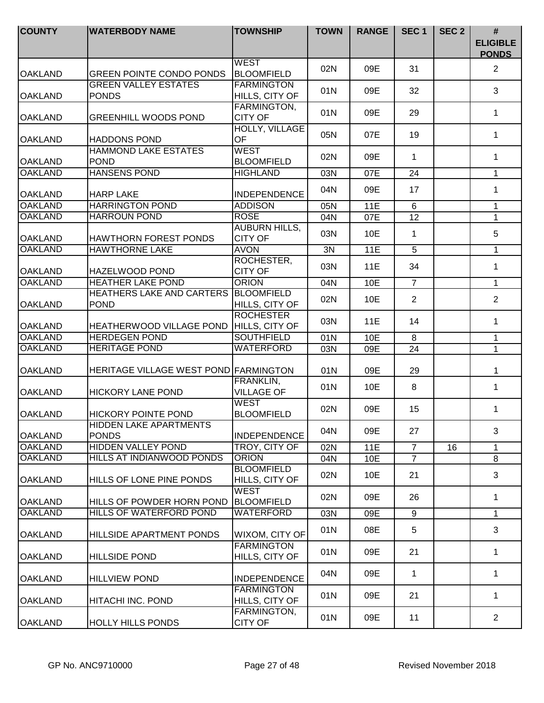| <b>COUNTY</b>  | <b>WATERBODY NAME</b>                         | <b>TOWNSHIP</b>                        | <b>TOWN</b> | <b>RANGE</b> | SEC <sub>1</sub> | SEC <sub>2</sub> | #<br><b>ELIGIBLE</b><br><b>PONDS</b> |
|----------------|-----------------------------------------------|----------------------------------------|-------------|--------------|------------------|------------------|--------------------------------------|
| <b>OAKLAND</b> | <b>GREEN POINTE CONDO PONDS</b>               | <b>WEST</b><br><b>BLOOMFIELD</b>       | 02N         | 09E          | 31               |                  | $\overline{2}$                       |
| <b>OAKLAND</b> | <b>GREEN VALLEY ESTATES</b><br><b>PONDS</b>   | <b>FARMINGTON</b><br>HILLS, CITY OF    | 01N         | 09E          | 32               |                  | 3                                    |
| <b>OAKLAND</b> | <b>GREENHILL WOODS POND</b>                   | FARMINGTON,<br><b>CITY OF</b>          | 01N         | 09E          | 29               |                  | 1                                    |
| <b>OAKLAND</b> | <b>HADDONS POND</b>                           | <b>HOLLY, VILLAGE</b><br>OF            | 05N         | 07E          | 19               |                  | 1                                    |
| <b>OAKLAND</b> | <b>HAMMOND LAKE ESTATES</b><br><b>POND</b>    | <b>WEST</b><br><b>BLOOMFIELD</b>       | 02N         | 09E          | 1                |                  | $\mathbf 1$                          |
| <b>OAKLAND</b> | <b>HANSENS POND</b>                           | <b>HIGHLAND</b>                        | 03N         | 07E          | 24               |                  | $\mathbf{1}$                         |
| <b>OAKLAND</b> | <b>HARP LAKE</b>                              | <b>INDEPENDENCE</b>                    | 04N         | 09E          | 17               |                  | 1                                    |
| <b>OAKLAND</b> | <b>HARRINGTON POND</b>                        | <b>ADDISON</b>                         | 05N         | 11E          | 6                |                  | $\mathbf{1}$                         |
| <b>OAKLAND</b> | <b>HARROUN POND</b>                           | <b>ROSE</b>                            | 04N         | 07E          | 12               |                  | $\mathbf{1}$                         |
| <b>OAKLAND</b> | <b>HAWTHORN FOREST PONDS</b>                  | <b>AUBURN HILLS,</b><br><b>CITY OF</b> | 03N         | 10E          | 1                |                  | 5                                    |
| <b>OAKLAND</b> | <b>HAWTHORNE LAKE</b>                         | <b>AVON</b>                            | 3N          | <b>11E</b>   | 5                |                  | 1                                    |
| <b>OAKLAND</b> | HAZELWOOD POND                                | ROCHESTER,<br><b>CITY OF</b>           | 03N         | 11E          | 34               |                  | 1                                    |
| <b>OAKLAND</b> | <b>HEATHER LAKE POND</b>                      | <b>ORION</b>                           | 04N         | 10E          | $\overline{7}$   |                  | $\mathbf 1$                          |
| <b>OAKLAND</b> | HEATHERS LAKE AND CARTERS<br><b>POND</b>      | <b>BLOOMFIELD</b><br>HILLS, CITY OF    | 02N         | 10E          | $\overline{2}$   |                  | $\overline{2}$                       |
| <b>OAKLAND</b> | HEATHERWOOD VILLAGE POND                      | <b>ROCHESTER</b><br>HILLS, CITY OF     | 03N         | 11E          | 14               |                  | 1                                    |
| <b>OAKLAND</b> | <b>HERDEGEN POND</b>                          | <b>SOUTHFIELD</b>                      | 01N         | 10E          | 8                |                  | $\mathbf{1}$                         |
| <b>OAKLAND</b> | <b>HERITAGE POND</b>                          | <b>WATERFORD</b>                       | 03N         | 09E          | 24               |                  | $\mathbf{1}$                         |
| <b>OAKLAND</b> | HERITAGE VILLAGE WEST POND FARMINGTON         |                                        | 01N         | 09E          | 29               |                  | 1                                    |
| <b>OAKLAND</b> | <b>HICKORY LANE POND</b>                      | FRANKLIN,<br><b>VILLAGE OF</b>         | 01N         | 10E          | 8                |                  | $\mathbf{1}$                         |
| <b>OAKLAND</b> | <b>HICKORY POINTE POND</b>                    | <b>WEST</b><br><b>BLOOMFIELD</b>       | 02N         | 09E          | 15               |                  | 1                                    |
| <b>OAKLAND</b> | <b>HIDDEN LAKE APARTMENTS</b><br><b>PONDS</b> | <b>INDEPENDENCE</b>                    | 04N         | 09E          | 27               |                  | 3                                    |
| <b>OAKLAND</b> | <b>HIDDEN VALLEY POND</b>                     | TROY, CITY OF                          | 02N         | 11E          | $\overline{7}$   | 16               | 1                                    |
| <b>OAKLAND</b> | HILLS AT INDIANWOOD PONDS                     | <b>ORION</b>                           | 04N         | 10E          | $\overline{7}$   |                  | 8                                    |
| <b>OAKLAND</b> | HILLS OF LONE PINE PONDS                      | <b>BLOOMFIELD</b><br>HILLS, CITY OF    | 02N         | 10E          | 21               |                  | 3                                    |
| <b>OAKLAND</b> | HILLS OF POWDER HORN POND                     | <b>WEST</b><br><b>BLOOMFIELD</b>       | 02N         | 09E          | 26               |                  | 1                                    |
| <b>OAKLAND</b> | HILLS OF WATERFORD POND                       | <b>WATERFORD</b>                       | 03N         | 09E          | 9                |                  | $\mathbf{1}$                         |
| <b>OAKLAND</b> | HILLSIDE APARTMENT PONDS                      | WIXOM, CITY OF                         | 01N         | 08E          | 5                |                  | 3                                    |
| <b>OAKLAND</b> | <b>HILLSIDE POND</b>                          | <b>FARMINGTON</b><br>HILLS, CITY OF    | 01N         | 09E          | 21               |                  | 1                                    |
| <b>OAKLAND</b> | <b>HILLVIEW POND</b>                          | <b>INDEPENDENCE</b>                    | 04N         | 09E          | 1                |                  | $\mathbf{1}$                         |
| <b>OAKLAND</b> | HITACHI INC. POND                             | <b>FARMINGTON</b><br>HILLS, CITY OF    | 01N         | 09E          | 21               |                  | $\mathbf{1}$                         |
| <b>OAKLAND</b> | <b>HOLLY HILLS PONDS</b>                      | FARMINGTON,<br><b>CITY OF</b>          | 01N         | 09E          | 11               |                  | $\overline{2}$                       |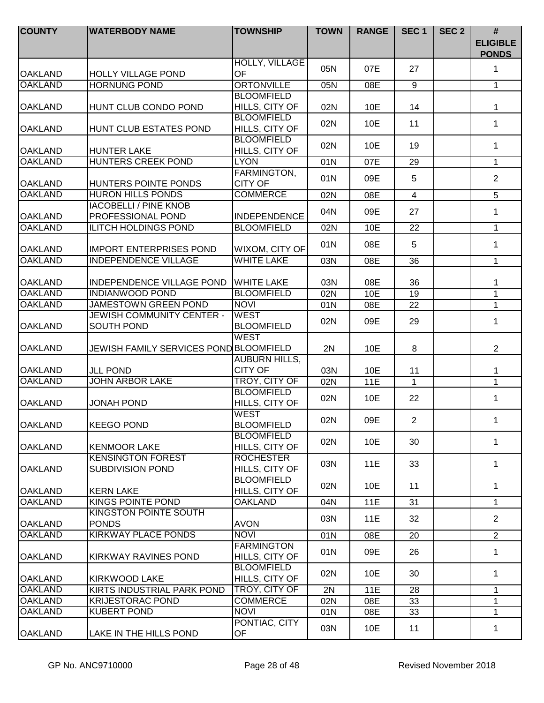| <b>COUNTY</b>  | <b>WATERBODY NAME</b>                               | <b>TOWNSHIP</b>                        | <b>TOWN</b> | <b>RANGE</b> | SEC <sub>1</sub> | SEC <sub>2</sub> | #<br><b>ELIGIBLE</b><br><b>PONDS</b> |
|----------------|-----------------------------------------------------|----------------------------------------|-------------|--------------|------------------|------------------|--------------------------------------|
| <b>OAKLAND</b> | <b>HOLLY VILLAGE POND</b>                           | <b>HOLLY, VILLAGE</b><br><b>OF</b>     | 05N         | 07E          | 27               |                  | $\mathbf 1$                          |
| <b>OAKLAND</b> | <b>HORNUNG POND</b>                                 | <b>ORTONVILLE</b>                      | 05N         | 08E          | $\overline{9}$   |                  | 1                                    |
|                |                                                     | <b>BLOOMFIELD</b>                      |             |              |                  |                  |                                      |
| <b>OAKLAND</b> | HUNT CLUB CONDO POND                                | HILLS, CITY OF                         | 02N         | 10E          | 14               |                  | 1                                    |
| <b>OAKLAND</b> | HUNT CLUB ESTATES POND                              | <b>BLOOMFIELD</b><br>HILLS, CITY OF    | 02N         | 10E          | 11               |                  | $\mathbf 1$                          |
| <b>OAKLAND</b> | <b>HUNTER LAKE</b>                                  | <b>BLOOMFIELD</b><br>HILLS, CITY OF    | 02N         | 10E          | 19               |                  | 1                                    |
| <b>OAKLAND</b> | <b>HUNTERS CREEK POND</b>                           | <b>LYON</b>                            | 01N         | 07E          | 29               |                  | $\mathbf{1}$                         |
| <b>OAKLAND</b> | HUNTERS POINTE PONDS                                | FARMINGTON,<br><b>CITY OF</b>          | 01N         | 09E          | 5                |                  | $\overline{2}$                       |
| <b>OAKLAND</b> | <b>HURON HILLS PONDS</b>                            | <b>COMMERCE</b>                        | 02N         | 08E          | $\overline{4}$   |                  | 5                                    |
| <b>OAKLAND</b> | <b>IACOBELLI / PINE KNOB</b><br>PROFESSIONAL POND   | <b>INDEPENDENCE</b>                    | 04N         | 09E          | 27               |                  | 1                                    |
| <b>OAKLAND</b> | <b>ILITCH HOLDINGS POND</b>                         | <b>BLOOMFIELD</b>                      | 02N         | 10E          | 22               |                  | $\mathbf{1}$                         |
|                |                                                     |                                        |             |              |                  |                  |                                      |
| <b>OAKLAND</b> | <b>IMPORT ENTERPRISES POND</b>                      | WIXOM, CITY OF                         | 01N         | 08E          | 5                |                  | $\mathbf{1}$                         |
| <b>OAKLAND</b> | <b>INDEPENDENCE VILLAGE</b>                         | <b>WHITE LAKE</b>                      | 03N         | 08E          | 36               |                  | $\mathbf{1}$                         |
| <b>OAKLAND</b> | INDEPENDENCE VILLAGE POND                           | <b>WHITE LAKE</b>                      | 03N         | 08E          | 36               |                  | 1                                    |
| <b>OAKLAND</b> | <b>INDIANWOOD POND</b>                              | <b>BLOOMFIELD</b>                      | 02N         | 10E          | 19               |                  | 1                                    |
| <b>OAKLAND</b> | <b>JAMESTOWN GREEN POND</b>                         | <b>NOVI</b>                            | 01N         | 08E          | 22               |                  | $\mathbf{1}$                         |
| <b>OAKLAND</b> | JEWISH COMMUNITY CENTER -<br><b>SOUTH POND</b>      | <b>WEST</b><br><b>BLOOMFIELD</b>       | 02N         | 09E          | 29               |                  | 1                                    |
| <b>OAKLAND</b> | JEWISH FAMILY SERVICES POND BLOOMFIELD              | <b>WEST</b>                            | 2N          | 10E          | 8                |                  | $\overline{2}$                       |
| <b>OAKLAND</b> | <b>JLL POND</b>                                     | <b>AUBURN HILLS,</b><br><b>CITY OF</b> | 03N         | 10E          | 11               |                  | 1                                    |
| <b>OAKLAND</b> | <b>JOHN ARBOR LAKE</b>                              | TROY, CITY OF                          | 02N         | <b>11E</b>   | $\mathbf{1}$     |                  | $\mathbf{1}$                         |
| <b>OAKLAND</b> | <b>JONAH POND</b>                                   | <b>BLOOMFIELD</b><br>HILLS, CITY OF    | 02N         | 10E          | 22               |                  | $\mathbf{1}$                         |
| <b>OAKLAND</b> | <b>KEEGO POND</b>                                   | <b>WEST</b><br><b>BLOOMFIELD</b>       | 02N         | 09E          | $\overline{c}$   |                  | 1                                    |
| <b>OAKLAND</b> | <b>KENMOOR LAKE</b>                                 | <b>BLOOMFIELD</b><br>HILLS, CITY OF    | 02N         | 10E          | 30               |                  | $\mathbf 1$                          |
| <b>OAKLAND</b> | <b>KENSINGTON FOREST</b><br><b>SUBDIVISION POND</b> | <b>ROCHESTER</b><br>HILLS, CITY OF     | 03N         | 11E          | 33               |                  | 1                                    |
| <b>OAKLAND</b> | <b>KERN LAKE</b>                                    | <b>BLOOMFIELD</b><br>HILLS, CITY OF    | 02N         | 10E          | 11               |                  | 1                                    |
| <b>OAKLAND</b> | <b>KINGS POINTE POND</b>                            | <b>OAKLAND</b>                         | 04N         | 11E          | 31               |                  | $\mathbf{1}$                         |
| <b>OAKLAND</b> | <b>KINGSTON POINTE SOUTH</b><br><b>PONDS</b>        | <b>AVON</b>                            | 03N         | 11E          | 32               |                  | $\overline{2}$                       |
| <b>OAKLAND</b> | <b>KIRKWAY PLACE PONDS</b>                          | <b>NOVI</b>                            | 01N         | 08E          | 20               |                  | $\overline{2}$                       |
| <b>OAKLAND</b> | KIRKWAY RAVINES POND                                | <b>FARMINGTON</b><br>HILLS, CITY OF    | 01N         | 09E          | 26               |                  | $\mathbf{1}$                         |
| <b>OAKLAND</b> | <b>KIRKWOOD LAKE</b>                                | <b>BLOOMFIELD</b><br>HILLS, CITY OF    | 02N         | 10E          | 30               |                  | $\mathbf 1$                          |
| <b>OAKLAND</b> | KIRTS INDUSTRIAL PARK POND                          | TROY, CITY OF                          | 2N          | <b>11E</b>   | 28               |                  | 1                                    |
| <b>OAKLAND</b> | <b>KRIJESTORAC POND</b>                             | <b>COMMERCE</b>                        | 02N         | 08E          | 33               |                  | 1                                    |
| <b>OAKLAND</b> | <b>KUBERT POND</b>                                  | <b>NOVI</b>                            | 01N         | 08E          | 33               |                  | 1                                    |
| <b>OAKLAND</b> | LAKE IN THE HILLS POND                              | PONTIAC, CITY<br>OF                    | 03N         | 10E          | 11               |                  | 1                                    |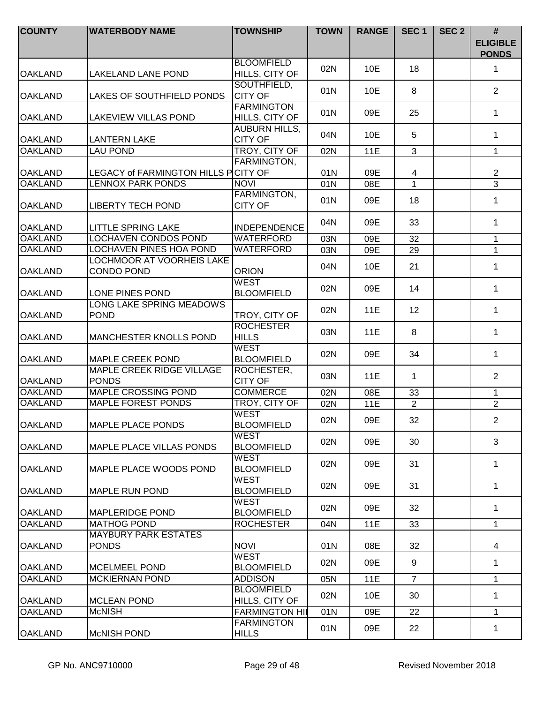| <b>COUNTY</b>  | <b>WATERBODY NAME</b>                            | <b>TOWNSHIP</b>                        | <b>TOWN</b> | <b>RANGE</b> | SEC <sub>1</sub> | SEC <sub>2</sub> | #<br><b>ELIGIBLE</b><br><b>PONDS</b> |
|----------------|--------------------------------------------------|----------------------------------------|-------------|--------------|------------------|------------------|--------------------------------------|
| <b>OAKLAND</b> | LAKELAND LANE POND                               | <b>BLOOMFIELD</b><br>HILLS, CITY OF    | 02N         | 10E          | 18               |                  | 1                                    |
| <b>OAKLAND</b> | LAKES OF SOUTHFIELD PONDS                        | SOUTHFIELD,<br><b>CITY OF</b>          | 01N         | 10E          | 8                |                  | $\overline{2}$                       |
| <b>OAKLAND</b> | LAKEVIEW VILLAS POND                             | <b>FARMINGTON</b><br>HILLS, CITY OF    | 01N         | 09E          | 25               |                  | 1                                    |
| <b>OAKLAND</b> | <b>LANTERN LAKE</b>                              | <b>AUBURN HILLS,</b><br><b>CITY OF</b> | 04N         | 10E          | 5                |                  | $\mathbf 1$                          |
| <b>OAKLAND</b> | <b>LAU POND</b>                                  | TROY, CITY OF                          | 02N         | 11E          | $\overline{3}$   |                  | $\mathbf{1}$                         |
|                |                                                  | <b>FARMINGTON,</b>                     |             |              |                  |                  |                                      |
| <b>OAKLAND</b> | LEGACY of FARMINGTON HILLS PCITY OF              |                                        | 01N         | 09E          | 4                |                  | $\mathbf{2}$                         |
| <b>OAKLAND</b> | <b>LENNOX PARK PONDS</b>                         | <b>NOVI</b>                            | 01N         | 08E          | $\mathbf{1}$     |                  | $\overline{3}$                       |
| <b>OAKLAND</b> | <b>LIBERTY TECH POND</b>                         | FARMINGTON,<br><b>CITY OF</b>          | 01N         | 09E          | 18               |                  | 1                                    |
| <b>OAKLAND</b> | <b>LITTLE SPRING LAKE</b>                        | <b>INDEPENDENCE</b>                    | 04N         | 09E          | 33               |                  | 1                                    |
| <b>OAKLAND</b> | LOCHAVEN CONDOS POND                             | WATERFORD                              | 03N         | 09E          | 32               |                  | 1                                    |
| <b>OAKLAND</b> | <b>LOCHAVEN PINES HOA POND</b>                   | WATERFORD                              | 03N         | 09E          | 29               |                  | $\mathbf{1}$                         |
| <b>OAKLAND</b> | LOCHMOOR AT VOORHEIS LAKE<br><b>CONDO POND</b>   | <b>ORION</b>                           | 04N         | 10E          | 21               |                  | 1                                    |
| <b>OAKLAND</b> | LONE PINES POND                                  | WEST<br><b>BLOOMFIELD</b>              | 02N         | 09E          | 14               |                  | 1                                    |
| <b>OAKLAND</b> | LONG LAKE SPRING MEADOWS<br><b>POND</b>          | TROY, CITY OF                          | 02N         | 11E          | 12               |                  | $\mathbf 1$                          |
| <b>OAKLAND</b> | MANCHESTER KNOLLS POND                           | <b>ROCHESTER</b><br><b>HILLS</b>       | 03N         | <b>11E</b>   | 8                |                  | $\mathbf 1$                          |
| <b>OAKLAND</b> | <b>MAPLE CREEK POND</b>                          | <b>WEST</b><br><b>BLOOMFIELD</b>       | 02N         | 09E          | 34               |                  | $\mathbf{1}$                         |
| <b>OAKLAND</b> | <b>MAPLE CREEK RIDGE VILLAGE</b><br><b>PONDS</b> | ROCHESTER,<br><b>CITY OF</b>           | 03N         | 11E          | $\mathbf{1}$     |                  | $\overline{2}$                       |
| <b>OAKLAND</b> | <b>MAPLE CROSSING POND</b>                       | <b>COMMERCE</b>                        | 02N         | 08E          | 33               |                  | 1                                    |
| <b>OAKLAND</b> | <b>MAPLE FOREST PONDS</b>                        | TROY, CITY OF                          | 02N         | <b>11E</b>   | $\overline{2}$   |                  | $\overline{2}$                       |
| <b>OAKLAND</b> | <b>MAPLE PLACE PONDS</b>                         | <b>WEST</b><br><b>BLOOMFIELD</b>       | 02N         | 09E          | 32               |                  | $\overline{2}$                       |
| <b>OAKLAND</b> | <b>MAPLE PLACE VILLAS PONDS</b>                  | <b>WEST</b><br><b>BLOOMFIELD</b>       | 02N         | 09E          | 30               |                  | 3                                    |
| <b>OAKLAND</b> | <b>IMAPLE PLACE WOODS POND</b>                   | <b>WEST</b><br><b>BLOOMFIELD</b>       | 02N         | 09E          | 31               |                  | 1                                    |
| <b>OAKLAND</b> | <b>MAPLE RUN POND</b>                            | <b>WEST</b><br><b>BLOOMFIELD</b>       | 02N         | 09E          | 31               |                  | 1                                    |
| <b>OAKLAND</b> | <b>MAPLERIDGE POND</b>                           | <b>WEST</b><br><b>BLOOMFIELD</b>       | 02N         | 09E          | 32               |                  | 1                                    |
| <b>OAKLAND</b> | <b>MATHOG POND</b>                               | <b>ROCHESTER</b>                       | 04N         | 11E          | 33               |                  | $\mathbf{1}$                         |
| <b>OAKLAND</b> | <b>MAYBURY PARK ESTATES</b><br><b>PONDS</b>      | <b>NOVI</b>                            | 01N         | 08E          | 32               |                  | $\overline{4}$                       |
| <b>OAKLAND</b> | <b>MCELMEEL POND</b>                             | WEST<br><b>BLOOMFIELD</b>              | 02N         | 09E          | 9                |                  | $\mathbf{1}$                         |
| <b>OAKLAND</b> | <b>MCKIERNAN POND</b>                            | <b>ADDISON</b>                         | 05N         | 11E          | $\overline{7}$   |                  | $\mathbf 1$                          |
| <b>OAKLAND</b> | <b>MCLEAN POND</b>                               | <b>BLOOMFIELD</b><br>HILLS, CITY OF    | 02N         | 10E          | 30               |                  | $\mathbf{1}$                         |
| <b>OAKLAND</b> | <b>McNISH</b>                                    | <b>FARMINGTON HIL</b>                  | 01N         | 09E          | 22               |                  | 1                                    |
| <b>OAKLAND</b> | <b>McNISH POND</b>                               | <b>FARMINGTON</b><br><b>HILLS</b>      | 01N         | 09E          | 22               |                  | $\mathbf 1$                          |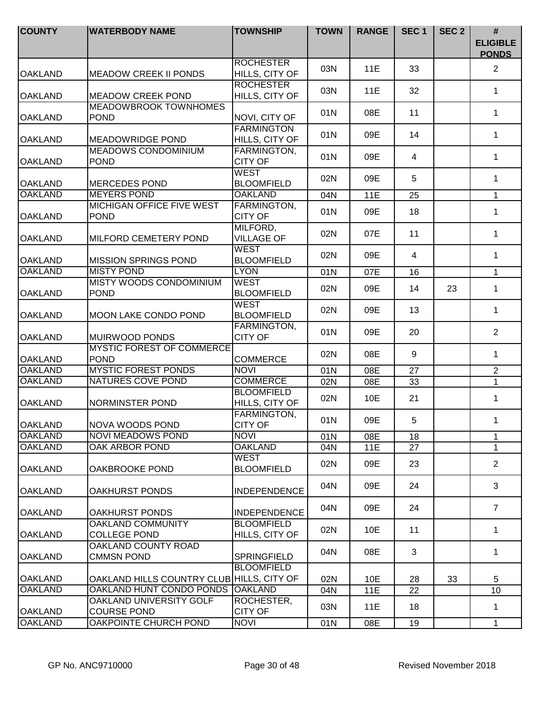| <b>COUNTY</b>  | <b>WATERBODY NAME</b>                           | <b>TOWNSHIP</b>                      | <b>TOWN</b> | <b>RANGE</b> | SEC <sub>1</sub> | SEC <sub>2</sub> | #<br><b>ELIGIBLE</b><br><b>PONDS</b> |
|----------------|-------------------------------------------------|--------------------------------------|-------------|--------------|------------------|------------------|--------------------------------------|
| <b>OAKLAND</b> | <b>MEADOW CREEK II PONDS</b>                    | <b>ROCHESTER</b><br>HILLS, CITY OF   | 03N         | 11E          | 33               |                  | $\overline{2}$                       |
| <b>OAKLAND</b> | <b>MEADOW CREEK POND</b>                        | <b>ROCHESTER</b><br>HILLS, CITY OF   | 03N         | 11E          | 32               |                  | 1                                    |
| <b>OAKLAND</b> | <b>MEADOWBROOK TOWNHOMES</b><br><b>POND</b>     | NOVI, CITY OF                        | 01N         | 08E          | 11               |                  | 1                                    |
| <b>OAKLAND</b> | <b>MEADOWRIDGE POND</b>                         | <b>FARMINGTON</b><br>HILLS, CITY OF  | 01N         | 09E          | 14               |                  | 1                                    |
| <b>OAKLAND</b> | <b>MEADOWS CONDOMINIUM</b><br><b>POND</b>       | FARMINGTON,<br><b>CITY OF</b>        | 01N         | 09E          | $\overline{4}$   |                  | $\mathbf 1$                          |
| <b>OAKLAND</b> | <b>MERCEDES POND</b>                            | <b>WEST</b><br><b>BLOOMFIELD</b>     | 02N         | 09E          | 5                |                  | $\mathbf 1$                          |
| <b>OAKLAND</b> | <b>MEYERS POND</b>                              | <b>OAKLAND</b>                       | 04N         | <b>11E</b>   | 25               |                  | $\mathbf{1}$                         |
| <b>OAKLAND</b> | <b>MICHIGAN OFFICE FIVE WEST</b><br><b>POND</b> | <b>FARMINGTON,</b><br><b>CITY OF</b> | 01N         | 09E          | 18               |                  | 1                                    |
| <b>OAKLAND</b> | MILFORD CEMETERY POND                           | MILFORD,<br><b>VILLAGE OF</b>        | 02N         | 07E          | 11               |                  | $\mathbf 1$                          |
| <b>OAKLAND</b> | <b>MISSION SPRINGS POND</b>                     | <b>WEST</b><br><b>BLOOMFIELD</b>     | 02N         | 09E          | $\overline{4}$   |                  | 1                                    |
| <b>OAKLAND</b> | <b>MISTY POND</b>                               | <b>LYON</b>                          | 01N         | 07E          | 16               |                  | $\mathbf{1}$                         |
| <b>OAKLAND</b> | <b>MISTY WOODS CONDOMINIUM</b><br><b>POND</b>   | <b>WEST</b><br><b>BLOOMFIELD</b>     | 02N         | 09E          | 14               | 23               | $\mathbf{1}$                         |
| <b>OAKLAND</b> | <b>MOON LAKE CONDO POND</b>                     | <b>WEST</b><br><b>BLOOMFIELD</b>     | 02N         | 09E          | 13               |                  | 1                                    |
| <b>OAKLAND</b> | MUIRWOOD PONDS                                  | FARMINGTON,<br><b>CITY OF</b>        | 01N         | 09E          | 20               |                  | $\overline{2}$                       |
| <b>OAKLAND</b> | <b>MYSTIC FOREST OF COMMERCE</b><br><b>POND</b> | <b>COMMERCE</b>                      | 02N         | 08E          | 9                |                  | $\mathbf 1$                          |
| <b>OAKLAND</b> | <b>MYSTIC FOREST PONDS</b>                      | <b>NOVI</b>                          | 01N         | 08E          | 27               |                  | $\overline{2}$                       |
| <b>OAKLAND</b> | <b>NATURES COVE POND</b>                        | <b>COMMERCE</b>                      | 02N         | 08E          | 33               |                  | $\overline{1}$                       |
| <b>OAKLAND</b> | <b>NORMINSTER POND</b>                          | <b>BLOOMFIELD</b><br>HILLS, CITY OF  | 02N         | 10E          | 21               |                  | $\mathbf 1$                          |
| <b>OAKLAND</b> | NOVA WOODS POND                                 | FARMINGTON,<br><b>CITY OF</b>        | 01N         | 09E          | 5                |                  | 1                                    |
| <b>OAKLAND</b> | <b>NOVI MEADOWS POND</b>                        | <b>NOVI</b>                          | 01N         | 08E          | 18               |                  | $\mathbf 1$                          |
| <b>OAKLAND</b> | OAK ARBOR POND                                  | <b>OAKLAND</b>                       | 04N         | 11E          | 27               |                  | $\mathbf 1$                          |
| <b>OAKLAND</b> | <b>OAKBROOKE POND</b>                           | <b>WEST</b><br><b>BLOOMFIELD</b>     | 02N         | 09E          | 23               |                  | $\overline{2}$                       |
| <b>OAKLAND</b> | <b>OAKHURST PONDS</b>                           | <b>INDEPENDENCE</b>                  | 04N         | 09E          | 24               |                  | 3                                    |
| <b>OAKLAND</b> | <b>OAKHURST PONDS</b>                           | <b>INDEPENDENCE</b>                  | 04N         | 09E          | 24               |                  | $\overline{7}$                       |
| <b>OAKLAND</b> | <b>OAKLAND COMMUNITY</b><br><b>COLLEGE POND</b> | <b>BLOOMFIELD</b><br>HILLS, CITY OF  | 02N         | 10E          | 11               |                  | 1                                    |
| <b>OAKLAND</b> | OAKLAND COUNTY ROAD<br><b>CMMSN POND</b>        | SPRINGFIELD                          | 04N         | 08E          | 3                |                  | $\mathbf 1$                          |
| <b>OAKLAND</b> | OAKLAND HILLS COUNTRY CLUB HILLS, CITY OF       | <b>BLOOMFIELD</b>                    | 02N         | 10E          | 28               | 33               | 5                                    |
| <b>OAKLAND</b> | OAKLAND HUNT CONDO PONDS                        | <b>OAKLAND</b>                       | 04N         | <b>11E</b>   | 22               |                  | 10                                   |
| <b>OAKLAND</b> | OAKLAND UNIVERSITY GOLF<br><b>COURSE POND</b>   | ROCHESTER,<br><b>CITY OF</b>         | 03N         | 11E          | 18               |                  | $\mathbf 1$                          |
| <b>OAKLAND</b> | OAKPOINTE CHURCH POND                           | <b>NOVI</b>                          | 01N         | 08E          | 19               |                  | $\mathbf 1$                          |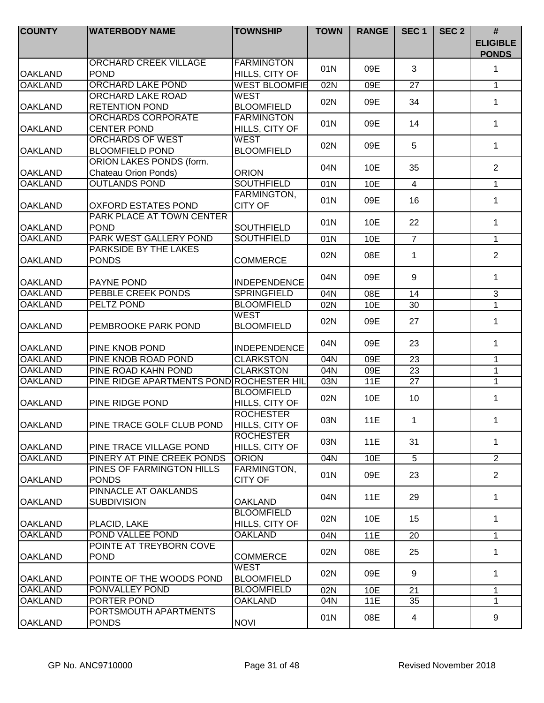| <b>COUNTY</b>  | <b>WATERBODY NAME</b>                             | <b>TOWNSHIP</b>                     | <b>TOWN</b> | <b>RANGE</b> | SEC <sub>1</sub> | SEC <sub>2</sub> | $\#$<br><b>ELIGIBLE</b><br><b>PONDS</b> |
|----------------|---------------------------------------------------|-------------------------------------|-------------|--------------|------------------|------------------|-----------------------------------------|
| <b>OAKLAND</b> | <b>ORCHARD CREEK VILLAGE</b><br><b>POND</b>       | <b>FARMINGTON</b><br>HILLS, CITY OF | 01N         | 09E          | 3                |                  | 1                                       |
| <b>OAKLAND</b> | <b>ORCHARD LAKE POND</b>                          | <b>WEST BLOOMFIE</b>                | 02N         | 09E          | 27               |                  | 1                                       |
|                | <b>ORCHARD LAKE ROAD</b>                          | <b>WEST</b>                         |             |              |                  |                  |                                         |
| <b>OAKLAND</b> | <b>RETENTION POND</b>                             | <b>BLOOMFIELD</b>                   | 02N         | 09E          | 34               |                  | 1                                       |
|                | <b>ORCHARDS CORPORATE</b>                         | <b>FARMINGTON</b>                   |             |              |                  |                  |                                         |
| <b>OAKLAND</b> | <b>CENTER POND</b>                                | HILLS, CITY OF                      | 01N         | 09E          | 14               |                  | 1                                       |
|                | <b>ORCHARDS OF WEST</b>                           | <b>WEST</b>                         |             |              |                  |                  |                                         |
| <b>OAKLAND</b> | <b>BLOOMFIELD POND</b>                            | <b>BLOOMFIELD</b>                   | 02N         | 09E          | 5                |                  | $\mathbf 1$                             |
|                | <b>ORION LAKES PONDS (form.</b>                   |                                     |             |              |                  |                  |                                         |
| <b>OAKLAND</b> | Chateau Orion Ponds)                              | <b>ORION</b>                        | 04N         | 10E          | 35               |                  | $\overline{2}$                          |
| <b>OAKLAND</b> | <b>OUTLANDS POND</b>                              | <b>SOUTHFIELD</b>                   | 01N         | 10E          | $\overline{4}$   |                  | $\mathbf{1}$                            |
|                |                                                   | FARMINGTON,                         |             |              |                  |                  |                                         |
| <b>OAKLAND</b> | <b>OXFORD ESTATES POND</b>                        | <b>CITY OF</b>                      | 01N         | 09E          | 16               |                  | $\mathbf{1}$                            |
|                | PARK PLACE AT TOWN CENTER                         |                                     |             |              |                  |                  |                                         |
| <b>OAKLAND</b> | <b>POND</b>                                       | <b>SOUTHFIELD</b>                   | 01N         | 10E          | 22               |                  | $\mathbf{1}$                            |
| <b>OAKLAND</b> | PARK WEST GALLERY POND                            | <b>SOUTHFIELD</b>                   | 01N         | 10E          | $\overline{7}$   |                  | $\mathbf{1}$                            |
|                | PARKSIDE BY THE LAKES                             |                                     |             |              |                  |                  |                                         |
| <b>OAKLAND</b> | <b>PONDS</b>                                      | <b>COMMERCE</b>                     | 02N         | 08E          | $\mathbf{1}$     |                  | $\overline{2}$                          |
| <b>OAKLAND</b> | <b>PAYNE POND</b>                                 | <b>INDEPENDENCE</b>                 | 04N         | 09E          | 9                |                  | $\mathbf{1}$                            |
| <b>OAKLAND</b> | PEBBLE CREEK PONDS                                | <b>SPRINGFIELD</b>                  |             | 08E          | 14               |                  | $\mathfrak{S}$                          |
| <b>OAKLAND</b> | PELTZ POND                                        | <b>BLOOMFIELD</b>                   | 04N         |              |                  |                  |                                         |
|                |                                                   | <b>WEST</b>                         | 02N         | 10E          | 30               |                  | $\mathbf{1}$                            |
| <b>OAKLAND</b> | PEMBROOKE PARK POND                               | <b>BLOOMFIELD</b>                   | 02N         | 09E          | 27               |                  | $\mathbf 1$                             |
| <b>OAKLAND</b> | <b>PINE KNOB POND</b>                             | <b>INDEPENDENCE</b>                 | 04N         | 09E          | 23               |                  | $\mathbf 1$                             |
| <b>OAKLAND</b> | PINE KNOB ROAD POND                               | <b>CLARKSTON</b>                    | 04N         | 09E          | $\overline{23}$  |                  | 1                                       |
| <b>OAKLAND</b> | PINE ROAD KAHN POND                               | <b>CLARKSTON</b>                    | 04N         | 09E          | $\overline{23}$  |                  | 1                                       |
| <b>OAKLAND</b> | PINE RIDGE APARTMENTS POND ROCHESTER HIL          |                                     | 03N         | 11E          | $\overline{27}$  |                  | $\overline{1}$                          |
| <b>OAKLAND</b> | PINE RIDGE POND                                   | <b>BLOOMFIELD</b><br>HILLS, CITY OF | 02N         | 10E          | 10               |                  | $\mathbf 1$                             |
| <b>OAKLAND</b> | PINE TRACE GOLF CLUB POND                         | <b>ROCHESTER</b><br>HILLS, CITY OF  | 03N         | 11E          | 1                |                  | 1                                       |
| <b>OAKLAND</b> | PINE TRACE VILLAGE POND                           | <b>ROCHESTER</b><br>HILLS, CITY OF  | 03N         | 11E          | 31               |                  | 1                                       |
| <b>OAKLAND</b> | PINERY AT PINE CREEK PONDS                        | <b>ORION</b>                        | 04N         | 10E          | 5                |                  | $\overline{2}$                          |
| <b>OAKLAND</b> | PINES OF FARMINGTON HILLS<br><b>PONDS</b>         | FARMINGTON,<br><b>CITY OF</b>       | 01N         | 09E          | 23               |                  | $\overline{2}$                          |
| <b>OAKLAND</b> | <b>PINNACLE AT OAKLANDS</b><br><b>SUBDIVISION</b> | <b>OAKLAND</b>                      | 04N         | 11E          | 29               |                  | 1                                       |
| <b>OAKLAND</b> | PLACID, LAKE                                      | <b>BLOOMFIELD</b><br>HILLS, CITY OF | 02N         | 10E          | 15               |                  | $\mathbf{1}$                            |
| <b>OAKLAND</b> | POND VALLEE POND                                  | <b>OAKLAND</b>                      | 04N         | 11E          | 20               |                  | $\mathbf{1}$                            |
|                | POINTE AT TREYBORN COVE                           |                                     |             |              |                  |                  |                                         |
| <b>OAKLAND</b> | <b>POND</b>                                       | <b>COMMERCE</b>                     | 02N         | 08E          | 25               |                  | $\mathbf 1$                             |
| <b>OAKLAND</b> | POINTE OF THE WOODS POND                          | <b>WEST</b><br><b>BLOOMFIELD</b>    | 02N         | 09E          | 9                |                  | 1                                       |
| <b>OAKLAND</b> | PONVALLEY POND                                    | <b>BLOOMFIELD</b>                   | 02N         | 10E          | 21               |                  | 1                                       |
| <b>OAKLAND</b> | PORTER POND                                       | <b>OAKLAND</b>                      | 04N         | 11E          | 35               |                  | 1                                       |
| <b>OAKLAND</b> | PORTSMOUTH APARTMENTS<br><b>PONDS</b>             | <b>NOVI</b>                         | 01N         | 08E          | 4                |                  | 9                                       |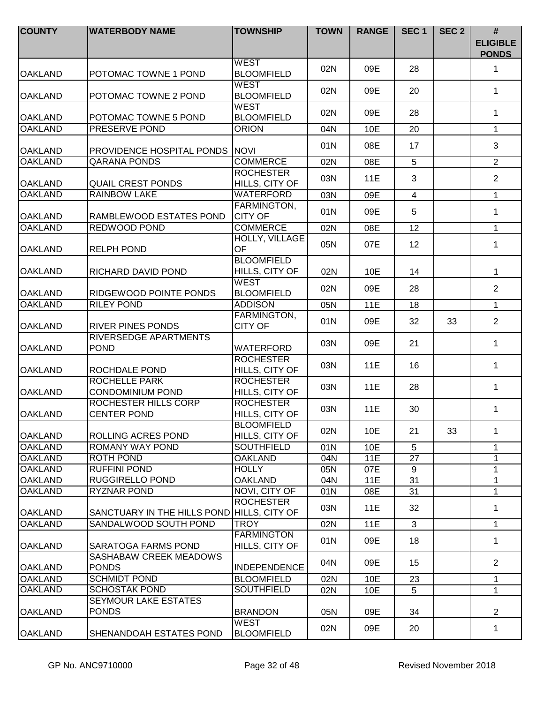| <b>COUNTY</b>              | <b>WATERBODY NAME</b>                           | <b>TOWNSHIP</b>                     | <b>TOWN</b> | <b>RANGE</b> | SEC <sub>1</sub>      | SEC <sub>2</sub> | #<br><b>ELIGIBLE</b><br><b>PONDS</b> |
|----------------------------|-------------------------------------------------|-------------------------------------|-------------|--------------|-----------------------|------------------|--------------------------------------|
| <b>OAKLAND</b>             | POTOMAC TOWNE 1 POND                            | <b>WEST</b><br><b>BLOOMFIELD</b>    | 02N         | 09E          | 28                    |                  | 1                                    |
| <b>OAKLAND</b>             | POTOMAC TOWNE 2 POND                            | <b>WEST</b><br><b>BLOOMFIELD</b>    | 02N         | 09E          | 20                    |                  | 1                                    |
| <b>OAKLAND</b>             | POTOMAC TOWNE 5 POND                            | <b>WEST</b><br><b>BLOOMFIELD</b>    | 02N         | 09E          | 28                    |                  | 1                                    |
| <b>OAKLAND</b>             | <b>PRESERVE POND</b>                            | <b>ORION</b>                        | 04N         | 10E          | 20                    |                  | $\mathbf{1}$                         |
| <b>OAKLAND</b>             | <b>PROVIDENCE HOSPITAL PONDS NOVI</b>           |                                     | 01N         | 08E          | 17                    |                  | 3                                    |
| <b>OAKLAND</b>             | <b>QARANA PONDS</b>                             | <b>COMMERCE</b>                     | 02N         | 08E          | $\overline{5}$        |                  | $\overline{2}$                       |
| <b>OAKLAND</b>             | <b>QUAIL CREST PONDS</b>                        | <b>ROCHESTER</b><br>HILLS, CITY OF  | 03N         | 11E          | 3                     |                  | $\overline{2}$                       |
| <b>OAKLAND</b>             | <b>RAINBOW LAKE</b>                             | WATERFORD                           | 03N         | 09E          | $\overline{4}$        |                  | 1                                    |
| <b>OAKLAND</b>             | RAMBLEWOOD ESTATES POND                         | FARMINGTON,<br><b>CITY OF</b>       | 01N         | 09E          | 5                     |                  | 1                                    |
| <b>OAKLAND</b>             | <b>REDWOOD POND</b>                             | <b>COMMERCE</b>                     | 02N         | 08E          | 12                    |                  | 1                                    |
| <b>OAKLAND</b>             | RELPH POND                                      | HOLLY, VILLAGE<br><b>OF</b>         | 05N         | 07E          | 12                    |                  | 1                                    |
| <b>OAKLAND</b>             | RICHARD DAVID POND                              | <b>BLOOMFIELD</b><br>HILLS, CITY OF | 02N         | 10E          | 14                    |                  | 1                                    |
| <b>OAKLAND</b>             | RIDGEWOOD POINTE PONDS                          | <b>WEST</b><br><b>BLOOMFIELD</b>    | 02N         | 09E          | 28                    |                  | $\overline{2}$                       |
| <b>OAKLAND</b>             | <b>RILEY POND</b>                               | <b>ADDISON</b>                      | 05N         | <b>11E</b>   | 18                    |                  | $\mathbf{1}$                         |
| <b>OAKLAND</b>             | <b>RIVER PINES PONDS</b>                        | FARMINGTON,<br><b>CITY OF</b>       | 01N         | 09E          | 32                    | 33               | $\overline{2}$                       |
| <b>OAKLAND</b>             | RIVERSEDGE APARTMENTS<br><b>POND</b>            | WATERFORD                           | 03N         | 09E          | 21                    |                  | 1                                    |
| <b>OAKLAND</b>             | ROCHDALE POND                                   | <b>ROCHESTER</b><br>HILLS, CITY OF  | 03N         | 11E          | 16                    |                  | 1                                    |
| <b>OAKLAND</b>             | <b>ROCHELLE PARK</b><br><b>CONDOMINIUM POND</b> | <b>ROCHESTER</b><br>HILLS, CITY OF  | 03N         | 11E          | 28                    |                  | 1                                    |
| <b>OAKLAND</b>             | ROCHESTER HILLS CORP<br><b>CENTER POND</b>      | <b>ROCHESTER</b><br>HILLS, CITY OF  | 03N         | 11E          | 30                    |                  | 1                                    |
| <b>OAKLAND</b>             | ROLLING ACRES POND                              | <b>BLOOMFIELD</b><br>HILLS, CITY OF | 02N         | 10E          | 21                    | 33               | 1                                    |
| <b>OAKLAND</b>             | ROMANY WAY POND                                 | <b>SOUTHFIELD</b>                   | 01N         | 10E          | 5                     |                  | 1                                    |
| <b>OAKLAND</b>             | ROTH POND                                       | <b>OAKLAND</b>                      | 04N         | 11E          | 27                    |                  | 1                                    |
| <b>OAKLAND</b>             | <b>RUFFINI POND</b>                             | <b>HOLLY</b>                        | 05N         | 07E          | 9                     |                  | 1                                    |
| <b>OAKLAND</b><br>IOAKLAND | <b>RUGGIRELLO POND</b><br><b>RYZNAR POND</b>    | <b>OAKLAND</b><br>NOVI, CITY OF     | 04N<br>01N  | 11E          | $\overline{31}$<br>31 |                  | 1                                    |
| <b>OAKLAND</b>             | SANCTUARY IN THE HILLS POND HILLS, CITY OF      | <b>ROCHESTER</b>                    | 03N         | 08E<br>11E   | 32                    |                  | 1<br>1                               |
| <b>OAKLAND</b>             | SANDALWOOD SOUTH POND                           | <b>TROY</b>                         | 02N         | <b>11E</b>   | 3                     |                  | $\mathbf 1$                          |
|                            |                                                 | <b>FARMINGTON</b>                   |             |              |                       |                  |                                      |
| <b>OAKLAND</b>             | SARATOGA FARMS POND<br>SASHABAW CREEK MEADOWS   | HILLS, CITY OF                      | 01N         | 09E          | 18                    |                  | 1                                    |
| <b>OAKLAND</b>             | <b>PONDS</b>                                    | <b>INDEPENDENCE</b>                 | 04N         | 09E          | 15                    |                  | 2                                    |
| <b>OAKLAND</b>             | <b>SCHMIDT POND</b>                             | <b>BLOOMFIELD</b>                   | 02N         | 10E          | 23                    |                  | 1                                    |
| <b>OAKLAND</b>             | <b>SCHOSTAK POND</b>                            | <b>SOUTHFIELD</b>                   | 02N         | 10E          | 5                     |                  | 1                                    |
| OAKLAND                    | <b>SEYMOUR LAKE ESTATES</b><br><b>PONDS</b>     | <b>BRANDON</b>                      | 05N         | 09E          | 34                    |                  | $\overline{2}$                       |
| <b>OAKLAND</b>             | SHENANDOAH ESTATES POND                         | <b>WEST</b><br><b>BLOOMFIELD</b>    | 02N         | 09E          | 20                    |                  | 1                                    |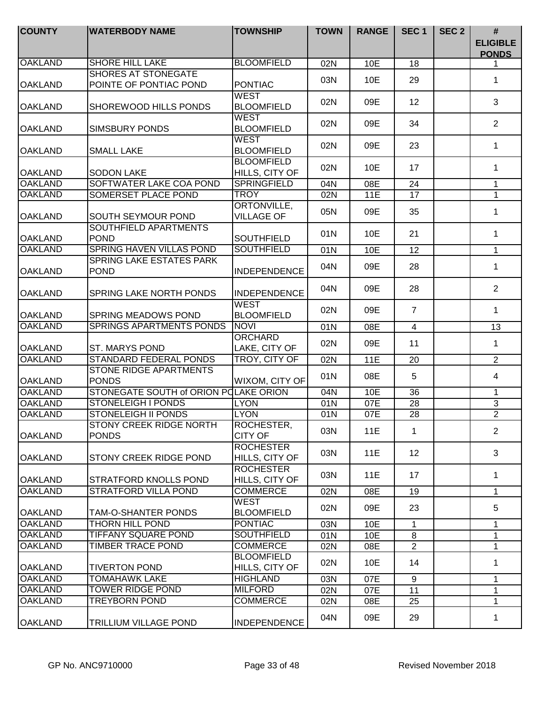| <b>COUNTY</b>  | <b>WATERBODY NAME</b>                                | <b>TOWNSHIP</b>                     | <b>TOWN</b> | <b>RANGE</b> | SEC <sub>1</sub>  | SEC <sub>2</sub> | #<br><b>ELIGIBLE</b><br><b>PONDS</b> |
|----------------|------------------------------------------------------|-------------------------------------|-------------|--------------|-------------------|------------------|--------------------------------------|
| <b>OAKLAND</b> | <b>SHORE HILL LAKE</b>                               | <b>BLOOMFIELD</b>                   | 02N         | 10E          | 18                |                  |                                      |
| <b>OAKLAND</b> | <b>SHORES AT STONEGATE</b><br>POINTE OF PONTIAC POND | <b>PONTIAC</b>                      | 03N         | 10E          | 29                |                  | 1                                    |
| <b>OAKLAND</b> | SHOREWOOD HILLS PONDS                                | WEST<br><b>BLOOMFIELD</b>           | 02N         | 09E          | 12                |                  | 3                                    |
| <b>OAKLAND</b> | <b>SIMSBURY PONDS</b>                                | WEST<br><b>BLOOMFIELD</b>           | 02N         | 09E          | 34                |                  | $\overline{2}$                       |
| <b>OAKLAND</b> | <b>SMALL LAKE</b>                                    | <b>WEST</b><br><b>BLOOMFIELD</b>    | 02N         | 09E          | 23                |                  | 1                                    |
| <b>OAKLAND</b> | <b>SODON LAKE</b>                                    | <b>BLOOMFIELD</b><br>HILLS, CITY OF | 02N         | 10E          | 17                |                  | $\mathbf{1}$                         |
| <b>OAKLAND</b> | SOFTWATER LAKE COA POND                              | <b>SPRINGFIELD</b>                  | 04N         | 08E          | 24                |                  | $\mathbf{1}$                         |
| <b>OAKLAND</b> | SOMERSET PLACE POND                                  | <b>TROY</b>                         | 02N         | <b>11E</b>   | 17                |                  | $\mathbf{1}$                         |
| <b>OAKLAND</b> | <b>SOUTH SEYMOUR POND</b>                            | ORTONVILLE,<br><b>VILLAGE OF</b>    | 05N         | 09E          | 35                |                  | 1                                    |
| <b>OAKLAND</b> | SOUTHFIELD APARTMENTS<br><b>POND</b>                 | <b>SOUTHFIELD</b>                   | 01N         | 10E          | 21                |                  | 1                                    |
| <b>OAKLAND</b> | SPRING HAVEN VILLAS POND                             | <b>SOUTHFIELD</b>                   | 01N         | 10E          | 12                |                  | $\mathbf 1$                          |
| <b>OAKLAND</b> | <b>SPRING LAKE ESTATES PARK</b><br><b>POND</b>       | <b>INDEPENDENCE</b>                 | 04N         | 09E          | 28                |                  | 1                                    |
| <b>OAKLAND</b> | <b>SPRING LAKE NORTH PONDS</b>                       | <b>INDEPENDENCE</b>                 | 04N         | 09E          | 28                |                  | $\overline{2}$                       |
| <b>OAKLAND</b> | <b>SPRING MEADOWS POND</b>                           | <b>WEST</b><br><b>BLOOMFIELD</b>    | 02N         | 09E          | $\overline{7}$    |                  | 1                                    |
| <b>OAKLAND</b> | <b>SPRINGS APARTMENTS PONDS</b>                      | <b>NOVI</b>                         | 01N         | 08E          | $\overline{4}$    |                  | 13                                   |
| <b>OAKLAND</b> | <b>ST. MARYS POND</b>                                | <b>ORCHARD</b><br>LAKE, CITY OF     | 02N         | 09E          | 11                |                  | $\mathbf 1$                          |
| <b>OAKLAND</b> | <b>STANDARD FEDERAL PONDS</b>                        | <b>TROY, CITY OF</b>                | 02N         | 11E          | 20                |                  | $\overline{2}$                       |
| <b>OAKLAND</b> | <b>STONE RIDGE APARTMENTS</b><br><b>PONDS</b>        | WIXOM, CITY OF                      | 01N         | 08E          | 5                 |                  | 4                                    |
| <b>OAKLAND</b> | STONEGATE SOUTH of ORION POLAKE ORION                |                                     | 04N         | 10E          | $\overline{36}$   |                  | 1                                    |
| <b>OAKLAND</b> | <b>STONELEIGH I PONDS</b>                            | <b>LYON</b>                         | 01N         | 07E          | 28                |                  | $\overline{3}$                       |
| <b>OAKLAND</b> | <b>STONELEIGH II PONDS</b>                           | <b>LYON</b>                         | 01N         | 07E          | 28                |                  | $\overline{2}$                       |
| <b>OAKLAND</b> | <b>STONY CREEK RIDGE NORTH</b><br><b>PONDS</b>       | ROCHESTER,<br><b>CITY OF</b>        | 03N         | 11E          | $\mathbf 1$       |                  | 2                                    |
| <b>OAKLAND</b> | STONY CREEK RIDGE POND                               | <b>ROCHESTER</b><br>HILLS, CITY OF  | 03N         | 11E          | $12 \overline{ }$ |                  | 3                                    |
| <b>OAKLAND</b> | <b>STRATFORD KNOLLS POND</b>                         | <b>ROCHESTER</b><br>HILLS, CITY OF  | 03N         | 11E          | 17                |                  | 1                                    |
| <b>OAKLAND</b> | <b>STRATFORD VILLA POND</b>                          | <b>COMMERCE</b>                     | 02N         | 08E          | 19                |                  | 1                                    |
| <b>OAKLAND</b> | TAM-O-SHANTER PONDS                                  | <b>WEST</b><br><b>BLOOMFIELD</b>    | 02N         | 09E          | 23                |                  | 5                                    |
| <b>OAKLAND</b> | THORN HILL POND                                      | <b>PONTIAC</b>                      | 03N         | 10E          | $\mathbf{1}$      |                  | $\mathbf{1}$                         |
| <b>OAKLAND</b> | <b>TIFFANY SQUARE POND</b>                           | <b>SOUTHFIELD</b>                   | 01N         | 10E          | 8                 |                  | $\mathbf{1}$                         |
| <b>OAKLAND</b> | TIMBER TRACE POND                                    | <b>COMMERCE</b>                     | 02N         | 08E          | $\overline{2}$    |                  | $\mathbf{1}$                         |
| <b>OAKLAND</b> | <b>TIVERTON POND</b>                                 | <b>BLOOMFIELD</b><br>HILLS, CITY OF | 02N         | 10E          | 14                |                  | $\mathbf 1$                          |
| <b>OAKLAND</b> | <b>TOMAHAWK LAKE</b>                                 | <b>HIGHLAND</b>                     | 03N         | 07E          | 9                 |                  | 1                                    |
| <b>OAKLAND</b> | <b>TOWER RIDGE POND</b>                              | <b>MILFORD</b>                      | 02N         | 07E          | 11                |                  | 1                                    |
| <b>OAKLAND</b> | <b>TREYBORN POND</b>                                 | <b>COMMERCE</b>                     | 02N         | 08E          | 25                |                  | $\mathbf{1}$                         |
| OAKLAND        | <b>TRILLIUM VILLAGE POND</b>                         | <b>INDEPENDENCE</b>                 | 04N         | 09E          | 29                |                  | 1                                    |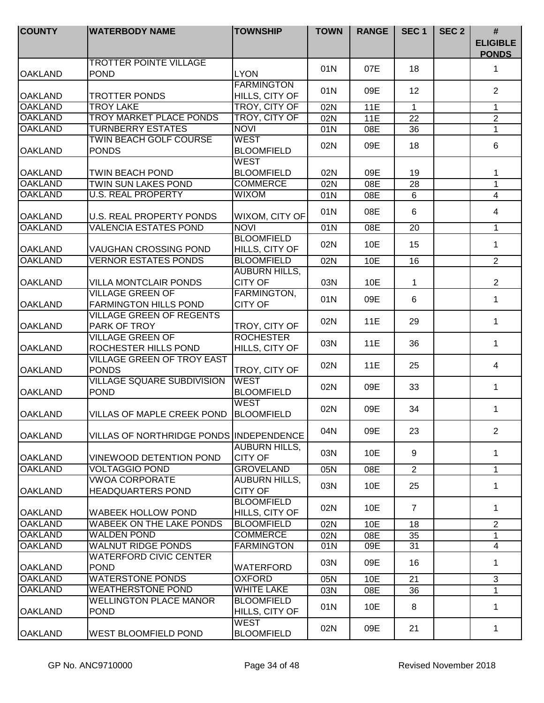| <b>COUNTY</b>  | <b>WATERBODY NAME</b>                                   | <b>TOWNSHIP</b>                        | <b>TOWN</b> | <b>RANGE</b> | SEC <sub>1</sub> | SEC <sub>2</sub> | $\#$<br><b>ELIGIBLE</b><br><b>PONDS</b> |
|----------------|---------------------------------------------------------|----------------------------------------|-------------|--------------|------------------|------------------|-----------------------------------------|
| <b>OAKLAND</b> | <b>TROTTER POINTE VILLAGE</b><br><b>POND</b>            | <b>LYON</b>                            | 01N         | 07E          | 18               |                  | $\mathbf 1$                             |
| <b>OAKLAND</b> | <b>TROTTER PONDS</b>                                    | <b>FARMINGTON</b><br>HILLS, CITY OF    | 01N         | 09E          | 12               |                  | $\overline{2}$                          |
| <b>OAKLAND</b> | <b>TROY LAKE</b>                                        | TROY, CITY OF                          | 02N         | 11E          | $\mathbf{1}$     |                  | 1                                       |
| <b>OAKLAND</b> | <b>TROY MARKET PLACE PONDS</b>                          | TROY, CITY OF                          | 02N         | 11E          | 22               |                  | $\overline{2}$                          |
| <b>OAKLAND</b> | <b>TURNBERRY ESTATES</b>                                | <b>NOVI</b>                            | 01N         | 08E          | 36               |                  | $\mathbf{1}$                            |
| <b>OAKLAND</b> | <b>TWIN BEACH GOLF COURSE</b><br><b>PONDS</b>           | <b>WEST</b><br><b>BLOOMFIELD</b>       | 02N         | 09E          | 18               |                  | 6                                       |
|                |                                                         | <b>WEST</b>                            |             |              |                  |                  |                                         |
| <b>OAKLAND</b> | <b>TWIN BEACH POND</b>                                  | <b>BLOOMFIELD</b>                      | 02N         | 09E          | 19               |                  | 1                                       |
| <b>OAKLAND</b> | <b>TWIN SUN LAKES POND</b>                              | <b>COMMERCE</b>                        | 02N         | 08E          | 28               |                  | $\overline{1}$                          |
| <b>OAKLAND</b> | <b>U.S. REAL PROPERTY</b>                               | <b>WIXOM</b>                           | 01N         | 08E          | 6                |                  | $\overline{4}$                          |
| <b>OAKLAND</b> | <b>U.S. REAL PROPERTY PONDS</b>                         | WIXOM, CITY OF                         | 01N         | 08E          | 6                |                  | $\overline{4}$                          |
| <b>OAKLAND</b> | <b>VALENCIA ESTATES POND</b>                            | <b>NOVI</b>                            | 01N         | 08E          | 20               |                  | 1                                       |
| <b>OAKLAND</b> | <b>VAUGHAN CROSSING POND</b>                            | <b>BLOOMFIELD</b><br>HILLS, CITY OF    | 02N         | 10E          | 15               |                  | $\mathbf{1}$                            |
| <b>OAKLAND</b> | <b>VERNOR ESTATES PONDS</b>                             | <b>BLOOMFIELD</b>                      | 02N         | 10E          | 16               |                  | $\overline{2}$                          |
| <b>OAKLAND</b> | <b>VILLA MONTCLAIR PONDS</b>                            | <b>AUBURN HILLS,</b><br><b>CITY OF</b> | 03N         | 10E          | 1                |                  | $\overline{2}$                          |
| <b>OAKLAND</b> | <b>VILLAGE GREEN OF</b><br><b>FARMINGTON HILLS POND</b> | FARMINGTON,<br><b>CITY OF</b>          | 01N         | 09E          | 6                |                  | $\mathbf 1$                             |
| <b>OAKLAND</b> | <b>VILLAGE GREEN OF REGENTS</b><br>PARK OF TROY         | TROY, CITY OF                          | 02N         | 11E          | 29               |                  | $\mathbf 1$                             |
| <b>OAKLAND</b> | <b>VILLAGE GREEN OF</b><br>ROCHESTER HILLS POND         | <b>ROCHESTER</b><br>HILLS, CITY OF     | 03N         | 11E          | 36               |                  | $\mathbf{1}$                            |
| <b>OAKLAND</b> | <b>VILLAGE GREEN OF TROY EAST</b><br><b>PONDS</b>       | TROY, CITY OF                          | 02N         | 11E          | 25               |                  | 4                                       |
| <b>OAKLAND</b> | <b>VILLAGE SQUARE SUBDIVISION</b><br><b>POND</b>        | <b>WEST</b><br><b>BLOOMFIELD</b>       | 02N         | 09E          | 33               |                  | $\mathbf 1$                             |
| <b>OAKLAND</b> | VILLAS OF MAPLE CREEK POND                              | <b>WEST</b><br><b>BLOOMFIELD</b>       | 02N         | 09E          | 34               |                  | $\mathbf 1$                             |
| <b>OAKLAND</b> | VILLAS OF NORTHRIDGE PONDS INDEPENDENCE                 |                                        | 04N         | 09E          | 23               |                  | $\overline{2}$                          |
| <b>OAKLAND</b> | <b>VINEWOOD DETENTION POND</b>                          | <b>AUBURN HILLS,</b><br><b>CITY OF</b> | 03N         | 10E          | 9                |                  | 1                                       |
| <b>OAKLAND</b> | <b>VOLTAGGIO POND</b>                                   | <b>GROVELAND</b>                       | 05N         | 08E          | $\overline{2}$   |                  | $\mathbf{1}$                            |
| <b>OAKLAND</b> | <b>VWOA CORPORATE</b><br><b>HEADQUARTERS POND</b>       | <b>AUBURN HILLS,</b><br><b>CITY OF</b> | 03N         | 10E          | 25               |                  | 1                                       |
| <b>OAKLAND</b> | <b>WABEEK HOLLOW POND</b>                               | <b>BLOOMFIELD</b><br>HILLS, CITY OF    | 02N         | 10E          | $\overline{7}$   |                  | 1                                       |
| <b>OAKLAND</b> | <b>WABEEK ON THE LAKE PONDS</b>                         | <b>BLOOMFIELD</b>                      | 02N         | 10E          | 18               |                  | $\overline{2}$                          |
| <b>OAKLAND</b> | <b>WALDEN POND</b>                                      | <b>COMMERCE</b>                        | 02N         | 08E          | 35               |                  | $\mathbf{1}$                            |
| <b>OAKLAND</b> | <b>WALNUT RIDGE PONDS</b>                               | <b>FARMINGTON</b>                      | 01N         | 09E          | 31               |                  | $\overline{4}$                          |
| <b>OAKLAND</b> | <b>WATERFORD CIVIC CENTER</b><br><b>POND</b>            | <b>WATERFORD</b>                       | 03N         | 09E          | 16               |                  | $\mathbf 1$                             |
| <b>OAKLAND</b> | <b>WATERSTONE PONDS</b>                                 | <b>OXFORD</b>                          | 05N         | 10E          | 21               |                  | $\mathbf{3}$                            |
| <b>OAKLAND</b> | <b>WEATHERSTONE POND</b>                                | <b>WHITE LAKE</b>                      | 03N         | 08E          | 36               |                  | 1                                       |
| <b>OAKLAND</b> | <b>WELLINGTON PLACE MANOR</b><br><b>POND</b>            | <b>BLOOMFIELD</b><br>HILLS, CITY OF    | 01N         | 10E          | 8                |                  | $\mathbf 1$                             |
| <b>OAKLAND</b> | <b>WEST BLOOMFIELD POND</b>                             | <b>WEST</b><br><b>BLOOMFIELD</b>       | 02N         | 09E          | 21               |                  | $\mathbf 1$                             |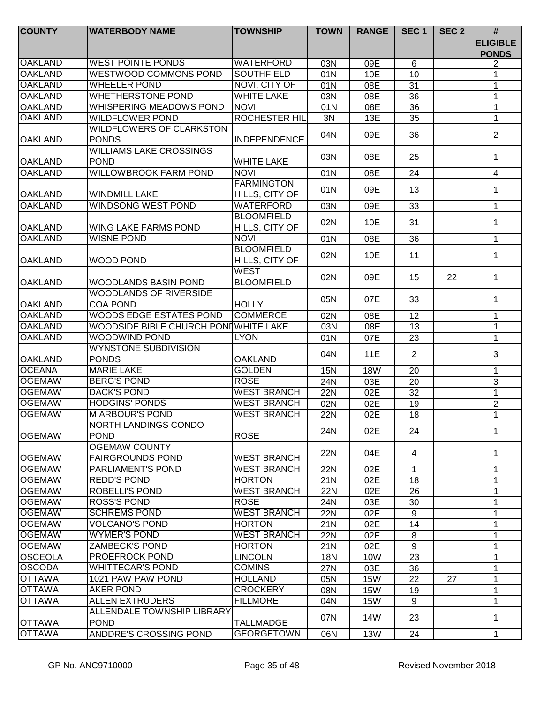| <b>COUNTY</b>  | <b>WATERBODY NAME</b>                            | <b>TOWNSHIP</b>                     | <b>TOWN</b> | <b>RANGE</b> | SEC <sub>1</sub> | SEC <sub>2</sub> | #                               |
|----------------|--------------------------------------------------|-------------------------------------|-------------|--------------|------------------|------------------|---------------------------------|
|                |                                                  |                                     |             |              |                  |                  | <b>ELIGIBLE</b><br><b>PONDS</b> |
| <b>OAKLAND</b> | <b>WEST POINTE PONDS</b>                         | <b>WATERFORD</b>                    | 03N         | 09E          | 6                |                  | 2                               |
| <b>OAKLAND</b> | <b>WESTWOOD COMMONS POND</b>                     | <b>SOUTHFIELD</b>                   | 01N         | 10E          | 10               |                  | 1                               |
| <b>OAKLAND</b> | <b>WHEELER POND</b>                              | NOVI, CITY OF                       | 01N         | 08E          | 31               |                  | 1                               |
| <b>OAKLAND</b> | <b>WHETHERSTONE POND</b>                         | <b>WHITE LAKE</b>                   | 03N         | 08E          | 36               |                  | 1                               |
| <b>OAKLAND</b> | <b>WHISPERING MEADOWS POND</b>                   | <b>NOVI</b>                         | 01N         | 08E          | 36               |                  | 1                               |
| <b>OAKLAND</b> | <b>WILDFLOWER POND</b>                           | <b>ROCHESTER HIL</b>                | 3N          | 13E          | 35               |                  | 1                               |
| <b>OAKLAND</b> | <b>WILDFLOWERS OF CLARKSTON</b><br><b>PONDS</b>  | <b>INDEPENDENCE</b>                 | 04N         | 09E          | 36               |                  | $\overline{2}$                  |
| <b>OAKLAND</b> | <b>WILLIAMS LAKE CROSSINGS</b><br><b>POND</b>    | <b>WHITE LAKE</b>                   | 03N         | 08E          | 25               |                  | 1                               |
| <b>OAKLAND</b> | <b>WILLOWBROOK FARM POND</b>                     | <b>NOVI</b>                         | 01N         | 08E          | 24               |                  | $\overline{4}$                  |
| <b>OAKLAND</b> | <b>WINDMILL LAKE</b>                             | <b>FARMINGTON</b><br>HILLS, CITY OF | 01N         | 09E          | 13               |                  | 1                               |
| <b>OAKLAND</b> | <b>WINDSONG WEST POND</b>                        | WATERFORD                           | 03N         | 09E          | 33               |                  | 1                               |
| <b>OAKLAND</b> | <b>WING LAKE FARMS POND</b>                      | <b>BLOOMFIELD</b><br>HILLS, CITY OF | 02N         | 10E          | 31               |                  | 1                               |
| <b>OAKLAND</b> | <b>WISNE POND</b>                                | <b>NOVI</b>                         | 01N         | 08E          | 36               |                  | 1                               |
| <b>OAKLAND</b> | <b>WOOD POND</b>                                 | <b>BLOOMFIELD</b><br>HILLS, CITY OF | 02N         | 10E          | 11               |                  | 1                               |
| <b>OAKLAND</b> | <b>WOODLANDS BASIN POND</b>                      | <b>WEST</b><br><b>BLOOMFIELD</b>    | 02N         | 09E          | 15               | 22               | 1                               |
| <b>OAKLAND</b> | <b>WOODLANDS OF RIVERSIDE</b><br><b>COA POND</b> | <b>HOLLY</b>                        | 05N         | 07E          | 33               |                  | 1                               |
| <b>OAKLAND</b> | WOODS EDGE ESTATES POND                          | <b>COMMERCE</b>                     | 02N         | 08E          | 12               |                  | $\mathbf{1}$                    |
| <b>OAKLAND</b> | WOODSIDE BIBLE CHURCH PONDWHITE LAKE             |                                     | 03N         | 08E          | 13               |                  | 1                               |
| <b>OAKLAND</b> | <b>WOODWIND POND</b>                             | <b>LYON</b>                         | 01N         | 07E          | 23               |                  | 1                               |
| <b>OAKLAND</b> | <b>WYNSTONE SUBDIVISION</b><br><b>PONDS</b>      | <b>OAKLAND</b>                      | 04N         | 11E          | $\overline{2}$   |                  | 3                               |
| <b>OCEANA</b>  | <b>MARIE LAKE</b>                                | <b>GOLDEN</b>                       | <b>15N</b>  | <b>18W</b>   | 20               |                  | 1                               |
| <b>OGEMAW</b>  | <b>BERG'S POND</b>                               | <b>ROSE</b>                         | 24N         | 03E          | 20               |                  | 3                               |
| <b>OGEMAW</b>  | <b>DACK'S POND</b>                               | <b>WEST BRANCH</b>                  | <b>22N</b>  | 02E          | 32               |                  | 1                               |
| <b>OGEMAW</b>  | <b>HODGINS' PONDS</b>                            | <b>WEST BRANCH</b>                  | 02N         | 02E          | 19               |                  | $\overline{2}$                  |
| <b>OGEMAW</b>  | <b>M ARBOUR'S POND</b>                           | <b>WEST BRANCH</b>                  | 22N         | 02E          | 18               |                  | $\mathbf{1}$                    |
| <b>OGEMAW</b>  | <b>NORTH LANDINGS CONDO</b><br><b>POND</b>       | <b>ROSE</b>                         | 24N         | 02E          | 24               |                  | 1                               |
| <b>OGEMAW</b>  | <b>OGEMAW COUNTY</b><br><b>FAIRGROUNDS POND</b>  | <b>WEST BRANCH</b>                  | 22N         | 04E          | 4                |                  | 1                               |
| <b>OGEMAW</b>  | <b>PARLIAMENT'S POND</b>                         | <b>WEST BRANCH</b>                  | 22N         | 02E          | $\mathbf{1}$     |                  | 1                               |
| <b>OGEMAW</b>  | <b>REDD'S POND</b>                               | <b>HORTON</b>                       | 21N         | 02E          | 18               |                  | 1                               |
| <b>OGEMAW</b>  | <b>ROBELLI'S POND</b>                            | <b>WEST BRANCH</b>                  | <b>22N</b>  | 02E          | 26               |                  | 1                               |
| <b>OGEMAW</b>  | <b>ROSS'S POND</b>                               | <b>ROSE</b>                         | 24N         | 03E          | 30               |                  | 1                               |
| <b>OGEMAW</b>  | <b>SCHREMS POND</b>                              | <b>WEST BRANCH</b>                  | <b>22N</b>  | 02E          | 9                |                  | 1                               |
| <b>OGEMAW</b>  | <b>VOLCANO'S POND</b>                            | <b>HORTON</b>                       | 21N         | 02E          | 14               |                  | 1                               |
| <b>OGEMAW</b>  | <b>WYMER'S POND</b>                              | <b>WEST BRANCH</b>                  | <b>22N</b>  | 02E          | 8                |                  | 1                               |
| <b>OGEMAW</b>  | <b>ZAMBECK'S POND</b>                            | <b>HORTON</b>                       | 21N         | 02E          | 9                |                  | 1                               |
| <b>OSCEOLA</b> | PROEFROCK POND                                   | <b>LINCOLN</b>                      | <b>18N</b>  | 10W          | 23               |                  | 1                               |
| <b>OSCODA</b>  | <b>WHITTECAR'S POND</b>                          | <b>COMINS</b>                       | 27N         | 03E          | 36               |                  | 1                               |
| <b>OTTAWA</b>  | 1021 PAW PAW POND                                | <b>HOLLAND</b>                      | 05N         | <b>15W</b>   | 22               | 27               | 1                               |
| <b>OTTAWA</b>  | <b>AKER POND</b>                                 | <b>CROCKERY</b>                     | 08N         | <b>15W</b>   | 19               |                  | 1                               |
| <b>OTTAWA</b>  | <b>ALLEN EXTRUDERS</b>                           | <b>FILLMORE</b>                     | 04N         | <b>15W</b>   | 9                |                  | 1                               |
| <b>OTTAWA</b>  | ALLENDALE TOWNSHIP LIBRARY<br><b>POND</b>        | <b>TALLMADGE</b>                    | 07N         | 14W          | 23               |                  | 1                               |
| <b>OTTAWA</b>  | ANDDRE'S CROSSING POND                           | <b>GEORGETOWN</b>                   | 06N         | <b>13W</b>   | 24               |                  | 1                               |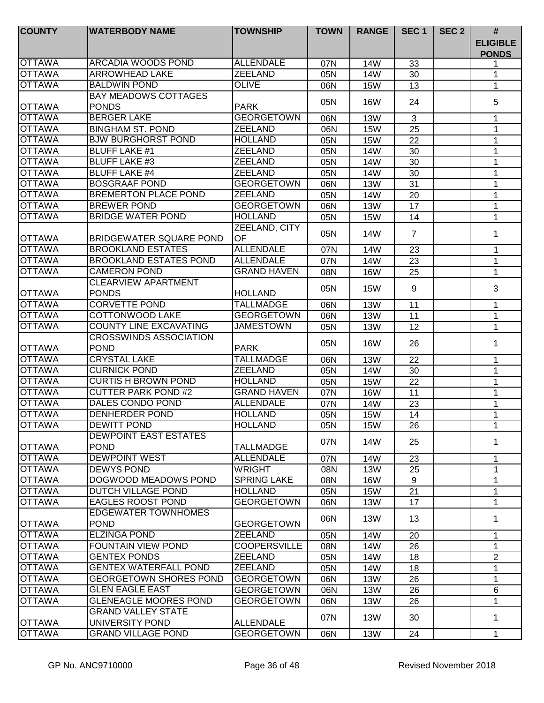| <b>COUNTY</b> | <b>WATERBODY NAME</b>                      | <b>TOWNSHIP</b>     | <b>TOWN</b> | <b>RANGE</b> | SEC <sub>1</sub> | SEC <sub>2</sub> | #                               |
|---------------|--------------------------------------------|---------------------|-------------|--------------|------------------|------------------|---------------------------------|
|               |                                            |                     |             |              |                  |                  | <b>ELIGIBLE</b><br><b>PONDS</b> |
| <b>OTTAWA</b> | <b>ARCADIA WOODS POND</b>                  | <b>ALLENDALE</b>    | 07N         | <b>14W</b>   | 33               |                  |                                 |
| <b>OTTAWA</b> | <b>ARROWHEAD LAKE</b>                      | <b>ZEELAND</b>      | 05N         | <b>14W</b>   | 30               |                  | 1                               |
| <b>OTTAWA</b> | <b>BALDWIN POND</b>                        | <b>OLIVE</b>        | 06N         | <b>15W</b>   | 13               |                  | 1                               |
|               | <b>BAY MEADOWS COTTAGES</b>                |                     | 05N         | <b>16W</b>   | 24               |                  | 5                               |
| <b>OTTAWA</b> | <b>PONDS</b>                               | <b>PARK</b>         |             |              |                  |                  |                                 |
| <b>OTTAWA</b> | <b>BERGER LAKE</b>                         | <b>GEORGETOWN</b>   | 06N         | <b>13W</b>   | 3                |                  | 1                               |
| <b>OTTAWA</b> | <b>BINGHAM ST. POND</b>                    | <b>ZEELAND</b>      | 06N         | <b>15W</b>   | 25               |                  | 1                               |
| <b>OTTAWA</b> | <b>BJW BURGHORST POND</b>                  | <b>HOLLAND</b>      | 05N         | <b>15W</b>   | 22               |                  | 1                               |
| <b>OTTAWA</b> | <b>BLUFF LAKE #1</b>                       | <b>ZEELAND</b>      | 05N         | 14W          | 30               |                  | 1                               |
| <b>OTTAWA</b> | <b>BLUFF LAKE #3</b>                       | <b>ZEELAND</b>      | 05N         | <b>14W</b>   | 30               |                  | 1                               |
| <b>OTTAWA</b> | <b>BLUFF LAKE #4</b>                       | <b>ZEELAND</b>      | 05N         | <b>14W</b>   | 30               |                  | 1                               |
| <b>OTTAWA</b> | <b>BOSGRAAF POND</b>                       | <b>GEORGETOWN</b>   | 06N         | <b>13W</b>   | 31               |                  | 1                               |
| <b>OTTAWA</b> | <b>BREMERTON PLACE POND</b>                | <b>ZEELAND</b>      | 05N         | <b>14W</b>   | 20               |                  | 1                               |
| <b>OTTAWA</b> | <b>BREWER POND</b>                         | <b>GEORGETOWN</b>   | 06N         | <b>13W</b>   | 17               |                  | 1                               |
| <b>OTTAWA</b> | <b>BRIDGE WATER POND</b>                   | <b>HOLLAND</b>      | 05N         | <b>15W</b>   | 14               |                  | $\mathbf{1}$                    |
|               |                                            | ZEELAND, CITY       | 05N         | 14W          | $\overline{7}$   |                  | 1                               |
| <b>OTTAWA</b> | <b>BRIDGEWATER SQUARE POND</b>             | OF                  |             |              |                  |                  |                                 |
| <b>OTTAWA</b> | <b>BROOKLAND ESTATES</b>                   | <b>ALLENDALE</b>    | 07N         | <b>14W</b>   | 23               |                  | 1                               |
| <b>OTTAWA</b> | <b>BROOKLAND ESTATES POND</b>              | <b>ALLENDALE</b>    | 07N         | <b>14W</b>   | 23               |                  | 1                               |
| <b>OTTAWA</b> | <b>CAMERON POND</b>                        | <b>GRAND HAVEN</b>  | 08N         | 16W          | 25               |                  | 1                               |
| <b>OTTAWA</b> | <b>CLEARVIEW APARTMENT</b><br><b>PONDS</b> | <b>HOLLAND</b>      | 05N         | <b>15W</b>   | 9                |                  | 3                               |
| <b>OTTAWA</b> | <b>CORVETTE POND</b>                       | <b>TALLMADGE</b>    | 06N         | <b>13W</b>   | 11               |                  | 1                               |
| <b>OTTAWA</b> | COTTONWOOD LAKE                            | <b>GEORGETOWN</b>   | 06N         | <b>13W</b>   | 11               |                  | 1                               |
| <b>OTTAWA</b> | <b>COUNTY LINE EXCAVATING</b>              | <b>JAMESTOWN</b>    | 05N         | <b>13W</b>   | 12               |                  | 1                               |
|               | <b>CROSSWINDS ASSOCIATION</b>              |                     | 05N         | 16W          | 26               |                  | 1                               |
| <b>OTTAWA</b> | <b>POND</b>                                | <b>PARK</b>         |             |              |                  |                  |                                 |
| <b>OTTAWA</b> | <b>CRYSTAL LAKE</b>                        | <b>TALLMADGE</b>    | 06N         | <b>13W</b>   | 22               |                  | 1                               |
| <b>OTTAWA</b> | <b>CURNICK POND</b>                        | <b>ZEELAND</b>      | 05N         | 14W          | 30               |                  | 1                               |
| <b>OTTAWA</b> | <b>CURTIS H BROWN POND</b>                 | <b>HOLLAND</b>      | 05N         | <b>15W</b>   | 22               |                  | 1                               |
| <b>OTTAWA</b> | <b>CUTTER PARK POND #2</b>                 | <b>GRAND HAVEN</b>  | 07N         | <b>16W</b>   | 11               |                  | 1                               |
| <b>OTTAWA</b> | <b>DALES CONDO POND</b>                    | <b>ALLENDALE</b>    | 07N         | 14W          | 23               |                  | 1                               |
| <b>OTTAWA</b> | <b>DENHERDER POND</b>                      | <b>HOLLAND</b>      | 05N         | <b>15W</b>   | 14               |                  | 1                               |
| <b>OTTAWA</b> | <b>DEWITT POND</b>                         | <b>HOLLAND</b>      | 05N         | 15W          | 26               |                  | $\mathbf{1}$                    |
| <b>OTTAWA</b> | DEWPOINT EAST ESTATES<br><b>POND</b>       | <b>TALLMADGE</b>    | 07N         | 14W          | 25               |                  | 1                               |
| <b>OTTAWA</b> | <b>DEWPOINT WEST</b>                       | <b>ALLENDALE</b>    | 07N         | 14W          | 23               |                  | 1                               |
| <b>OTTAWA</b> | <b>DEWYS POND</b>                          | <b>WRIGHT</b>       | 08N         | <b>13W</b>   | 25               |                  | 1                               |
| <b>OTTAWA</b> | DOGWOOD MEADOWS POND                       | <b>SPRING LAKE</b>  | 08N         | <b>16W</b>   | 9                |                  | 1                               |
| <b>OTTAWA</b> | DUTCH VILLAGE POND                         | <b>HOLLAND</b>      | 05N         | <b>15W</b>   | 21               |                  | 1                               |
| <b>OTTAWA</b> | <b>EAGLES ROOST POND</b>                   | <b>GEORGETOWN</b>   | 06N         | <b>13W</b>   | 17               |                  | 1                               |
|               | <b>EDGEWATER TOWNHOMES</b>                 |                     |             |              |                  |                  |                                 |
| <b>OTTAWA</b> | <b>POND</b>                                | <b>GEORGETOWN</b>   | 06N         | <b>13W</b>   | 13               |                  | 1                               |
| <b>OTTAWA</b> | <b>ELZINGA POND</b>                        | <b>ZEELAND</b>      | 05N         | 14W          | 20               |                  | $\mathbf 1$                     |
| <b>OTTAWA</b> | FOUNTAIN VIEW POND                         | <b>COOPERSVILLE</b> | 08N         | 14W          | 26               |                  | 1                               |
| <b>OTTAWA</b> | <b>GENTEX PONDS</b>                        | <b>ZEELAND</b>      | 05N         | 14W          | 18               |                  | $\overline{2}$                  |
| <b>OTTAWA</b> | <b>GENTEX WATERFALL POND</b>               | ZEELAND             | 05N         | 14W          | 18               |                  | 1                               |
| <b>OTTAWA</b> | <b>GEORGETOWN SHORES POND</b>              | <b>GEORGETOWN</b>   | 06N         | <b>13W</b>   | 26               |                  | 1                               |
| <b>OTTAWA</b> | <b>GLEN EAGLE EAST</b>                     | <b>GEORGETOWN</b>   | 06N         | <b>13W</b>   | 26               |                  | 6                               |
| <b>OTTAWA</b> | <b>GLENEAGLE MOORES POND</b>               | <b>GEORGETOWN</b>   | 06N         | <b>13W</b>   | 26               |                  | 1                               |
|               | <b>GRAND VALLEY STATE</b>                  |                     | 07N         | <b>13W</b>   | 30               |                  | 1                               |
| <b>OTTAWA</b> | UNIVERSITY POND                            | <b>ALLENDALE</b>    |             |              |                  |                  |                                 |
| <b>OTTAWA</b> | <b>GRAND VILLAGE POND</b>                  | <b>GEORGETOWN</b>   | 06N         | <b>13W</b>   | 24               |                  | 1                               |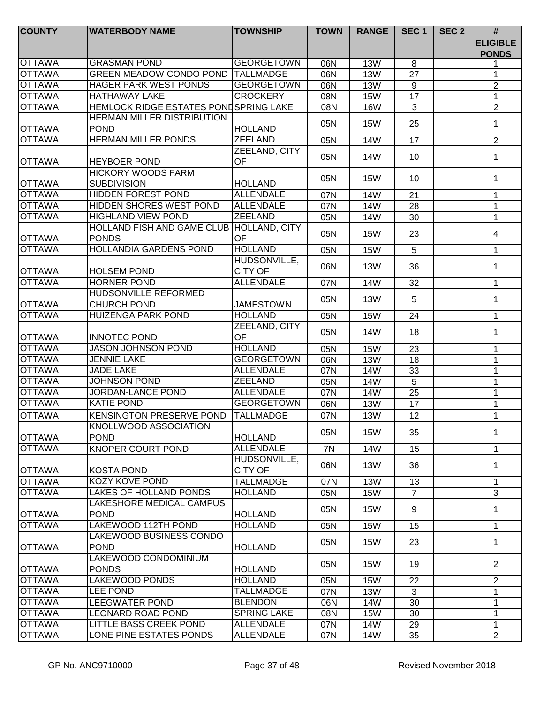| <b>COUNTY</b> | <b>WATERBODY NAME</b>                        | <b>TOWNSHIP</b>    | <b>TOWN</b> | <b>RANGE</b> | SEC <sub>1</sub> | SEC <sub>2</sub> | #                               |
|---------------|----------------------------------------------|--------------------|-------------|--------------|------------------|------------------|---------------------------------|
|               |                                              |                    |             |              |                  |                  | <b>ELIGIBLE</b><br><b>PONDS</b> |
| <b>OTTAWA</b> | <b>GRASMAN POND</b>                          | <b>GEORGETOWN</b>  | 06N         | <b>13W</b>   | 8                |                  |                                 |
| <b>OTTAWA</b> | <b>GREEN MEADOW CONDO POND</b>               | <b>TALLMADGE</b>   | 06N         | <b>13W</b>   | 27               |                  | 1                               |
| <b>OTTAWA</b> | <b>HAGER PARK WEST PONDS</b>                 | <b>GEORGETOWN</b>  | 06N         | <b>13W</b>   | 9                |                  | $\overline{2}$                  |
| <b>OTTAWA</b> | <b>HATHAWAY LAKE</b>                         | <b>CROCKERY</b>    | 08N         | <b>15W</b>   | 17               |                  | 1                               |
| <b>OTTAWA</b> | <b>HEMLOCK RIDGE ESTATES PONDSPRING LAKE</b> |                    | 08N         | <b>16W</b>   | 3                |                  | $\overline{2}$                  |
|               | <b>HERMAN MILLER DISTRIBUTION</b>            |                    |             |              | 25               |                  | 1                               |
| <b>OTTAWA</b> | <b>POND</b>                                  | <b>HOLLAND</b>     | 05N         | <b>15W</b>   |                  |                  |                                 |
| <b>OTTAWA</b> | <b>HERMAN MILLER PONDS</b>                   | <b>ZEELAND</b>     | 05N         | <b>14W</b>   | 17               |                  | $\overline{2}$                  |
|               |                                              | ZEELAND, CITY      | 05N         | 14W          | 10               |                  | 1                               |
| <b>OTTAWA</b> | <b>HEYBOER POND</b>                          | <b>OF</b>          |             |              |                  |                  |                                 |
|               | <b>HICKORY WOODS FARM</b>                    |                    | 05N         | <b>15W</b>   | 10               |                  | 1                               |
| <b>OTTAWA</b> | <b>SUBDIVISION</b>                           | <b>HOLLAND</b>     |             |              |                  |                  |                                 |
| <b>OTTAWA</b> | <b>HIDDEN FOREST POND</b>                    | <b>ALLENDALE</b>   | 07N         | <b>14W</b>   | 21               |                  | 1                               |
| <b>OTTAWA</b> | <b>HIDDEN SHORES WEST POND</b>               | <b>ALLENDALE</b>   | 07N         | 14W          | 28               |                  | 1                               |
| <b>OTTAWA</b> | <b>HIGHLAND VIEW POND</b>                    | <b>ZEELAND</b>     | 05N         | <b>14W</b>   | 30               |                  | 1                               |
|               | HOLLAND FISH AND GAME CLUB HOLLAND, CITY     |                    |             |              |                  |                  | $\overline{4}$                  |
| <b>OTTAWA</b> | <b>PONDS</b>                                 | OF                 | 05N         | <b>15W</b>   | 23               |                  |                                 |
| <b>OTTAWA</b> | <b>HOLLANDIA GARDENS POND</b>                | <b>HOLLAND</b>     | 05N         | <b>15W</b>   | 5                |                  | 1                               |
|               |                                              | HUDSONVILLE,       |             |              |                  |                  |                                 |
| <b>OTTAWA</b> | <b>HOLSEM POND</b>                           | <b>CITY OF</b>     | 06N         | <b>13W</b>   | 36               |                  | 1                               |
| <b>OTTAWA</b> | <b>HORNER POND</b>                           | <b>ALLENDALE</b>   | 07N         | 14W          | 32               |                  | 1                               |
|               | HUDSONVILLE REFORMED                         |                    |             |              |                  |                  |                                 |
| <b>OTTAWA</b> | <b>CHURCH POND</b>                           | <b>JAMESTOWN</b>   | 05N         | <b>13W</b>   | 5                |                  | 1                               |
| <b>OTTAWA</b> | <b>HUIZENGA PARK POND</b>                    | <b>HOLLAND</b>     | 05N         | <b>15W</b>   | 24               |                  | $\mathbf{1}$                    |
|               |                                              | ZEELAND, CITY      | 05N         | 14W          |                  |                  |                                 |
| <b>OTTAWA</b> | <b>INNOTEC POND</b>                          | OF                 |             |              | 18               |                  | 1                               |
| <b>OTTAWA</b> | <b>JASON JOHNSON POND</b>                    | <b>HOLLAND</b>     | 05N         | <b>15W</b>   | 23               |                  | 1                               |
| <b>OTTAWA</b> | <b>JENNIE LAKE</b>                           | <b>GEORGETOWN</b>  | 06N         | <b>13W</b>   | 18               |                  | $\mathbf{1}$                    |
| <b>OTTAWA</b> | <b>JADE LAKE</b>                             | <b>ALLENDALE</b>   | 07N         | <b>14W</b>   | 33               |                  | $\mathbf{1}$                    |
| <b>OTTAWA</b> | <b>JOHNSON POND</b>                          | <b>ZEELAND</b>     | 05N         | <b>14W</b>   | $\overline{5}$   |                  | 1                               |
| <b>OTTAWA</b> | <b>JORDAN-LANCE POND</b>                     | <b>ALLENDALE</b>   | 07N         | <b>14W</b>   | 25               |                  | 1                               |
| <b>OTTAWA</b> | <b>KATIE POND</b>                            | <b>GEORGETOWN</b>  | 06N         | <b>13W</b>   | 17               |                  | 1                               |
| <b>OTTAWA</b> | <b>KENSINGTON PRESERVE POND</b>              | <b>TALLMADGE</b>   | 07N         | <b>13W</b>   | 12               |                  | 1                               |
|               | KNOLLWOOD ASSOCIATION                        |                    |             |              |                  |                  |                                 |
| <b>OTTAWA</b> | <b>POND</b>                                  | <b>HOLLAND</b>     | 05N         | <b>15W</b>   | 35               |                  | 1                               |
| <b>OTTAWA</b> | KNOPER COURT POND                            | <b>ALLENDALE</b>   | 7N          | 14W          | 15               |                  | $\mathbf{1}$                    |
|               |                                              | HUDSONVILLE,       |             |              |                  |                  |                                 |
| <b>OTTAWA</b> | <b>KOSTA POND</b>                            | <b>CITY OF</b>     | 06N         | <b>13W</b>   | 36               |                  | 1                               |
| <b>OTTAWA</b> | KOZY KOVE POND                               | <b>TALLMADGE</b>   | 07N         | <b>13W</b>   | 13               |                  | 1                               |
| <b>OTTAWA</b> | <b>LAKES OF HOLLAND PONDS</b>                | <b>HOLLAND</b>     | 05N         | <b>15W</b>   | $\overline{7}$   |                  | 3                               |
|               | LAKESHORE MEDICAL CAMPUS                     |                    |             |              |                  |                  |                                 |
| <b>OTTAWA</b> | <b>POND</b>                                  | <b>HOLLAND</b>     | 05N         | <b>15W</b>   | 9                |                  | $\mathbf 1$                     |
| <b>OTTAWA</b> | <b>LAKEWOOD 112TH POND</b>                   | <b>HOLLAND</b>     | 05N         | <b>15W</b>   | 15               |                  | $\mathbf 1$                     |
|               | LAKEWOOD BUSINESS CONDO                      |                    |             |              |                  |                  |                                 |
| <b>OTTAWA</b> | <b>POND</b>                                  | <b>HOLLAND</b>     | 05N         | <b>15W</b>   | 23               |                  | $\mathbf 1$                     |
|               | LAKEWOOD CONDOMINIUM                         |                    |             |              |                  |                  |                                 |
| <b>OTTAWA</b> | <b>PONDS</b>                                 | <b>HOLLAND</b>     | 05N         | <b>15W</b>   | 19               |                  | $\overline{2}$                  |
| <b>OTTAWA</b> | <b>LAKEWOOD PONDS</b>                        | <b>HOLLAND</b>     | 05N         | <b>15W</b>   | 22               |                  | 2                               |
| <b>OTTAWA</b> | <b>LEE POND</b>                              | <b>TALLMADGE</b>   | 07N         | <b>13W</b>   | 3                |                  | 1                               |
| <b>OTTAWA</b> | LEEGWATER POND                               | <b>BLENDON</b>     | 06N         | 14W          | 30               |                  | 1                               |
| <b>OTTAWA</b> | <b>LEONARD ROAD POND</b>                     | <b>SPRING LAKE</b> | 08N         | <b>15W</b>   | 30               |                  | 1                               |
| <b>OTTAWA</b> | <b>LITTLE BASS CREEK POND</b>                | <b>ALLENDALE</b>   | 07N         | 14W          | 29               |                  | 1                               |
| <b>OTTAWA</b> | LONE PINE ESTATES PONDS                      | <b>ALLENDALE</b>   | 07N         | 14W          | 35               |                  | $\overline{2}$                  |
|               |                                              |                    |             |              |                  |                  |                                 |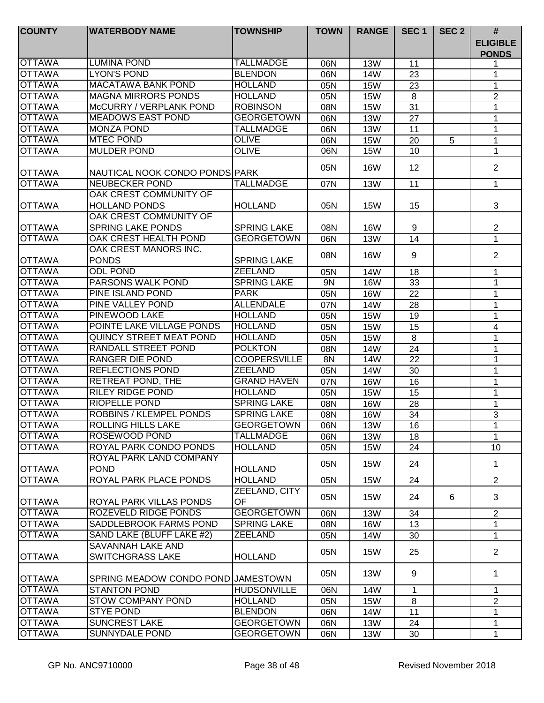| <b>COUNTY</b> | <b>WATERBODY NAME</b>                 | <b>TOWNSHIP</b>     | <b>TOWN</b> | <b>RANGE</b> | SEC <sub>1</sub> | SEC <sub>2</sub> | $\pmb{\#}$                      |
|---------------|---------------------------------------|---------------------|-------------|--------------|------------------|------------------|---------------------------------|
|               |                                       |                     |             |              |                  |                  | <b>ELIGIBLE</b><br><b>PONDS</b> |
| <b>OTTAWA</b> | <b>LUMINA POND</b>                    | <b>TALLMADGE</b>    | 06N         | <b>13W</b>   | 11               |                  | 1                               |
| <b>OTTAWA</b> | <b>LYON'S POND</b>                    | <b>BLENDON</b>      | 06N         | <b>14W</b>   | 23               |                  | 1                               |
| <b>OTTAWA</b> | <b>MACATAWA BANK POND</b>             | <b>HOLLAND</b>      | 05N         | <b>15W</b>   | 23               |                  | 1                               |
| <b>OTTAWA</b> | <b>MAGNA MIRRORS PONDS</b>            | <b>HOLLAND</b>      | 05N         | <b>15W</b>   | 8                |                  | $\overline{2}$                  |
| <b>OTTAWA</b> | McCURRY / VERPLANK POND               | <b>ROBINSON</b>     | 08N         | <b>15W</b>   | 31               |                  | 1                               |
| <b>OTTAWA</b> | <b>MEADOWS EAST POND</b>              | <b>GEORGETOWN</b>   | 06N         | <b>13W</b>   | 27               |                  | 1                               |
| <b>OTTAWA</b> | <b>MONZA POND</b>                     | <b>TALLMADGE</b>    | 06N         | <b>13W</b>   | 11               |                  | 1                               |
| <b>OTTAWA</b> | <b>MTEC POND</b>                      | <b>OLIVE</b>        | 06N         | <b>15W</b>   | 20               | 5                | 1                               |
| <b>OTTAWA</b> | <b>MULDER POND</b>                    | <b>OLIVE</b>        | 06N         | <b>15W</b>   | 10               |                  | 1                               |
| <b>OTTAWA</b> | NAUTICAL NOOK CONDO PONDS PARK        |                     | 05N         | <b>16W</b>   | 12               |                  | $\overline{2}$                  |
| <b>OTTAWA</b> | <b>NEUBECKER POND</b>                 | <b>TALLMADGE</b>    | 07N         | <b>13W</b>   | 11               |                  | $\mathbf{1}$                    |
|               | OAK CREST COMMUNITY OF                |                     |             |              |                  |                  |                                 |
| <b>OTTAWA</b> | <b>HOLLAND PONDS</b>                  | <b>HOLLAND</b>      | 05N         | 15W          | 15               |                  | 3                               |
|               | OAK CREST COMMUNITY OF                |                     |             |              |                  |                  |                                 |
| <b>OTTAWA</b> | <b>SPRING LAKE PONDS</b>              | <b>SPRING LAKE</b>  | 08N         | <b>16W</b>   | 9                |                  | 2                               |
| <b>OTTAWA</b> | OAK CREST HEALTH POND                 | <b>GEORGETOWN</b>   | 06N         | <b>13W</b>   | 14               |                  | $\mathbf{1}$                    |
| <b>OTTAWA</b> | OAK CREST MANORS INC.<br><b>PONDS</b> | <b>SPRING LAKE</b>  | 08N         | <b>16W</b>   | 9                |                  | 2                               |
| <b>OTTAWA</b> | <b>ODL POND</b>                       | <b>ZEELAND</b>      | 05N         | <b>14W</b>   | 18               |                  | 1                               |
| <b>OTTAWA</b> | PARSONS WALK POND                     | <b>SPRING LAKE</b>  | 9N          | <b>16W</b>   | 33               |                  | 1                               |
| <b>OTTAWA</b> | PINE ISLAND POND                      | <b>PARK</b>         | 05N         | <b>16W</b>   | 22               |                  | 1                               |
| <b>OTTAWA</b> | PINE VALLEY POND                      | <b>ALLENDALE</b>    | 07N         | <b>14W</b>   | 28               |                  | 1                               |
| <b>OTTAWA</b> | PINEWOOD LAKE                         | <b>HOLLAND</b>      | 05N         | <b>15W</b>   | 19               |                  | 1                               |
| <b>OTTAWA</b> | POINTE LAKE VILLAGE PONDS             | <b>HOLLAND</b>      | 05N         | <b>15W</b>   | 15               |                  | 4                               |
| <b>OTTAWA</b> | QUINCY STREET MEAT POND               | <b>HOLLAND</b>      | 05N         | <b>15W</b>   | 8                |                  | 1                               |
| <b>OTTAWA</b> | RANDALL STREET POND                   | <b>POLKTON</b>      | 08N         | <b>14W</b>   | 24               |                  | 1                               |
| <b>OTTAWA</b> | <b>RANGER DIE POND</b>                | <b>COOPERSVILLE</b> | 8N          | <b>14W</b>   | $\overline{22}$  |                  | 1                               |
| <b>OTTAWA</b> | <b>REFLECTIONS POND</b>               | <b>ZEELAND</b>      | 05N         | 14W          | 30               |                  | 1                               |
| <b>OTTAWA</b> | <b>RETREAT POND, THE</b>              | <b>GRAND HAVEN</b>  | 07N         | <b>16W</b>   | 16               |                  | 1                               |
| <b>OTTAWA</b> | <b>RILEY RIDGE POND</b>               | <b>HOLLAND</b>      | 05N         | <b>15W</b>   | 15               |                  | $\mathbf 1$                     |
| <b>OTTAWA</b> | <b>RIOPELLE POND</b>                  | <b>SPRING LAKE</b>  | 08N         | <b>16W</b>   | 28               |                  | 1                               |
| <b>OTTAWA</b> | <b>ROBBINS / KLEMPEL PONDS</b>        | <b>SPRING LAKE</b>  | 08N         | <b>16W</b>   | 34               |                  | 3                               |
| <b>OTTAWA</b> | <b>ROLLING HILLS LAKE</b>             | <b>GEORGETOWN</b>   | 06N         | <b>13W</b>   | 16               |                  | 1                               |
| <b>OTTAWA</b> | ROSEWOOD POND                         | <b>TALLMADGE</b>    | 06N         | <b>13W</b>   | 18               |                  | 1                               |
| <b>OTTAWA</b> | ROYAL PARK CONDO PONDS                | <b>HOLLAND</b>      | 05N         | <b>15W</b>   | 24               |                  | 10                              |
|               | ROYAL PARK LAND COMPANY               |                     |             |              |                  |                  |                                 |
| <b>OTTAWA</b> | <b>POND</b>                           | <b>HOLLAND</b>      | 05N         | <b>15W</b>   | 24               |                  | 1                               |
| <b>OTTAWA</b> | ROYAL PARK PLACE PONDS                | <b>HOLLAND</b>      | 05N         | <b>15W</b>   | 24               |                  | $\overline{2}$                  |
| <b>OTTAWA</b> | ROYAL PARK VILLAS PONDS               | ZEELAND, CITY<br>OF | 05N         | <b>15W</b>   | 24               | 6                | 3                               |
| <b>OTTAWA</b> | ROZEVELD RIDGE PONDS                  | <b>GEORGETOWN</b>   | 06N         | <b>13W</b>   | 34               |                  | $\overline{2}$                  |
| <b>OTTAWA</b> | SADDLEBROOK FARMS POND                | <b>SPRING LAKE</b>  | 08N         | <b>16W</b>   | 13               |                  | 1                               |
| <b>OTTAWA</b> | SAND LAKE (BLUFF LAKE #2)             | <b>ZEELAND</b>      | 05N         | 14W          | 30               |                  | $\mathbf{1}$                    |
|               | SAVANNAH LAKE AND                     |                     | 05N         | <b>15W</b>   | 25               |                  | $\overline{2}$                  |
| <b>OTTAWA</b> | <b>SWITCHGRASS LAKE</b>               | <b>HOLLAND</b>      |             |              |                  |                  |                                 |
| <b>OTTAWA</b> | SPRING MEADOW CONDO POND JJAMESTOWN   |                     | 05N         | <b>13W</b>   | 9                |                  | $\mathbf 1$                     |
| <b>OTTAWA</b> | <b>STANTON POND</b>                   | <b>HUDSONVILLE</b>  | 06N         | 14W          | $\mathbf{1}$     |                  | 1                               |
| <b>OTTAWA</b> | <b>STOW COMPANY POND</b>              | <b>HOLLAND</b>      | 05N         | <b>15W</b>   | 8                |                  | $\overline{2}$                  |
| <b>OTTAWA</b> | <b>STYE POND</b>                      | <b>BLENDON</b>      | 06N         | 14W          | 11               |                  | 1                               |
| <b>OTTAWA</b> | <b>SUNCREST LAKE</b>                  | <b>GEORGETOWN</b>   | 06N         | 13W          | 24               |                  | 1                               |
| <b>OTTAWA</b> | SUNNYDALE POND                        | <b>GEORGETOWN</b>   | 06N         | 13W          | 30               |                  | 1                               |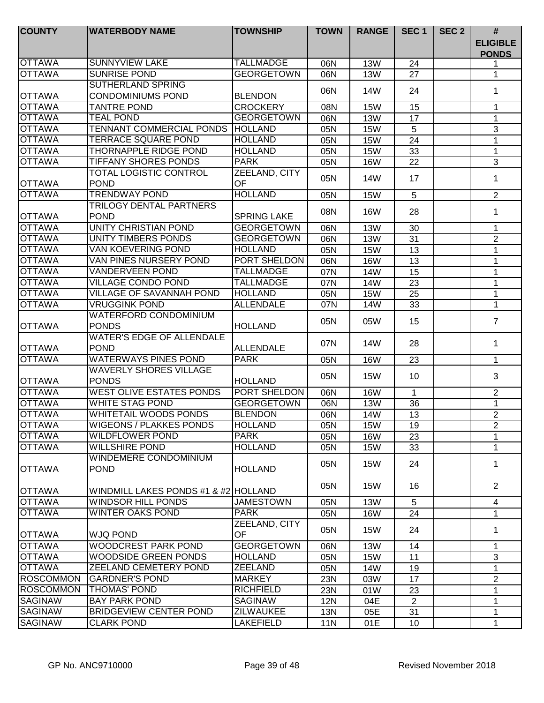| <b>COUNTY</b>    | <b>WATERBODY NAME</b>                | <b>TOWNSHIP</b>    | <b>TOWN</b> | <b>RANGE</b> | SEC <sub>1</sub> | SEC <sub>2</sub> | #                               |
|------------------|--------------------------------------|--------------------|-------------|--------------|------------------|------------------|---------------------------------|
|                  |                                      |                    |             |              |                  |                  | <b>ELIGIBLE</b><br><b>PONDS</b> |
| <b>OTTAWA</b>    | <b>SUNNYVIEW LAKE</b>                | <b>TALLMADGE</b>   | 06N         | <b>13W</b>   | 24               |                  | 1                               |
| <b>OTTAWA</b>    | <b>SUNRISE POND</b>                  | <b>GEORGETOWN</b>  | 06N         | <b>13W</b>   | 27               |                  | 1.                              |
|                  | <b>SUTHERLAND SPRING</b>             |                    | 06N         | 14W          | 24               |                  | 1                               |
| <b>OTTAWA</b>    | <b>CONDOMINIUMS POND</b>             | <b>BLENDON</b>     |             |              |                  |                  |                                 |
| <b>OTTAWA</b>    | <b>TANTRE POND</b>                   | <b>CROCKERY</b>    | 08N         | <b>15W</b>   | 15               |                  | 1                               |
| <b>OTTAWA</b>    | <b>TEAL POND</b>                     | <b>GEORGETOWN</b>  | 06N         | <b>13W</b>   | 17               |                  | 1                               |
| <b>OTTAWA</b>    | <b>TENNANT COMMERCIAL PONDS</b>      | <b>HOLLAND</b>     | 05N         | <b>15W</b>   | 5                |                  | $\mathbf{3}$                    |
| <b>OTTAWA</b>    | <b>TERRACE SQUARE POND</b>           | <b>HOLLAND</b>     | 05N         | <b>15W</b>   | 24               |                  | 1                               |
| <b>OTTAWA</b>    | <b>THORNAPPLE RIDGE POND</b>         | <b>HOLLAND</b>     | 05N         | <b>15W</b>   | 33               |                  | 1                               |
| <b>OTTAWA</b>    | <b>TIFFANY SHORES PONDS</b>          | <b>PARK</b>        | 05N         | <b>16W</b>   | 22               |                  | $\overline{3}$                  |
|                  | <b>TOTAL LOGISTIC CONTROL</b>        | ZEELAND, CITY      | 05N         | 14W          | 17               |                  | 1                               |
| <b>OTTAWA</b>    | <b>POND</b>                          | OF                 |             |              |                  |                  |                                 |
| <b>OTTAWA</b>    | <b>TRENDWAY POND</b>                 | <b>HOLLAND</b>     | 05N         | <b>15W</b>   | 5                |                  | $\overline{2}$                  |
|                  | TRILOGY DENTAL PARTNERS              |                    | 08N         | <b>16W</b>   | 28               |                  | 1                               |
| <b>OTTAWA</b>    | <b>POND</b>                          | <b>SPRING LAKE</b> |             |              |                  |                  |                                 |
| <b>OTTAWA</b>    | UNITY CHRISTIAN POND                 | <b>GEORGETOWN</b>  | 06N         | <b>13W</b>   | 30               |                  | 1                               |
| <b>OTTAWA</b>    | UNITY TIMBERS PONDS                  | <b>GEORGETOWN</b>  | 06N         | <b>13W</b>   | 31               |                  | $\overline{2}$                  |
| <b>OTTAWA</b>    | <b>VAN KOEVERING POND</b>            | <b>HOLLAND</b>     | 05N         | <b>15W</b>   | 13               |                  | 1                               |
| <b>OTTAWA</b>    | VAN PINES NURSERY POND               | PORT SHELDON       | 06N         | <b>16W</b>   | 13               |                  | 1                               |
| <b>OTTAWA</b>    | <b>VANDERVEEN POND</b>               | <b>TALLMADGE</b>   | 07N         | 14W          | 15               |                  | 1                               |
| <b>OTTAWA</b>    | <b>VILLAGE CONDO POND</b>            | <b>TALLMADGE</b>   | 07N         | <b>14W</b>   | 23               |                  | 1                               |
| <b>OTTAWA</b>    | VILLAGE OF SAVANNAH POND             | <b>HOLLAND</b>     | 05N         | <b>15W</b>   | 25               |                  | 1                               |
| <b>OTTAWA</b>    | <b>VRUGGINK POND</b>                 | <b>ALLENDALE</b>   | 07N         | <b>14W</b>   | 33               |                  | 1                               |
|                  | <b>WATERFORD CONDOMINIUM</b>         |                    | 05N         | 05W          | 15               |                  | $\overline{7}$                  |
| <b>OTTAWA</b>    | <b>PONDS</b>                         | <b>HOLLAND</b>     |             |              |                  |                  |                                 |
|                  | <b>WATER'S EDGE OF ALLENDALE</b>     |                    | 07N         | 14W          | 28               |                  | $\mathbf 1$                     |
| <b>OTTAWA</b>    | <b>POND</b>                          | <b>ALLENDALE</b>   |             |              |                  |                  |                                 |
| <b>OTTAWA</b>    | <b>WATERWAYS PINES POND</b>          | <b>PARK</b>        | 05N         | <b>16W</b>   | 23               |                  | $\mathbf 1$                     |
|                  | <b>WAVERLY SHORES VILLAGE</b>        |                    | 05N         | <b>15W</b>   | 10               |                  | 3                               |
| <b>OTTAWA</b>    | <b>PONDS</b>                         | <b>HOLLAND</b>     |             |              |                  |                  |                                 |
| <b>OTTAWA</b>    | <b>WEST OLIVE ESTATES PONDS</b>      | PORT SHELDON       | 06N         | <b>16W</b>   | $\mathbf{1}$     |                  | $\overline{2}$                  |
| <b>OTTAWA</b>    | <b>WHITE STAG POND</b>               | <b>GEORGETOWN</b>  | 06N         | <b>13W</b>   | 36               |                  | 1                               |
| <b>OTTAWA</b>    | <b>WHITETAIL WOODS PONDS</b>         | <b>BLENDON</b>     | 06N         | 14W          | 13               |                  | $\overline{2}$                  |
| <b>OTTAWA</b>    | <b>WIGEONS / PLAKKES PONDS</b>       | <b>HOLLAND</b>     | 05N         | <b>15W</b>   | 19               |                  | 2                               |
| <b>OTTAWA</b>    | <b>WILDFLOWER POND</b>               | <b>PARK</b>        | 05N         | <b>16W</b>   | 23               |                  | 1                               |
| <b>OTTAWA</b>    | <b>WILLSHIRE POND</b>                | <b>HOLLAND</b>     | 05N         | 15W          | 33               |                  | 1                               |
|                  | WINDEMERE CONDOMINIUM                |                    | 05N         | 15W          | 24               |                  | 1                               |
| <b>OTTAWA</b>    | <b>POND</b>                          | <b>HOLLAND</b>     |             |              |                  |                  |                                 |
|                  |                                      |                    | 05N         | 15W          | 16               |                  | 2                               |
| <b>OTTAWA</b>    | WINDMILL LAKES PONDS #1 & #2 HOLLAND |                    |             |              |                  |                  |                                 |
| <b>OTTAWA</b>    | <b>WINDSOR HILL PONDS</b>            | <b>JAMESTOWN</b>   | 05N         | <b>13W</b>   | 5                |                  | $\overline{4}$                  |
| <b>OTTAWA</b>    | <b>WINTER OAKS POND</b>              | PARK               | 05N         | <b>16W</b>   | 24               |                  | $\mathbf 1$                     |
|                  |                                      | ZEELAND, CITY      | 05N         | 15W          | 24               |                  | 1.                              |
| <b>OTTAWA</b>    | <b>WJQ POND</b>                      | OF                 |             |              |                  |                  |                                 |
| <b>OTTAWA</b>    | <b>WOODCREST PARK POND</b>           | <b>GEORGETOWN</b>  | 06N         | 13W          | 14               |                  | 1                               |
| <b>OTTAWA</b>    | <b>WOODSIDE GREEN PONDS</b>          | <b>HOLLAND</b>     | 05N         | <b>15W</b>   | 11               |                  | 3                               |
| <b>OTTAWA</b>    | ZEELAND CEMETERY POND                | <b>ZEELAND</b>     | 05N         | 14W          | 19               |                  | 1                               |
| <b>ROSCOMMON</b> | <b>GARDNER'S POND</b>                | <b>MARKEY</b>      | 23N         | 03W          | 17               |                  | $\overline{2}$                  |
| <b>ROSCOMMON</b> | <b>THOMAS' POND</b>                  | <b>RICHFIELD</b>   | 23N         | 01W          | 23               |                  | 1                               |
| <b>SAGINAW</b>   | <b>BAY PARK POND</b>                 | SAGINAW            | <b>12N</b>  | 04E          | 2                |                  | 1                               |
| <b>SAGINAW</b>   | <b>BRIDGEVIEW CENTER POND</b>        | <b>ZILWAUKEE</b>   | 13N         | 05E          | 31               |                  | 1                               |
| <b>SAGINAW</b>   | <b>CLARK POND</b>                    | LAKEFIELD          | 11N         | 01E          | 10               |                  | 1                               |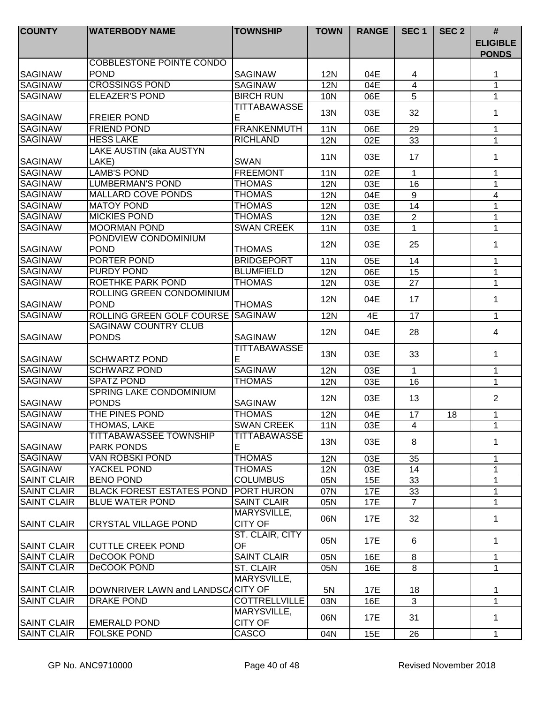| <b>COUNTY</b>      | <b>WATERBODY NAME</b>                    | <b>TOWNSHIP</b>               | <b>TOWN</b> | <b>RANGE</b> | SEC <sub>1</sub> | SEC <sub>2</sub> | $\#$                            |
|--------------------|------------------------------------------|-------------------------------|-------------|--------------|------------------|------------------|---------------------------------|
|                    |                                          |                               |             |              |                  |                  | <b>ELIGIBLE</b><br><b>PONDS</b> |
|                    | <b>COBBLESTONE POINTE CONDO</b>          |                               |             |              |                  |                  |                                 |
| <b>SAGINAW</b>     | <b>POND</b>                              | <b>SAGINAW</b>                | <b>12N</b>  | 04E          | 4                |                  | 1                               |
| <b>SAGINAW</b>     | <b>CROSSINGS POND</b>                    | <b>SAGINAW</b>                | <b>12N</b>  | 04E          | 4                |                  | 1                               |
| <b>SAGINAW</b>     | <b>ELEAZER'S POND</b>                    | <b>BIRCH RUN</b>              | 10N         | 06E          | 5                |                  | $\mathbf 1$                     |
|                    |                                          | <b>TITTABAWASSE</b>           | 13N         | 03E          | 32               |                  | 1                               |
| <b>SAGINAW</b>     | <b>FREIER POND</b>                       | Е                             |             |              |                  |                  |                                 |
| <b>SAGINAW</b>     | <b>FRIEND POND</b>                       | <b>FRANKENMUTH</b>            | <b>11N</b>  | 06E          | 29               |                  | 1                               |
| <b>SAGINAW</b>     | <b>HESS LAKE</b>                         | <b>RICHLAND</b>               | <b>12N</b>  | 02E          | 33               |                  | 1                               |
|                    | LAKE AUSTIN (aka AUSTYN                  |                               | <b>11N</b>  | 03E          | 17               |                  | 1                               |
| <b>SAGINAW</b>     | LAKE)                                    | <b>SWAN</b>                   |             |              |                  |                  |                                 |
| <b>SAGINAW</b>     | <b>LAMB'S POND</b>                       | <b>FREEMONT</b>               | <b>11N</b>  | 02E          | $\mathbf 1$      |                  | $\mathbf 1$                     |
| <b>SAGINAW</b>     | <b>LUMBERMAN'S POND</b>                  | <b>THOMAS</b>                 | <b>12N</b>  | 03E          | 16               |                  | 1                               |
| <b>SAGINAW</b>     | <b>MALLARD COVE PONDS</b>                | <b>THOMAS</b>                 | <b>12N</b>  | 04E          | 9                |                  | 4                               |
| <b>SAGINAW</b>     | <b>MATOY POND</b>                        | <b>THOMAS</b>                 | <b>12N</b>  | 03E          | 14               |                  | 1                               |
| <b>SAGINAW</b>     | <b>MICKIES POND</b>                      | <b>THOMAS</b>                 | <b>12N</b>  | 03E          | $\overline{2}$   |                  | 1                               |
| <b>SAGINAW</b>     | <b>MOORMAN POND</b>                      | <b>SWAN CREEK</b>             | <b>11N</b>  | 03E          | 1                |                  | 1                               |
|                    | PONDVIEW CONDOMINIUM                     |                               | <b>12N</b>  | 03E          | 25               |                  | 1                               |
| <b>SAGINAW</b>     | <b>POND</b>                              | <b>THOMAS</b>                 |             |              |                  |                  |                                 |
| <b>SAGINAW</b>     | PORTER POND                              | <b>BRIDGEPORT</b>             | <b>11N</b>  | 05E          | 14               |                  | 1                               |
| <b>SAGINAW</b>     | PURDY POND                               | <b>BLUMFIELD</b>              | 12N         | 06E          | 15               |                  | 1                               |
| <b>SAGINAW</b>     | ROETHKE PARK POND                        | <b>THOMAS</b>                 | 12N         | 03E          | 27               |                  | 1                               |
| <b>SAGINAW</b>     | ROLLING GREEN CONDOMINIUM<br><b>POND</b> | <b>THOMAS</b>                 | 12N         | 04E          | 17               |                  | $\mathbf 1$                     |
| <b>SAGINAW</b>     | ROLLING GREEN GOLF COURSE                | <b>SAGINAW</b>                | <b>12N</b>  | 4E           | 17               |                  | $\mathbf{1}$                    |
|                    | <b>SAGINAW COUNTRY CLUB</b>              |                               |             |              |                  |                  |                                 |
| <b>ISAGINAW</b>    | <b>PONDS</b>                             | <b>SAGINAW</b>                | <b>12N</b>  | 04E          | 28               |                  | 4                               |
| <b>SAGINAW</b>     | <b>SCHWARTZ POND</b>                     | <b>TITTABAWASSE</b><br>E      | <b>13N</b>  | 03E          | 33               |                  | $\mathbf 1$                     |
| <b>SAGINAW</b>     | <b>SCHWARZ POND</b>                      | <b>SAGINAW</b>                | <b>12N</b>  | 03E          | $\mathbf{1}$     |                  | $\mathbf{1}$                    |
| <b>SAGINAW</b>     | <b>SPATZ POND</b>                        | <b>THOMAS</b>                 | 12N         | 03E          | 16               |                  | 1                               |
|                    | <b>SPRING LAKE CONDOMINIUM</b>           |                               |             |              |                  |                  |                                 |
| <b>SAGINAW</b>     | <b>PONDS</b>                             | <b>SAGINAW</b>                | <b>12N</b>  | 03E          | 13               |                  | $\overline{2}$                  |
| <b>SAGINAW</b>     | <b>THE PINES POND</b>                    | <b>THOMAS</b>                 | <b>12N</b>  | 04E          | 17               | 18               | $\mathbf 1$                     |
| SAGINAW            | <b>THOMAS, LAKE</b>                      | <b>SWAN CREEK</b>             | 11N         | 03E          | 4                |                  | 1                               |
|                    | <b>TITTABAWASSEE TOWNSHIP</b>            | <b>TITTABAWASSE</b>           |             |              |                  |                  |                                 |
| <b>SAGINAW</b>     | <b>PARK PONDS</b>                        | Е                             | 13N         | 03E          | 8                |                  | 1                               |
| <b>SAGINAW</b>     | <b>VAN ROBSKI POND</b>                   | <b>THOMAS</b>                 | <b>12N</b>  | 03E          | 35               |                  | 1                               |
| <b>SAGINAW</b>     | YACKEL POND                              | <b>THOMAS</b>                 | <b>12N</b>  | 03E          | 14               |                  | $\mathbf 1$                     |
| <b>SAINT CLAIR</b> | <b>BENO POND</b>                         | <b>COLUMBUS</b>               | 05N         | 15E          | 33               |                  | 1                               |
| <b>SAINT CLAIR</b> | <b>BLACK FOREST ESTATES POND</b>         | <b>PORT HURON</b>             | 07N         | 17E          | 33               |                  | 1                               |
| <b>SAINT CLAIR</b> | <b>BLUE WATER POND</b>                   | <b>SAINT CLAIR</b>            | 05N         | 17E          | $\overline{7}$   |                  | $\mathbf 1$                     |
| <b>SAINT CLAIR</b> | <b>CRYSTAL VILLAGE POND</b>              | MARYSVILLE,<br><b>CITY OF</b> | 06N         | 17E          | 32               |                  | 1.                              |
|                    |                                          | ST. CLAIR, CITY               |             |              |                  |                  |                                 |
| <b>SAINT CLAIR</b> | <b>CUTTLE CREEK POND</b>                 | <b>OF</b>                     | 05N         | 17E          | 6                |                  | 1                               |
| <b>SAINT CLAIR</b> | DeCOOK POND                              | <b>SAINT CLAIR</b>            | 05N         | 16E          | 8                |                  | 1                               |
| <b>SAINT CLAIR</b> | DeCOOK POND                              | ST. CLAIR                     | 05N         | 16E          | 8                |                  | 1                               |
|                    |                                          | MARYSVILLE,                   |             |              |                  |                  |                                 |
| <b>SAINT CLAIR</b> | DOWNRIVER LAWN and LANDSCACITY OF        |                               | 5N          | 17E          | 18               |                  | 1                               |
| <b>SAINT CLAIR</b> | <b>DRAKE POND</b>                        | <b>COTTRELLVILLE</b>          | 03N         | 16E          | 3                |                  | 1                               |
|                    |                                          | MARYSVILLE,                   | 06N         | 17E          | 31               |                  | $\mathbf 1$                     |
| <b>SAINT CLAIR</b> | <b>EMERALD POND</b>                      | <b>CITY OF</b>                |             |              |                  |                  |                                 |
| <b>SAINT CLAIR</b> | <b>FOLSKE POND</b>                       | CASCO                         | 04N         | 15E          | 26               |                  | $\mathbf{1}$                    |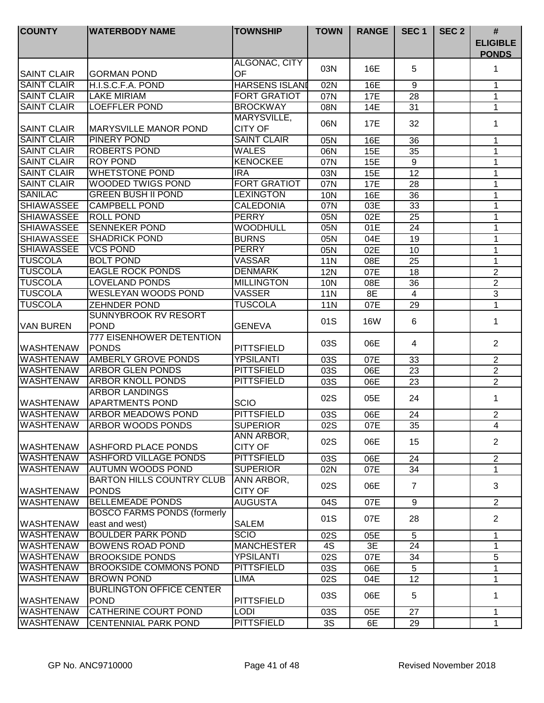| <b>COUNTY</b>      | <b>WATERBODY NAME</b>                            | <b>TOWNSHIP</b>               | <b>TOWN</b> | <b>RANGE</b> | SEC <sub>1</sub> | SEC <sub>2</sub> | $\#$                            |
|--------------------|--------------------------------------------------|-------------------------------|-------------|--------------|------------------|------------------|---------------------------------|
|                    |                                                  |                               |             |              |                  |                  | <b>ELIGIBLE</b><br><b>PONDS</b> |
| <b>SAINT CLAIR</b> | <b>GORMAN POND</b>                               | ALGONAC, CITY<br>OF           | 03N         | 16E          | 5                |                  | 1                               |
| <b>SAINT CLAIR</b> | H.I.S.C.F.A. POND                                | <b>HARSENS ISLAND</b>         | 02N         | 16E          | 9                |                  | 1                               |
| <b>SAINT CLAIR</b> | <b>LAKE MIRIAM</b>                               | <b>FORT GRATIOT</b>           | 07N         | 17E          | 28               |                  | 1                               |
| <b>SAINT CLAIR</b> | <b>LOEFFLER POND</b>                             | <b>BROCKWAY</b>               | 08N         | 14E          | 31               |                  | 1                               |
| <b>SAINT CLAIR</b> | <b>MARYSVILLE MANOR POND</b>                     | MARYSVILLE,<br><b>CITY OF</b> | 06N         | 17E          | 32               |                  | 1                               |
| <b>SAINT CLAIR</b> | <b>PINERY POND</b>                               | <b>SAINT CLAIR</b>            | 05N         | 16E          | 36               |                  | 1                               |
| <b>SAINT CLAIR</b> | <b>ROBERTS POND</b>                              | <b>WALES</b>                  | 06N         | 15E          | 35               |                  | 1                               |
| <b>SAINT CLAIR</b> | <b>ROY POND</b>                                  | <b>KENOCKEE</b>               | 07N         | 15E          | 9                |                  | $\mathbf 1$                     |
| <b>SAINT CLAIR</b> | <b>WHETSTONE POND</b>                            | <b>IRA</b>                    | 03N         | 15E          | 12               |                  | 1                               |
| <b>SAINT CLAIR</b> | <b>WOODED TWIGS POND</b>                         | <b>FORT GRATIOT</b>           | 07N         | 17E          | 28               |                  | 1                               |
| <b>SANILAC</b>     | <b>GREEN BUSH II POND</b>                        | <b>LEXINGTON</b>              | 10N         | 16E          | 36               |                  | 1                               |
| <b>SHIAWASSEE</b>  | <b>CAMPBELL POND</b>                             | CALEDONIA                     | 07N         | 03E          | 33               |                  | 1                               |
| <b>SHIAWASSEE</b>  | <b>ROLL POND</b>                                 | <b>PERRY</b>                  | 05N         | 02E          | $\overline{25}$  |                  | 1                               |
| <b>SHIAWASSEE</b>  | <b>SENNEKER POND</b>                             | <b>WOODHULL</b>               | 05N         | 01E          | 24               |                  | 1                               |
| <b>SHIAWASSEE</b>  | <b>SHADRICK POND</b>                             | <b>BURNS</b>                  | 05N         | 04E          | 19               |                  | 1                               |
| <b>SHIAWASSEE</b>  | <b>VCS POND</b>                                  | <b>PERRY</b>                  | 05N         | 02E          | 10               |                  | 1                               |
| <b>TUSCOLA</b>     | <b>BOLT POND</b>                                 | <b>VASSAR</b>                 | 11N         | 08E          | 25               |                  | 1                               |
| <b>TUSCOLA</b>     | <b>EAGLE ROCK PONDS</b>                          | <b>DENMARK</b>                | <b>12N</b>  | 07E          | 18               |                  | $\mathbf{2}$                    |
| <b>TUSCOLA</b>     | LOVELAND PONDS                                   | <b>MILLINGTON</b>             | 10N         | 08E          | 36               |                  | $\overline{2}$                  |
| <b>TUSCOLA</b>     | WESLEYAN WOODS POND                              | <b>VASSER</b>                 | <b>11N</b>  | 8E           | $\overline{4}$   |                  | 3                               |
| <b>TUSCOLA</b>     | <b>ZEHNDER POND</b>                              | <b>TUSCOLA</b>                | <b>11N</b>  | 07E          | 29               |                  | 1                               |
|                    | <b>SUNNYBROOK RV RESORT</b>                      |                               |             |              |                  |                  |                                 |
| <b>VAN BUREN</b>   | <b>POND</b>                                      | <b>GENEVA</b>                 | 01S         | <b>16W</b>   | 6                |                  | 1                               |
| <b>WASHTENAW</b>   | 777 EISENHOWER DETENTION<br><b>PONDS</b>         | PITTSFIELD                    | 03S         | 06E          | 4                |                  | $\overline{2}$                  |
| <b>WASHTENAW</b>   | <b>AMBERLY GROVE PONDS</b>                       | <b>YPSILANTI</b>              | 03S         | 07E          | 33               |                  | $\overline{2}$                  |
| <b>WASHTENAW</b>   | <b>ARBOR GLEN PONDS</b>                          | <b>PITTSFIELD</b>             | 03S         | 06E          | 23               |                  | $\overline{2}$                  |
| <b>WASHTENAW</b>   | <b>ARBOR KNOLL PONDS</b>                         | <b>PITTSFIELD</b>             | 03S         | 06E          | 23               |                  | $\overline{2}$                  |
|                    | <b>ARBOR LANDINGS</b>                            |                               |             |              |                  |                  |                                 |
| <b>WASHTENAW</b>   | <b>APARTMENTS POND</b>                           | <b>SCIO</b>                   | 02S         | 05E          | 24               |                  | 1                               |
| <b>WASHTENAW</b>   | <b>ARBOR MEADOWS POND</b>                        | <b>PITTSFIELD</b>             | 03S         | 06E          | 24               |                  | $\overline{2}$                  |
| <b>WASHTENAW</b>   | <b>ARBOR WOODS PONDS</b>                         | <b>SUPERIOR</b>               | 02S         | 07E          | 35               |                  | 4                               |
| <b>WASHTENAW</b>   | <b>ASHFORD PLACE PONDS</b>                       | ANN ARBOR,<br><b>CITY OF</b>  | 02S         | 06E          | 15               |                  | $\overline{2}$                  |
| <b>WASHTENAW</b>   | <b>ASHFORD VILLAGE PONDS</b>                     | <b>PITTSFIELD</b>             | 03S         | 06E          | 24               |                  | $\overline{2}$                  |
| <b>WASHTENAW</b>   | <b>AUTUMN WOODS POND</b>                         | <b>SUPERIOR</b>               | 02N         | 07E          | 34               |                  | 1                               |
| <b>WASHTENAW</b>   | <b>BARTON HILLS COUNTRY CLUB</b><br><b>PONDS</b> | ANN ARBOR,<br><b>CITY OF</b>  | 02S         | 06E          | 7                |                  | 3                               |
| <b>WASHTENAW</b>   | <b>BELLEMEADE PONDS</b>                          | <b>AUGUSTA</b>                | 04S         | 07E          | 9                |                  | $\overline{2}$                  |
|                    | <b>BOSCO FARMS PONDS (formerly</b>               |                               |             |              |                  |                  |                                 |
| <b>WASHTENAW</b>   | east and west)                                   | <b>SALEM</b>                  | 01S         | 07E          | 28               |                  | $\overline{2}$                  |
| <b>WASHTENAW</b>   | <b>BOULDER PARK POND</b>                         | <b>SCIO</b>                   | 02S         | 05E          | 5                |                  | $\mathbf 1$                     |
| <b>WASHTENAW</b>   | <b>BOWENS ROAD POND</b>                          | <b>MANCHESTER</b>             | 4S          | 3E           | 24               |                  | 1                               |
| <b>WASHTENAW</b>   | <b>BROOKSIDE PONDS</b>                           | <b>YPSILANTI</b>              | 02S         | 07E          | 34               |                  | 5                               |
| <b>WASHTENAW</b>   | <b>BROOKSIDE COMMONS POND</b>                    | <b>PITTSFIELD</b>             | 03S         | 06E          | 5                |                  | 1                               |
| <b>WASHTENAW</b>   | <b>BROWN POND</b>                                | <b>LIMA</b>                   | 02S         | 04E          | 12               |                  | 1                               |
| <b>WASHTENAW</b>   | <b>BURLINGTON OFFICE CENTER</b><br><b>POND</b>   | <b>PITTSFIELD</b>             | 03S         | 06E          | 5                |                  | 1                               |
| <b>WASHTENAW</b>   | <b>CATHERINE COURT POND</b>                      | <b>LODI</b>                   | 03S         | 05E          | 27               |                  | 1                               |
| <b>WASHTENAW</b>   | <b>CENTENNIAL PARK POND</b>                      | <b>PITTSFIELD</b>             | 3S          | 6E           | 29               |                  | 1                               |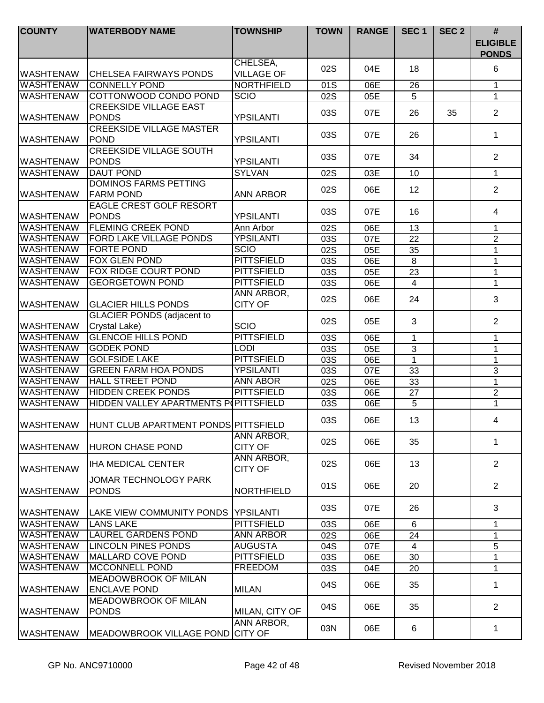| <b>COUNTY</b>     | <b>WATERBODY NAME</b>                              | <b>TOWNSHIP</b>               | <b>TOWN</b> | <b>RANGE</b> | SEC <sub>1</sub> | SEC <sub>2</sub> | $\#$<br><b>ELIGIBLE</b><br><b>PONDS</b> |
|-------------------|----------------------------------------------------|-------------------------------|-------------|--------------|------------------|------------------|-----------------------------------------|
| <b>WASHTENAW</b>  | <b>I</b> CHELSEA FAIRWAYS PONDS                    | CHELSEA,<br><b>VILLAGE OF</b> | 02S         | 04E          | 18               |                  | 6                                       |
| <b>WASHTENAW</b>  | <b>CONNELLY POND</b>                               | <b>NORTHFIELD</b>             | 01S         | 06E          | 26               |                  | $\mathbf{1}$                            |
| <b>WASHTENAW</b>  | COTTONWOOD CONDO POND                              | <b>SCIO</b>                   | 02S         | 05E          | 5                |                  | $\mathbf 1$                             |
| <b>WASHTENAW</b>  | <b>CREEKSIDE VILLAGE EAST</b><br><b>PONDS</b>      | <b>YPSILANTI</b>              | 03S         | 07E          | 26               | 35               | $\overline{2}$                          |
| <b>WASHTENAW</b>  | <b>CREEKSIDE VILLAGE MASTER</b><br>POND            | <b>YPSILANTI</b>              | 03S         | 07E          | 26               |                  | 1.                                      |
| <b>WASHTENAW</b>  | <b>CREEKSIDE VILLAGE SOUTH</b><br><b>PONDS</b>     | <b>YPSILANTI</b>              | 03S         | 07E          | 34               |                  | $\overline{2}$                          |
| <b>WASHTENAW</b>  | <b>DAUT POND</b>                                   | <b>SYLVAN</b>                 | 02S         | 03E          | 10               |                  | $\mathbf{1}$                            |
| <b>WASHTENAW</b>  | <b>DOMINOS FARMS PETTING</b><br><b>FARM POND</b>   | <b>ANN ARBOR</b>              | 02S         | 06E          | 12               |                  | $\overline{2}$                          |
| <b>WASHTENAW</b>  | <b>EAGLE CREST GOLF RESORT</b><br><b>PONDS</b>     | <b>YPSILANTI</b>              | 03S         | 07E          | 16               |                  | 4                                       |
| <b>WASHTENAW</b>  | <b>FLEMING CREEK POND</b>                          | Ann Arbor                     | 02S         | 06E          | 13               |                  | 1                                       |
| <b>WASHTENAW</b>  | <b>FORD LAKE VILLAGE PONDS</b>                     | <b>YPSILANTI</b>              | 03S         | 07E          | 22               |                  | $\overline{2}$                          |
| <b>WASHTENAW</b>  | <b>FORTE POND</b>                                  | <b>SCIO</b>                   | 02S         | 05E          | 35               |                  | 1                                       |
| <b>WASHTENAW</b>  | <b>FOX GLEN POND</b>                               | <b>PITTSFIELD</b>             | 03S         | 06E          | 8                |                  | 1                                       |
| <b>WASHTENAW</b>  | FOX RIDGE COURT POND                               | <b>PITTSFIELD</b>             | 03S         | 05E          | 23               |                  | 1                                       |
| <b>WASHTENAW</b>  | <b>GEORGETOWN POND</b>                             | <b>PITTSFIELD</b>             | 03S         | 06E          | $\overline{4}$   |                  | 1                                       |
| <b>WASHTENAW</b>  | <b>GLACIER HILLS PONDS</b>                         | ANN ARBOR,<br><b>CITY OF</b>  | 02S         | 06E          | 24               |                  | 3                                       |
| <b>WASHTENAW</b>  | <b>GLACIER PONDS (adjacent to</b><br>Crystal Lake) | <b>SCIO</b>                   | 02S         | 05E          | 3                |                  | 2                                       |
| <b>WASHTENAW</b>  | <b>GLENCOE HILLS POND</b>                          | <b>PITTSFIELD</b>             | 03S         | 06E          | 1                |                  | 1                                       |
| <b>WASHTENAW</b>  | <b>GODEK POND</b>                                  | <b>LODI</b>                   | 03S         | 05E          | 3                |                  | 1                                       |
| <b>WASHTENAW</b>  | <b>GOLFSIDE LAKE</b>                               | <b>PITTSFIELD</b>             | 03S         | 06E          | $\mathbf{1}$     |                  | $\mathbf 1$                             |
| <b>WASHTENAW</b>  | <b>GREEN FARM HOA PONDS</b>                        | <b>YPSILANTI</b>              | 03S         | 07E          | 33               |                  | $\mathbf{3}$                            |
| <b>WASHTENAW</b>  | <b>HALL STREET POND</b>                            | <b>ANN ABOR</b>               | 02S         | 06E          | 33               |                  | 1                                       |
| <b>WASHTENAW</b>  | <b>HIDDEN CREEK PONDS</b>                          | <b>PITTSFIELD</b>             | 03S         | 06E          | 27               |                  | $\overline{2}$                          |
| <b>WASHTENAW</b>  | HIDDEN VALLEY APARTMENTS POPITTSFIELD              |                               | 03S         | 06E          | 5                |                  | $\overline{1}$                          |
| <b>WASHTENAW</b>  | HUNT CLUB APARTMENT PONDS PITTSFIELD               |                               | 03S         | 06E          | 13               |                  | 4                                       |
| <b>IWASHTENAW</b> | <b>HURON CHASE POND</b>                            | ANN ARBOR,<br><b>CITY OF</b>  | 02S         | 06E          | 35               |                  | $\mathbf 1$                             |
| <b>WASHTENAW</b>  | <b>IHA MEDICAL CENTER</b>                          | ANN ARBOR,<br><b>CITY OF</b>  | 02S         | 06E          | 13               |                  | $\overline{2}$                          |
| <b>WASHTENAW</b>  | <b>JOMAR TECHNOLOGY PARK</b><br><b>PONDS</b>       | <b>NORTHFIELD</b>             | 01S         | 06E          | 20               |                  | $\overline{2}$                          |
| <b>IWASHTENAW</b> | LAKE VIEW COMMUNITY PONDS   YPSILANTI              |                               | 03S         | 07E          | 26               |                  | 3                                       |
| <b>WASHTENAW</b>  | <b>LANS LAKE</b>                                   | PITTSFIELD                    | 03S         | 06E          | 6                |                  | $\mathbf{1}$                            |
| <b>WASHTENAW</b>  | <b>LAUREL GARDENS POND</b>                         | <b>ANN ARBOR</b>              | 02S         | 06E          | 24               |                  | 1                                       |
| <b>WASHTENAW</b>  | <b>LINCOLN PINES PONDS</b>                         | <b>AUGUSTA</b>                | 04S         | 07E          | $\overline{4}$   |                  | 5                                       |
| <b>WASHTENAW</b>  | MALLARD COVE POND                                  | <b>PITTSFIELD</b>             | 03S         | 06E          | 30               |                  | 1                                       |
| <b>WASHTENAW</b>  | <b>MCCONNELL POND</b>                              | <b>FREEDOM</b>                | 03S         | 04E          | 20               |                  | 1                                       |
| <b>WASHTENAW</b>  | <b>MEADOWBROOK OF MILAN</b><br><b>ENCLAVE POND</b> | <b>MILAN</b>                  | 04S         | 06E          | 35               |                  | 1                                       |
| <b>WASHTENAW</b>  | <b>MEADOWBROOK OF MILAN</b><br><b>PONDS</b>        | MILAN, CITY OF                | 04S         | 06E          | 35               |                  | $\overline{2}$                          |
| <b>WASHTENAW</b>  | MEADOWBROOK VILLAGE POND CITY OF                   | ANN ARBOR,                    | 03N         | 06E          | 6                |                  | 1                                       |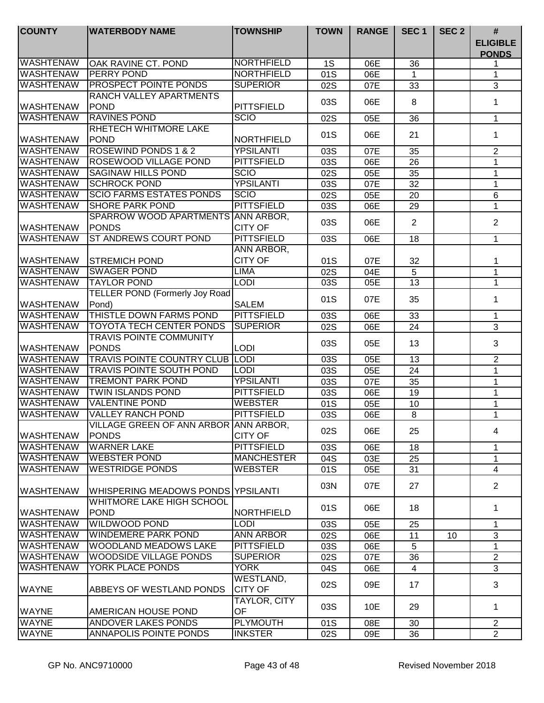| <b>COUNTY</b>    | <b>WATERBODY NAME</b>                                 | <b>TOWNSHIP</b>             | <b>TOWN</b> | <b>RANGE</b> | SEC <sub>1</sub> | SEC <sub>2</sub> | #<br><b>ELIGIBLE</b><br><b>PONDS</b> |
|------------------|-------------------------------------------------------|-----------------------------|-------------|--------------|------------------|------------------|--------------------------------------|
| <b>WASHTENAW</b> | <b>OAK RAVINE CT. POND</b>                            | <b>NORTHFIELD</b>           | 1S          | 06E          | 36               |                  |                                      |
| <b>WASHTENAW</b> | <b>PERRY POND</b>                                     | <b>NORTHFIELD</b>           | 01S         | 06E          | 1                |                  | 1                                    |
| <b>WASHTENAW</b> | <b>PROSPECT POINTE PONDS</b>                          | <b>SUPERIOR</b>             | 02S         | 07E          | 33               |                  | $\sqrt{3}$                           |
| <b>WASHTENAW</b> | RANCH VALLEY APARTMENTS<br>POND                       | PITTSFIELD                  | 03S         | 06E          | 8                |                  | $\mathbf 1$                          |
| <b>WASHTENAW</b> | <b>RAVINES POND</b>                                   | <b>SCIO</b>                 | 02S         | 05E          | 36               |                  | 1                                    |
| <b>WASHTENAW</b> | <b>RHETECH WHITMORE LAKE</b><br>POND                  | NORTHFIELD                  | 01S         | 06E          | 21               |                  | 1                                    |
| <b>WASHTENAW</b> | <b>ROSEWIND PONDS 1 &amp; 2</b>                       | <b>YPSILANTI</b>            | 03S         | 07E          | 35               |                  | $\overline{2}$                       |
| <b>WASHTENAW</b> | <b>ROSEWOOD VILLAGE POND</b>                          | <b>PITTSFIELD</b>           | 03S         | 06E          | 26               |                  | 1                                    |
| <b>WASHTENAW</b> | <b>SAGINAW HILLS POND</b>                             | <b>SCIO</b>                 | 02S         | 05E          | 35               |                  | 1                                    |
| <b>WASHTENAW</b> | <b>SCHROCK POND</b>                                   | <b>YPSILANTI</b>            | 03S         | 07E          | 32               |                  | 1                                    |
| <b>WASHTENAW</b> | <b>SCIO FARMS ESTATES PONDS</b>                       | <b>SCIO</b>                 | 02S         | 05E          | 20               |                  | $6\phantom{1}$                       |
| <b>WASHTENAW</b> | <b>SHORE PARK POND</b>                                | <b>PITTSFIELD</b>           | 03S         | 06E          | 29               |                  | $\mathbf{1}$                         |
| <b>WASHTENAW</b> | SPARROW WOOD APARTMENTS ANN ARBOR,<br><b>PONDS</b>    | <b>CITY OF</b>              | 03S         | 06E          | 2                |                  | $\overline{2}$                       |
| <b>WASHTENAW</b> | <b>ST ANDREWS COURT POND</b>                          | <b>PITTSFIELD</b>           | 03S         | 06E          | 18               |                  | $\mathbf{1}$                         |
|                  |                                                       | ANN ARBOR,                  |             |              |                  |                  |                                      |
| <b>WASHTENAW</b> | <b>STREMICH POND</b>                                  | <b>CITY OF</b>              | 01S         | 07E          | 32               |                  | 1                                    |
| <b>WASHTENAW</b> | <b>SWAGER POND</b>                                    | <b>LIMA</b>                 | 02S         | 04E          | $\sqrt{5}$       |                  | 1                                    |
| <b>WASHTENAW</b> | <b>TAYLOR POND</b>                                    | <b>LODI</b>                 | 03S         | 05E          | 13               |                  | 1                                    |
| <b>WASHTENAW</b> | <b>TELLER POND (Formerly Joy Road)</b><br>Pond)       | <b>SALEM</b>                | 01S         | 07E          | 35               |                  | 1                                    |
| <b>WASHTENAW</b> | THISTLE DOWN FARMS POND                               | <b>PITTSFIELD</b>           | 03S         | 06E          | 33               |                  | 1                                    |
| <b>WASHTENAW</b> | <b>TOYOTA TECH CENTER PONDS</b>                       | <b>SUPERIOR</b>             | 02S         | 06E          | 24               |                  | $\overline{3}$                       |
| <b>WASHTENAW</b> | <b>TRAVIS POINTE COMMUNITY</b><br><b>PONDS</b>        | <b>LODI</b>                 | 03S         | 05E          | 13               |                  | 3                                    |
| <b>WASHTENAW</b> | <b>TRAVIS POINTE COUNTRY CLUB LODI</b>                |                             | 03S         | 05E          | $\overline{13}$  |                  | $\overline{2}$                       |
| <b>WASHTENAW</b> | <b>TRAVIS POINTE SOUTH POND</b>                       | <b>LODI</b>                 | 03S         | 05E          | 24               |                  | $\mathbf{1}$                         |
| <b>WASHTENAW</b> | <b>TREMONT PARK POND</b>                              | <b>YPSILANTI</b>            | 03S         | 07E          | 35               |                  | $\mathbf{1}$                         |
| <b>WASHTENAW</b> | <b>TWIN ISLANDS POND</b>                              | <b>PITTSFIELD</b>           | 03S         | 06E          | 19               |                  | 1                                    |
| <b>WASHTENAW</b> | <b>VALENTINE POND</b>                                 | <b>WEBSTER</b>              | 01S         | 05E          | 10               |                  | 1                                    |
| <b>WASHTENAW</b> | <b>VALLEY RANCH POND</b>                              | <b>PITTSFIELD</b>           | 03S         | 06E          | $\,8\,$          |                  | 1                                    |
| <b>WASHTENAW</b> | VILLAGE GREEN OF ANN ARBOR ANN ARBOR,<br><b>PONDS</b> | <b>CITY OF</b>              | 02S         | 06E          | 25               |                  | 4                                    |
| <b>WASHTENAW</b> | <b>WARNER LAKE</b>                                    | <b>PITTSFIELD</b>           | 03S         | 06E          | 18               |                  | 1                                    |
| WASHTENAW        | <b>WEBSTER POND</b>                                   | <b>MANCHESTER</b>           | 04S         | 03E          | 25               |                  | 1                                    |
| <b>WASHTENAW</b> | <b>WESTRIDGE PONDS</b>                                | <b>WEBSTER</b>              | 01S         | 05E          | 31               |                  | 4                                    |
| IWASHTENAW       | WHISPERING MEADOWS PONDS YPSILANTI                    |                             | 03N         | 07E          | 27               |                  | $\overline{2}$                       |
| <b>WASHTENAW</b> | WHITMORE LAKE HIGH SCHOOL<br><b>POND</b>              | NORTHFIELD                  | 01S         | 06E          | 18               |                  | 1                                    |
| <b>WASHTENAW</b> | <b>WILDWOOD POND</b>                                  | <b>LODI</b>                 | 03S         | 05E          | 25               |                  | $\mathbf 1$                          |
| <b>WASHTENAW</b> | <b>WINDEMERE PARK POND</b>                            | <b>ANN ARBOR</b>            | 02S         | 06E          | 11               | 10               | 3                                    |
| <b>WASHTENAW</b> | <b>WOODLAND MEADOWS LAKE</b>                          | <b>PITTSFIELD</b>           | 03S         | 06E          | 5                |                  | 1                                    |
| <b>WASHTENAW</b> | <b>WOODSIDE VILLAGE PONDS</b>                         | <b>SUPERIOR</b>             | 02S         | 07E          | 36               |                  | $\overline{2}$                       |
| <b>WASHTENAW</b> | YORK PLACE PONDS                                      | <b>YORK</b>                 | 04S         | 06E          | 4                |                  | 3                                    |
| <b>WAYNE</b>     | ABBEYS OF WESTLAND PONDS                              | WESTLAND,<br><b>CITY OF</b> | 02S         | 09E          | 17               |                  | 3                                    |
| <b>WAYNE</b>     | <b>AMERICAN HOUSE POND</b>                            | TAYLOR, CITY<br>OF          | 03S         | 10E          | 29               |                  | 1                                    |
| <b>WAYNE</b>     | ANDOVER LAKES PONDS                                   | <b>PLYMOUTH</b>             | 01S         | 08E          | 30               |                  | $\overline{2}$                       |
| <b>WAYNE</b>     | <b>ANNAPOLIS POINTE PONDS</b>                         | <b>INKSTER</b>              | 02S         | 09E          | 36               |                  | $\overline{2}$                       |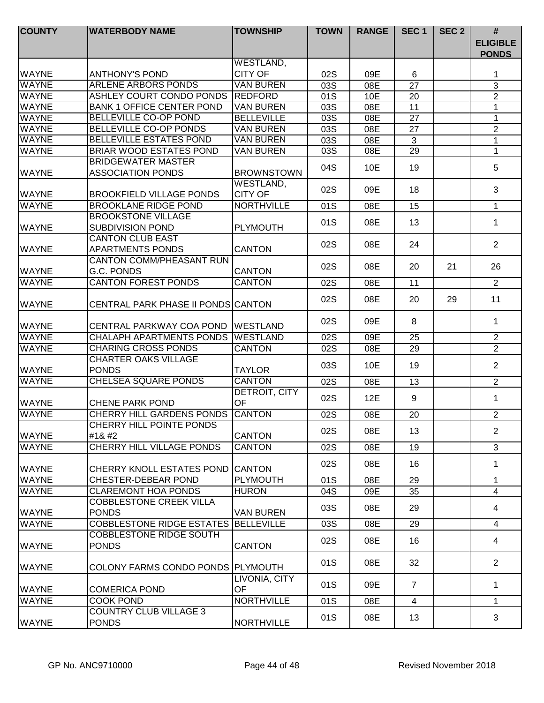| <b>COUNTY</b> | <b>WATERBODY NAME</b>                                 | <b>TOWNSHIP</b>             | <b>TOWN</b>      | <b>RANGE</b> | SEC <sub>1</sub> | SEC <sub>2</sub> | $\#$<br><b>ELIGIBLE</b><br><b>PONDS</b> |
|---------------|-------------------------------------------------------|-----------------------------|------------------|--------------|------------------|------------------|-----------------------------------------|
|               |                                                       | WESTLAND,                   |                  |              |                  |                  |                                         |
| <b>WAYNE</b>  | <b>ANTHONY'S POND</b>                                 | <b>CITY OF</b>              | 02S              | 09E          | 6                |                  | 1                                       |
| <b>WAYNE</b>  | <b>ARLENE ARBORS PONDS</b>                            | <b>VAN BUREN</b>            | 03S              | 08E          | 27               |                  | $\mathfrak{B}$                          |
| <b>WAYNE</b>  | <b>ASHLEY COURT CONDO PONDS</b>                       | <b>REDFORD</b>              | 01S              | 10E          | 20               |                  | $\overline{2}$                          |
| <b>WAYNE</b>  | <b>BANK 1 OFFICE CENTER POND</b>                      | <b>VAN BUREN</b>            | 03S              | 08E          | 11               |                  | $\mathbf{1}$                            |
| <b>WAYNE</b>  | <b>BELLEVILLE CO-OP POND</b>                          | <b>BELLEVILLE</b>           | 03S              | 08E          | $\overline{27}$  |                  | $\overline{1}$                          |
| <b>WAYNE</b>  | <b>BELLEVILLE CO-OP PONDS</b>                         | <b>VAN BUREN</b>            | 03S              | 08E          | 27               |                  | $\overline{2}$                          |
| <b>WAYNE</b>  | <b>BELLEVILLE ESTATES POND</b>                        | <b>VAN BUREN</b>            | 03S              | 08E          | 3                |                  | $\mathbf{1}$                            |
| <b>WAYNE</b>  | <b>BRIAR WOOD ESTATES POND</b>                        | <b>VAN BUREN</b>            | 03S              | 08E          | 29               |                  | $\mathbf{1}$                            |
| <b>WAYNE</b>  | <b>BRIDGEWATER MASTER</b><br><b>ASSOCIATION PONDS</b> | <b>BROWNSTOWN</b>           | 04S              | 10E          | 19               |                  | 5                                       |
| WAYNE         | <b>BROOKFIELD VILLAGE PONDS</b>                       | WESTLAND,<br><b>CITY OF</b> | 02S              | 09E          | 18               |                  | 3                                       |
| <b>WAYNE</b>  | <b>BROOKLANE RIDGE POND</b>                           | <b>NORTHVILLE</b>           | 01S              | 08E          | 15               |                  | $\mathbf{1}$                            |
| <b>WAYNE</b>  | <b>BROOKSTONE VILLAGE</b><br><b>SUBDIVISION POND</b>  | <b>PLYMOUTH</b>             | 01S              | 08E          | 13               |                  | 1                                       |
| <b>WAYNE</b>  | <b>CANTON CLUB EAST</b><br><b>APARTMENTS PONDS</b>    | <b>CANTON</b>               | 02S              | 08E          | 24               |                  | 2                                       |
| <b>WAYNE</b>  | <b>CANTON COMM/PHEASANT RUN</b><br>G.C. PONDS         | <b>CANTON</b>               | 02S              | 08E          | 20               | 21               | 26                                      |
| <b>WAYNE</b>  | <b>CANTON FOREST PONDS</b>                            | <b>CANTON</b>               | 02S              | 08E          | 11               |                  | $\overline{2}$                          |
| <b>WAYNE</b>  | <b>CENTRAL PARK PHASE II PONDS CANTON</b>             |                             | 02S              | 08E          | 20               | 29               | 11                                      |
| <b>WAYNE</b>  | CENTRAL PARKWAY COA POND                              | <b>WESTLAND</b>             | 02S              | 09E          | 8                |                  | 1                                       |
| <b>WAYNE</b>  | <b>CHALAPH APARTMENTS PONDS</b>                       | <b>WESTLAND</b>             | 02S              | 09E          | 25               |                  | $\overline{2}$                          |
| <b>WAYNE</b>  | <b>CHARING CROSS PONDS</b>                            | <b>CANTON</b>               | $\overline{02S}$ | 08E          | $\overline{29}$  |                  | $\overline{2}$                          |
| <b>WAYNE</b>  | <b>CHARTER OAKS VILLAGE</b><br><b>PONDS</b>           | <b>TAYLOR</b>               | 03S              | 10E          | 19               |                  | $\overline{2}$                          |
| <b>WAYNE</b>  | <b>CHELSEA SQUARE PONDS</b>                           | <b>CANTON</b>               | 02S              | 08E          | 13               |                  | $\overline{2}$                          |
| <b>WAYNE</b>  | <b>CHENE PARK POND</b>                                | DETROIT, CITY<br>OF         | 02S              | 12E          | 9                |                  | $\mathbf 1$                             |
| <b>WAYNE</b>  | <b>CHERRY HILL GARDENS PONDS</b>                      | <b>CANTON</b>               | 02S              | 08E          | 20               |                  | $\overline{2}$                          |
| <b>WAYNE</b>  | <b>CHERRY HILL POINTE PONDS</b><br>#1                | <b>CANTON</b>               | 02S              | 08E          | 13               |                  | 2                                       |
| <b>WAYNE</b>  | <b>CHERRY HILL VILLAGE PONDS</b>                      | <b>CANTON</b>               | 02S              | 08E          | 19               |                  | 3                                       |
| <b>WAYNE</b>  | CHERRY KNOLL ESTATES POND CANTON                      |                             | 02S              | 08E          | 16               |                  | 1                                       |
| <b>WAYNE</b>  | <b>CHESTER-DEBEAR POND</b>                            | <b>PLYMOUTH</b>             | 01S              | 08E          | 29               |                  | $\mathbf{1}$                            |
| <b>WAYNE</b>  | <b>CLAREMONT HOA PONDS</b>                            | <b>HURON</b>                | 04S              | 09E          | 35               |                  | $\overline{4}$                          |
| WAYNE         | <b>COBBLESTONE CREEK VILLA</b><br><b>PONDS</b>        | <b>VAN BUREN</b>            | 03S              | 08E          | 29               |                  | 4                                       |
| <b>WAYNE</b>  | COBBLESTONE RIDGE ESTATES BELLEVILLE                  |                             | 03S              | 08E          | 29               |                  | 4                                       |
| <b>WAYNE</b>  | <b>COBBLESTONE RIDGE SOUTH</b><br><b>PONDS</b>        | <b>CANTON</b>               | 02S              | 08E          | 16               |                  | 4                                       |
| WAYNE         | COLONY FARMS CONDO PONDS PLYMOUTH                     |                             | 01S              | 08E          | 32               |                  | $\overline{2}$                          |
| WAYNE         | <b>COMERICA POND</b>                                  | LIVONIA, CITY<br>OF         | 01S              | 09E          | $\overline{7}$   |                  | 1                                       |
| <b>WAYNE</b>  | <b>COOK POND</b>                                      | <b>NORTHVILLE</b>           | 01S              | 08E          | 4                |                  | 1                                       |
| WAYNE         | <b>COUNTRY CLUB VILLAGE 3</b><br><b>PONDS</b>         | <b>NORTHVILLE</b>           | 01S              | 08E          | 13               |                  | 3                                       |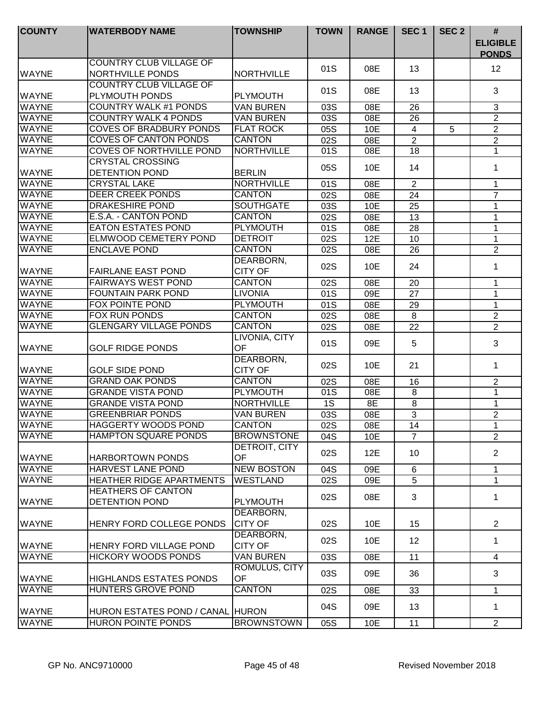| <b>COUNTY</b> | <b>WATERBODY NAME</b>                                     | <b>TOWNSHIP</b>             | <b>TOWN</b>      | <b>RANGE</b> | SEC <sub>1</sub>  | SEC <sub>2</sub> | #<br><b>ELIGIBLE</b><br><b>PONDS</b> |
|---------------|-----------------------------------------------------------|-----------------------------|------------------|--------------|-------------------|------------------|--------------------------------------|
| <b>WAYNE</b>  | <b>COUNTRY CLUB VILLAGE OF</b><br><b>NORTHVILLE PONDS</b> | <b>NORTHVILLE</b>           | 01S              | 08E          | 13                |                  | 12                                   |
| WAYNE         | <b>COUNTRY CLUB VILLAGE OF</b><br>PLYMOUTH PONDS          | <b>PLYMOUTH</b>             | 01S              | 08E          | 13                |                  | 3                                    |
| <b>WAYNE</b>  | <b>COUNTRY WALK #1 PONDS</b>                              | <b>VAN BUREN</b>            | 03S              | 08E          | 26                |                  | $\sqrt{3}$                           |
| <b>WAYNE</b>  | <b>COUNTRY WALK 4 PONDS</b>                               | <b>VAN BUREN</b>            | 03S              | 08E          | 26                |                  | $\overline{2}$                       |
| <b>WAYNE</b>  | <b>COVES OF BRADBURY PONDS</b>                            | <b>FLAT ROCK</b>            | 05S              | 10E          | $\overline{4}$    | 5                | $\sqrt{2}$                           |
| <b>WAYNE</b>  | <b>COVES OF CANTON PONDS</b>                              | <b>CANTON</b>               | 02S              | 08E          | $\overline{2}$    |                  | $\overline{2}$                       |
| <b>WAYNE</b>  | <b>COVES OF NORTHVILLE POND</b>                           | <b>NORTHVILLE</b>           | 01S              | 08E          | 18                |                  | $\mathbf{1}$                         |
| <b>WAYNE</b>  | <b>CRYSTAL CROSSING</b><br><b>DETENTION POND</b>          | <b>BERLIN</b>               | 05S              | 10E          | 14                |                  | 1                                    |
| <b>WAYNE</b>  | <b>CRYSTAL LAKE</b>                                       | <b>NORTHVILLE</b>           | 01S              | 08E          | 2                 |                  | $\mathbf{1}$                         |
| <b>WAYNE</b>  | <b>DEER CREEK PONDS</b>                                   | <b>CANTON</b>               | 02S              | 08E          | 24                |                  | $\overline{7}$                       |
| <b>WAYNE</b>  | <b>DRAKESHIRE POND</b>                                    | <b>SOUTHGATE</b>            | 03S              | 10E          | 25                |                  | 1                                    |
| <b>WAYNE</b>  | E.S.A. - CANTON POND                                      | <b>CANTON</b>               | 02S              | 08E          | 13                |                  | $\mathbf{1}$                         |
| <b>WAYNE</b>  | <b>EATON ESTATES POND</b>                                 | PLYMOUTH                    | 01S              | 08E          | 28                |                  | 1                                    |
| <b>WAYNE</b>  | <b>ELMWOOD CEMETERY POND</b>                              | <b>DETROIT</b>              | 02S              | 12E          | 10                |                  | 1                                    |
| <b>WAYNE</b>  | <b>ENCLAVE POND</b>                                       | <b>CANTON</b>               | 02S              | 08E          | 26                |                  | $\sqrt{2}$                           |
| <b>WAYNE</b>  | <b>FAIRLANE EAST POND</b>                                 | DEARBORN,<br><b>CITY OF</b> | 02S              | 10E          | 24                |                  | 1                                    |
| <b>WAYNE</b>  | <b>FAIRWAYS WEST POND</b>                                 | <b>CANTON</b>               | 02S              | 08E          | 20                |                  | 1                                    |
| <b>WAYNE</b>  | <b>FOUNTAIN PARK POND</b>                                 | <b>LIVONIA</b>              | 01S              | 09E          | 27                |                  | 1                                    |
| <b>WAYNE</b>  | <b>FOX POINTE POND</b>                                    | <b>PLYMOUTH</b>             | 01S              | 08E          | 29                |                  | $\mathbf{1}$                         |
| <b>WAYNE</b>  | <b>FOX RUN PONDS</b>                                      | <b>CANTON</b>               | 02S              | 08E          | 8                 |                  | $\mathbf{2}$                         |
| <b>WAYNE</b>  | <b>GLENGARY VILLAGE PONDS</b>                             | <b>CANTON</b>               | 02S              | 08E          | 22                |                  | $\overline{2}$                       |
| <b>WAYNE</b>  | <b>GOLF RIDGE PONDS</b>                                   | LIVONIA, CITY<br>OF         | 01S              | 09E          | 5                 |                  | 3                                    |
| <b>WAYNE</b>  | <b>GOLF SIDE POND</b>                                     | DEARBORN,<br><b>CITY OF</b> | 02S              | 10E          | 21                |                  | $\mathbf 1$                          |
| <b>WAYNE</b>  | <b>GRAND OAK PONDS</b>                                    | <b>CANTON</b>               | 02S              | 08E          | 16                |                  | $\overline{c}$                       |
| <b>WAYNE</b>  | <b>GRANDE VISTA POND</b>                                  | <b>PLYMOUTH</b>             | 01S              | 08E          | 8                 |                  | $\overline{1}$                       |
| <b>WAYNE</b>  | <b>GRANDE VISTA POND</b>                                  | <b>NORTHVILLE</b>           | 1S               | 8E           | 8                 |                  | $\mathbf 1$                          |
| <b>WAYNE</b>  | <b>GREENBRIAR PONDS</b>                                   | <b>VAN BUREN</b>            | 03S              | 08E          | 3                 |                  | $\overline{2}$                       |
| <b>WAYNE</b>  | <b>HAGGERTY WOODS POND</b>                                | <b>CANTON</b>               | $\overline{02S}$ | 08E          | 14                |                  | 1                                    |
| <b>WAYNE</b>  | <b>HAMPTON SQUARE PONDS</b>                               | <b>BROWNSTONE</b>           | 04S              | 10E          | $\overline{7}$    |                  | $\overline{2}$                       |
| WAYNE         | <b>HARBORTOWN PONDS</b>                                   | DETROIT, CITY<br><b>OF</b>  | 02S              | 12E          | 10                |                  | $\overline{2}$                       |
| <b>WAYNE</b>  | <b>HARVEST LANE POND</b>                                  | <b>NEW BOSTON</b>           | 04S              | 09E          | 6                 |                  | 1                                    |
| <b>WAYNE</b>  | HEATHER RIDGE APARTMENTS                                  | <b>WESTLAND</b>             | 02S              | 09E          | $\overline{5}$    |                  | $\mathbf{1}$                         |
| WAYNE         | <b>HEATHERS OF CANTON</b><br><b>DETENTION POND</b>        | <b>PLYMOUTH</b>             | 02S              | 08E          | 3                 |                  | 1                                    |
| <b>WAYNE</b>  | HENRY FORD COLLEGE PONDS                                  | DEARBORN,<br><b>CITY OF</b> | 02S              | 10E          | 15                |                  | $\overline{2}$                       |
| <b>WAYNE</b>  | HENRY FORD VILLAGE POND                                   | DEARBORN,<br><b>CITY OF</b> | 02S              | 10E          | $12 \overline{ }$ |                  | 1                                    |
| <b>WAYNE</b>  | <b>HICKORY WOODS PONDS</b>                                | <b>VAN BUREN</b>            | 03S              | 08E          | 11                |                  | 4                                    |
| <b>WAYNE</b>  | <b>HIGHLANDS ESTATES PONDS</b>                            | ROMULUS, CITY<br>OF         | 03S              | 09E          | 36                |                  | 3                                    |
| <b>WAYNE</b>  | HUNTERS GROVE POND                                        | <b>CANTON</b>               | 02S              | 08E          | 33                |                  | 1                                    |
| <b>WAYNE</b>  | HURON ESTATES POND / CANAL HURON                          |                             | 04S              | 09E          | 13                |                  | $\mathbf 1$                          |
| <b>WAYNE</b>  | HURON POINTE PONDS                                        | <b>BROWNSTOWN</b>           | 05S              | 10E          | 11                |                  | $\overline{2}$                       |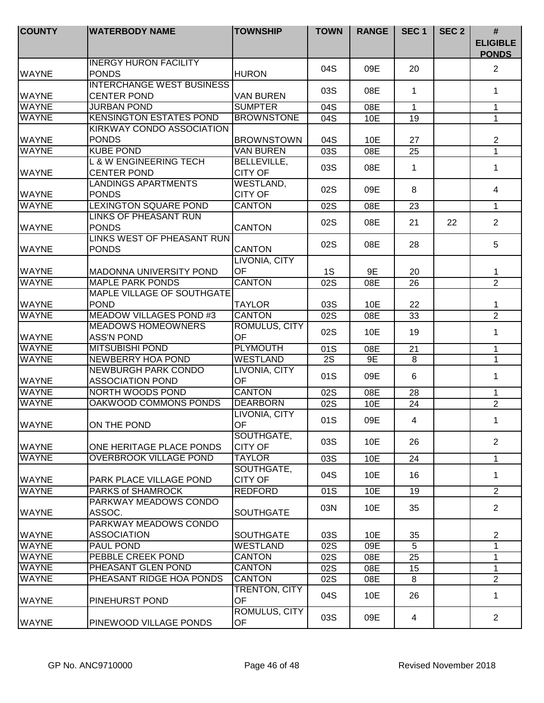| <b>COUNTY</b> | <b>WATERBODY NAME</b>                                   | <b>TOWNSHIP</b>                      | <b>TOWN</b>     | <b>RANGE</b> | SEC <sub>1</sub> | SEC <sub>2</sub> | #<br><b>ELIGIBLE</b><br><b>PONDS</b> |
|---------------|---------------------------------------------------------|--------------------------------------|-----------------|--------------|------------------|------------------|--------------------------------------|
| <b>WAYNE</b>  | <b>INERGY HURON FACILITY</b><br><b>PONDS</b>            | <b>HURON</b>                         | 04S             | 09E          | 20               |                  | 2                                    |
| <b>WAYNE</b>  | <b>INTERCHANGE WEST BUSINESS</b><br><b>CENTER POND</b>  | <b>VAN BUREN</b>                     | 03S             | 08E          | 1                |                  | 1                                    |
| <b>WAYNE</b>  | <b>JURBAN POND</b>                                      | <b>SUMPTER</b>                       | 04S             | 08E          | $\mathbf 1$      |                  | 1                                    |
| <b>WAYNE</b>  | <b>KENSINGTON ESTATES POND</b>                          | <b>BROWNSTONE</b>                    | 04S             | 10E          | 19               |                  | 1                                    |
| <b>WAYNE</b>  | <b>KIRKWAY CONDO ASSOCIATION</b><br><b>PONDS</b>        | <b>BROWNSTOWN</b>                    | 04S             | 10E          | 27               |                  | $\overline{2}$                       |
| <b>WAYNE</b>  | <b>KUBE POND</b>                                        | <b>VAN BUREN</b>                     | 03S             | 08E          | 25               |                  | $\mathbf{1}$                         |
| <b>WAYNE</b>  | <b>L &amp; W ENGINEERING TECH</b><br><b>CENTER POND</b> | <b>BELLEVILLE,</b><br><b>CITY OF</b> | 03S             | 08E          | $\mathbf 1$      |                  | $\mathbf 1$                          |
| <b>WAYNE</b>  | <b>LANDINGS APARTMENTS</b><br><b>PONDS</b>              | WESTLAND,<br><b>CITY OF</b>          | 02S             | 09E          | 8                |                  | 4                                    |
| <b>WAYNE</b>  | <b>LEXINGTON SQUARE POND</b>                            | <b>CANTON</b>                        | 02S             | 08E          | 23               |                  | $\mathbf 1$                          |
| <b>WAYNE</b>  | <b>LINKS OF PHEASANT RUN</b><br><b>PONDS</b>            | <b>CANTON</b>                        | 02S             | 08E          | 21               | 22               | $\overline{2}$                       |
| <b>WAYNE</b>  | LINKS WEST OF PHEASANT RUN<br><b>PONDS</b>              | <b>CANTON</b>                        | 02S             | 08E          | 28               |                  | 5                                    |
| <b>WAYNE</b>  | <b>MADONNA UNIVERSITY POND</b>                          | LIVONIA, CITY<br>OF                  | 1S              | 9E           | 20               |                  | 1                                    |
| <b>WAYNE</b>  | <b>MAPLE PARK PONDS</b>                                 | <b>CANTON</b>                        | 02S             | 08E          | 26               |                  | $\overline{2}$                       |
| <b>WAYNE</b>  | MAPLE VILLAGE OF SOUTHGATE<br><b>POND</b>               | <b>TAYLOR</b>                        | 03S             | 10E          | 22               |                  | 1                                    |
| <b>WAYNE</b>  | <b>MEADOW VILLAGES POND #3</b>                          | <b>CANTON</b>                        | 02S             | 08E          | 33               |                  | $\overline{2}$                       |
| <b>WAYNE</b>  | <b>MEADOWS HOMEOWNERS</b><br><b>ASS'N POND</b>          | ROMULUS, CITY<br><b>OF</b>           | 02S             | 10E          | 19               |                  | $\mathbf 1$                          |
| <b>WAYNE</b>  | <b>MITSUBISHI POND</b>                                  | <b>PLYMOUTH</b>                      | 01S             | 08E          | 21               |                  | $\mathbf 1$                          |
| <b>WAYNE</b>  | <b>NEWBERRY HOA POND</b>                                | <b>WESTLAND</b>                      | $\overline{2S}$ | 9E           | 8                |                  | $\mathbf{1}$                         |
| <b>WAYNE</b>  | <b>NEWBURGH PARK CONDO</b><br><b>ASSOCIATION POND</b>   | LIVONIA, CITY<br><b>OF</b>           | 01S             | 09E          | 6                |                  | $\mathbf 1$                          |
| <b>WAYNE</b>  | <b>NORTH WOODS POND</b>                                 | <b>CANTON</b>                        | 02S             | 08E          | 28               |                  | 1                                    |
| <b>WAYNE</b>  | OAKWOOD COMMONS PONDS                                   | <b>DEARBORN</b>                      | 02S             | 10E          | 24               |                  | $\overline{c}$                       |
| <b>WAYNE</b>  | ON THE POND                                             | LIVONIA, CITY<br>OF                  | 01S             | 09E          | $\overline{4}$   |                  | 1                                    |
| <b>WAYNE</b>  | ONE HERITAGE PLACE PONDS                                | SOUTHGATE,<br><b>CITY OF</b>         | 03S             | 10E          | 26               |                  | $\overline{2}$                       |
| <b>WAYNE</b>  | <b>OVERBROOK VILLAGE POND</b>                           | <b>TAYLOR</b>                        | 03S             | 10E          | 24               |                  | $\mathbf{1}$                         |
| <b>WAYNE</b>  | <b>PARK PLACE VILLAGE POND</b>                          | SOUTHGATE,<br><b>CITY OF</b>         | 04S             | 10E          | 16               |                  | 1                                    |
| <b>WAYNE</b>  | <b>PARKS of SHAMROCK</b>                                | <b>REDFORD</b>                       | 01S             | 10E          | 19               |                  | $\overline{2}$                       |
| <b>WAYNE</b>  | PARKWAY MEADOWS CONDO<br>ASSOC.                         | <b>SOUTHGATE</b>                     | 03N             | 10E          | 35               |                  | $\overline{2}$                       |
| <b>WAYNE</b>  | PARKWAY MEADOWS CONDO<br><b>ASSOCIATION</b>             | <b>SOUTHGATE</b>                     | 03S             | 10E          | 35               |                  | $\overline{2}$                       |
| <b>WAYNE</b>  | <b>PAUL POND</b>                                        | <b>WESTLAND</b>                      | 02S             | 09E          | 5                |                  | $\mathbf{1}$                         |
| <b>WAYNE</b>  | PEBBLE CREEK POND                                       | <b>CANTON</b>                        | 02S             | 08E          | 25               |                  | 1                                    |
| <b>WAYNE</b>  | PHEASANT GLEN POND                                      | <b>CANTON</b>                        | 02S             | 08E          | 15               |                  | 1                                    |
| <b>WAYNE</b>  | PHEASANT RIDGE HOA PONDS                                | <b>CANTON</b>                        | 02S             | 08E          | 8                |                  | $\overline{2}$                       |
| <b>IWAYNE</b> | PINEHURST POND                                          | TRENTON, CITY<br><b>OF</b>           | 04S             | 10E          | 26               |                  | $\mathbf 1$                          |
| <b>WAYNE</b>  | PINEWOOD VILLAGE PONDS                                  | ROMULUS, CITY<br><b>OF</b>           | 03S             | 09E          | 4                |                  | $\overline{2}$                       |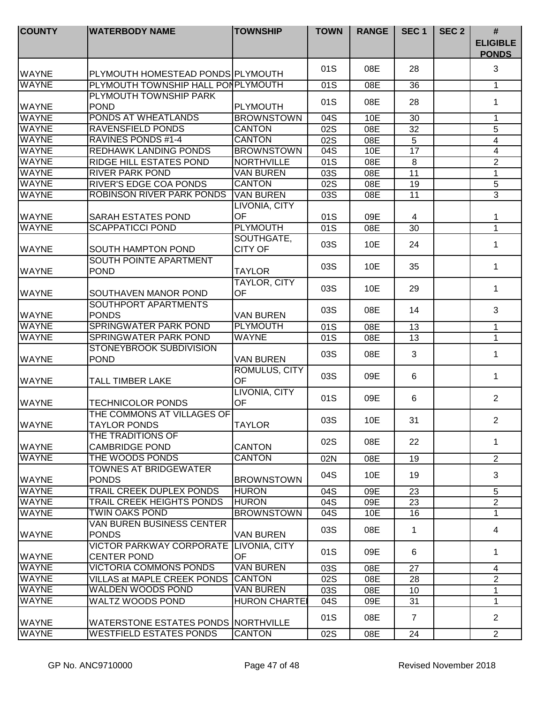| <b>COUNTY</b>                | <b>WATERBODY NAME</b>                                             | <b>TOWNSHIP</b>                    | <b>TOWN</b>      | <b>RANGE</b>     | SEC <sub>1</sub>                  | SEC <sub>2</sub> | $\#$<br><b>ELIGIBLE</b><br><b>PONDS</b> |
|------------------------------|-------------------------------------------------------------------|------------------------------------|------------------|------------------|-----------------------------------|------------------|-----------------------------------------|
|                              |                                                                   |                                    | 01S              | 08E              | 28                                |                  | 3                                       |
| <b>WAYNE</b>                 | PLYMOUTH HOMESTEAD PONDS PLYMOUTH                                 |                                    |                  |                  |                                   |                  |                                         |
| <b>WAYNE</b>                 | PLYMOUTH TOWNSHIP HALL PONPLYMOUTH                                |                                    | 01S              | 08E              | 36                                |                  | $\mathbf 1$                             |
|                              | PLYMOUTH TOWNSHIP PARK<br><b>POND</b>                             |                                    | 01S              | 08E              | 28                                |                  | 1                                       |
| <b>WAYNE</b>                 |                                                                   | <b>PLYMOUTH</b>                    |                  |                  |                                   |                  |                                         |
| <b>WAYNE</b><br><b>WAYNE</b> | PONDS AT WHEATLANDS<br><b>RAVENSFIELD PONDS</b>                   | <b>BROWNSTOWN</b><br><b>CANTON</b> | 04S              | 10E              | 30                                |                  | 1                                       |
| <b>WAYNE</b>                 | RAVINES PONDS #1-4                                                | <b>CANTON</b>                      | 02S              | 08E              | 32                                |                  | 5                                       |
| <b>WAYNE</b>                 | <b>REDHAWK LANDING PONDS</b>                                      | <b>BROWNSTOWN</b>                  | 02S              | 08E              | $\overline{5}$<br>$\overline{17}$ |                  | 4<br>4                                  |
| <b>WAYNE</b>                 | RIDGE HILL ESTATES POND                                           | <b>NORTHVILLE</b>                  | 04S<br>01S       | 10E<br>08E       | 8                                 |                  | $\overline{2}$                          |
| <b>WAYNE</b>                 | <b>RIVER PARK POND</b>                                            | <b>VAN BUREN</b>                   |                  |                  |                                   |                  |                                         |
| <b>WAYNE</b>                 |                                                                   |                                    | 03S              | $\overline{08}E$ | $\overline{11}$                   |                  | $\mathbf 1$<br>$\overline{5}$           |
|                              | <b>RIVER'S EDGE COA PONDS</b><br><b>ROBINSON RIVER PARK PONDS</b> | <b>CANTON</b>                      | $\overline{02S}$ | 08E              | $\overline{19}$                   |                  | $\overline{3}$                          |
| <b>WAYNE</b>                 |                                                                   | <b>VAN BUREN</b>                   | 03S              | 08E              | 11                                |                  |                                         |
|                              |                                                                   | LIVONIA, CITY<br><b>OF</b>         |                  |                  |                                   |                  |                                         |
| <b>WAYNE</b><br><b>WAYNE</b> | SARAH ESTATES POND<br><b>SCAPPATICCI POND</b>                     | <b>PLYMOUTH</b>                    | 01S              | 09E              | 4                                 |                  | 1                                       |
|                              |                                                                   | SOUTHGATE,                         | 01S              | 08E              | 30                                |                  | $\mathbf{1}$                            |
| <b>WAYNE</b>                 | SOUTH HAMPTON POND                                                | <b>CITY OF</b>                     | 03S              | 10E              | 24                                |                  | $\mathbf 1$                             |
| <b>WAYNE</b>                 | SOUTH POINTE APARTMENT<br><b>POND</b>                             | <b>TAYLOR</b>                      | 03S              | 10E              | 35                                |                  | $\mathbf 1$                             |
| <b>WAYNE</b>                 | SOUTHAVEN MANOR POND                                              | TAYLOR, CITY<br>OF                 | 03S              | 10E              | 29                                |                  | $\mathbf 1$                             |
| <b>WAYNE</b>                 | SOUTHPORT APARTMENTS<br><b>PONDS</b>                              | <b>VAN BUREN</b>                   | 03S              | 08E              | 14                                |                  | 3                                       |
| <b>WAYNE</b>                 | <b>SPRINGWATER PARK POND</b>                                      | <b>PLYMOUTH</b>                    | 01S              | 08E              | 13                                |                  | $\mathbf{1}$                            |
| <b>WAYNE</b>                 | <b>SPRINGWATER PARK POND</b>                                      | <b>WAYNE</b>                       | 01S              | 08E              | 13                                |                  | 1                                       |
|                              | STONEYBROOK SUBDIVISION                                           |                                    |                  |                  |                                   |                  |                                         |
| <b>WAYNE</b>                 | <b>POND</b>                                                       | <b>VAN BUREN</b>                   | 03S              | 08E              | 3                                 |                  | $\mathbf 1$                             |
| <b>WAYNE</b>                 | <b>TALL TIMBER LAKE</b>                                           | <b>ROMULUS, CITY</b><br>OF         | 03S              | 09E              | 6                                 |                  | 1                                       |
| <b>WAYNE</b>                 | <b>TECHNICOLOR PONDS</b>                                          | LIVONIA, CITY<br>OF                | 01S              | 09E              | 6                                 |                  | $\overline{2}$                          |
| <b>WAYNE</b>                 | THE COMMONS AT VILLAGES OF<br><b>TAYLOR PONDS</b>                 | <b>TAYLOR</b>                      | 03S              | 10E              | 31                                |                  | $\overline{c}$                          |
| <b>WAYNE</b>                 | THE TRADITIONS OF<br><b>CAMBRIDGE POND</b>                        | <b>CANTON</b>                      | 02S              | 08E              | 22                                |                  | 1                                       |
| <b>WAYNE</b>                 | THE WOODS PONDS                                                   | <b>CANTON</b>                      | 02N              | 08E              | 19                                |                  | $\overline{2}$                          |
|                              | TOWNES AT BRIDGEWATER                                             |                                    |                  |                  |                                   |                  |                                         |
| <b>WAYNE</b>                 | <b>PONDS</b>                                                      | <b>BROWNSTOWN</b>                  | 04S              | 10E              | 19                                |                  | 3                                       |
| <b>WAYNE</b>                 | <b>TRAIL CREEK DUPLEX PONDS</b>                                   | <b>HURON</b>                       | 04S              | 09E              | 23                                |                  | 5                                       |
| <b>WAYNE</b>                 | <b>TRAIL CREEK HEIGHTS PONDS</b>                                  | <b>HURON</b>                       | 04S              | 09E              | 23                                |                  | $\overline{2}$                          |
| <b>WAYNE</b>                 | <b>TWIN OAKS POND</b>                                             | <b>BROWNSTOWN</b>                  | 04S              | 10E              | 16                                |                  | $\mathbf 1$                             |
| <b>WAYNE</b>                 | <b>VAN BUREN BUSINESS CENTER</b><br><b>PONDS</b>                  | <b>VAN BUREN</b>                   | 03S              | 08E              | 1                                 |                  | 4                                       |
| <b>WAYNE</b>                 | <b>VICTOR PARKWAY CORPORATE</b><br><b>CENTER POND</b>             | LIVONIA, CITY<br><b>OF</b>         | 01S              | 09E              | 6                                 |                  | 1                                       |
| <b>WAYNE</b>                 | <b>VICTORIA COMMONS PONDS</b>                                     | <b>VAN BUREN</b>                   | 03S              | 08E              | 27                                |                  | 4                                       |
| <b>WAYNE</b>                 | <b>VILLAS at MAPLE CREEK PONDS</b>                                | <b>CANTON</b>                      | 02S              | 08E              | 28                                |                  | $\overline{2}$                          |
| <b>WAYNE</b>                 | WALDEN WOODS POND                                                 | <b>VAN BUREN</b>                   | 03S              | 08E              | 10                                |                  | $\mathbf{1}$                            |
| <b>WAYNE</b>                 | WALTZ WOODS POND                                                  | <b>HURON CHARTEI</b>               | 04S              | 09E              | 31                                |                  | 1                                       |
| <b>WAYNE</b>                 | WATERSTONE ESTATES PONDS NORTHVILLE                               |                                    | 01S              | 08E              | $\overline{7}$                    |                  | $\overline{2}$                          |
| <b>WAYNE</b>                 | <b>WESTFIELD ESTATES PONDS</b>                                    | <b>CANTON</b>                      | 02S              | 08E              | 24                                |                  | $\overline{2}$                          |